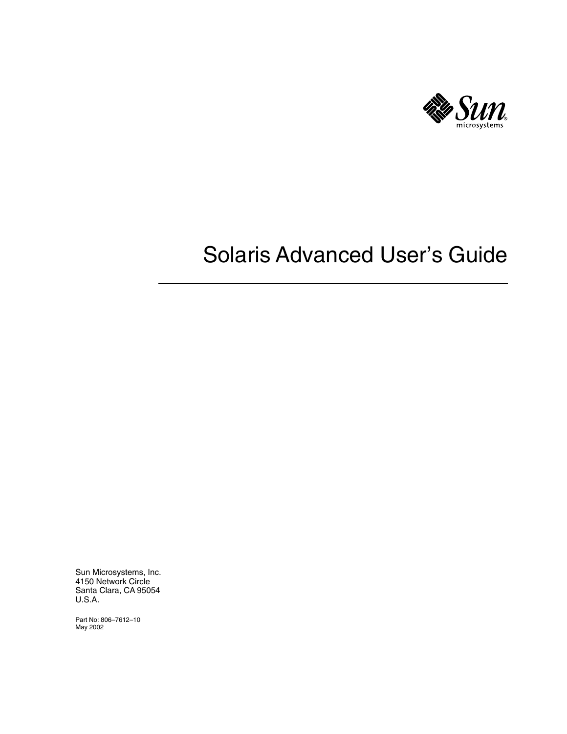

# Solaris Advanced User's Guide

Sun Microsystems, Inc. 4150 Network Circle Santa Clara, CA 95054 U.S.A.

Part No: 806–7612–10 May 2002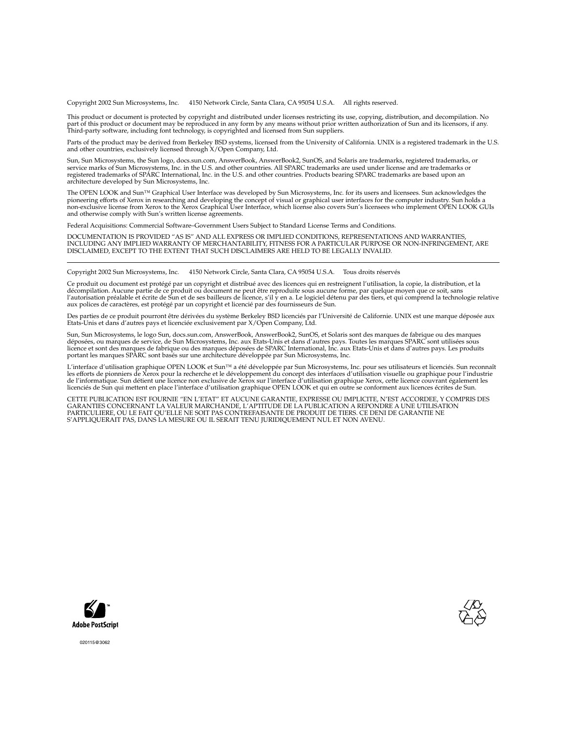Copyright 2002 Sun Microsystems, Inc. 4150 Network Circle, Santa Clara, CA 95054 U.S.A. All rights reserved.

This product or document is protected by copyright and distributed under licenses restricting its use, copying, distribution, and decompilation. No part of this product or document may be reproduced in any form by any means without prior written authorization of Sun and its licensors, if any.<br>Third-party software, including font technology, is copyrighted and licensed

Parts of the product may be derived from Berkeley BSD systems, licensed from the University of California. UNIX is a registered trademark in the U.S. and other countries, exclusively licensed through X/Open Company, Ltd.

Sun, Sun Microsystems, the Sun logo, docs.sun.com, AnswerBook, AnswerBook2, SunOS, and Solaris are trademarks, registered trademarks, or<br>service marks of Sun Microsystems, Inc. in the U.S. and other countries. All SPARC tr architecture developed by Sun Microsystems, Inc.

The OPEN LOOK and Sun™ Graphical User Interface was developed by Sun Microsystems, Inc. for its users and licensees. Sun acknowledges the pioneering efforts of Xerox in researching and developing the concept of visual or graphical user interfaces for the computer industry. Sun holds a<br>non-exclusive license from Xerox to the Xerox Graphical User Interface, wh and otherwise comply with Sun's written license agreements.

Federal Acquisitions: Commercial Software–Government Users Subject to Standard License Terms and Conditions.

DOCUMENTATION IS PROVIDED "AS IS" AND ALL EXPRESS OR IMPLIED CONDITIONS, REPRESENTATIONS AND WARRANTIES,<br>INCLUDING ANY IMPLIED WARRANTY OF MERCHANTABILITY, FITNESS FOR A PARTICULAR PURPOSE OR NON-INFRINGEMENT, ARE<br>DISCLAIM

Copyright 2002 Sun Microsystems, Inc. 4150 Network Circle, Santa Clara, CA 95054 U.S.A. Tous droits réservés

Ce produit ou document est protégé par un copyright et distribué avec des licences qui en restreignent l'utilisation, la copie, la distribution, et la décompilation. Aucune partie de ce produit ou document ne peut être reproduite sous aucune forme, par quelque moyen que ce soit, sans<br>l'autorisation préalable et écrite de Sun et de ses bailleurs de licence, s'il y en a. L aux polices de caractères, est protégé par un copyright et licencié par des fournisseurs de Sun.

Des parties de ce produit pourront être dérivées du système Berkeley BSD licenciés par l'Université de Californie. UNIX est une marque déposée aux Etats-Unis et dans d'autres pays et licenciée exclusivement par X/Open Company, Ltd.

Sun, Sun Microsystems, le logo Sun, docs.sun.com, AnswerBook, AnswerBook2, SunOS, et Solaris sont des marques de fabrique ou des marques<br>déposées, ou marques de service, de Sun Microsystems, Inc. aux Etats-Unis et dans d'a

L'interface d'utilisation graphique OPEN LOOK et Sun™ a été développée par Sun Microsystems, Inc. pour ses utilisateurs et licenciés. Sun reconnaît les efforts de pionniers de Xerox pour la recherche et le développement du concept des interfaces d'utilisation visuelle ou graphique pour l'industrie de l'informatique. Sun détient une licence non exclusive de Xerox sur l'interface d'utilisation graphique Xerox, cette licence couvrant également les<br>licenciés de Sun qui mettent en place l'interface d'utilisation graphiqu

CETTE PUBLICATION EST FOURNIE "EN L'ETAT" ET AUCUNE GARANTIE, EXPRESSE OU IMPLICITE, N'EST ACCORDEE, Y COMPRIS DES GARANTIES CONCERNANT LA VALEUR MARCHANDE, L'APTITUDE DE LA PUBLICATION A REPONDRE A UNE UTILISATION PARTICULIERE, OU LE FAIT QU'ELLE NE SOIT PAS CONTREFAISANTE DE PRODUIT DE TIERS. CE DENI DE GARANTIE NE S'APPLIQUERAIT PAS, DANS LA MESURE OU IL SERAIT TENU JURIDIQUEMENT NUL ET NON AVENU.





020115@3062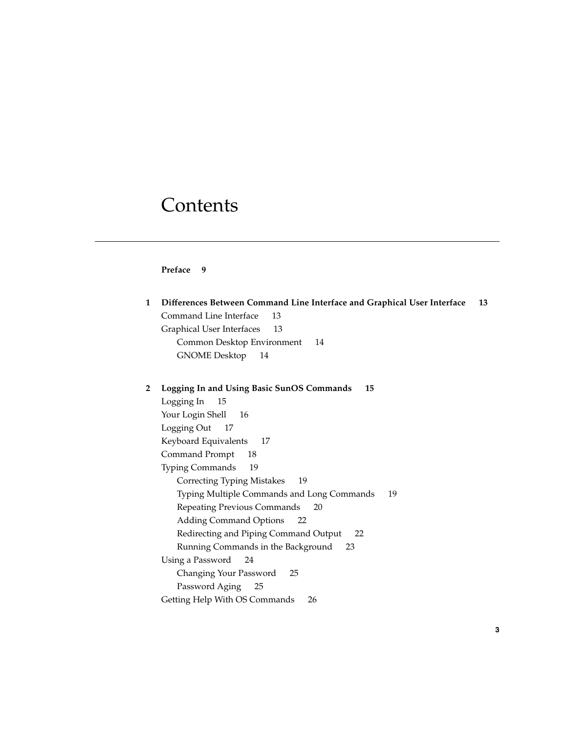# **Contents**

#### **Preface 9**

| 1            | Differences Between Command Line Interface and Graphical User Interface | 13 |
|--------------|-------------------------------------------------------------------------|----|
|              | Command Line Interface<br>13                                            |    |
|              | Graphical User Interfaces<br>13                                         |    |
|              | Common Desktop Environment<br>14                                        |    |
|              | GNOME Desktop 14                                                        |    |
|              |                                                                         |    |
| $\mathbf{2}$ | Logging In and Using Basic SunOS Commands<br>15                         |    |
|              | Logging In<br>-15                                                       |    |
|              | Your Login Shell<br>16                                                  |    |
|              | Logging Out<br>- 17                                                     |    |
|              | Keyboard Equivalents<br>17                                              |    |
|              | Command Prompt<br>18                                                    |    |
|              | <b>Typing Commands</b><br>- 19                                          |    |
|              | <b>Correcting Typing Mistakes</b><br>19                                 |    |
|              | Typing Multiple Commands and Long Commands<br>19                        |    |
|              | Repeating Previous Commands<br>20                                       |    |
|              | <b>Adding Command Options</b><br>22                                     |    |
|              | Redirecting and Piping Command Output<br>22                             |    |
|              | Running Commands in the Background<br>23                                |    |
|              | Using a Password<br>24                                                  |    |
|              | Changing Your Password<br>25                                            |    |
|              | Password Aging 25                                                       |    |
|              | Getting Help With OS Commands<br>26                                     |    |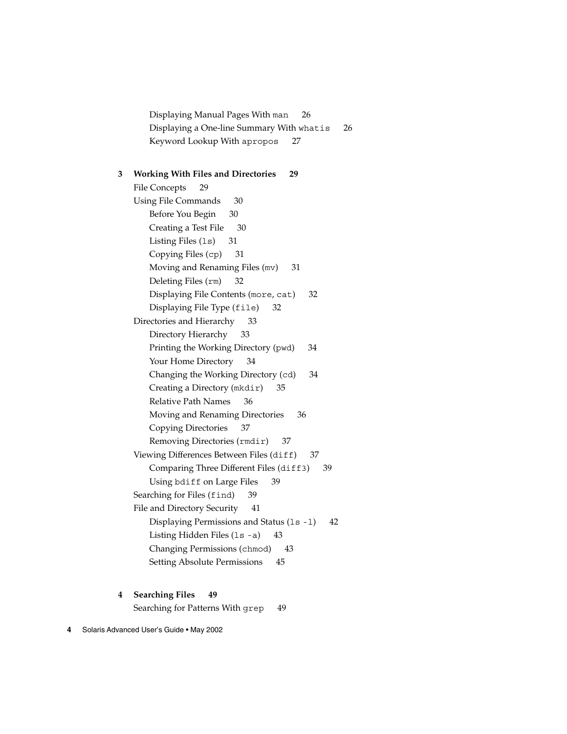Displaying Manual Pages With man 26 Displaying a One-line Summary With whatis 26 Keyword Lookup With apropos 27

#### **3 Working With Files and Directories 29**

File Concepts 29 Using File Commands 30 Before You Begin 30 Creating a Test File 30 Listing Files (ls) 31 Copying Files (cp) 31 Moving and Renaming Files (mv) 31 Deleting Files (rm) 32 Displaying File Contents (more, cat) 32 Displaying File Type (file) 32 Directories and Hierarchy 33 Directory Hierarchy 33 Printing the Working Directory (pwd) 34 Your Home Directory 34 Changing the Working Directory (cd) 34 Creating a Directory (mkdir) 35 Relative Path Names 36 Moving and Renaming Directories 36 Copying Directories 37 Removing Directories (rmdir) 37 Viewing Differences Between Files (diff) 37 Comparing Three Different Files (diff3) 39 Using bdiff on Large Files 39 Searching for Files (find) 39 File and Directory Security 41 Displaying Permissions and Status (1s -1) 42 Listing Hidden Files (1s -a) 43 Changing Permissions (chmod) 43 Setting Absolute Permissions 45

#### **4 Searching Files 49** Searching for Patterns With grep 49

**4** Solaris Advanced User's Guide • May 2002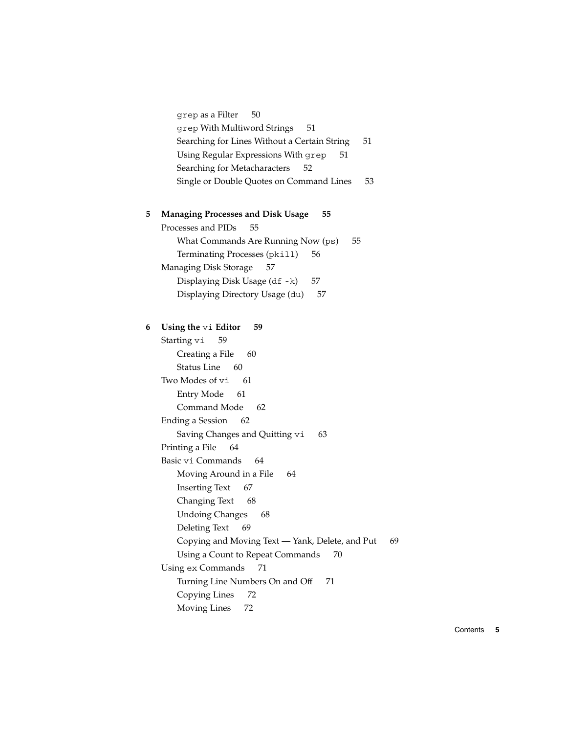|   | grep as a Filter<br>50                                |
|---|-------------------------------------------------------|
|   | grep With Multiword Strings<br>51                     |
|   | Searching for Lines Without a Certain String<br>51    |
|   | Using Regular Expressions With grep<br>51             |
|   | Searching for Metacharacters<br>52                    |
|   | Single or Double Quotes on Command Lines<br>53        |
|   |                                                       |
| 5 | <b>Managing Processes and Disk Usage</b><br>55        |
|   | Processes and PIDs<br>55                              |
|   | What Commands Are Running Now (ps)<br>55              |
|   | Terminating Processes (pkill)<br>56                   |
|   | Managing Disk Storage<br>57                           |
|   | Displaying Disk Usage (df -k)<br>57                   |
|   | Displaying Directory Usage (du)<br>57                 |
|   |                                                       |
| 6 | Using the vi Editor<br>59                             |
|   | Starting vi<br>59                                     |
|   | Creating a File<br>60                                 |
|   | Status Line<br>60                                     |
|   | Two Modes of vi<br>61                                 |
|   | <b>Entry Mode</b><br>61                               |
|   | Command Mode<br>62                                    |
|   | Ending a Session<br>62                                |
|   | Saving Changes and Quitting vi<br>63                  |
|   | Printing a File<br>64                                 |
|   | Basic vi Commands<br>64                               |
|   | Moving Around in a File<br>64                         |
|   | <b>Inserting Text</b><br>67                           |
|   | Changing Text<br>- 68                                 |
|   | <b>Undoing Changes</b><br>68                          |
|   | Deleting Text<br>69                                   |
|   | Copying and Moving Text - Yank, Delete, and Put<br>69 |
|   | Using a Count to Repeat Commands<br>70                |
|   | 71<br>Using ex Commands                               |
|   | Turning Line Numbers On and Off<br>71                 |
|   | Copying Lines<br>72                                   |
|   | <b>Moving Lines</b><br>72                             |
|   |                                                       |

Contents **5**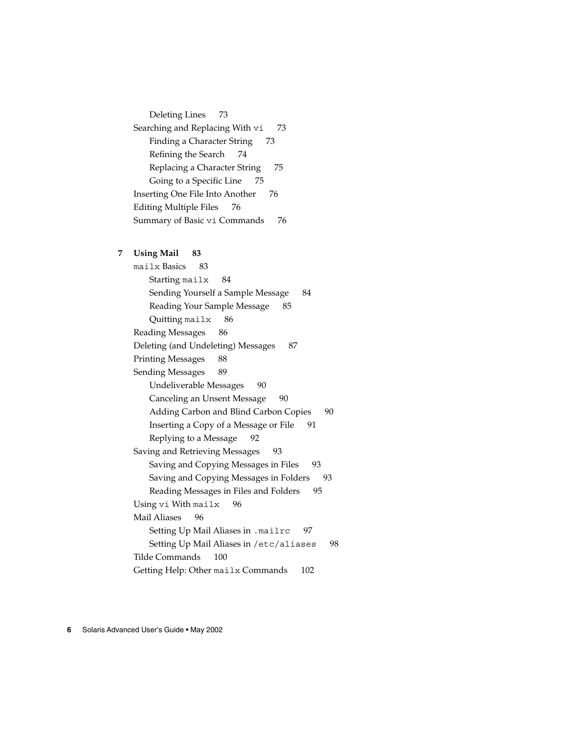Deleting Lines 73 Searching and Replacing With vi 73 Finding a Character String 73 Refining the Search 74 Replacing a Character String 75 Going to a Specific Line 75 Inserting One File Into Another 76 Editing Multiple Files 76 Summary of Basic vi Commands 76

#### **7 Using Mail 83**

mailx Basics 83 Starting mailx 84 Sending Yourself a Sample Message 84 Reading Your Sample Message 85 Quitting mailx 86 Reading Messages 86 Deleting (and Undeleting) Messages 87 Printing Messages 88 Sending Messages 89 Undeliverable Messages 90 Canceling an Unsent Message 90 Adding Carbon and Blind Carbon Copies 90 Inserting a Copy of a Message or File 91 Replying to a Message 92 Saving and Retrieving Messages 93 Saving and Copying Messages in Files 93 Saving and Copying Messages in Folders 93 Reading Messages in Files and Folders 95 Using vi With mailx 96 Mail Aliases 96 Setting Up Mail Aliases in .mailrc 97 Setting Up Mail Aliases in /etc/aliases 98 Tilde Commands 100 Getting Help: Other mailx Commands 102

**6** Solaris Advanced User's Guide • May 2002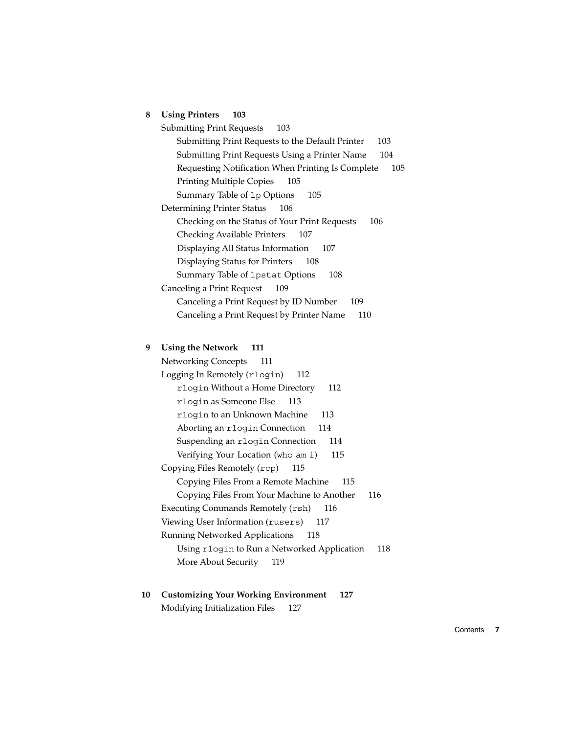#### **8 Using Printers 103**

| <b>Submitting Print Requests</b><br>103                  |
|----------------------------------------------------------|
| Submitting Print Requests to the Default Printer<br>103  |
| Submitting Print Requests Using a Printer Name<br>104    |
| 105<br>Requesting Notification When Printing Is Complete |
| <b>Printing Multiple Copies</b><br>105                   |
| Summary Table of 1p Options<br>105                       |
| Determining Printer Status<br>106                        |
| Checking on the Status of Your Print Requests<br>106     |
| Checking Available Printers<br>107                       |
| Displaying All Status Information<br>107                 |
| Displaying Status for Printers<br>108                    |
| Summary Table of 1pstat Options<br>108                   |
| Canceling a Print Request<br>109                         |
| Canceling a Print Request by ID Number<br>109            |
| Canceling a Print Request by Printer Name<br>110         |

#### **9 Using the Network 111**

Networking Concepts 111 Logging In Remotely (rlogin) 112 rlogin Without a Home Directory 112 rlogin as Someone Else 113 rlogin to an Unknown Machine 113 Aborting an rlogin Connection 114 Suspending an rlogin Connection 114 Verifying Your Location (who am i) 115 Copying Files Remotely (rcp) 115 Copying Files From a Remote Machine 115 Copying Files From Your Machine to Another 116 Executing Commands Remotely (rsh) 116 Viewing User Information (rusers) 117 Running Networked Applications 118 Using rlogin to Run a Networked Application 118 More About Security 119

**10 Customizing Your Working Environment 127** Modifying Initialization Files 127

Contents **7**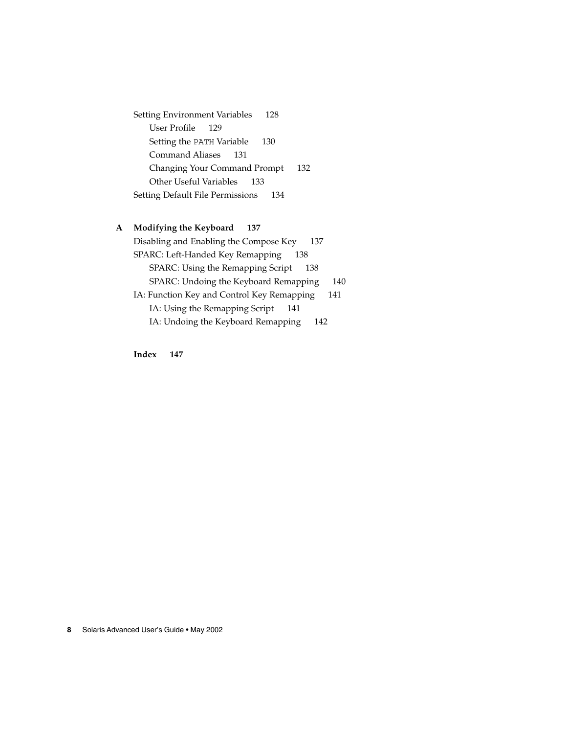Setting Environment Variables 128 User Profile 129 Setting the PATH Variable 130 Command Aliases 131 Changing Your Command Prompt 132 Other Useful Variables 133 Setting Default File Permissions 134

#### **A Modifying the Keyboard 137**

Disabling and Enabling the Compose Key 137 SPARC: Left-Handed Key Remapping 138 SPARC: Using the Remapping Script 138 SPARC: Undoing the Keyboard Remapping 140 IA: Function Key and Control Key Remapping 141 IA: Using the Remapping Script 141 IA: Undoing the Keyboard Remapping 142

**Index 147**

**8** Solaris Advanced User's Guide • May 2002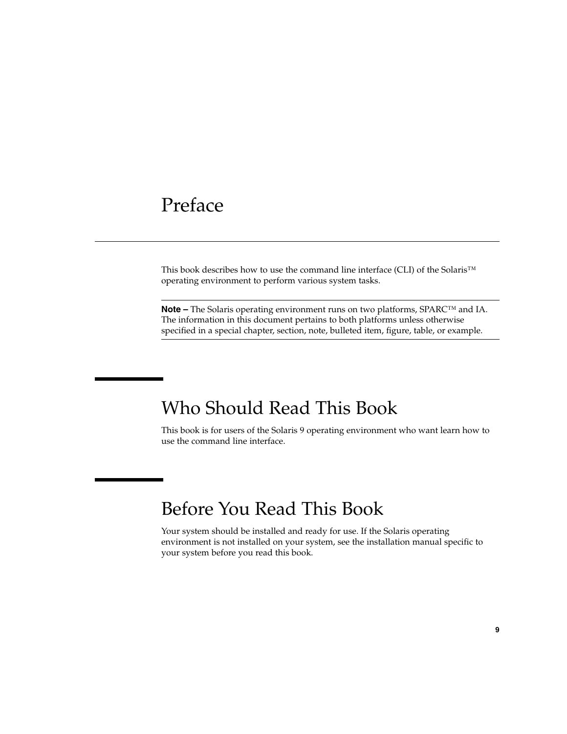# Preface

This book describes how to use the command line interface (CLI) of the Solaris™ operating environment to perform various system tasks.

**Note –** The Solaris operating environment runs on two platforms, SPARC™ and IA. The information in this document pertains to both platforms unless otherwise specified in a special chapter, section, note, bulleted item, figure, table, or example.

# Who Should Read This Book

This book is for users of the Solaris 9 operating environment who want learn how to use the command line interface.

# Before You Read This Book

Your system should be installed and ready for use. If the Solaris operating environment is not installed on your system, see the installation manual specific to your system before you read this book.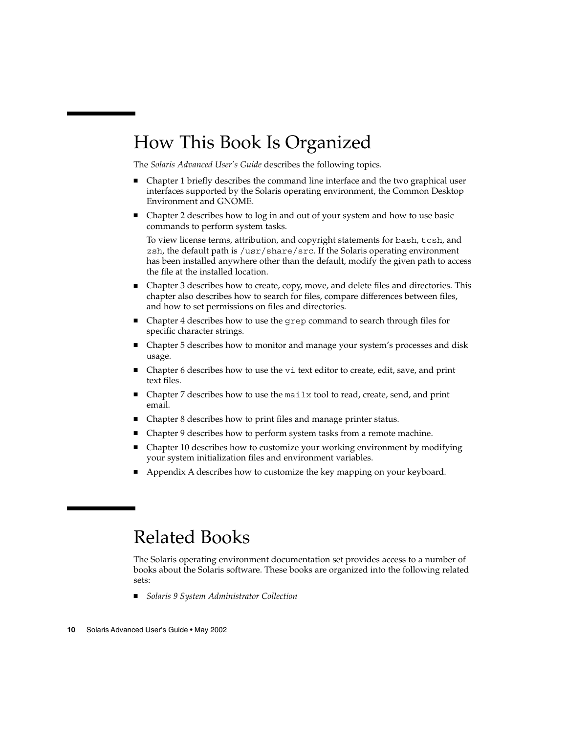# How This Book Is Organized

The *Solaris Advanced User's Guide* describes the following topics.

- Chapter 1 briefly describes the command line interface and the two graphical user interfaces supported by the Solaris operating environment, the Common Desktop Environment and GNOME.
- Chapter 2 describes how to log in and out of your system and how to use basic commands to perform system tasks.

To view license terms, attribution, and copyright statements for bash, tcsh, and zsh, the default path is /usr/share/src. If the Solaris operating environment has been installed anywhere other than the default, modify the given path to access the file at the installed location.

- Chapter 3 describes how to create, copy, move, and delete files and directories. This chapter also describes how to search for files, compare differences between files, and how to set permissions on files and directories.
- Chapter 4 describes how to use the grep command to search through files for specific character strings.
- Chapter 5 describes how to monitor and manage your system's processes and disk usage.
- Chapter 6 describes how to use the vi text editor to create, edit, save, and print text files.
- Chapter 7 describes how to use the mailx tool to read, create, send, and print email.
- Chapter 8 describes how to print files and manage printer status.
- Chapter 9 describes how to perform system tasks from a remote machine.
- Chapter 10 describes how to customize your working environment by modifying your system initialization files and environment variables.
- Appendix A describes how to customize the key mapping on your keyboard.

# Related Books

The Solaris operating environment documentation set provides access to a number of books about the Solaris software. These books are organized into the following related sets:

■ *Solaris 9 System Administrator Collection*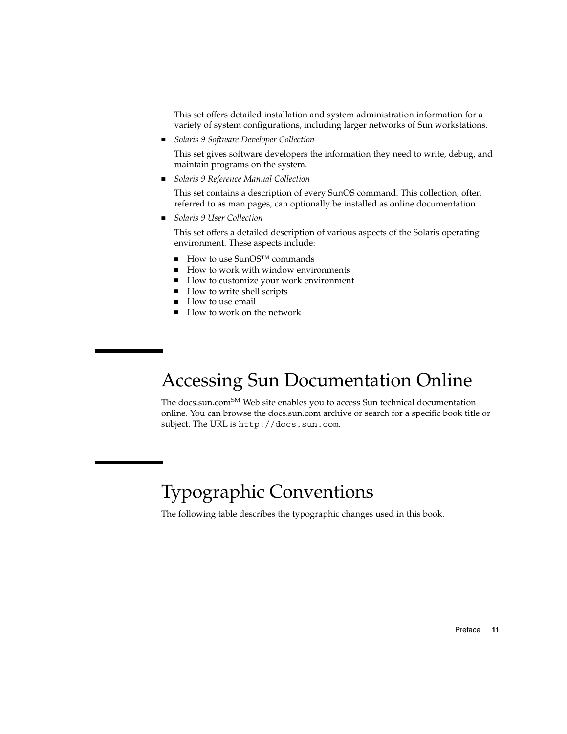This set offers detailed installation and system administration information for a variety of system configurations, including larger networks of Sun workstations.

■ *Solaris 9 Software Developer Collection*

This set gives software developers the information they need to write, debug, and maintain programs on the system.

■ *Solaris 9 Reference Manual Collection*

This set contains a description of every SunOS command. This collection, often referred to as man pages, can optionally be installed as online documentation.

■ *Solaris 9 User Collection*

This set offers a detailed description of various aspects of the Solaris operating environment. These aspects include:

- How to use SunOS<sup>™</sup> commands
- How to work with window environments
- How to customize your work environment
- How to write shell scripts
- How to use email
- How to work on the network

# Accessing Sun Documentation Online

The docs.sun.com<sup>SM</sup> Web site enables you to access Sun technical documentation online. You can browse the docs.sun.com archive or search for a specific book title or subject. The URL is http://docs.sun.com.

# Typographic Conventions

The following table describes the typographic changes used in this book.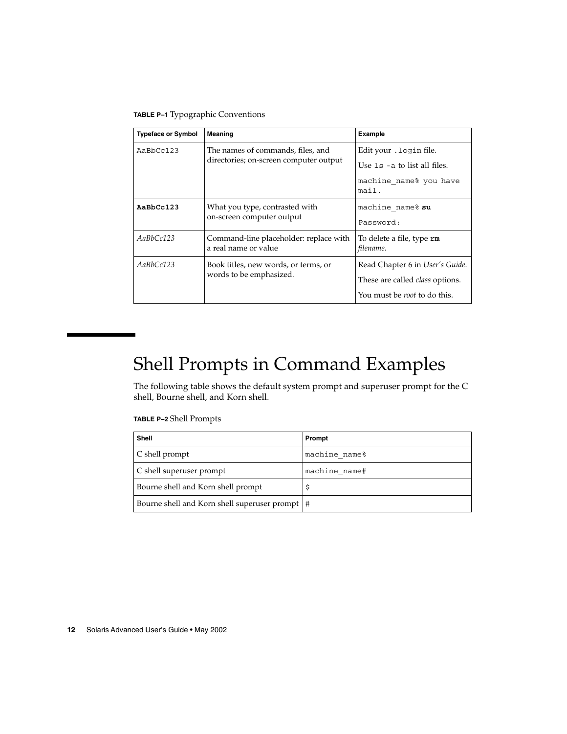**TABLE P–1** Typographic Conventions

| <b>Typeface or Symbol</b>            | Meaning                                                                     | <b>Example</b>                           |  |
|--------------------------------------|-----------------------------------------------------------------------------|------------------------------------------|--|
| $A$ a $BbCc123$                      | The names of commands, files, and<br>directories; on-screen computer output | Edit your . login file.                  |  |
|                                      |                                                                             | Use $1s$ -a to list all files.           |  |
|                                      |                                                                             | machine name% you have<br>mail.          |  |
| AaBbCc123                            | What you type, contrasted with<br>on-screen computer output                 | machine name% su                         |  |
|                                      |                                                                             | Password:                                |  |
| AaBbCc123                            | Command-line placeholder: replace with<br>a real name or value              | To delete a file, type $rm$<br>filename. |  |
| AaBbCc123<br>words to be emphasized. | Book titles, new words, or terms, or                                        | Read Chapter 6 in User's Guide.          |  |
|                                      |                                                                             | These are called <i>class</i> options.   |  |
|                                      |                                                                             | You must be <i>root</i> to do this.      |  |

# Shell Prompts in Command Examples

The following table shows the default system prompt and superuser prompt for the C shell, Bourne shell, and Korn shell.

#### **TABLE P–2** Shell Prompts

| <b>Shell</b>                                     | Prompt        |
|--------------------------------------------------|---------------|
| C shell prompt                                   | machine name% |
| C shell superuser prompt                         | machine name# |
| Bourne shell and Korn shell prompt               | \$            |
| Bourne shell and Korn shell superuser prompt   # |               |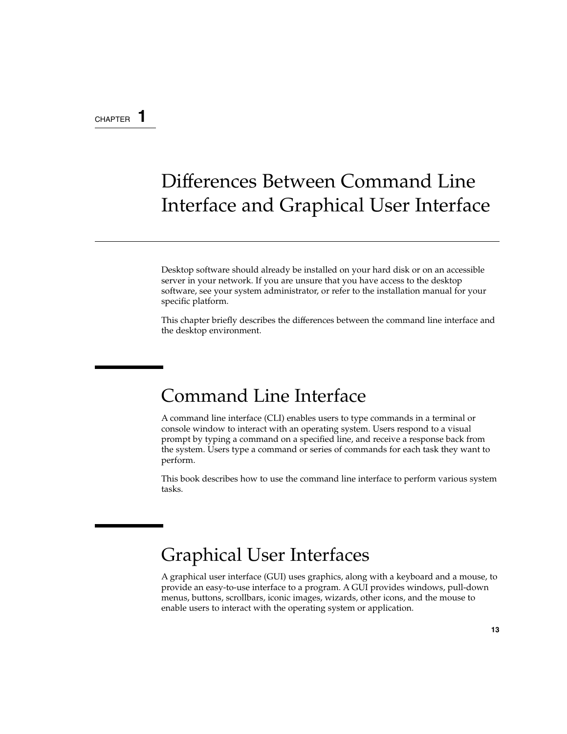#### CHAPTER **1**

# Differences Between Command Line Interface and Graphical User Interface

Desktop software should already be installed on your hard disk or on an accessible server in your network. If you are unsure that you have access to the desktop software, see your system administrator, or refer to the installation manual for your specific platform.

This chapter briefly describes the differences between the command line interface and the desktop environment.

# Command Line Interface

A command line interface (CLI) enables users to type commands in a terminal or console window to interact with an operating system. Users respond to a visual prompt by typing a command on a specified line, and receive a response back from the system. Users type a command or series of commands for each task they want to perform.

This book describes how to use the command line interface to perform various system tasks.

# Graphical User Interfaces

A graphical user interface (GUI) uses graphics, along with a keyboard and a mouse, to provide an easy-to-use interface to a program. A GUI provides windows, pull-down menus, buttons, scrollbars, iconic images, wizards, other icons, and the mouse to enable users to interact with the operating system or application.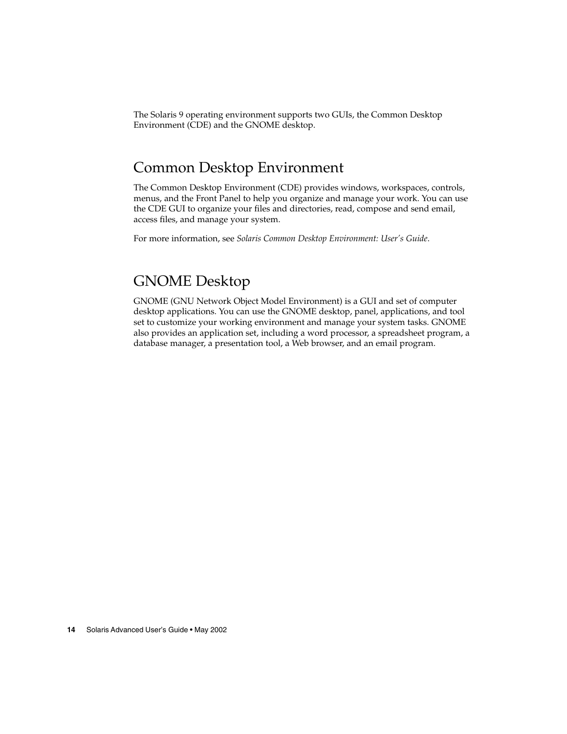The Solaris 9 operating environment supports two GUIs, the Common Desktop Environment (CDE) and the GNOME desktop.

## Common Desktop Environment

The Common Desktop Environment (CDE) provides windows, workspaces, controls, menus, and the Front Panel to help you organize and manage your work. You can use the CDE GUI to organize your files and directories, read, compose and send email, access files, and manage your system.

For more information, see *Solaris Common Desktop Environment: User's Guide*.

### GNOME Desktop

GNOME (GNU Network Object Model Environment) is a GUI and set of computer desktop applications. You can use the GNOME desktop, panel, applications, and tool set to customize your working environment and manage your system tasks. GNOME also provides an application set, including a word processor, a spreadsheet program, a database manager, a presentation tool, a Web browser, and an email program.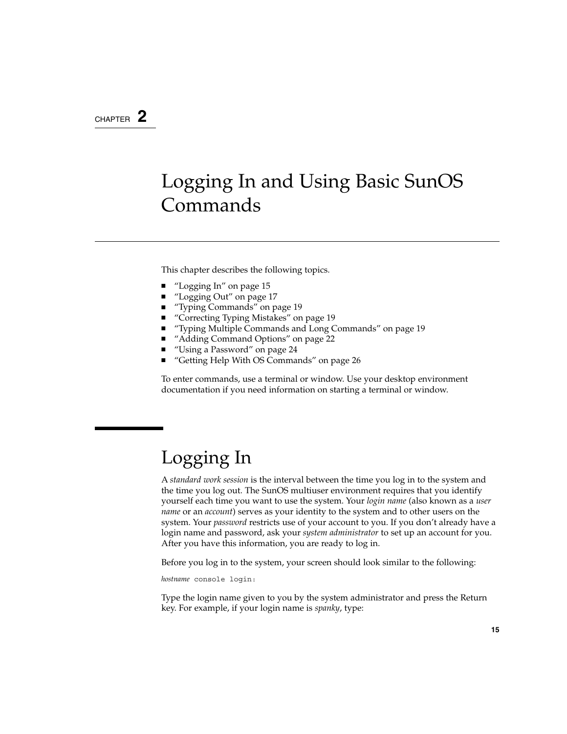#### CHAPTER **2**

# Logging In and Using Basic SunOS Commands

This chapter describes the following topics.

- "Logging In" on page 15
- "Logging Out" on page 17
- "Typing Commands" on page 19
- "Correcting Typing Mistakes" on page 19
- "Typing Multiple Commands and Long Commands" on page 19
- *"Adding Command Options"* on page 22
- *"*Using a Password" on page 24
- "Getting Help With OS Commands" on page 26

To enter commands, use a terminal or window. Use your desktop environment documentation if you need information on starting a terminal or window.

# Logging In

A *standard work session* is the interval between the time you log in to the system and the time you log out. The SunOS multiuser environment requires that you identify yourself each time you want to use the system. Your *login name* (also known as a *user name* or an *account*) serves as your identity to the system and to other users on the system. Your *password* restricts use of your account to you. If you don't already have a login name and password, ask your *system administrator* to set up an account for you. After you have this information, you are ready to log in.

Before you log in to the system, your screen should look similar to the following:

*hostname* console login:

Type the login name given to you by the system administrator and press the Return key. For example, if your login name is *spanky*, type: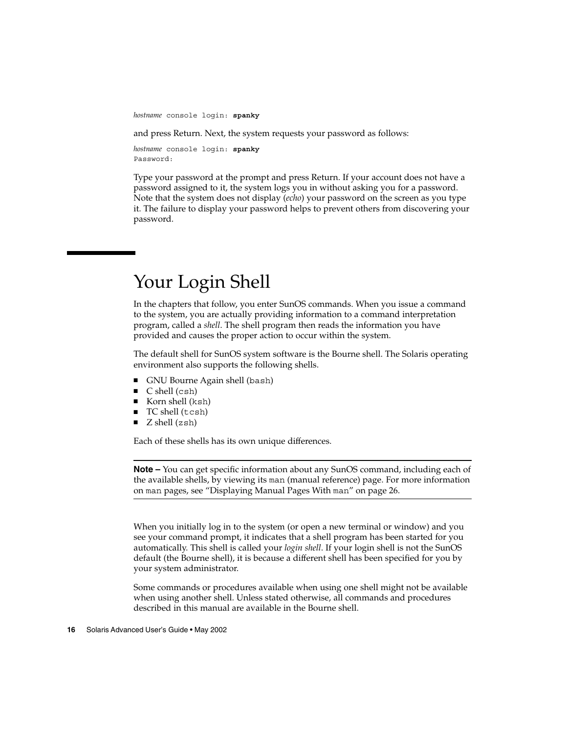*hostname* console login: **spanky**

and press Return. Next, the system requests your password as follows:

*hostname* console login: **spanky** Password:

Type your password at the prompt and press Return. If your account does not have a password assigned to it, the system logs you in without asking you for a password. Note that the system does not display (*echo*) your password on the screen as you type it. The failure to display your password helps to prevent others from discovering your password.

# Your Login Shell

In the chapters that follow, you enter SunOS commands. When you issue a command to the system, you are actually providing information to a command interpretation program, called a *shell*. The shell program then reads the information you have provided and causes the proper action to occur within the system.

The default shell for SunOS system software is the Bourne shell. The Solaris operating environment also supports the following shells.

- GNU Bourne Again shell (bash)
- $C$  shell (csh)
- Korn shell (ksh)
- TC shell (tcsh)
- $\blacksquare$  Z shell (zsh)

Each of these shells has its own unique differences.

**Note –** You can get specific information about any SunOS command, including each of the available shells, by viewing its man (manual reference) page. For more information on man pages, see "Displaying Manual Pages With man" on page 26.

When you initially log in to the system (or open a new terminal or window) and you see your command prompt, it indicates that a shell program has been started for you automatically. This shell is called your *login shell*. If your login shell is not the SunOS default (the Bourne shell), it is because a different shell has been specified for you by your system administrator.

Some commands or procedures available when using one shell might not be available when using another shell. Unless stated otherwise, all commands and procedures described in this manual are available in the Bourne shell.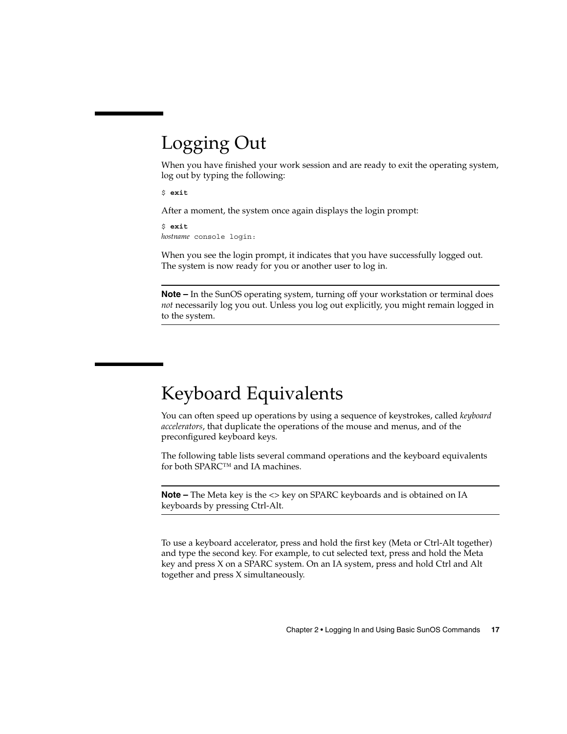# Logging Out

When you have finished your work session and are ready to exit the operating system, log out by typing the following:

\$ **exit**

After a moment, the system once again displays the login prompt:

\$ **exit** *hostname* console login:

When you see the login prompt, it indicates that you have successfully logged out. The system is now ready for you or another user to log in.

**Note –** In the SunOS operating system, turning off your workstation or terminal does *not* necessarily log you out. Unless you log out explicitly, you might remain logged in to the system.

# Keyboard Equivalents

You can often speed up operations by using a sequence of keystrokes, called *keyboard accelerators*, that duplicate the operations of the mouse and menus, and of the preconfigured keyboard keys.

The following table lists several command operations and the keyboard equivalents for both SPARC™ and IA machines.

**Note** – The Meta key is the  $\leq$  key on SPARC keyboards and is obtained on IA keyboards by pressing Ctrl-Alt.

To use a keyboard accelerator, press and hold the first key (Meta or Ctrl-Alt together) and type the second key. For example, to cut selected text, press and hold the Meta key and press X on a SPARC system. On an IA system, press and hold Ctrl and Alt together and press X simultaneously.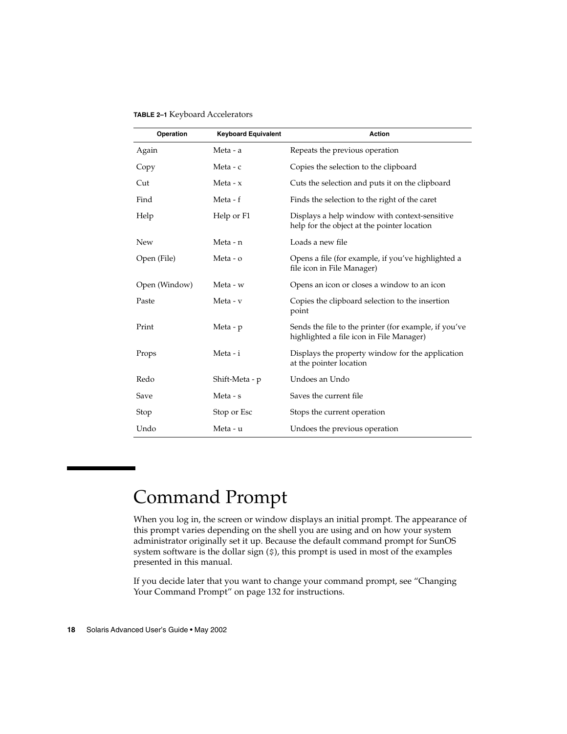| <b>TABLE 2-1 Keyboard Accelerators</b> |  |
|----------------------------------------|--|
|----------------------------------------|--|

| Operation     | <b>Keyboard Equivalent</b> | <b>Action</b>                                                                                     |
|---------------|----------------------------|---------------------------------------------------------------------------------------------------|
| Again         | Meta - a                   | Repeats the previous operation                                                                    |
| Copy          | Meta - c                   | Copies the selection to the clipboard                                                             |
| Cut           | Meta - $x$                 | Cuts the selection and puts it on the clipboard                                                   |
| Find          | Meta - f                   | Finds the selection to the right of the caret                                                     |
| Help          | Help or F1                 | Displays a help window with context-sensitive<br>help for the object at the pointer location      |
| <b>New</b>    | Meta - n                   | Loads a new file                                                                                  |
| Open (File)   | Meta - o                   | Opens a file (for example, if you've highlighted a<br>file icon in File Manager)                  |
| Open (Window) | Meta - w                   | Opens an icon or closes a window to an icon                                                       |
| Paste         | Meta - v                   | Copies the clipboard selection to the insertion<br>point                                          |
| Print         | Meta - p                   | Sends the file to the printer (for example, if you've<br>highlighted a file icon in File Manager) |
| Props         | Meta - i                   | Displays the property window for the application<br>at the pointer location                       |
| Redo          | Shift-Meta - p             | Undoes an Undo                                                                                    |
| Save          | Meta - s                   | Saves the current file                                                                            |
| Stop          | Stop or Esc                | Stops the current operation                                                                       |
| Undo          | Meta - u                   | Undoes the previous operation                                                                     |

# Command Prompt

When you log in, the screen or window displays an initial prompt. The appearance of this prompt varies depending on the shell you are using and on how your system administrator originally set it up. Because the default command prompt for SunOS system software is the dollar sign (\$), this prompt is used in most of the examples presented in this manual.

If you decide later that you want to change your command prompt, see "Changing Your Command Prompt" on page 132 for instructions.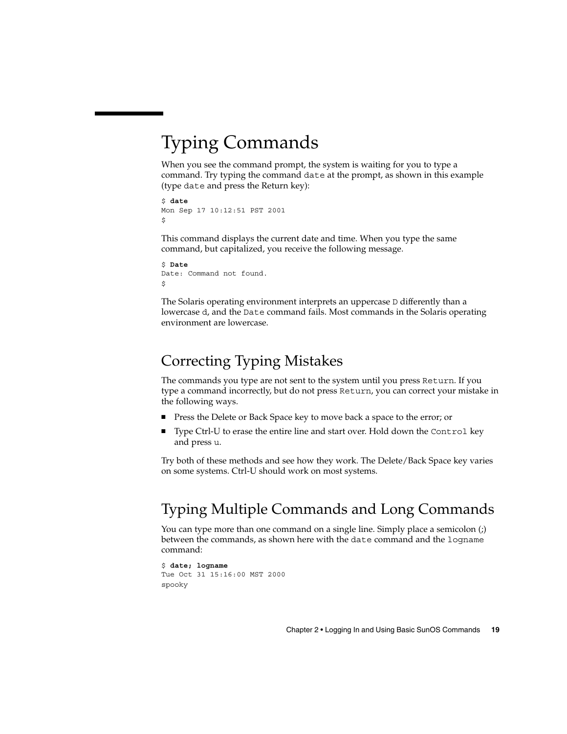# Typing Commands

When you see the command prompt, the system is waiting for you to type a command. Try typing the command date at the prompt, as shown in this example (type date and press the Return key):

```
$ date
Mon Sep 17 10:12:51 PST 2001
$
```
This command displays the current date and time. When you type the same command, but capitalized, you receive the following message.

\$ **Date** Date: Command not found.  $\mathsf{\hat{S}}$ 

The Solaris operating environment interprets an uppercase D differently than a lowercase d, and the Date command fails. Most commands in the Solaris operating environment are lowercase.

## Correcting Typing Mistakes

The commands you type are not sent to the system until you press Return. If you type a command incorrectly, but do not press Return, you can correct your mistake in the following ways.

- Press the Delete or Back Space key to move back a space to the error; or
- Type Ctrl-U to erase the entire line and start over. Hold down the Control key and press u.

Try both of these methods and see how they work. The Delete/Back Space key varies on some systems. Ctrl-U should work on most systems.

## Typing Multiple Commands and Long Commands

You can type more than one command on a single line. Simply place a semicolon (;) between the commands, as shown here with the date command and the logname command:

```
$ date; logname
Tue Oct 31 15:16:00 MST 2000
spooky
```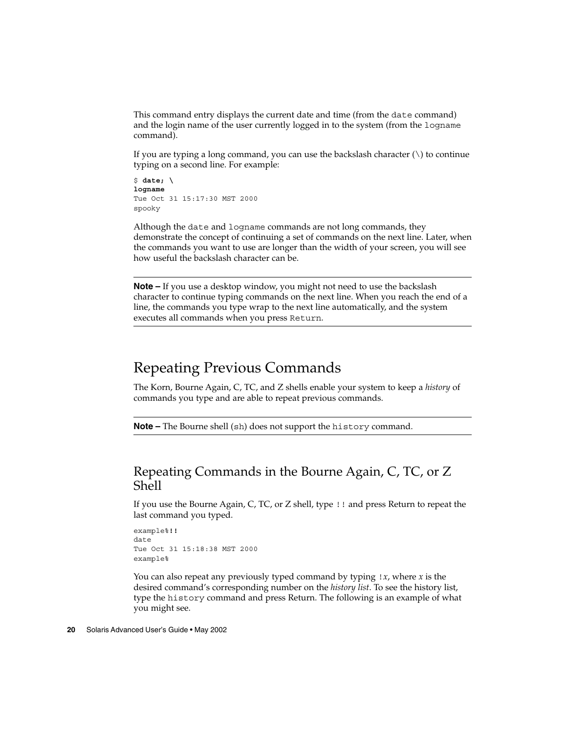This command entry displays the current date and time (from the date command) and the login name of the user currently logged in to the system (from the logname command).

If you are typing a long command, you can use the backslash character  $(\cdot)$  to continue typing on a second line. For example:

 $$$  date;  $\setminus$ **logname** Tue Oct 31 15:17:30 MST 2000 spooky

Although the date and logname commands are not long commands, they demonstrate the concept of continuing a set of commands on the next line. Later, when the commands you want to use are longer than the width of your screen, you will see how useful the backslash character can be.

**Note –** If you use a desktop window, you might not need to use the backslash character to continue typing commands on the next line. When you reach the end of a line, the commands you type wrap to the next line automatically, and the system executes all commands when you press Return.

## Repeating Previous Commands

The Korn, Bourne Again, C, TC, and Z shells enable your system to keep a *history* of commands you type and are able to repeat previous commands.

**Note –** The Bourne shell (sh) does not support the history command.

#### Repeating Commands in the Bourne Again, C, TC, or Z Shell

If you use the Bourne Again, C, TC, or Z shell, type !! and press Return to repeat the last command you typed.

```
example%!!
date
Tue Oct 31 15:18:38 MST 2000
example%
```
You can also repeat any previously typed command by typing !*x*, where *x* is the desired command's corresponding number on the *history list*. To see the history list, type the history command and press Return. The following is an example of what you might see.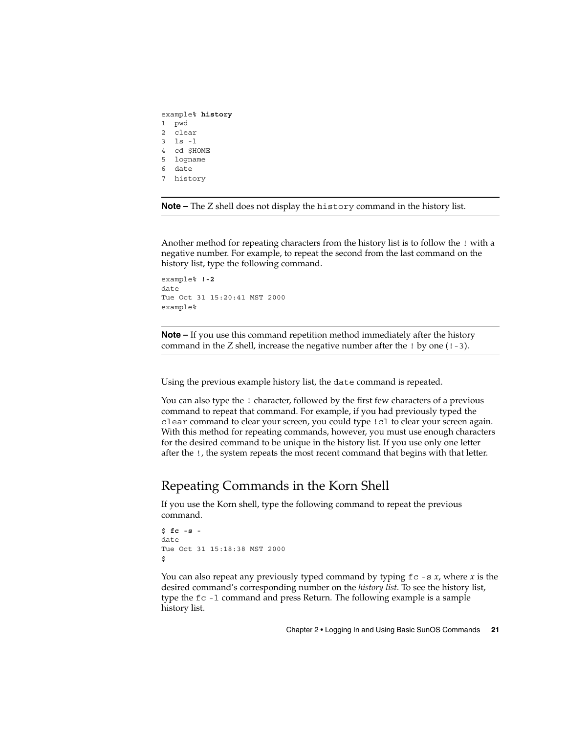```
example% history
1 pwd
2 clear
3 ls -l
4 cd $HOME
5 logname
6 date
7 history
```


Another method for repeating characters from the history list is to follow the ! with a negative number. For example, to repeat the second from the last command on the history list, type the following command.

```
example% !-2
date
Tue Oct 31 15:20:41 MST 2000
example%
```
**Note –** If you use this command repetition method immediately after the history command in the Z shell, increase the negative number after the ! by one (! - 3).

Using the previous example history list, the date command is repeated.

You can also type the ! character, followed by the first few characters of a previous command to repeat that command. For example, if you had previously typed the clear command to clear your screen, you could type !cl to clear your screen again. With this method for repeating commands, however, you must use enough characters for the desired command to be unique in the history list. If you use only one letter after the !, the system repeats the most recent command that begins with that letter.

#### Repeating Commands in the Korn Shell

If you use the Korn shell, type the following command to repeat the previous command.

```
$ fc -s -
date
Tue Oct 31 15:18:38 MST 2000
$
```
You can also repeat any previously typed command by typing  $f \circ -s x$ , where *x* is the desired command's corresponding number on the *history list*. To see the history list, type the fc -l command and press Return. The following example is a sample history list.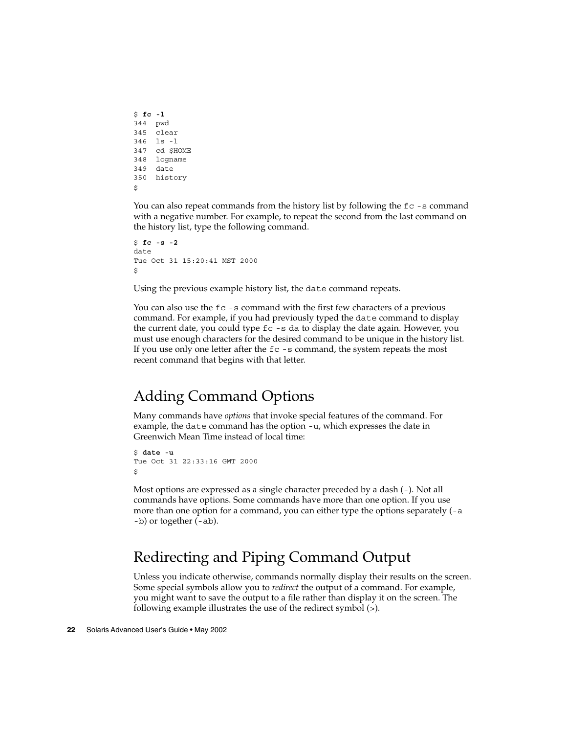\$ **fc -l** 344 pwd 345 clear 346 ls -l 347 cd \$HOME 348 logname 349 date 350 history \$

You can also repeat commands from the history list by following the fc -s command with a negative number. For example, to repeat the second from the last command on the history list, type the following command.

```
$ fc -s -2
date
Tue Oct 31 15:20:41 MST 2000
$
```
Using the previous example history list, the date command repeats.

You can also use the fc -s command with the first few characters of a previous command. For example, if you had previously typed the date command to display the current date, you could type  $f \circ -s$  da to display the date again. However, you must use enough characters for the desired command to be unique in the history list. If you use only one letter after the fc -s command, the system repeats the most recent command that begins with that letter.

## Adding Command Options

Many commands have *options* that invoke special features of the command. For example, the date command has the option -u, which expresses the date in Greenwich Mean Time instead of local time:

```
$ date -u
Tue Oct 31 22:33:16 GMT 2000
$
```
Most options are expressed as a single character preceded by a dash (-). Not all commands have options. Some commands have more than one option. If you use more than one option for a command, you can either type the options separately (-a -b) or together (-ab).

## Redirecting and Piping Command Output

Unless you indicate otherwise, commands normally display their results on the screen. Some special symbols allow you to *redirect* the output of a command. For example, you might want to save the output to a file rather than display it on the screen. The following example illustrates the use of the redirect symbol (>).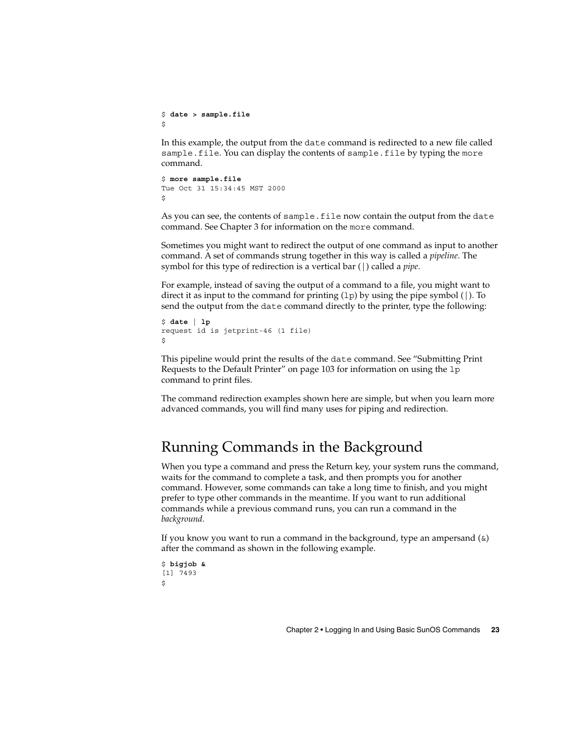```
$ date > sample.file
$
```
In this example, the output from the date command is redirected to a new file called sample.file. You can display the contents of sample.file by typing the more command.

```
$ more sample.file
Tue Oct 31 15:34:45 MST 2000
\ddot{\rm s}
```
As you can see, the contents of sample. file now contain the output from the date command. See Chapter 3 for information on the more command.

Sometimes you might want to redirect the output of one command as input to another command. A set of commands strung together in this way is called a *pipeline*. The symbol for this type of redirection is a vertical bar (|) called a *pipe*.

For example, instead of saving the output of a command to a file, you might want to direct it as input to the command for printing  $(1p)$  by using the pipe symbol (). To send the output from the date command directly to the printer, type the following:

```
$ date | lp
request id is jetprint-46 (1 file)
$
```
This pipeline would print the results of the date command. See "Submitting Print Requests to the Default Printer" on page 103 for information on using the lp command to print files.

The command redirection examples shown here are simple, but when you learn more advanced commands, you will find many uses for piping and redirection.

## Running Commands in the Background

When you type a command and press the Return key, your system runs the command, waits for the command to complete a task, and then prompts you for another command. However, some commands can take a long time to finish, and you might prefer to type other commands in the meantime. If you want to run additional commands while a previous command runs, you can run a command in the *background*.

If you know you want to run a command in the background, type an ampersand  $(\&)$ after the command as shown in the following example.

\$ **bigjob &** [1] 7493 \$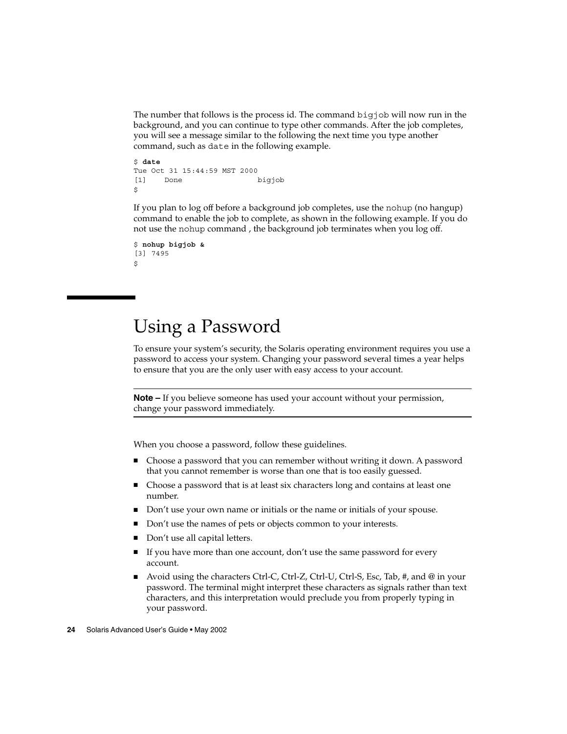The number that follows is the process id. The command bigjob will now run in the background, and you can continue to type other commands. After the job completes, you will see a message similar to the following the next time you type another command, such as date in the following example.

\$ **date** Tue Oct 31 15:44:59 MST 2000 [1] Done bigjob \$

If you plan to log off before a background job completes, use the nohup (no hangup) command to enable the job to complete, as shown in the following example. If you do not use the nohup command , the background job terminates when you log off.

```
$ nohup bigjob &
[3] 7495
\ddot{\rm s}
```
# Using a Password

To ensure your system's security, the Solaris operating environment requires you use a password to access your system. Changing your password several times a year helps to ensure that you are the only user with easy access to your account.

**Note –** If you believe someone has used your account without your permission, change your password immediately.

When you choose a password, follow these guidelines.

- Choose a password that you can remember without writing it down. A password that you cannot remember is worse than one that is too easily guessed.
- Choose a password that is at least six characters long and contains at least one number.
- Don't use your own name or initials or the name or initials of your spouse.
- Don't use the names of pets or objects common to your interests.
- Don't use all capital letters.
- If you have more than one account, don't use the same password for every account.
- Avoid using the characters Ctrl-C, Ctrl-Z, Ctrl-U, Ctrl-S, Esc, Tab, #, and @ in your password. The terminal might interpret these characters as signals rather than text characters, and this interpretation would preclude you from properly typing in your password.

```
24 Solaris Advanced User's Guide • May 2002
```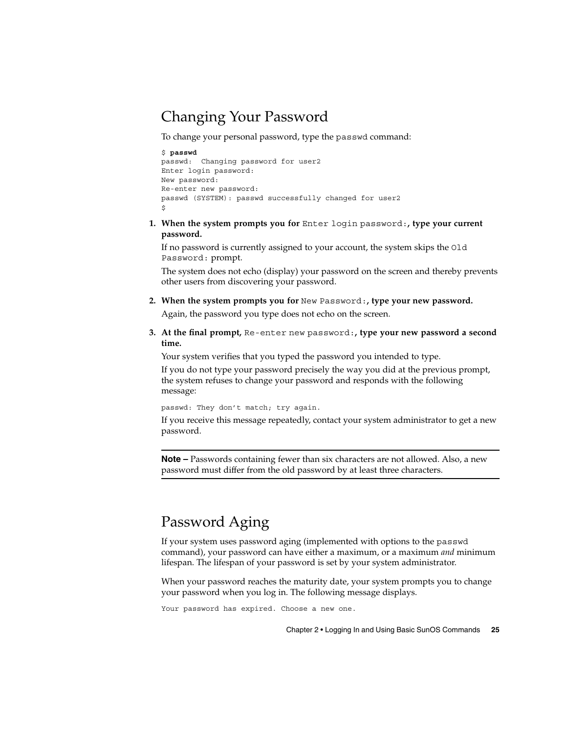## Changing Your Password

To change your personal password, type the passwd command:

```
$ passwd
passwd: Changing password for user2
Enter login password:
New password:
Re-enter new password:
passwd (SYSTEM): passwd successfully changed for user2
$
```
**1. When the system prompts you for** Enter login password:**, type your current password.**

If no password is currently assigned to your account, the system skips the Old Password: prompt.

The system does not echo (display) your password on the screen and thereby prevents other users from discovering your password.

- **2. When the system prompts you for** New Password:**, type your new password.** Again, the password you type does not echo on the screen.
- **3. At the final prompt,** Re-enter new password:**, type your new password a second time.**

Your system verifies that you typed the password you intended to type.

If you do not type your password precisely the way you did at the previous prompt, the system refuses to change your password and responds with the following message:

passwd: They don't match; try again.

If you receive this message repeatedly, contact your system administrator to get a new password.

**Note –** Passwords containing fewer than six characters are not allowed. Also, a new password must differ from the old password by at least three characters.

## Password Aging

If your system uses password aging (implemented with options to the passwd command), your password can have either a maximum, or a maximum *and* minimum lifespan. The lifespan of your password is set by your system administrator.

When your password reaches the maturity date, your system prompts you to change your password when you log in. The following message displays.

Your password has expired. Choose a new one.

Chapter 2 • Logging In and Using Basic SunOS Commands **25**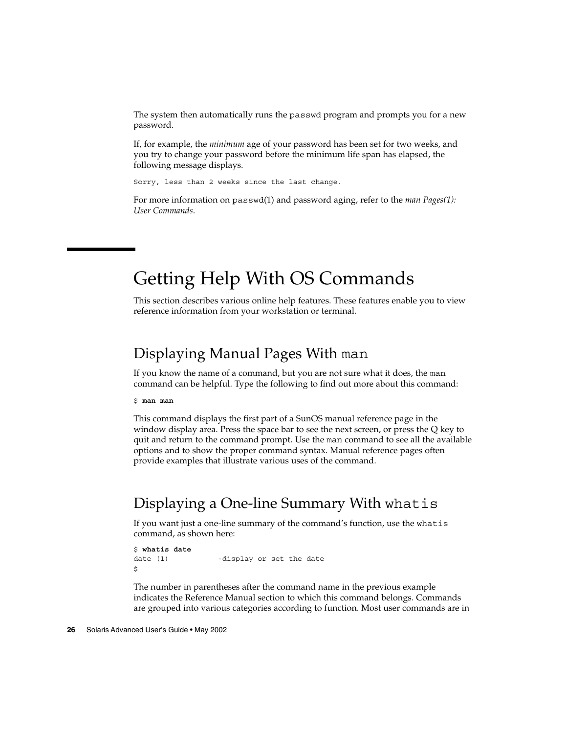The system then automatically runs the passwd program and prompts you for a new password.

If, for example, the *minimum* age of your password has been set for two weeks, and you try to change your password before the minimum life span has elapsed, the following message displays.

Sorry, less than 2 weeks since the last change.

For more information on passwd(1) and password aging, refer to the *man Pages(1): User Commands*.

# Getting Help With OS Commands

This section describes various online help features. These features enable you to view reference information from your workstation or terminal.

### Displaying Manual Pages With man

If you know the name of a command, but you are not sure what it does, the man command can be helpful. Type the following to find out more about this command:

\$ **man man**

This command displays the first part of a SunOS manual reference page in the window display area. Press the space bar to see the next screen, or press the Q key to quit and return to the command prompt. Use the man command to see all the available options and to show the proper command syntax. Manual reference pages often provide examples that illustrate various uses of the command.

### Displaying a One-line Summary With whatis

If you want just a one-line summary of the command's function, use the whatis command, as shown here:

```
$ whatis date
date (1) -display or set the date
$
```
The number in parentheses after the command name in the previous example indicates the Reference Manual section to which this command belongs. Commands are grouped into various categories according to function. Most user commands are in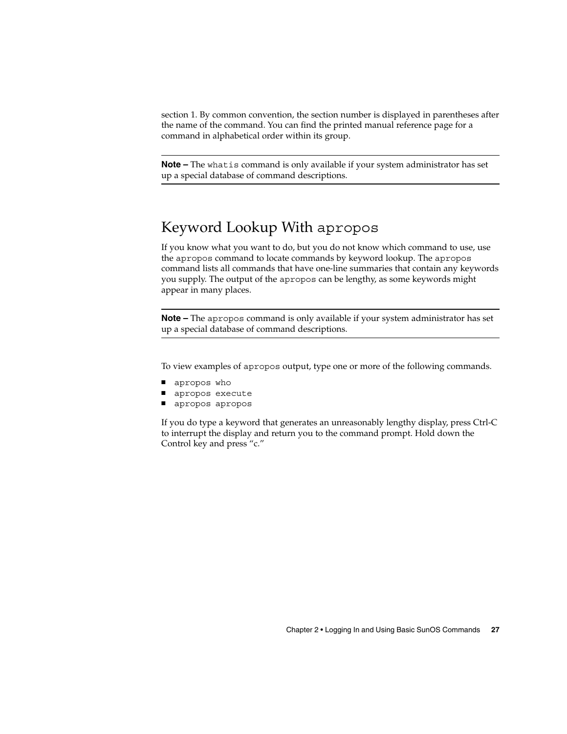section 1. By common convention, the section number is displayed in parentheses after the name of the command. You can find the printed manual reference page for a command in alphabetical order within its group.

**Note –** The whatis command is only available if your system administrator has set up a special database of command descriptions.

## Keyword Lookup With apropos

If you know what you want to do, but you do not know which command to use, use the apropos command to locate commands by keyword lookup. The apropos command lists all commands that have one-line summaries that contain any keywords you supply. The output of the apropos can be lengthy, as some keywords might appear in many places.

**Note –** The apropos command is only available if your system administrator has set up a special database of command descriptions.

To view examples of apropos output, type one or more of the following commands.

- apropos who
- apropos execute
- apropos apropos

If you do type a keyword that generates an unreasonably lengthy display, press Ctrl-C to interrupt the display and return you to the command prompt. Hold down the Control key and press "c."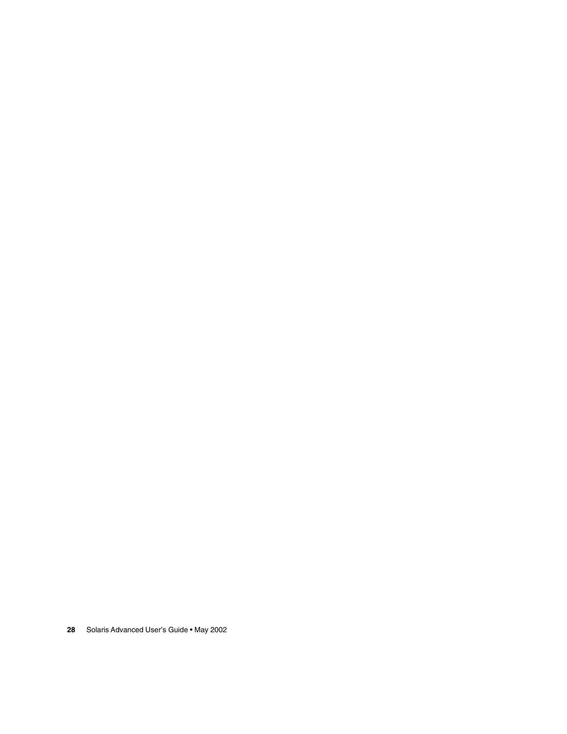Solaris Advanced User's Guide • May 2002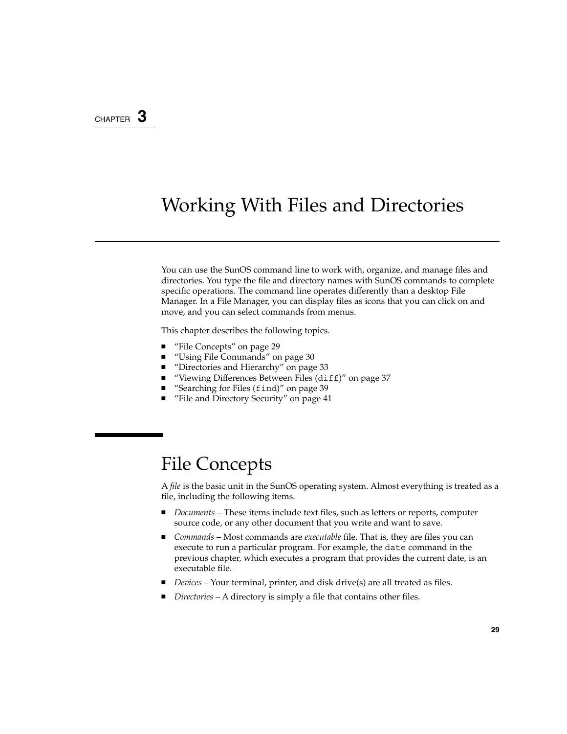#### CHAPTER **3**

# Working With Files and Directories

You can use the SunOS command line to work with, organize, and manage files and directories. You type the file and directory names with SunOS commands to complete specific operations. The command line operates differently than a desktop File Manager. In a File Manager, you can display files as icons that you can click on and move, and you can select commands from menus.

This chapter describes the following topics.

- "File Concepts" on page 29
- "Using File Commands" on page 30
- "Directories and Hierarchy" on page 33
- "Viewing Differences Between Files (diff)" on page 37
- "Searching for Files (find)" on page 39
- "File and Directory Security" on page 41

# File Concepts

A *file* is the basic unit in the SunOS operating system. Almost everything is treated as a file, including the following items.

- *Documents* These items include text files, such as letters or reports, computer source code, or any other document that you write and want to save.
- *Commands* Most commands are *executable* file. That is, they are files you can execute to run a particular program. For example, the date command in the previous chapter, which executes a program that provides the current date, is an executable file.
- *Devices* Your terminal, printer, and disk drive(s) are all treated as files.
- *Directories* A directory is simply a file that contains other files.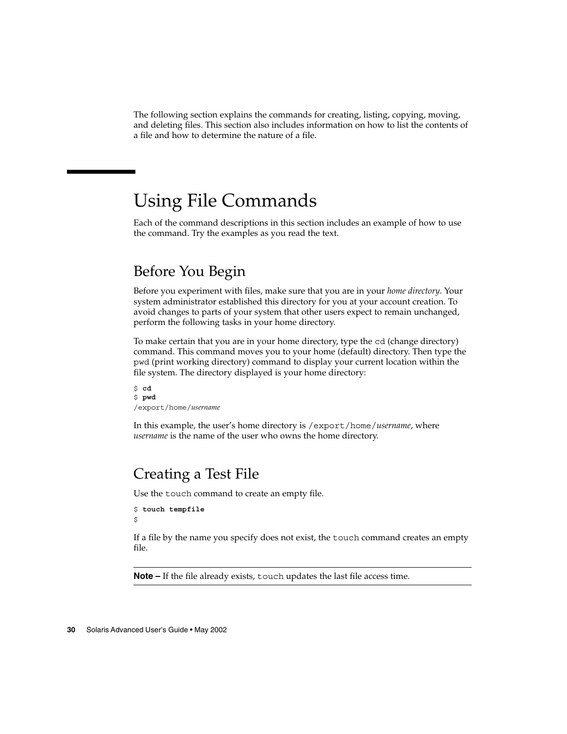The following section explains the commands for creating, listing, copying, moving, and deleting files. This section also includes information on how to list the contents of a file and how to determine the nature of a file.

# Using File Commands

Each of the command descriptions in this section includes an example of how to use the command. Try the examples as you read the text.

### Before You Begin

Before you experiment with files, make sure that you are in your *home directory*. Your system administrator established this directory for you at your account creation. To avoid changes to parts of your system that other users expect to remain unchanged, perform the following tasks in your home directory.

To make certain that you are in your home directory, type the cd (change directory) command. This command moves you to your home (default) directory. Then type the pwd (print working directory) command to display your current location within the file system. The directory displayed is your home directory:

\$ **cd** \$ **pwd** /export/home/*username*

In this example, the user's home directory is /export/home/*username*, where *username* is the name of the user who owns the home directory.

## Creating a Test File

Use the touch command to create an empty file.

```
$ touch tempfile
$
```
If a file by the name you specify does not exist, the touch command creates an empty file.

**Note –** If the file already exists, touch updates the last file access time.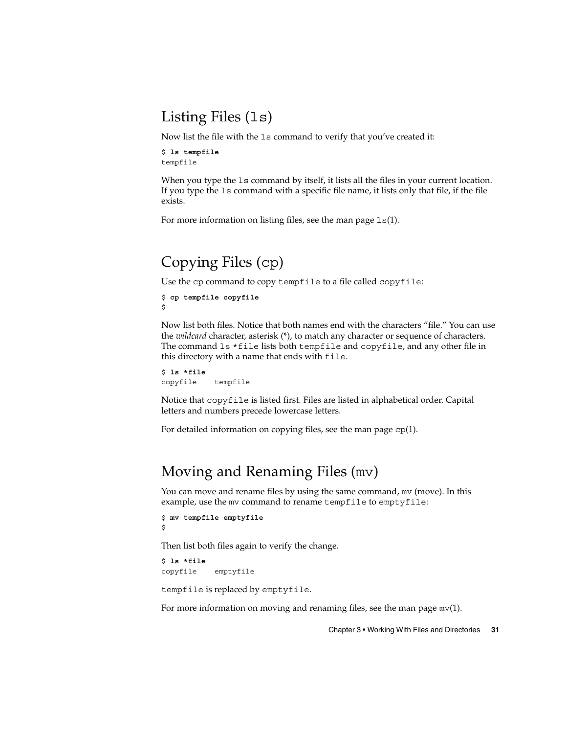## Listing Files (ls)

Now list the file with the ls command to verify that you've created it:

\$ **ls tempfile** tempfile

When you type the 1s command by itself, it lists all the files in your current location. If you type the ls command with a specific file name, it lists only that file, if the file exists.

For more information on listing files, see the man page  $ls(1)$ .

## Copying Files (cp)

Use the cp command to copy tempfile to a file called copyfile:

```
$ cp tempfile copyfile
\leq
```
Now list both files. Notice that both names end with the characters "file." You can use the *wildcard* character, asterisk (\*), to match any character or sequence of characters. The command ls \*file lists both tempfile and copyfile, and any other file in this directory with a name that ends with file.

\$ **ls \*file** copyfile tempfile

Notice that copyfile is listed first. Files are listed in alphabetical order. Capital letters and numbers precede lowercase letters.

For detailed information on copying files, see the man page cp(1).

### Moving and Renaming Files (mv)

You can move and rename files by using the same command,  $mv$  (move). In this example, use the mv command to rename tempfile to emptyfile:

```
$ mv tempfile emptyfile
$
```
Then list both files again to verify the change.

\$ **ls \*file** copyfile emptyfile

tempfile is replaced by emptyfile.

For more information on moving and renaming files, see the man page  $mv(1)$ .

Chapter 3 • Working With Files and Directories **31**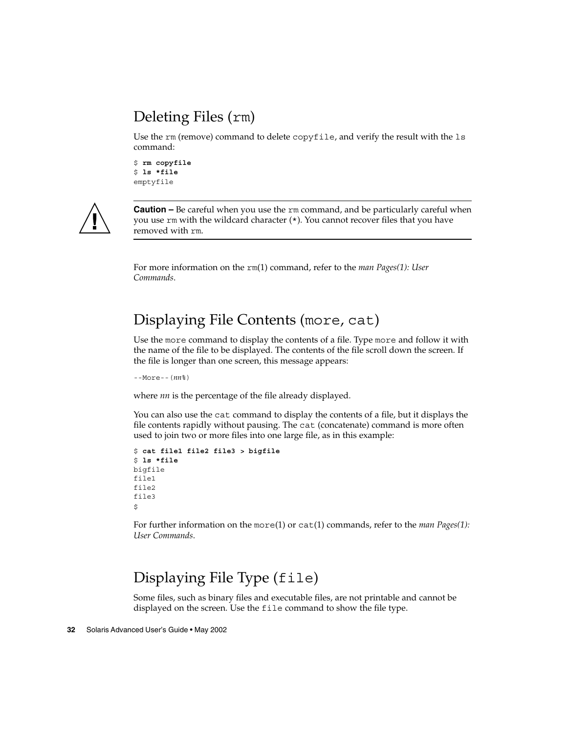## Deleting Files (rm)

Use the rm (remove) command to delete copyfile, and verify the result with the 1s command:

\$ **rm copyfile** \$ **ls \*file** emptyfile



**Caution –** Be careful when you use the rm command, and be particularly careful when you use rm with the wildcard character (\*). You cannot recover files that you have removed with rm.

For more information on the rm(1) command, refer to the *man Pages(1): User Commands*.

## Displaying File Contents (more, cat)

Use the more command to display the contents of a file. Type more and follow it with the name of the file to be displayed. The contents of the file scroll down the screen. If the file is longer than one screen, this message appears:

--More--(*nn*%)

where *nn* is the percentage of the file already displayed.

You can also use the cat command to display the contents of a file, but it displays the file contents rapidly without pausing. The cat (concatenate) command is more often used to join two or more files into one large file, as in this example:

```
$ cat file1 file2 file3 > bigfile
$ ls *file
bigfile
file1
file2
file3
\ddot{\rm s}
```
For further information on the more(1) or cat(1) commands, refer to the *man Pages(1): User Commands*.

# Displaying File Type (file)

Some files, such as binary files and executable files, are not printable and cannot be displayed on the screen. Use the file command to show the file type.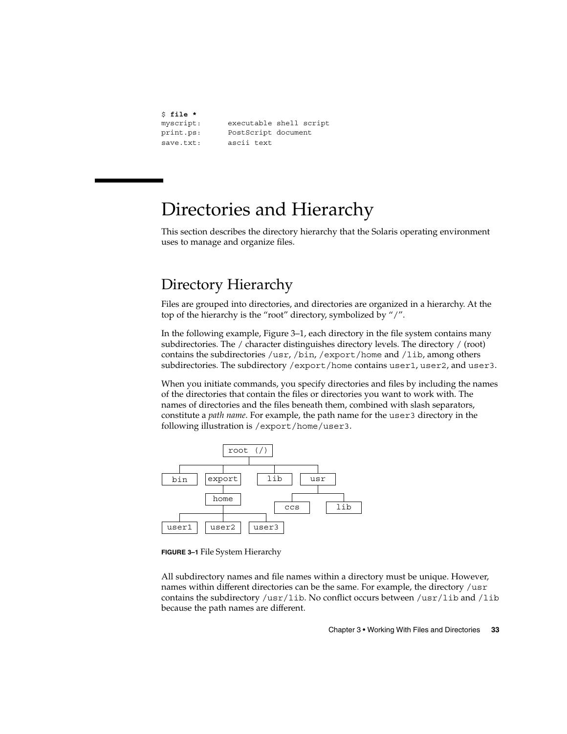| \$file *  |                     |                         |
|-----------|---------------------|-------------------------|
| myscript: |                     | executable shell script |
| print.ps: | PostScript document |                         |
| save.txt: | ascii text          |                         |

# Directories and Hierarchy

This section describes the directory hierarchy that the Solaris operating environment uses to manage and organize files.

## Directory Hierarchy

Files are grouped into directories, and directories are organized in a hierarchy. At the top of the hierarchy is the "root" directory, symbolized by "/".

In the following example, Figure 3–1, each directory in the file system contains many subdirectories. The / character distinguishes directory levels. The directory / (root) contains the subdirectories /usr, /bin, /export/home and /lib, among others subdirectories. The subdirectory /export/home contains user1, user2, and user3.

When you initiate commands, you specify directories and files by including the names of the directories that contain the files or directories you want to work with. The names of directories and the files beneath them, combined with slash separators, constitute a *path name*. For example, the path name for the user3 directory in the following illustration is /export/home/user3.



**FIGURE 3–1** File System Hierarchy

All subdirectory names and file names within a directory must be unique. However, names within different directories can be the same. For example, the directory /usr contains the subdirectory /usr/lib. No conflict occurs between /usr/lib and /lib because the path names are different.

Chapter 3 • Working With Files and Directories **33**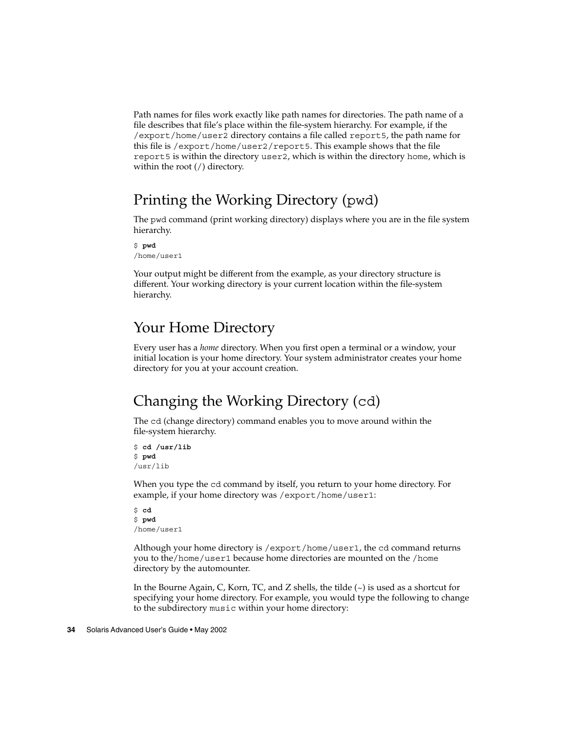Path names for files work exactly like path names for directories. The path name of a file describes that file's place within the file-system hierarchy. For example, if the /export/home/user2 directory contains a file called report5, the path name for this file is /export/home/user2/report5. This example shows that the file report5 is within the directory user2, which is within the directory home, which is within the root (/) directory.

## Printing the Working Directory (pwd)

The pwd command (print working directory) displays where you are in the file system hierarchy.

\$ **pwd** /home/user1

Your output might be different from the example, as your directory structure is different. Your working directory is your current location within the file-system hierarchy.

## Your Home Directory

Every user has a *home* directory. When you first open a terminal or a window, your initial location is your home directory. Your system administrator creates your home directory for you at your account creation.

## Changing the Working Directory (cd)

The cd (change directory) command enables you to move around within the file-system hierarchy.

```
$ cd /usr/lib
$ pwd
/usr/lib
```
When you type the cd command by itself, you return to your home directory. For example, if your home directory was /export/home/user1:

```
$ cd
$ pwd
/home/user1
```
Although your home directory is /export/home/user1, the cd command returns you to the/home/user1 because home directories are mounted on the /home directory by the automounter.

In the Bourne Again, C, Korn, TC, and Z shells, the tilde  $(\sim)$  is used as a shortcut for specifying your home directory. For example, you would type the following to change to the subdirectory music within your home directory:

#### **34** Solaris Advanced User's Guide • May 2002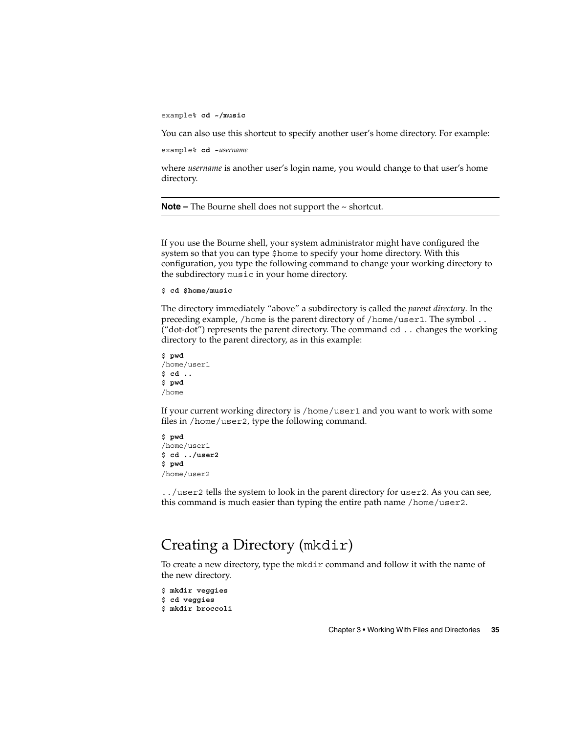example% **cd ~/music**

You can also use this shortcut to specify another user's home directory. For example:

example% **cd ~***username*

where *username* is another user's login name, you would change to that user's home directory.

**Note –** The Bourne shell does not support the ~ shortcut.

If you use the Bourne shell, your system administrator might have configured the system so that you can type \$home to specify your home directory. With this configuration, you type the following command to change your working directory to the subdirectory music in your home directory.

\$ **cd \$home/music**

The directory immediately "above" a subdirectory is called the *parent directory*. In the preceding example, /home is the parent directory of /home/user1. The symbol .. ("dot-dot") represents the parent directory. The command  $cd$ .. changes the working directory to the parent directory, as in this example:

```
$ pwd
/home/user1
$ cd ..
$ pwd
/home
```
If your current working directory is /home/user1 and you want to work with some files in /home/user2, type the following command.

\$ **pwd** /home/user1 \$ **cd ../user2** \$ **pwd** /home/user2

../user2 tells the system to look in the parent directory for user2. As you can see, this command is much easier than typing the entire path name /home/user2.

### Creating a Directory (mkdir)

To create a new directory, type the mkdir command and follow it with the name of the new directory.

```
$ mkdir veggies
$ cd veggies
$ mkdir broccoli
```
Chapter 3 • Working With Files and Directories **35**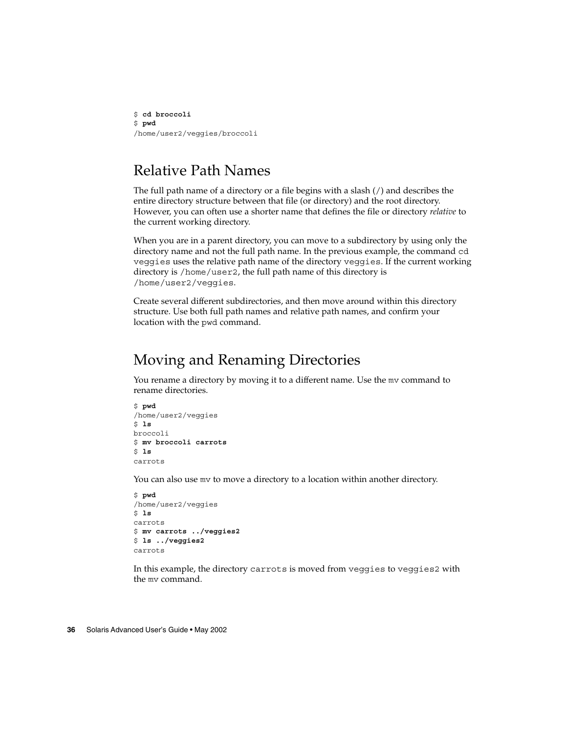\$ **cd broccoli** \$ **pwd** /home/user2/veggies/broccoli

## Relative Path Names

The full path name of a directory or a file begins with a slash (/) and describes the entire directory structure between that file (or directory) and the root directory. However, you can often use a shorter name that defines the file or directory *relative* to the current working directory.

When you are in a parent directory, you can move to a subdirectory by using only the directory name and not the full path name. In the previous example, the command cd veggies uses the relative path name of the directory veggies. If the current working directory is /home/user2, the full path name of this directory is /home/user2/veggies.

Create several different subdirectories, and then move around within this directory structure. Use both full path names and relative path names, and confirm your location with the pwd command.

### Moving and Renaming Directories

You rename a directory by moving it to a different name. Use the mv command to rename directories.

```
$ pwd
/home/user2/veggies
$ ls
broccoli
$ mv broccoli carrots
$ ls
carrots
```
You can also use mv to move a directory to a location within another directory.

```
$ pwd
/home/user2/veggies
$ ls
carrots
$ mv carrots ../veggies2
$ ls ../veggies2
carrots
```
In this example, the directory carrots is moved from veggies to veggies2 with the mv command.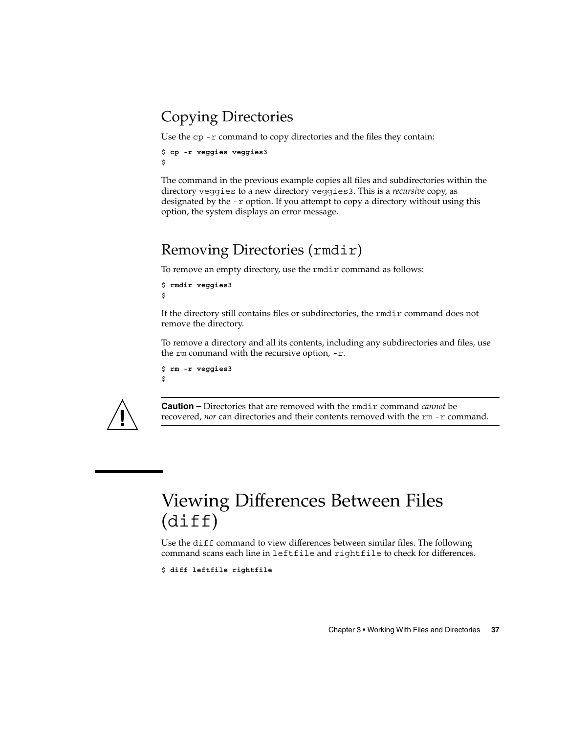# Copying Directories

Use the cp -r command to copy directories and the files they contain:

```
$ cp -r veggies veggies3
$
```
The command in the previous example copies all files and subdirectories within the directory veggies to a new directory veggies3. This is a *recursive* copy, as designated by the -r option. If you attempt to copy a directory without using this option, the system displays an error message.

## Removing Directories (rmdir)

To remove an empty directory, use the rmdir command as follows:

```
$ rmdir veggies3
\boldsymbol{\mathsf{S}}
```
If the directory still contains files or subdirectories, the rmdir command does not remove the directory.

To remove a directory and all its contents, including any subdirectories and files, use the rm command with the recursive option, -r.

```
$ rm -r veggies3
$
```


**Caution –** Directories that are removed with the rmdir command *cannot* be recovered, *nor* can directories and their contents removed with the rm -r command.

# Viewing Differences Between Files (diff)

Use the diff command to view differences between similar files. The following command scans each line in leftfile and rightfile to check for differences.

\$ **diff leftfile rightfile**

Chapter 3 • Working With Files and Directories **37**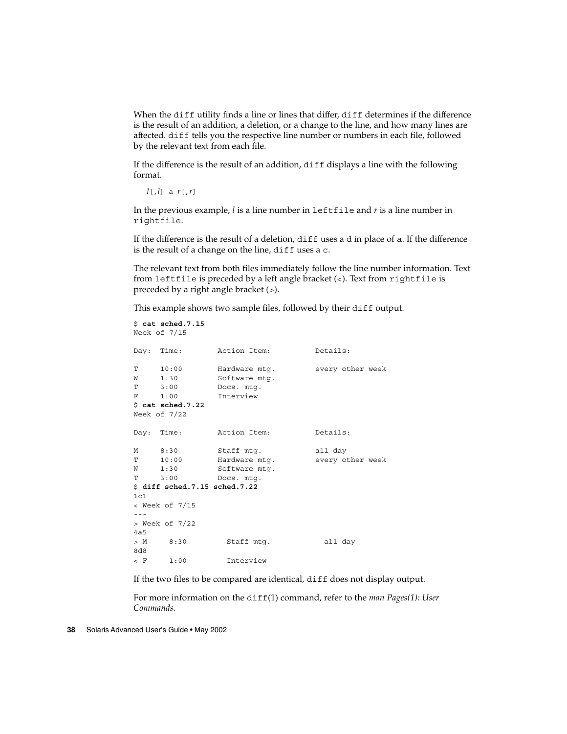When the diff utility finds a line or lines that differ, diff determines if the difference is the result of an addition, a deletion, or a change to the line, and how many lines are affected. diff tells you the respective line number or numbers in each file, followed by the relevant text from each file.

If the difference is the result of an addition, diff displays a line with the following format.

*l*[,*l*] a *r*[,*r*]

In the previous example, *l* is a line number in leftfile and *r* is a line number in rightfile.

If the difference is the result of a deletion, diff uses a d in place of a. If the difference is the result of a change on the line, diff uses a c.

The relevant text from both files immediately follow the line number information. Text from leftfile is preceded by a left angle bracket (<). Text from rightfile is preceded by a right angle bracket (>).

This example shows two sample files, followed by their diff output.

```
$ cat sched.7.15
Week of 7/15
Day: Time: Action Item: Details:
T 10:00 Hardware mtg. every other week
W 1:30 Software mtg.
T 3:00 Docs. mtg.
F 1:00 Interview
$ cat sched.7.22
Week of 7/22
Day: Time: Action Item: Details:
M 8:30 Staff mtg. all day
T 10:00 Hardware mtg. every other week
W 1:30 Software mtg.
T 3:00 Docs. mtg.
$ diff sched.7.15 sched.7.22
1c1< Week of 7/15
---
> Week of 7/22
4a5
> M 8:30 Staff mtg. all day
8d8
< F 1:00 Interview
```
If the two files to be compared are identical, diff does not display output.

For more information on the diff(1) command, refer to the *man Pages(1): User Commands*.

**38** Solaris Advanced User's Guide • May 2002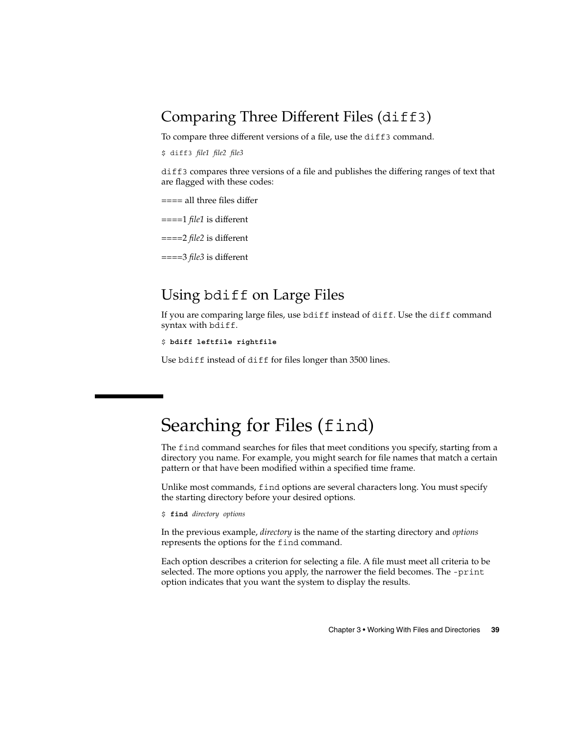# Comparing Three Different Files (diff3)

To compare three different versions of a file, use the diff3 command.

\$ diff3 *file1 file2 file3*

diff3 compares three versions of a file and publishes the differing ranges of text that are flagged with these codes:

 $===$  all three files differ

====1 *file1* is different

====2 *file2* is different

====3 *file3* is different

## Using bdiff on Large Files

If you are comparing large files, use bdiff instead of diff. Use the diff command syntax with bdiff.

```
$ bdiff leftfile rightfile
```
Use bdiff instead of diff for files longer than 3500 lines.

# Searching for Files (find)

The find command searches for files that meet conditions you specify, starting from a directory you name. For example, you might search for file names that match a certain pattern or that have been modified within a specified time frame.

Unlike most commands, find options are several characters long. You must specify the starting directory before your desired options.

\$ **find** *directory options*

In the previous example, *directory* is the name of the starting directory and *options* represents the options for the find command.

Each option describes a criterion for selecting a file. A file must meet all criteria to be selected. The more options you apply, the narrower the field becomes. The -print option indicates that you want the system to display the results.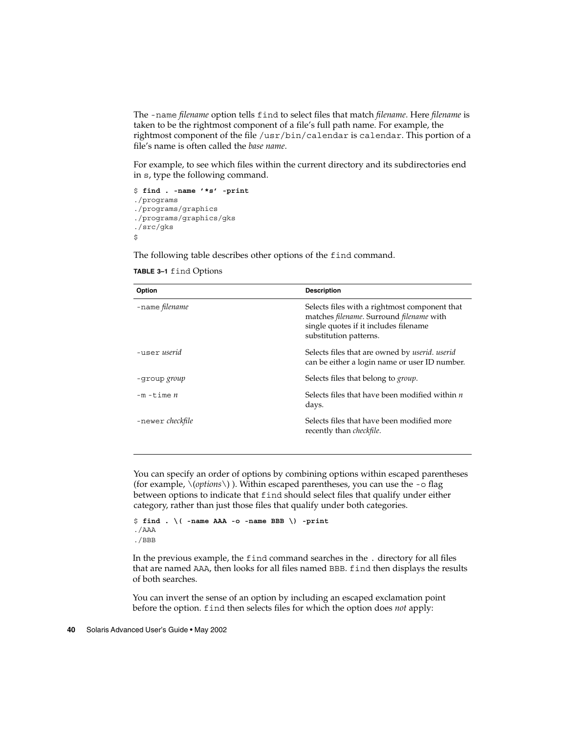The -name *filename* option tells find to select files that match *filename*. Here *filename* is taken to be the rightmost component of a file's full path name. For example, the rightmost component of the file /usr/bin/calendar is calendar. This portion of a file's name is often called the *base name*.

For example, to see which files within the current directory and its subdirectories end in s, type the following command.

```
$ find . -name '*s' -print
./programs
./programs/graphics
./programs/graphics/gks
./src/gks
\ddot{s}
```
The following table describes other options of the find command.

#### **TABLE 3–1** find Options

| Option                  | <b>Description</b>                                                                                                                                                          |
|-------------------------|-----------------------------------------------------------------------------------------------------------------------------------------------------------------------------|
| -name filename          | Selects files with a rightmost component that<br>matches <i>filename</i> . Surround <i>filename</i> with<br>single quotes if it includes filename<br>substitution patterns. |
| -user <i>userid</i>     | Selects files that are owned by <i>userid</i> . <i>userid</i><br>can be either a login name or user ID number.                                                              |
| -group <i>group</i>     | Selects files that belong to <i>group</i> .                                                                                                                                 |
| $-m$ -time $n$          | Selects files that have been modified within $n$<br>days.                                                                                                                   |
| -newer <i>checkfile</i> | Selects files that have been modified more<br>recently than <i>checkfile</i> .                                                                                              |

You can specify an order of options by combining options within escaped parentheses (for example, \(*options*\) ). Within escaped parentheses, you can use the -o flag between options to indicate that find should select files that qualify under either category, rather than just those files that qualify under both categories.

```
$ find . \( -name AAA -o -name BBB \) -print
./AAA
./BBB
```
In the previous example, the find command searches in the . directory for all files that are named AAA, then looks for all files named BBB. find then displays the results of both searches.

You can invert the sense of an option by including an escaped exclamation point before the option. find then selects files for which the option does *not* apply: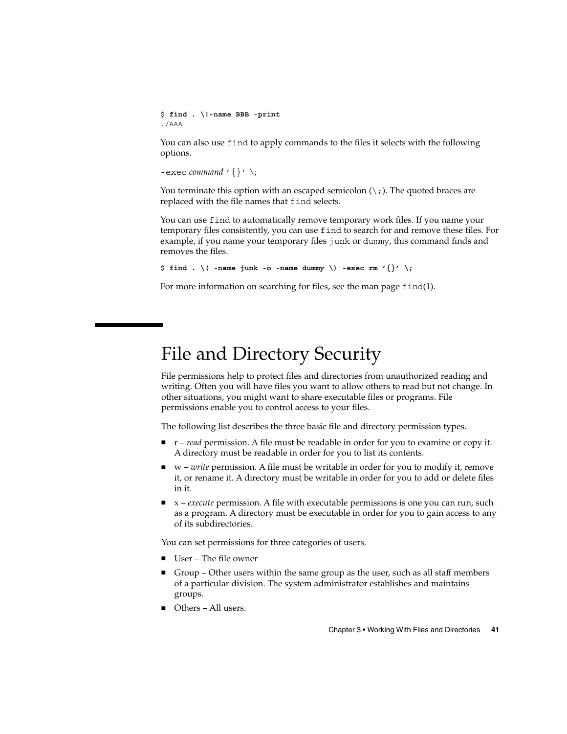```
$ find . \!-name BBB -print
./AAA
```
You can also use find to apply commands to the files it selects with the following options.

```
-exec command '\{\}' \;
```
You terminate this option with an escaped semicolon  $(\cdot)$ . The quoted braces are replaced with the file names that find selects.

You can use find to automatically remove temporary work files. If you name your temporary files consistently, you can use find to search for and remove these files. For example, if you name your temporary files junk or dummy, this command finds and removes the files.

```
\frac{1}{2} find . \( -name junk -o -name dummy \) -exec rm '{}' \;
```
For more information on searching for files, see the man page find(1).

# File and Directory Security

File permissions help to protect files and directories from unauthorized reading and writing. Often you will have files you want to allow others to read but not change. In other situations, you might want to share executable files or programs. File permissions enable you to control access to your files.

The following list describes the three basic file and directory permission types.

- r *read* permission. A file must be readable in order for you to examine or copy it. A directory must be readable in order for you to list its contents.
- w *write* permission. A file must be writable in order for you to modify it, remove it, or rename it. A directory must be writable in order for you to add or delete files in it.
- $\blacksquare$  x *execute* permission. A file with executable permissions is one you can run, such as a program. A directory must be executable in order for you to gain access to any of its subdirectories.

You can set permissions for three categories of users.

- User The file owner
- Group Other users within the same group as the user, such as all staff members of a particular division. The system administrator establishes and maintains groups.
- Others All users.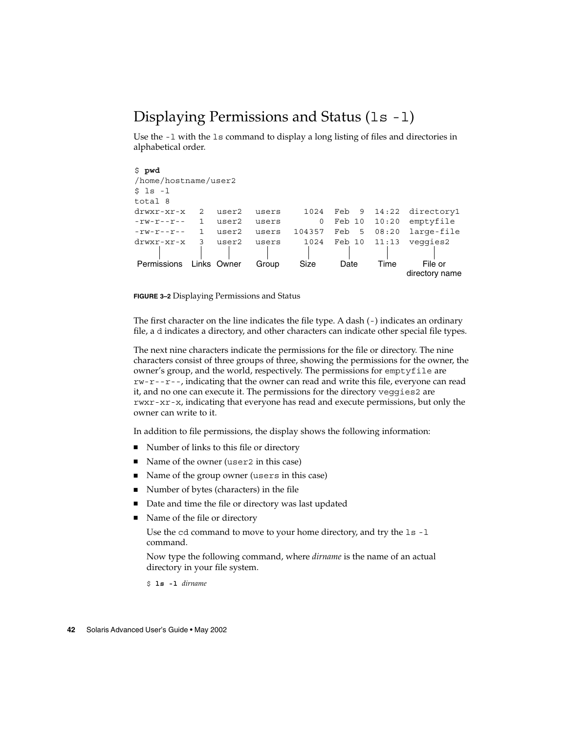# Displaying Permissions and Status (1s -1)

Use the -l with the ls command to display a long listing of files and directories in alphabetical order.

\$ **pwd** /home/hostname/user2  $$ 1s -1$ total 8 drwxr-xr-x 2 user2 users 1024 Feb 9 14:22 directory1 -rw-r--r-- 1 user2 users 0 Feb 10 10:20 emptyfile -rw-r--r-- 1 user2 users 104357 Feb 5 08:20 large-file drwxr-xr-x 3 user2 users 1024 Feb 10 11:13 veggies2<br>
| | | | | | | | | Permissions Links Owner Group Size Date Time File or directory name

**FIGURE 3–2** Displaying Permissions and Status

The first character on the line indicates the file type. A dash (-) indicates an ordinary file, a d indicates a directory, and other characters can indicate other special file types.

The next nine characters indicate the permissions for the file or directory. The nine characters consist of three groups of three, showing the permissions for the owner, the owner's group, and the world, respectively. The permissions for emptyfile are rw-r--r--, indicating that the owner can read and write this file, everyone can read it, and no one can execute it. The permissions for the directory veggies2 are rwxr-xr-x, indicating that everyone has read and execute permissions, but only the owner can write to it.

In addition to file permissions, the display shows the following information:

- Number of links to this file or directory
- Name of the owner (user2 in this case)
- Name of the group owner (users in this case)
- Number of bytes (characters) in the file
- Date and time the file or directory was last updated
- Name of the file or directory

Use the cd command to move to your home directory, and try the ls -l command.

Now type the following command, where *dirname* is the name of an actual directory in your file system.

\$ **ls -l** *dirname*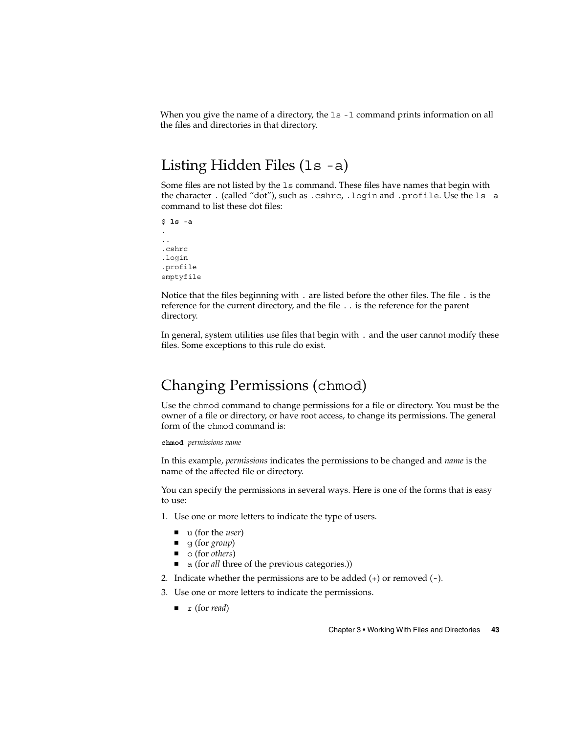When you give the name of a directory, the 1s -1 command prints information on all the files and directories in that directory.

# Listing Hidden Files (ls -a)

Some files are not listed by the ls command. These files have names that begin with the character . (called "dot"), such as .cshrc, .login and .profile. Use the ls -a command to list these dot files:

```
$ ls -a
.
..
.cshrc
.login
.profile
emptyfile
```
Notice that the files beginning with . are listed before the other files. The file . is the reference for the current directory, and the file .. is the reference for the parent directory.

In general, system utilities use files that begin with . and the user cannot modify these files. Some exceptions to this rule do exist.

## Changing Permissions (chmod)

Use the chmod command to change permissions for a file or directory. You must be the owner of a file or directory, or have root access, to change its permissions. The general form of the chmod command is:

**chmod** *permissions name*

In this example, *permissions* indicates the permissions to be changed and *name* is the name of the affected file or directory.

You can specify the permissions in several ways. Here is one of the forms that is easy to use:

- 1. Use one or more letters to indicate the type of users.
	- u (for the *user*)
	- g (for *group*)
	- o (for *others*)
	- a (for *all* three of the previous categories.))
- 2. Indicate whether the permissions are to be added  $(+)$  or removed  $(-)$ .
- 3. Use one or more letters to indicate the permissions.
	- r (for *read*)

Chapter 3 • Working With Files and Directories **43**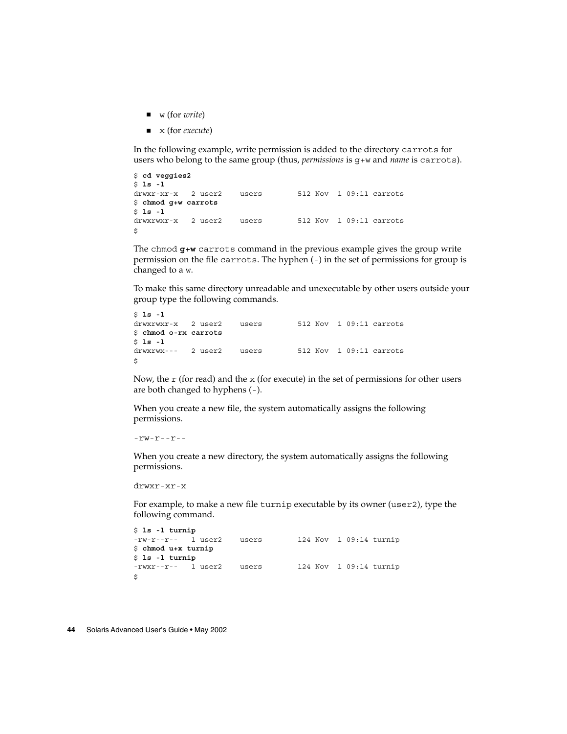- w (for *write*)
- x (for *execute*)

In the following example, write permission is added to the directory carrots for users who belong to the same group (thus, *permissions* is g+w and *name* is carrots).

```
$ cd veggies2
$ ls -l
drwxr-xr-x 2 user2 users 512 Nov 1 09:11 carrots
$ chmod g+w carrots
$ ls -l
drwxrwxr-x 2 user2 users 512 Nov 1 09:11 carrots
$
```
The chmod **g+w** carrots command in the previous example gives the group write permission on the file carrots. The hyphen (-) in the set of permissions for group is changed to a w.

To make this same directory unreadable and unexecutable by other users outside your group type the following commands.

```
$ ls -l
drwxrwxr-x 2 user2 users 512 Nov 1 09:11 carrots
$ chmod o-rx carrots
$ ls -l
drwxrwx--- 2 user2 users 512 Nov 1 09:11 carrots
$
```
Now, the  $r$  (for read) and the  $x$  (for execute) in the set of permissions for other users are both changed to hyphens (-).

When you create a new file, the system automatically assigns the following permissions.

 $-rw-r--r--$ 

When you create a new directory, the system automatically assigns the following permissions.

drwxr-xr-x

For example, to make a new file turnip executable by its owner (user2), type the following command.

```
$ ls -l turnip
-rw-r--r-- 1 user2 users 124 Nov 1 09:14 turnip
$ chmod u+x turnip
$ ls -l turnip
-rwxr--r-- 1 user2 users 124 Nov 1 09:14 turnip
\mathsf{\hat{S}}
```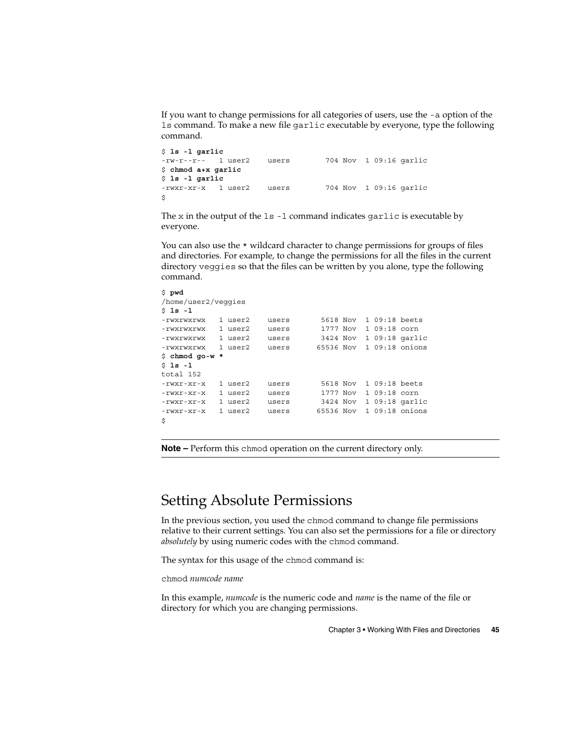If you want to change permissions for all categories of users, use the -a option of the ls command. To make a new file garlic executable by everyone, type the following command.

```
$ ls -l garlic
-rw-r--r-- 1 user2 users 704 Nov 1 09:16 garlic
$ chmod a+x garlic
$ ls -l garlic
-rwxr-xr-x 1 user2 users 704 Nov 1 09:16 garlic
\ddot{\rm c}
```
The x in the output of the ls -l command indicates garlic is executable by everyone.

You can also use the \* wildcard character to change permissions for groups of files and directories. For example, to change the permissions for all the files in the current directory veggies so that the files can be written by you alone, type the following command.

```
$ pwd
/home/user2/veggies
$ ls -l
-rwxrwxrwx 1 user2 users 5618 Nov 1 09:18 beets
-rwxrwxrwx 1 user2 users 1777 Nov 1 09:18 corn
-rwxrwxrwx 1 user2 users 3424 Nov 1 09:18 garlic
-rwxrwxrwx 1 user2 users 65536 Nov 1 09:18 onions
$ chmod go-w *
$ ls -l
total 152
-rwxr-xr-x 1 user2 users 5618 Nov 1 09:18 beets
-rwxr-xr-x 1 user2 users 1777 Nov 1 09:18 corn
-rwxr-xr-x 1 user2 users 3424 Nov 1 09:18 garlic
-rwxr-xr-x 1 user2 users 65536 Nov 1 09:18 onions
$
```
**Note –** Perform this chmod operation on the current directory only.

## Setting Absolute Permissions

In the previous section, you used the chmod command to change file permissions relative to their current settings. You can also set the permissions for a file or directory *absolutely* by using numeric codes with the chmod command.

The syntax for this usage of the chmod command is:

chmod *numcode name*

In this example, *numcode* is the numeric code and *name* is the name of the file or directory for which you are changing permissions.

Chapter 3 • Working With Files and Directories **45**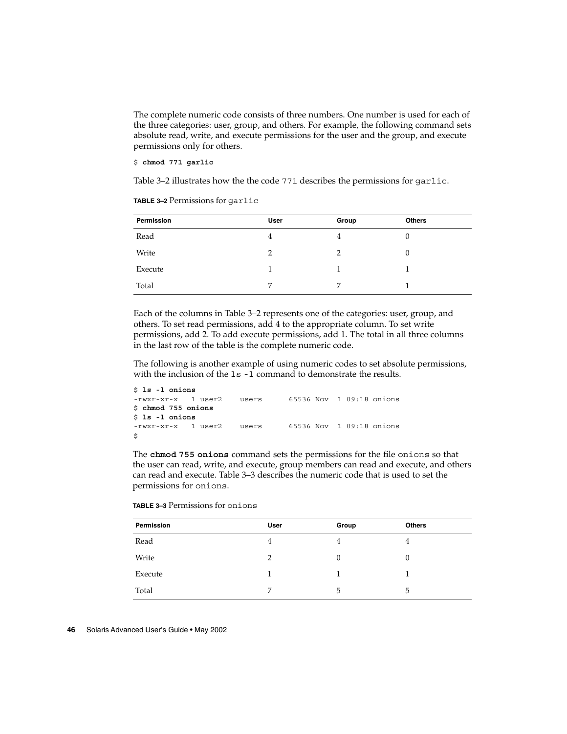The complete numeric code consists of three numbers. One number is used for each of the three categories: user, group, and others. For example, the following command sets absolute read, write, and execute permissions for the user and the group, and execute permissions only for others.

\$ **chmod 771 garlic**

Table 3–2 illustrates how the the code 771 describes the permissions for garlic.

| Permission | User | Group | <b>Others</b> |
|------------|------|-------|---------------|
| Read       | 4    | 4     | U             |
| Write      | 2    | 2     | 0             |
| Execute    |      |       |               |
| Total      | 7    | 7     |               |

**TABLE 3–2** Permissions for garlic

Each of the columns in Table 3–2 represents one of the categories: user, group, and others. To set read permissions, add 4 to the appropriate column. To set write permissions, add 2. To add execute permissions, add 1. The total in all three columns in the last row of the table is the complete numeric code.

The following is another example of using numeric codes to set absolute permissions, with the inclusion of the 1s -1 command to demonstrate the results.

```
$ ls -l onions
-rwxr-xr-x 1 user2 users 65536 Nov 1 09:18 onions
$ chmod 755 onions
$ ls -l onions
-rwxr-xr-x 1 user2 users 65536 Nov 1 09:18 onions
$
```
The **chmod 755 onions** command sets the permissions for the file onions so that the user can read, write, and execute, group members can read and execute, and others can read and execute. Table 3–3 describes the numeric code that is used to set the permissions for onions.

| Permission | <b>User</b> | Group | <b>Others</b> |
|------------|-------------|-------|---------------|
| Read       | 4           | 4     | 4             |
| Write      | 2           | 0     | 0             |
| Execute    |             |       |               |
| Total      | 7           | 5     | 5             |

**TABLE 3–3** Permissions for onions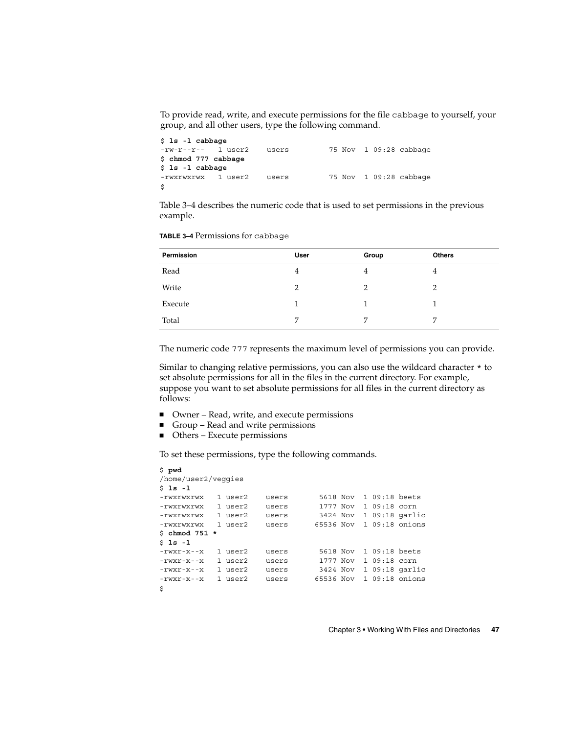To provide read, write, and execute permissions for the file cabbage to yourself, your group, and all other users, type the following command.

```
$ ls -l cabbage
-rw-r--r-- 1 user2 users 75 Nov 1 09:28 cabbage
$ chmod 777 cabbage
$ ls -l cabbage
-rwxrwxrwx 1 user2 users 75 Nov 1 09:28 cabbage
\ddot{\mathbf{S}}
```
Table 3–4 describes the numeric code that is used to set permissions in the previous example.

| Permission | User | Group | <b>Others</b> |
|------------|------|-------|---------------|
| Read       | 4    | 4     | 4             |
| Write      | 2    | 2     | ി             |
| Execute    |      |       |               |
| Total      | 7    | 7     | 7             |

**TABLE 3–4** Permissions for cabbage

The numeric code 777 represents the maximum level of permissions you can provide.

Similar to changing relative permissions, you can also use the wildcard character \* to set absolute permissions for all in the files in the current directory. For example, suppose you want to set absolute permissions for all files in the current directory as follows:

- Owner Read, write, and execute permissions
- Group Read and write permissions
- Others Execute permissions

To set these permissions, type the following commands.

```
$ pwd
/home/user2/veggies
$ ls -l
-rwxrwxrwx 1 user2 users 5618 Nov 1 09:18 beets
-rwxrwxrwx 1 user2 users 1777 Nov 1 09:18 corn
-rwxrwxrwx 1 user2 users 3424 Nov 1 09:18 garlic
-rwxrwxrwx 1 user2 users 65536 Nov 1 09:18 onions
$ chmod 751 *
$ ls -l
-rwxr-x--x 1 user2 users 5618 Nov 1 09:18 beets
-rwxr-x--x 1 user2 users 1777 Nov 1 09:18 corn
-rwxr-x--x 1 user2 users 3424 Nov 1 09:18 garlic
-rwxr-x--x 1 user2 users 65536 Nov 1 09:18 onions
\mathsf{S}
```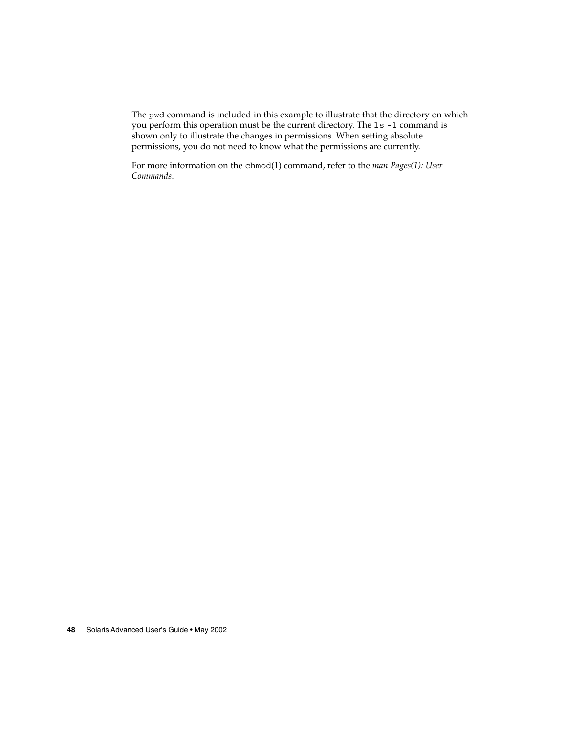The pwd command is included in this example to illustrate that the directory on which you perform this operation must be the current directory. The ls -l command is shown only to illustrate the changes in permissions. When setting absolute permissions, you do not need to know what the permissions are currently.

For more information on the chmod(1) command, refer to the *man Pages(1): User Commands*.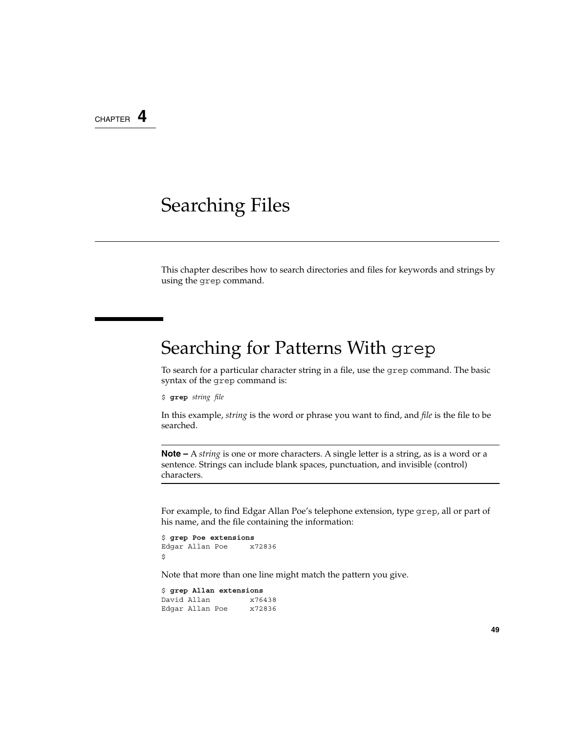## CHAPTER **4**

# Searching Files

This chapter describes how to search directories and files for keywords and strings by using the grep command.

# Searching for Patterns With grep

To search for a particular character string in a file, use the grep command. The basic syntax of the grep command is:

\$ **grep** *string file*

In this example, *string* is the word or phrase you want to find, and *file* is the file to be searched.

**Note –** A *string* is one or more characters. A single letter is a string, as is a word or a sentence. Strings can include blank spaces, punctuation, and invisible (control) characters.

For example, to find Edgar Allan Poe's telephone extension, type grep, all or part of his name, and the file containing the information:

```
$ grep Poe extensions
Edgar Allan Poe x72836
\boldsymbol{\mathsf{S}}
```
Note that more than one line might match the pattern you give.

\$ **grep Allan extensions** David Allan x76438 Edgar Allan Poe x72836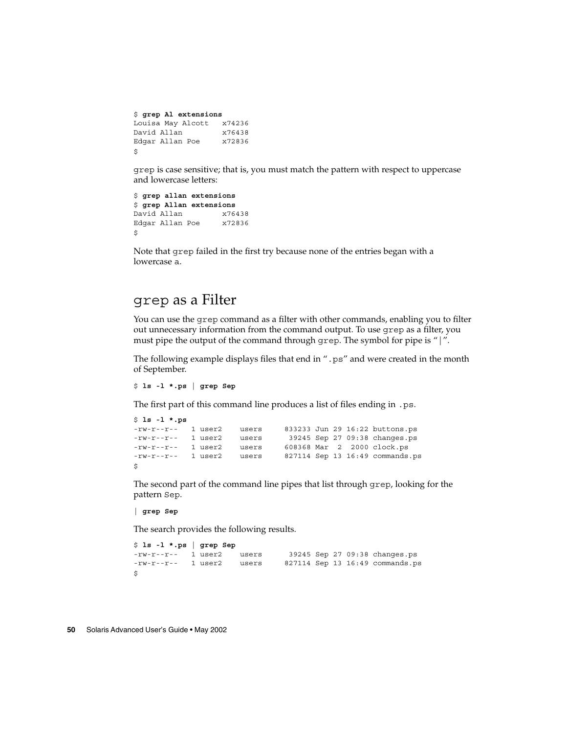```
$ grep Al extensions
Louisa May Alcott x74236
David Allan x76438
Edgar Allan Poe x72836
\ddot{\rm s}
```
grep is case sensitive; that is, you must match the pattern with respect to uppercase and lowercase letters:

```
$ grep allan extensions
$ grep Allan extensions
David Allan x76438
Edgar Allan Poe x72836
\ddot{\rm s}
```
Note that grep failed in the first try because none of the entries began with a lowercase a.

#### grep as a Filter

You can use the grep command as a filter with other commands, enabling you to filter out unnecessary information from the command output. To use grep as a filter, you must pipe the output of the command through grep. The symbol for pipe is "|".

The following example displays files that end in ".ps" and were created in the month of September.

```
$ ls -l *.ps | grep Sep
```
The first part of this command line produces a list of files ending in .ps.

```
$ ls -l *.ps
-rw-r--r-- 1 user2 users 833233 Jun 29 16:22 buttons.ps
-rw-r--r-- 1 user2 users 39245 Sep 27 09:38 changes.ps
-rw-r--r-- 1 user2 users 608368 Mar 2 2000 clock.ps
-rw-r--r-- 1 user2 users 827114 Sep 13 16:49 commands.ps
$
```
The second part of the command line pipes that list through grep, looking for the pattern Sep.

**| grep Sep**

The search provides the following results.

```
$ ls -l *.ps | grep Sep
-rw-r--r-- 1 user2 users 39245 Sep 27 09:38 changes.ps
-rw-r--r-- 1 user2 users 827114 Sep 13 16:49 commands.ps
$
```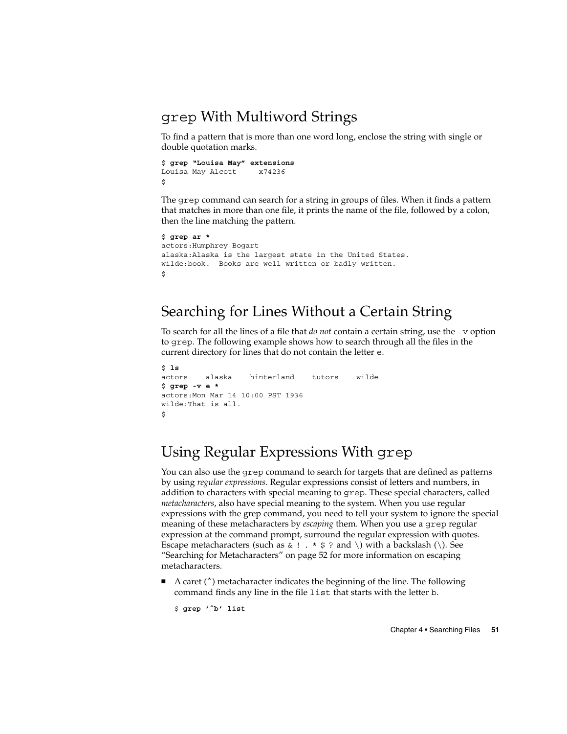## grep With Multiword Strings

To find a pattern that is more than one word long, enclose the string with single or double quotation marks.

```
$ grep "Louisa May" extensions
Louisa May Alcott x74236
$
```
The grep command can search for a string in groups of files. When it finds a pattern that matches in more than one file, it prints the name of the file, followed by a colon, then the line matching the pattern.

```
$ grep ar *
actors:Humphrey Bogart
alaska:Alaska is the largest state in the United States.
wilde:book. Books are well written or badly written.
$
```
## Searching for Lines Without a Certain String

To search for all the lines of a file that *do not* contain a certain string, use the -v option to grep. The following example shows how to search through all the files in the current directory for lines that do not contain the letter e.

```
$ ls
actors alaska hinterland tutors wilde
$ grep -v e *
actors:Mon Mar 14 10:00 PST 1936
wilde:That is all.
$
```
## Using Regular Expressions With grep

You can also use the grep command to search for targets that are defined as patterns by using *regular expressions*. Regular expressions consist of letters and numbers, in addition to characters with special meaning to grep. These special characters, called *metacharacters*, also have special meaning to the system. When you use regular expressions with the grep command, you need to tell your system to ignore the special meaning of these metacharacters by *escaping* them. When you use a grep regular expression at the command prompt, surround the regular expression with quotes. Escape metacharacters (such as  $\&$  ! . \*  $\&$  ? and \) with a backslash (\). See "Searching for Metacharacters" on page 52 for more information on escaping metacharacters.

 $\blacksquare$  A caret ( $\hat{\ }$ ) metacharacter indicates the beginning of the line. The following command finds any line in the file list that starts with the letter b.

```
$ grep '^b' list
```
Chapter 4 • Searching Files **51**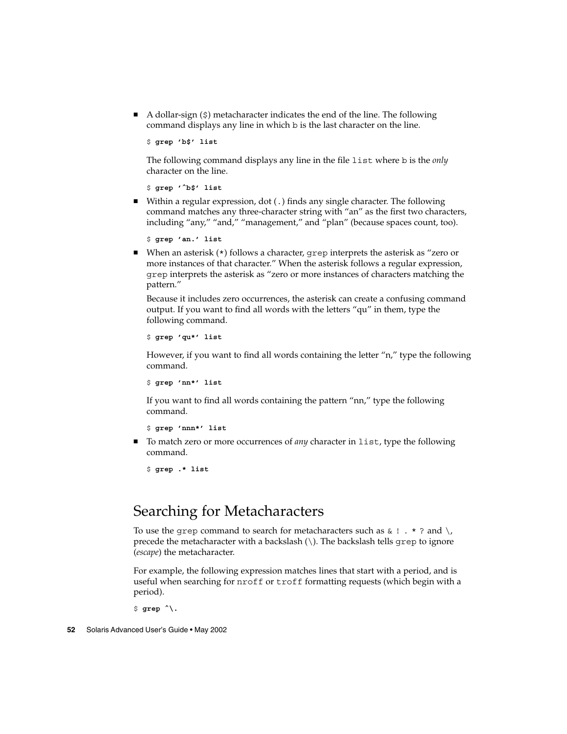$\blacksquare$  A dollar-sign  $(\xi)$  metacharacter indicates the end of the line. The following command displays any line in which b is the last character on the line.

\$ **grep 'b\$' list**

The following command displays any line in the file list where b is the *only* character on the line.

\$ **grep '^b\$' list**

■ Within a regular expression, dot (.) finds any single character. The following command matches any three-character string with "an" as the first two characters, including "any," "and," "management," and "plan" (because spaces count, too).

\$ **grep 'an.' list**

■ When an asterisk (\*) follows a character, grep interprets the asterisk as "zero or more instances of that character." When the asterisk follows a regular expression, grep interprets the asterisk as "zero or more instances of characters matching the pattern."

Because it includes zero occurrences, the asterisk can create a confusing command output. If you want to find all words with the letters "qu" in them, type the following command.

```
$ grep 'qu*' list
```
However, if you want to find all words containing the letter "n," type the following command.

\$ **grep 'nn\*' list**

If you want to find all words containing the pattern "nn," type the following command.

\$ **grep 'nnn\*' list**

■ To match zero or more occurrences of *any* character in list, type the following command.

\$ **grep .\* list**

### Searching for Metacharacters

To use the grep command to search for metacharacters such as  $\&$  ! . \* ? and  $\setminus$ , precede the metacharacter with a backslash (\). The backslash tells grep to ignore (*escape*) the metacharacter.

For example, the following expression matches lines that start with a period, and is useful when searching for nroff or troff formatting requests (which begin with a period).

 $$$  grep  $\land$ .

**52** Solaris Advanced User's Guide • May 2002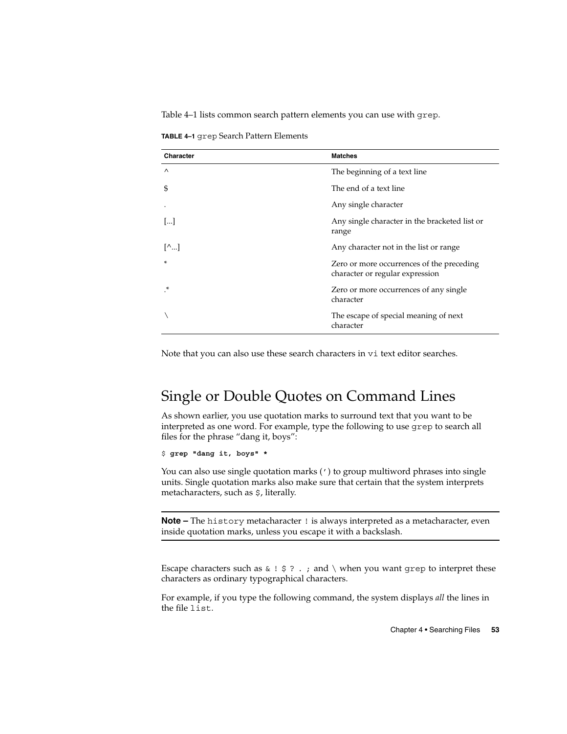Table 4–1 lists common search pattern elements you can use with grep.

**TABLE 4–1** grep Search Pattern Elements

| Character         | <b>Matches</b>                                                               |
|-------------------|------------------------------------------------------------------------------|
| $\wedge$          | The beginning of a text line                                                 |
| \$                | The end of a text line                                                       |
|                   | Any single character                                                         |
| $\left   \right $ | Any single character in the bracketed list or<br>range                       |
| $[\wedge \dots]$  | Any character not in the list or range                                       |
| $\ast$            | Zero or more occurrences of the preceding<br>character or regular expression |
| ×                 | Zero or more occurrences of any single<br>character                          |
|                   | The escape of special meaning of next<br>character                           |

Note that you can also use these search characters in vi text editor searches.

## Single or Double Quotes on Command Lines

As shown earlier, you use quotation marks to surround text that you want to be interpreted as one word. For example, type the following to use grep to search all files for the phrase "dang it, boys":

\$ **grep "dang it, boys" \***

You can also use single quotation marks (') to group multiword phrases into single units. Single quotation marks also make sure that certain that the system interprets metacharacters, such as \$, literally.

**Note** – The history metacharacter ! is always interpreted as a metacharacter, even inside quotation marks, unless you escape it with a backslash.

Escape characters such as  $\&$  !  $\&$  ? . ; and \ when you want grep to interpret these characters as ordinary typographical characters.

For example, if you type the following command, the system displays *all* the lines in the file list.

Chapter 4 • Searching Files **53**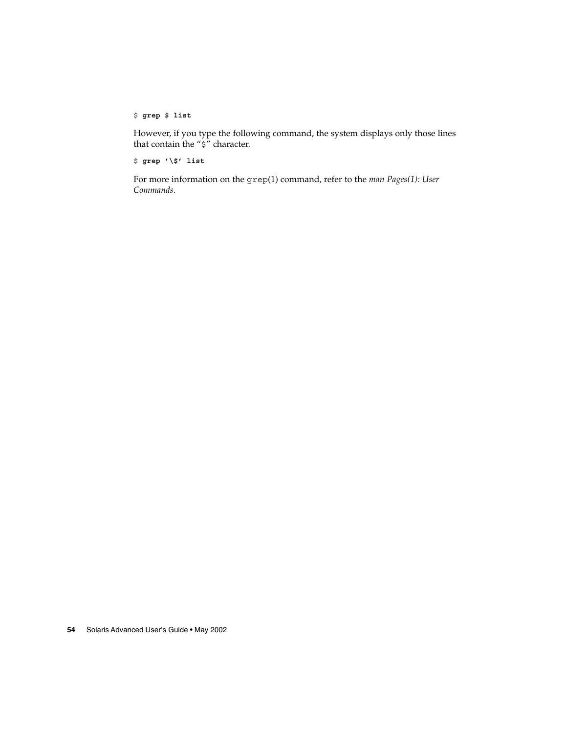#### \$ **grep \$ list**

However, if you type the following command, the system displays only those lines that contain the "\$" character.

\$ **grep '\\$' list**

For more information on the grep(1) command, refer to the *man Pages(1): User Commands*.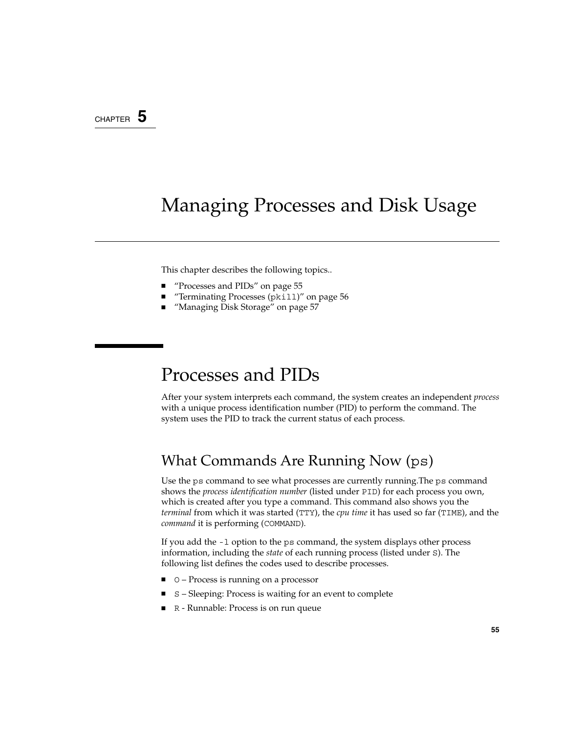### CHAPTER **5**

# Managing Processes and Disk Usage

This chapter describes the following topics..

- "Processes and PIDs" on page 55
- "Terminating Processes (pkill)" on page 56
- "Managing Disk Storage" on page 57

# Processes and PIDs

After your system interprets each command, the system creates an independent *process* with a unique process identification number (PID) to perform the command. The system uses the PID to track the current status of each process.

### What Commands Are Running Now (ps)

Use the ps command to see what processes are currently running.The ps command shows the *process identification number* (listed under PID) for each process you own, which is created after you type a command. This command also shows you the *terminal* from which it was started (TTY), the *cpu time* it has used so far (TIME), and the *command* it is performing (COMMAND).

If you add the -l option to the ps command, the system displays other process information, including the *state* of each running process (listed under S). The following list defines the codes used to describe processes.

- O Process is running on a processor
- S Sleeping: Process is waiting for an event to complete
- R Runnable: Process is on run queue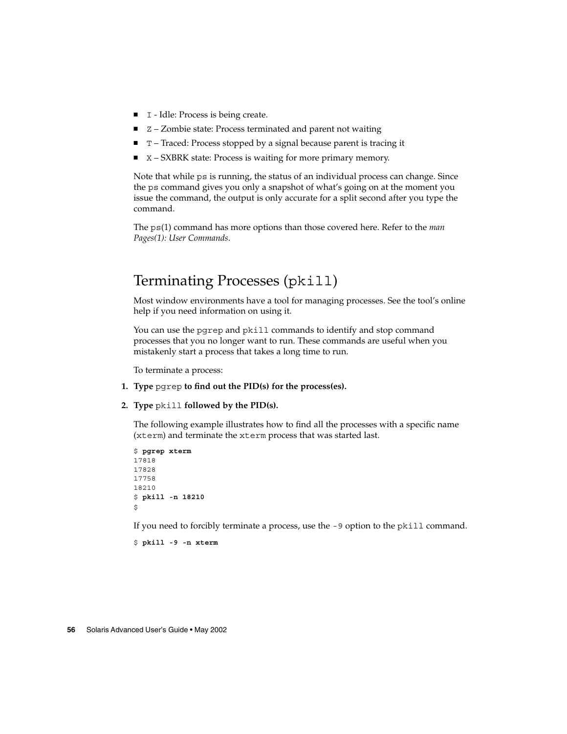- I Idle: Process is being create.
- Z Zombie state: Process terminated and parent not waiting
- T Traced: Process stopped by a signal because parent is tracing it
- X SXBRK state: Process is waiting for more primary memory.

Note that while ps is running, the status of an individual process can change. Since the ps command gives you only a snapshot of what's going on at the moment you issue the command, the output is only accurate for a split second after you type the command.

The ps(1) command has more options than those covered here. Refer to the *man Pages(1): User Commands*.

### Terminating Processes (pkill)

Most window environments have a tool for managing processes. See the tool's online help if you need information on using it.

You can use the pgrep and pkill commands to identify and stop command processes that you no longer want to run. These commands are useful when you mistakenly start a process that takes a long time to run.

To terminate a process:

- **1. Type** pgrep **to find out the PID(s) for the process(es).**
- **2. Type** pkill **followed by the PID(s).**

The following example illustrates how to find all the processes with a specific name (xterm) and terminate the xterm process that was started last.

```
$ pgrep xterm
17818
17828
17758
18210
$ pkill -n 18210
$
```
If you need to forcibly terminate a process, use the -9 option to the pkill command.

```
$ pkill -9 -n xterm
```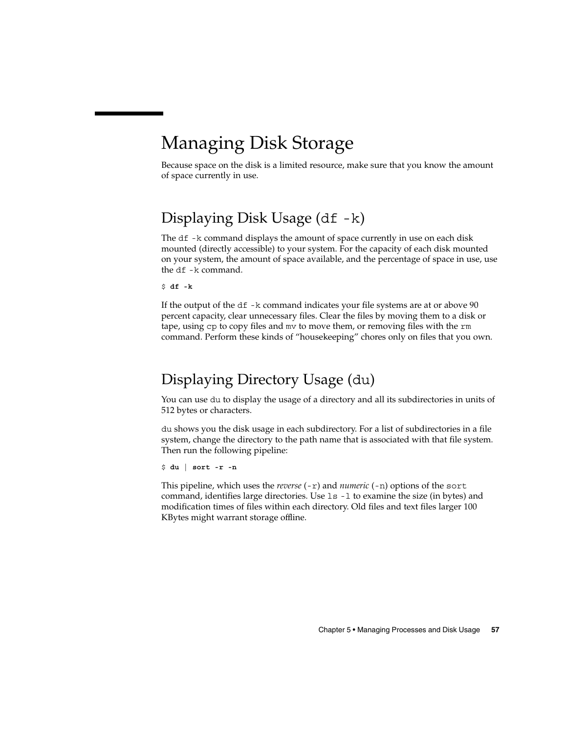# Managing Disk Storage

Because space on the disk is a limited resource, make sure that you know the amount of space currently in use.

# Displaying Disk Usage (df -k)

The df -k command displays the amount of space currently in use on each disk mounted (directly accessible) to your system. For the capacity of each disk mounted on your system, the amount of space available, and the percentage of space in use, use the df -k command.

\$ **df -k**

If the output of the df -k command indicates your file systems are at or above 90 percent capacity, clear unnecessary files. Clear the files by moving them to a disk or tape, using cp to copy files and mv to move them, or removing files with the rm command. Perform these kinds of "housekeeping" chores only on files that you own.

## Displaying Directory Usage (du)

You can use du to display the usage of a directory and all its subdirectories in units of 512 bytes or characters.

du shows you the disk usage in each subdirectory. For a list of subdirectories in a file system, change the directory to the path name that is associated with that file system. Then run the following pipeline:

```
$ du | sort -r -n
```
This pipeline, which uses the *reverse* (-r) and *numeric* (-n) options of the sort command, identifies large directories. Use ls -l to examine the size (in bytes) and modification times of files within each directory. Old files and text files larger 100 KBytes might warrant storage offline.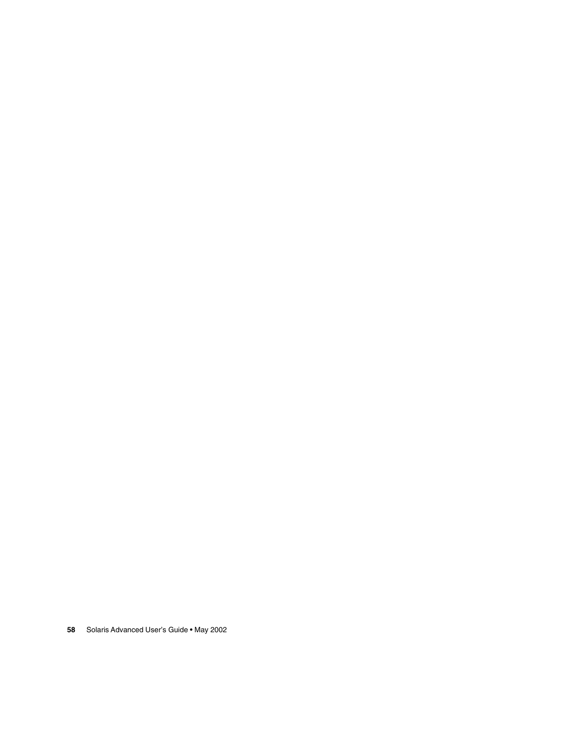Solaris Advanced User's Guide • May 2002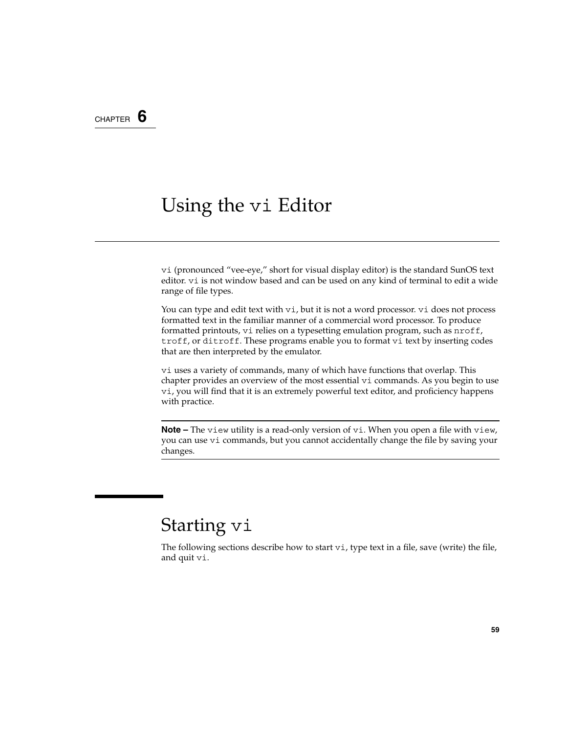#### CHAPTER **6**

# Using the vi Editor

vi (pronounced "vee-eye," short for visual display editor) is the standard SunOS text editor. vi is not window based and can be used on any kind of terminal to edit a wide range of file types.

You can type and edit text with  $vi$ , but it is not a word processor. vi does not process formatted text in the familiar manner of a commercial word processor. To produce formatted printouts, vi relies on a typesetting emulation program, such as nroff, troff, or ditroff. These programs enable you to format vi text by inserting codes that are then interpreted by the emulator.

vi uses a variety of commands, many of which have functions that overlap. This chapter provides an overview of the most essential vi commands. As you begin to use vi, you will find that it is an extremely powerful text editor, and proficiency happens with practice.

**Note** – The view utility is a read-only version of vi. When you open a file with view, you can use vi commands, but you cannot accidentally change the file by saving your changes.

# Starting vi

The following sections describe how to start  $vi$ , type text in a file, save (write) the file, and quit vi.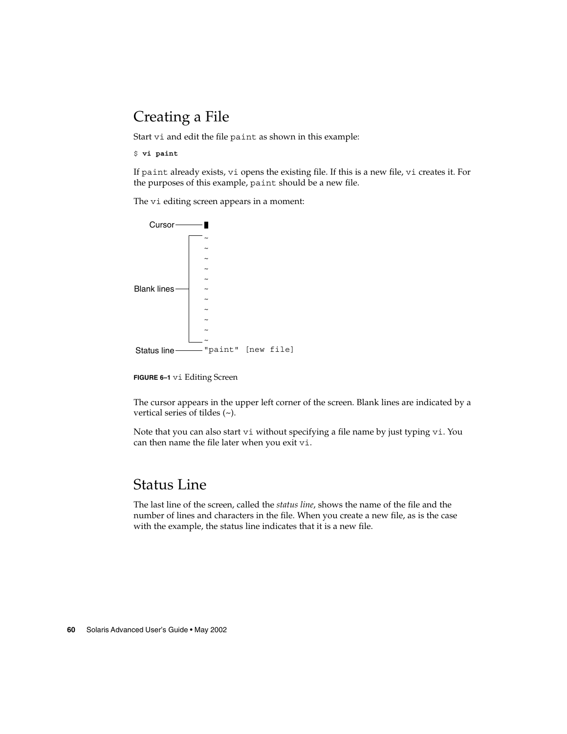# Creating a File

Start vi and edit the file paint as shown in this example:

\$ **vi paint**

If paint already exists, vi opens the existing file. If this is a new file, vi creates it. For the purposes of this example, paint should be a new file.

The vi editing screen appears in a moment:





The cursor appears in the upper left corner of the screen. Blank lines are indicated by a vertical series of tildes (~).

Note that you can also start vi without specifying a file name by just typing vi. You can then name the file later when you exit vi.

### Status Line

The last line of the screen, called the *status line*, shows the name of the file and the number of lines and characters in the file. When you create a new file, as is the case with the example, the status line indicates that it is a new file.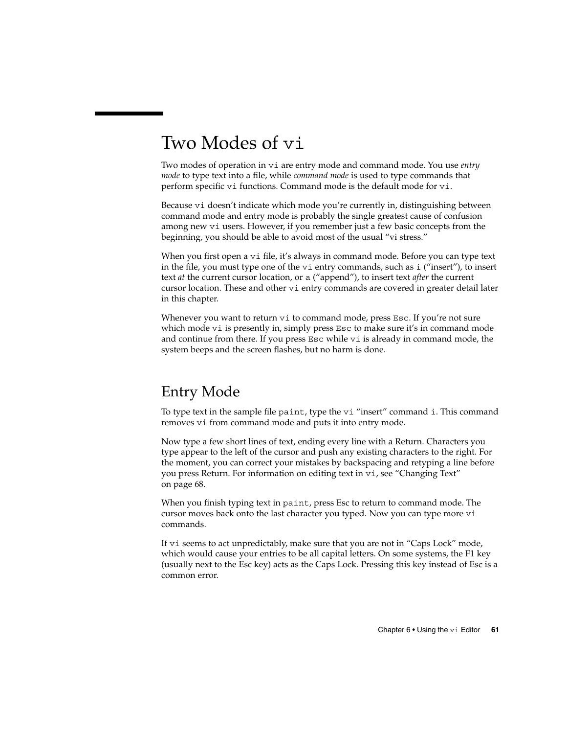# Two Modes of vi

Two modes of operation in vi are entry mode and command mode. You use *entry mode* to type text into a file, while *command mode* is used to type commands that perform specific vi functions. Command mode is the default mode for vi.

Because vi doesn't indicate which mode you're currently in, distinguishing between command mode and entry mode is probably the single greatest cause of confusion among new vi users. However, if you remember just a few basic concepts from the beginning, you should be able to avoid most of the usual "vi stress."

When you first open a vi file, it's always in command mode. Before you can type text in the file, you must type one of the vi entry commands, such as i ("insert"), to insert text *at* the current cursor location, or a ("append"), to insert text *after* the current cursor location. These and other vi entry commands are covered in greater detail later in this chapter.

Whenever you want to return vi to command mode, press Esc. If you're not sure which mode vi is presently in, simply press Esc to make sure it's in command mode and continue from there. If you press Esc while vi is already in command mode, the system beeps and the screen flashes, but no harm is done.

# Entry Mode

To type text in the sample file paint, type the vi "insert" command i. This command removes vi from command mode and puts it into entry mode.

Now type a few short lines of text, ending every line with a Return. Characters you type appear to the left of the cursor and push any existing characters to the right. For the moment, you can correct your mistakes by backspacing and retyping a line before you press Return. For information on editing text in vi, see "Changing Text" on page 68.

When you finish typing text in paint, press Esc to return to command mode. The cursor moves back onto the last character you typed. Now you can type more vi commands.

If vi seems to act unpredictably, make sure that you are not in "Caps Lock" mode, which would cause your entries to be all capital letters. On some systems, the F1 key (usually next to the Esc key) acts as the Caps Lock. Pressing this key instead of Esc is a common error.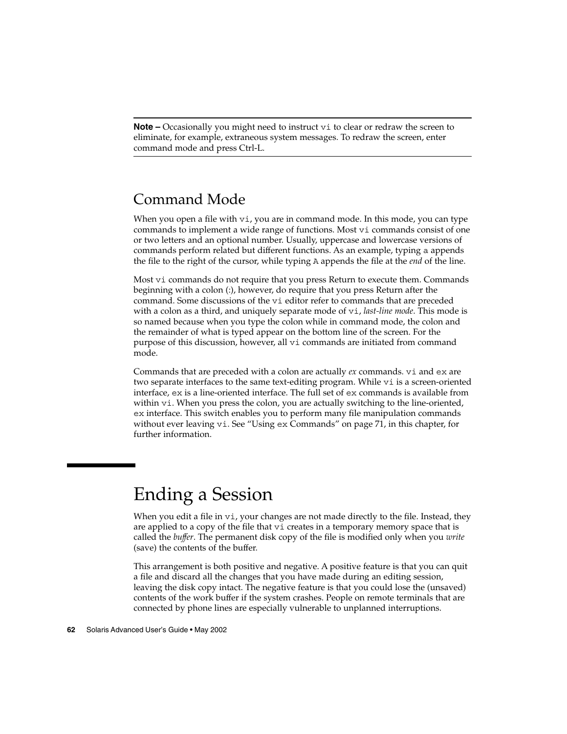**Note –** Occasionally you might need to instruct vi to clear or redraw the screen to eliminate, for example, extraneous system messages. To redraw the screen, enter command mode and press Ctrl-L.

## Command Mode

When you open a file with  $v_i$ , you are in command mode. In this mode, you can type commands to implement a wide range of functions. Most vi commands consist of one or two letters and an optional number. Usually, uppercase and lowercase versions of commands perform related but different functions. As an example, typing a appends the file to the right of the cursor, while typing A appends the file at the *end* of the line.

Most vi commands do not require that you press Return to execute them. Commands beginning with a colon (:), however, do require that you press Return after the command. Some discussions of the vi editor refer to commands that are preceded with a colon as a third, and uniquely separate mode of vi, *last-line mode*. This mode is so named because when you type the colon while in command mode, the colon and the remainder of what is typed appear on the bottom line of the screen. For the purpose of this discussion, however, all vi commands are initiated from command mode.

Commands that are preceded with a colon are actually *ex* commands. vi and ex are two separate interfaces to the same text-editing program. While vi is a screen-oriented interface, ex is a line-oriented interface. The full set of ex commands is available from within vi. When you press the colon, you are actually switching to the line-oriented, ex interface. This switch enables you to perform many file manipulation commands without ever leaving vi. See "Using ex Commands" on page 71, in this chapter, for further information.

# Ending a Session

When you edit a file in  $\forall i$ , your changes are not made directly to the file. Instead, they are applied to a copy of the file that vi creates in a temporary memory space that is called the *buffer*. The permanent disk copy of the file is modified only when you *write* (save) the contents of the buffer.

This arrangement is both positive and negative. A positive feature is that you can quit a file and discard all the changes that you have made during an editing session, leaving the disk copy intact. The negative feature is that you could lose the (unsaved) contents of the work buffer if the system crashes. People on remote terminals that are connected by phone lines are especially vulnerable to unplanned interruptions.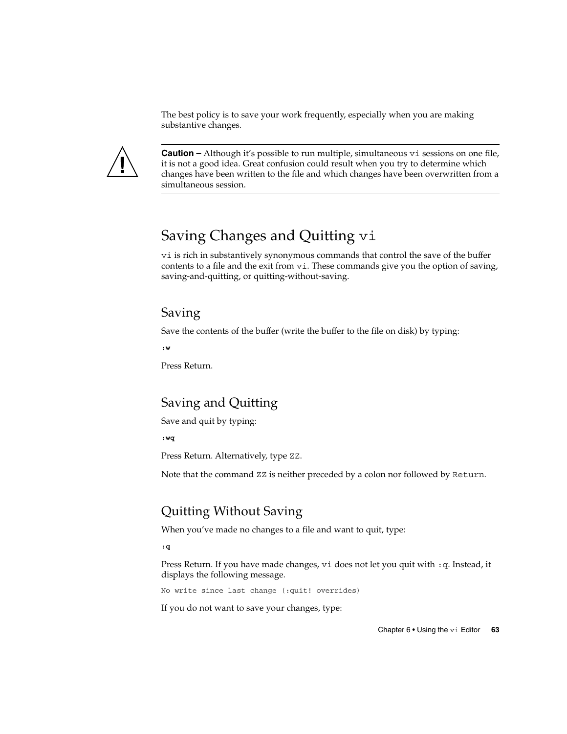The best policy is to save your work frequently, especially when you are making substantive changes.



**Caution –** Although it's possible to run multiple, simultaneous vi sessions on one file, it is not a good idea. Great confusion could result when you try to determine which changes have been written to the file and which changes have been overwritten from a simultaneous session.

# Saving Changes and Quitting vi

vi is rich in substantively synonymous commands that control the save of the buffer contents to a file and the exit from vi. These commands give you the option of saving, saving-and-quitting, or quitting-without-saving.

#### Saving

Save the contents of the buffer (write the buffer to the file on disk) by typing:

**:w**

Press Return.

### Saving and Quitting

Save and quit by typing:

**:wq**

Press Return. Alternatively, type ZZ.

Note that the command ZZ is neither preceded by a colon nor followed by Return.

### Quitting Without Saving

When you've made no changes to a file and want to quit, type:

**:q**

Press Return. If you have made changes, vi does not let you quit with :q. Instead, it displays the following message.

No write since last change (:quit! overrides)

If you do not want to save your changes, type:

Chapter 6 • Using the vi Editor **63**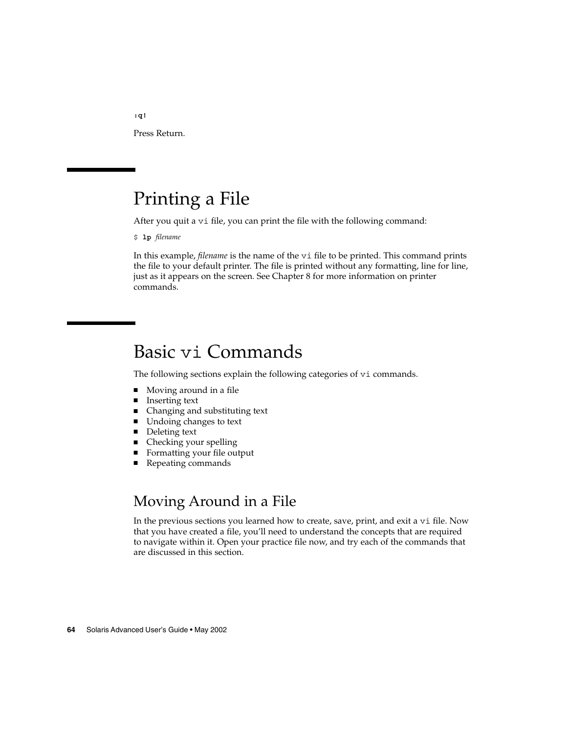Press Return.

# Printing a File

After you quit a vi file, you can print the file with the following command:

\$ **lp** *filename*

In this example, *filename* is the name of the vi file to be printed. This command prints the file to your default printer. The file is printed without any formatting, line for line, just as it appears on the screen. See Chapter 8 for more information on printer commands.

# Basic vi Commands

The following sections explain the following categories of vi commands.

- Moving around in a file
- Inserting text
- Changing and substituting text
- Undoing changes to text
- Deleting text
- Checking your spelling
- Formatting your file output
- Repeating commands

## Moving Around in a File

In the previous sections you learned how to create, save, print, and exit a vi file. Now that you have created a file, you'll need to understand the concepts that are required to navigate within it. Open your practice file now, and try each of the commands that are discussed in this section.

**:q!**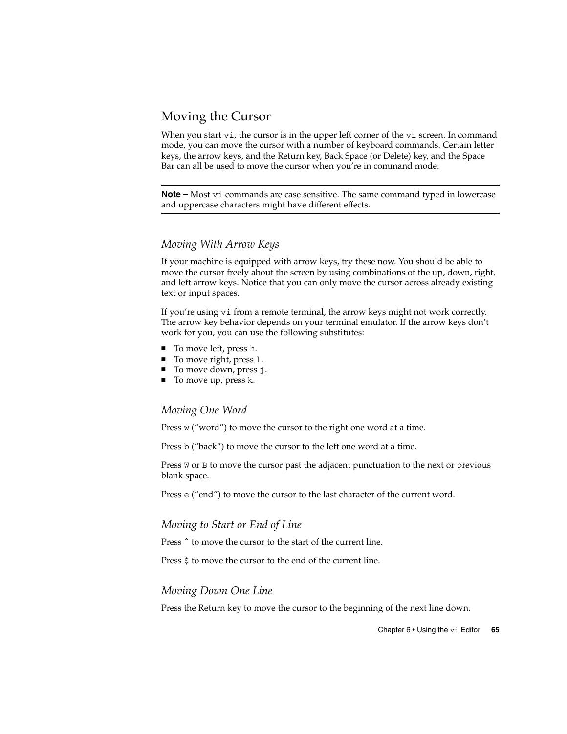#### Moving the Cursor

When you start  $vi$ , the cursor is in the upper left corner of the  $vi$  screen. In command mode, you can move the cursor with a number of keyboard commands. Certain letter keys, the arrow keys, and the Return key, Back Space (or Delete) key, and the Space Bar can all be used to move the cursor when you're in command mode.

**Note** – Most vi commands are case sensitive. The same command typed in lowercase and uppercase characters might have different effects.

#### *Moving With Arrow Keys*

If your machine is equipped with arrow keys, try these now. You should be able to move the cursor freely about the screen by using combinations of the up, down, right, and left arrow keys. Notice that you can only move the cursor across already existing text or input spaces.

If you're using vi from a remote terminal, the arrow keys might not work correctly. The arrow key behavior depends on your terminal emulator. If the arrow keys don't work for you, you can use the following substitutes:

- To move left, press h.
- To move right, press 1.
- To move down, press j.
- To move up, press k.

#### *Moving One Word*

Press w ("word") to move the cursor to the right one word at a time.

Press b ("back") to move the cursor to the left one word at a time.

Press W or B to move the cursor past the adjacent punctuation to the next or previous blank space.

Press e ("end") to move the cursor to the last character of the current word.

#### *Moving to Start or End of Line*

Press  $\hat{ }$  to move the cursor to the start of the current line.

Press  $\frac{1}{2}$  to move the cursor to the end of the current line.

#### *Moving Down One Line*

Press the Return key to move the cursor to the beginning of the next line down.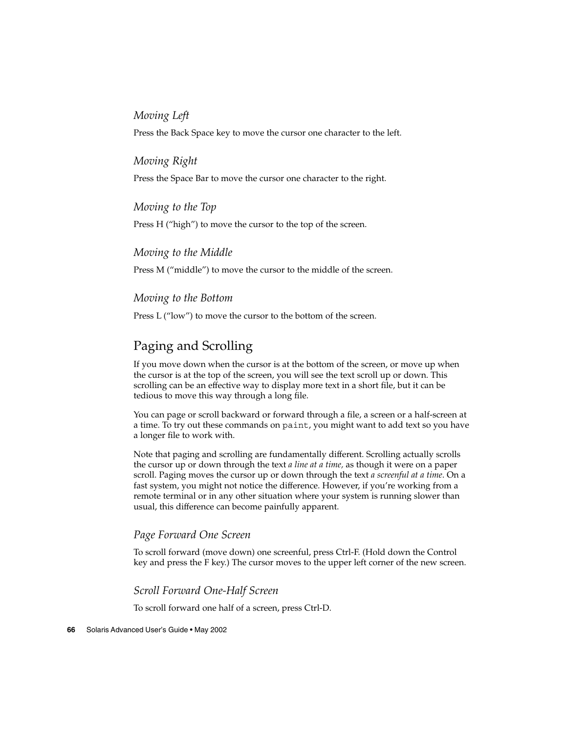#### *Moving Left*

Press the Back Space key to move the cursor one character to the left.

#### *Moving Right*

Press the Space Bar to move the cursor one character to the right.

*Moving to the Top*

Press H ("high") to move the cursor to the top of the screen.

*Moving to the Middle*

Press M ("middle") to move the cursor to the middle of the screen.

#### *Moving to the Bottom*

Press L ("low") to move the cursor to the bottom of the screen.

#### Paging and Scrolling

If you move down when the cursor is at the bottom of the screen, or move up when the cursor is at the top of the screen, you will see the text scroll up or down. This scrolling can be an effective way to display more text in a short file, but it can be tedious to move this way through a long file.

You can page or scroll backward or forward through a file, a screen or a half-screen at a time. To try out these commands on paint, you might want to add text so you have a longer file to work with.

Note that paging and scrolling are fundamentally different. Scrolling actually scrolls the cursor up or down through the text *a line at a time,* as though it were on a paper scroll. Paging moves the cursor up or down through the text *a screenful at a time*. On a fast system, you might not notice the difference. However, if you're working from a remote terminal or in any other situation where your system is running slower than usual, this difference can become painfully apparent.

#### *Page Forward One Screen*

To scroll forward (move down) one screenful, press Ctrl-F. (Hold down the Control key and press the F key.) The cursor moves to the upper left corner of the new screen.

#### *Scroll Forward One-Half Screen*

To scroll forward one half of a screen, press Ctrl-D.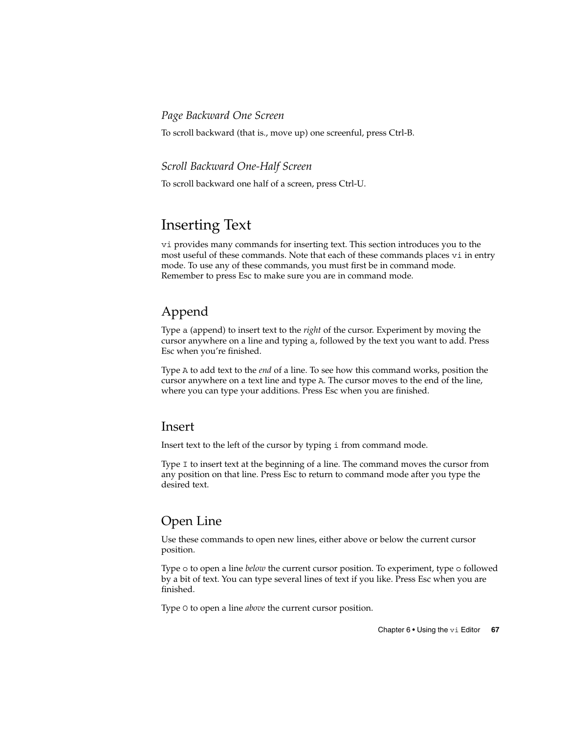#### *Page Backward One Screen*

To scroll backward (that is., move up) one screenful, press Ctrl-B.

#### *Scroll Backward One-Half Screen*

To scroll backward one half of a screen, press Ctrl-U.

### Inserting Text

vi provides many commands for inserting text. This section introduces you to the most useful of these commands. Note that each of these commands places vi in entry mode. To use any of these commands, you must first be in command mode. Remember to press Esc to make sure you are in command mode.

#### Append

Type a (append) to insert text to the *right* of the cursor. Experiment by moving the cursor anywhere on a line and typing a, followed by the text you want to add. Press Esc when you're finished.

Type A to add text to the *end* of a line. To see how this command works, position the cursor anywhere on a text line and type A. The cursor moves to the end of the line, where you can type your additions. Press Esc when you are finished.

#### Insert

Insert text to the left of the cursor by typing i from command mode.

Type I to insert text at the beginning of a line. The command moves the cursor from any position on that line. Press Esc to return to command mode after you type the desired text.

#### Open Line

Use these commands to open new lines, either above or below the current cursor position.

Type o to open a line *below* the current cursor position. To experiment, type o followed by a bit of text. You can type several lines of text if you like. Press Esc when you are finished.

Type O to open a line *above* the current cursor position.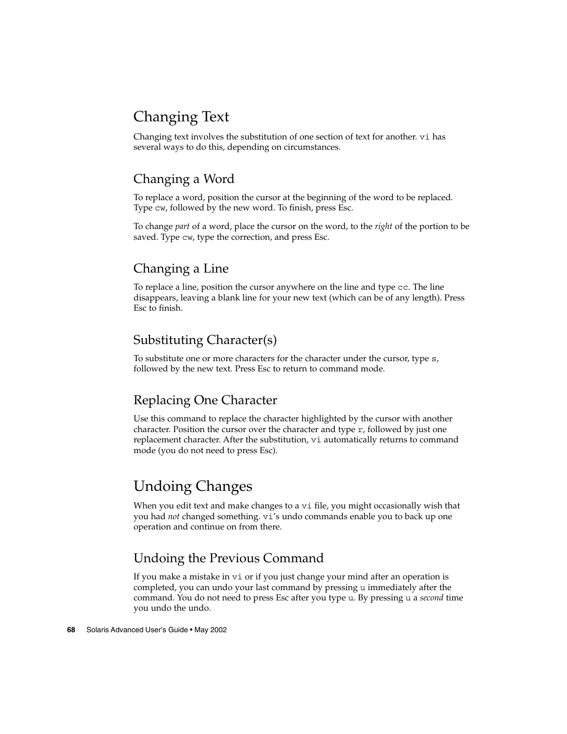# Changing Text

Changing text involves the substitution of one section of text for another. vi has several ways to do this, depending on circumstances.

### Changing a Word

To replace a word, position the cursor at the beginning of the word to be replaced. Type cw, followed by the new word. To finish, press Esc.

To change *part* of a word, place the cursor on the word, to the *right* of the portion to be saved. Type cw, type the correction, and press Esc.

### Changing a Line

To replace a line, position the cursor anywhere on the line and type cc. The line disappears, leaving a blank line for your new text (which can be of any length). Press Esc to finish.

### Substituting Character(s)

To substitute one or more characters for the character under the cursor, type s, followed by the new text. Press Esc to return to command mode.

#### Replacing One Character

Use this command to replace the character highlighted by the cursor with another character. Position the cursor over the character and type r, followed by just one replacement character. After the substitution, vi automatically returns to command mode (you do not need to press Esc).

# Undoing Changes

When you edit text and make changes to a vi file, you might occasionally wish that you had *not* changed something. vi's undo commands enable you to back up one operation and continue on from there.

### Undoing the Previous Command

If you make a mistake in vi or if you just change your mind after an operation is completed, you can undo your last command by pressing u immediately after the command. You do not need to press Esc after you type u. By pressing u a *second* time you undo the undo.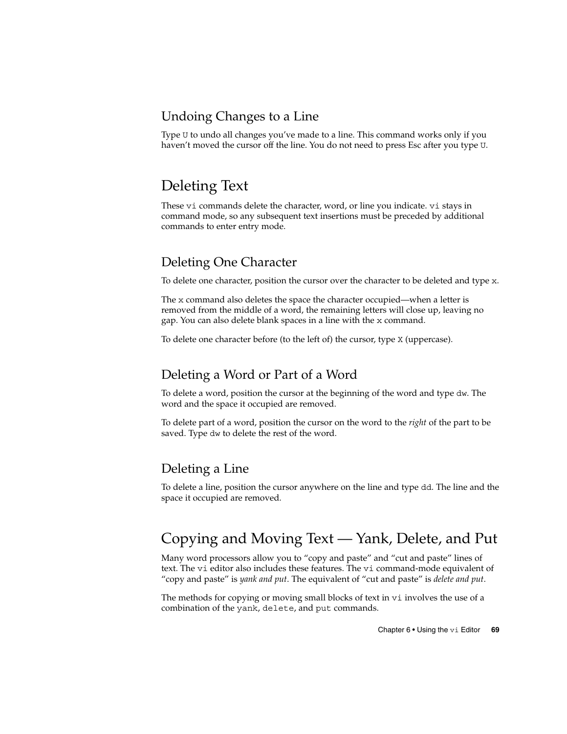#### Undoing Changes to a Line

Type U to undo all changes you've made to a line. This command works only if you haven't moved the cursor off the line. You do not need to press Esc after you type U.

# Deleting Text

These vi commands delete the character, word, or line you indicate. vi stays in command mode, so any subsequent text insertions must be preceded by additional commands to enter entry mode.

#### Deleting One Character

To delete one character, position the cursor over the character to be deleted and type x.

The x command also deletes the space the character occupied—when a letter is removed from the middle of a word, the remaining letters will close up, leaving no gap. You can also delete blank spaces in a line with the x command.

To delete one character before (to the left of) the cursor, type X (uppercase).

#### Deleting a Word or Part of a Word

To delete a word, position the cursor at the beginning of the word and type dw. The word and the space it occupied are removed.

To delete part of a word, position the cursor on the word to the *right* of the part to be saved. Type dw to delete the rest of the word.

#### Deleting a Line

To delete a line, position the cursor anywhere on the line and type dd. The line and the space it occupied are removed.

# Copying and Moving Text — Yank, Delete, and Put

Many word processors allow you to "copy and paste" and "cut and paste" lines of text. The vi editor also includes these features. The vi command-mode equivalent of "copy and paste" is *yank and put*. The equivalent of "cut and paste" is *delete and put*.

The methods for copying or moving small blocks of text in vi involves the use of a combination of the yank, delete, and put commands.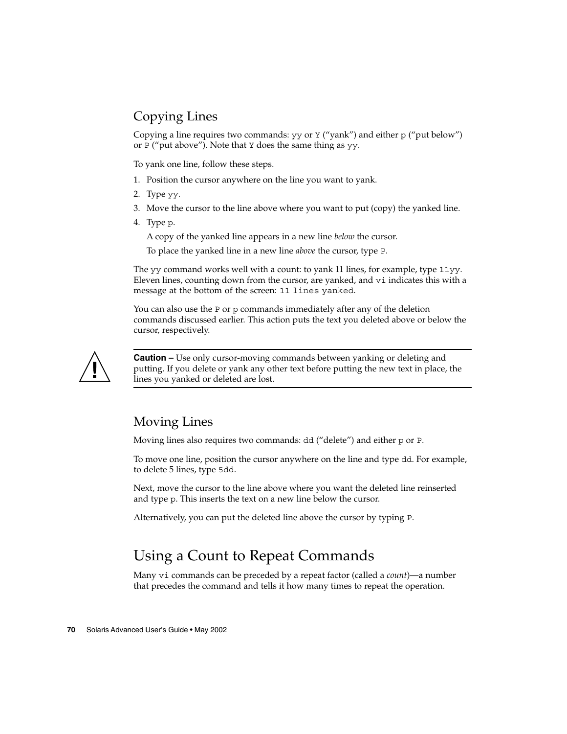### Copying Lines

Copying a line requires two commands: yy or Y ("yank") and either p ("put below") or P ("put above"). Note that Y does the same thing as yy.

To yank one line, follow these steps.

- 1. Position the cursor anywhere on the line you want to yank.
- 2. Type yy.
- 3. Move the cursor to the line above where you want to put (copy) the yanked line.
- 4. Type p.

A copy of the yanked line appears in a new line *below* the cursor.

To place the yanked line in a new line *above* the cursor, type P.

The yy command works well with a count: to yank 11 lines, for example, type 11yy. Eleven lines, counting down from the cursor, are yanked, and vi indicates this with a message at the bottom of the screen: 11 lines yanked.

You can also use the P or p commands immediately after any of the deletion commands discussed earlier. This action puts the text you deleted above or below the cursor, respectively.



**Caution –** Use only cursor-moving commands between yanking or deleting and putting. If you delete or yank any other text before putting the new text in place, the lines you yanked or deleted are lost.

#### Moving Lines

Moving lines also requires two commands: dd ("delete") and either p or P.

To move one line, position the cursor anywhere on the line and type dd. For example, to delete 5 lines, type 5dd.

Next, move the cursor to the line above where you want the deleted line reinserted and type p. This inserts the text on a new line below the cursor.

Alternatively, you can put the deleted line above the cursor by typing P.

## Using a Count to Repeat Commands

Many vi commands can be preceded by a repeat factor (called a *count*)—a number that precedes the command and tells it how many times to repeat the operation.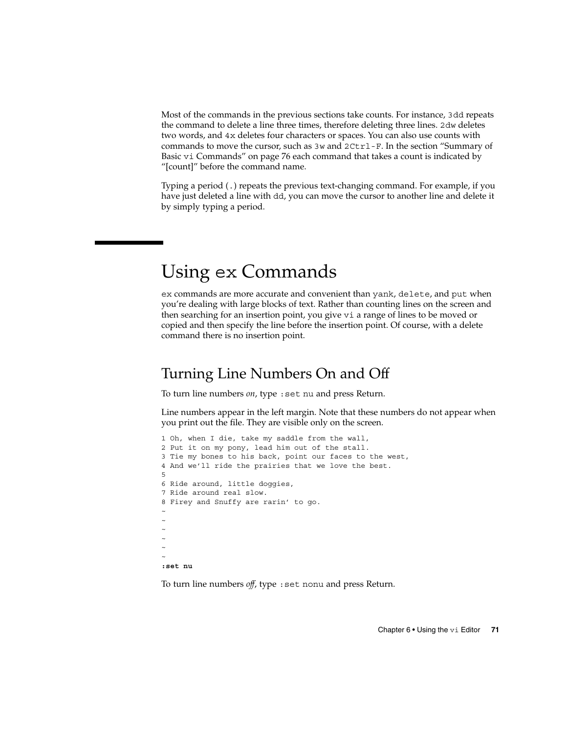Most of the commands in the previous sections take counts. For instance, 3dd repeats the command to delete a line three times, therefore deleting three lines. 2dw deletes two words, and 4x deletes four characters or spaces. You can also use counts with commands to move the cursor, such as  $3w$  and  $2Ctr1-F$ . In the section "Summary of Basic vi Commands" on page 76 each command that takes a count is indicated by "[count]" before the command name.

Typing a period (.) repeats the previous text-changing command. For example, if you have just deleted a line with dd, you can move the cursor to another line and delete it by simply typing a period.

# Using ex Commands

ex commands are more accurate and convenient than yank, delete, and put when you're dealing with large blocks of text. Rather than counting lines on the screen and then searching for an insertion point, you give vi a range of lines to be moved or copied and then specify the line before the insertion point. Of course, with a delete command there is no insertion point.

## Turning Line Numbers On and Off

To turn line numbers *on*, type : set nu and press Return.

Line numbers appear in the left margin. Note that these numbers do not appear when you print out the file. They are visible only on the screen.

```
1 Oh, when I die, take my saddle from the wall,
2 Put it on my pony, lead him out of the stall.
3 Tie my bones to his back, point our faces to the west,
4 And we'll ride the prairies that we love the best.
5
6 Ride around, little doggies,
7 Ride around real slow.
8 Firey and Snuffy are rarin' to go.
~
~
~
~
~
~
:set nu
```
To turn line numbers *off*, type :set nonu and press Return.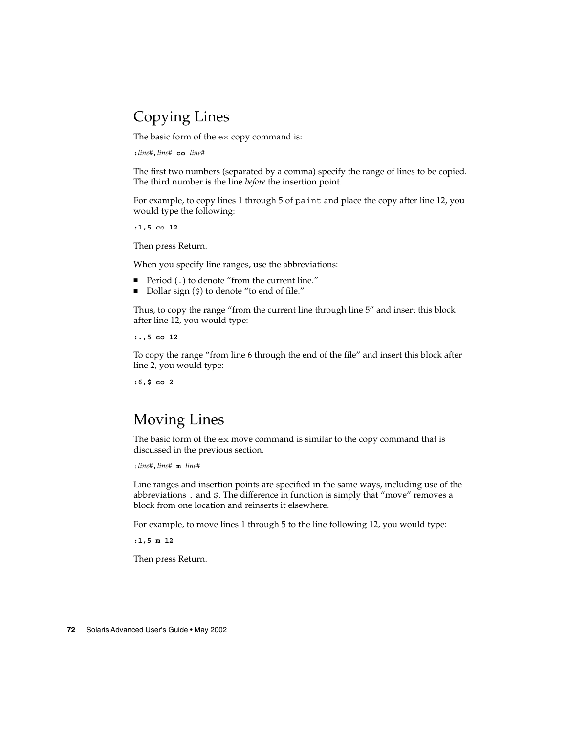# Copying Lines

The basic form of the ex copy command is:

**:***line#***,***line#* **co** *line#*

The first two numbers (separated by a comma) specify the range of lines to be copied. The third number is the line *before* the insertion point.

For example, to copy lines 1 through 5 of paint and place the copy after line 12, you would type the following:

**:1,5 co 12**

Then press Return.

When you specify line ranges, use the abbreviations:

- Period (.) to denote "from the current line."
- Dollar sign (\$) to denote "to end of file."

Thus, to copy the range "from the current line through line 5" and insert this block after line 12, you would type:

**:.,5 co 12**

To copy the range "from line 6 through the end of the file" and insert this block after line 2, you would type:

**:6,\$ co 2**

## Moving Lines

The basic form of the ex move command is similar to the copy command that is discussed in the previous section.

:*line#***,***line#* **m** *line#*

Line ranges and insertion points are specified in the same ways, including use of the abbreviations . and \$. The difference in function is simply that "move" removes a block from one location and reinserts it elsewhere.

For example, to move lines 1 through 5 to the line following 12, you would type:

**:1,5 m 12**

Then press Return.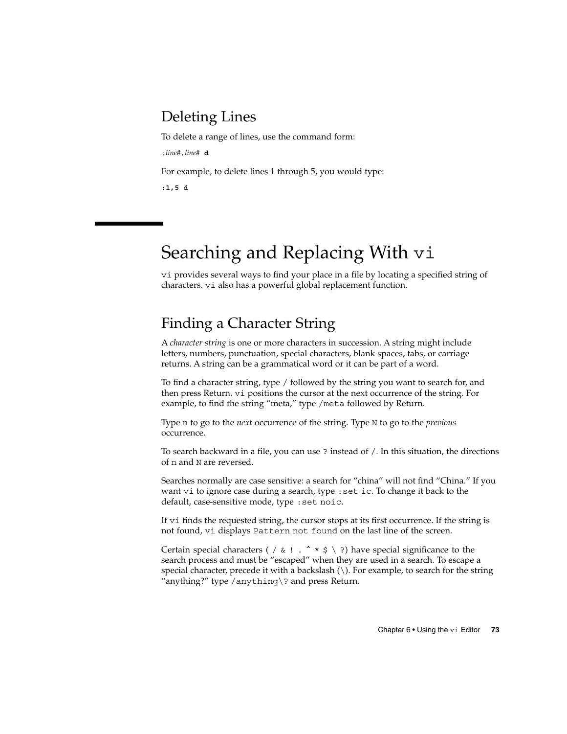### Deleting Lines

To delete a range of lines, use the command form:

:*line#*,*line#* **d**

For example, to delete lines 1 through 5, you would type:

**:1,5 d**

# Searching and Replacing With vi

vi provides several ways to find your place in a file by locating a specified string of characters. vi also has a powerful global replacement function.

### Finding a Character String

A *character string* is one or more characters in succession. A string might include letters, numbers, punctuation, special characters, blank spaces, tabs, or carriage returns. A string can be a grammatical word or it can be part of a word.

To find a character string, type / followed by the string you want to search for, and then press Return. vi positions the cursor at the next occurrence of the string. For example, to find the string "meta," type /meta followed by Return.

Type n to go to the *next* occurrence of the string. Type N to go to the *previous* occurrence.

To search backward in a file, you can use ? instead of /. In this situation, the directions of n and N are reversed.

Searches normally are case sensitive: a search for "china" will not find "China." If you want vi to ignore case during a search, type : set ic. To change it back to the default, case-sensitive mode, type :set noic.

If vi finds the requested string, the cursor stops at its first occurrence. If the string is not found, vi displays Pattern not found on the last line of the screen.

Certain special characters ( / & ! . ^ \*  $\frac{1}{5}$  \ ?) have special significance to the search process and must be "escaped" when they are used in a search. To escape a special character, precede it with a backslash (\). For example, to search for the string "anything?" type /anything\? and press Return.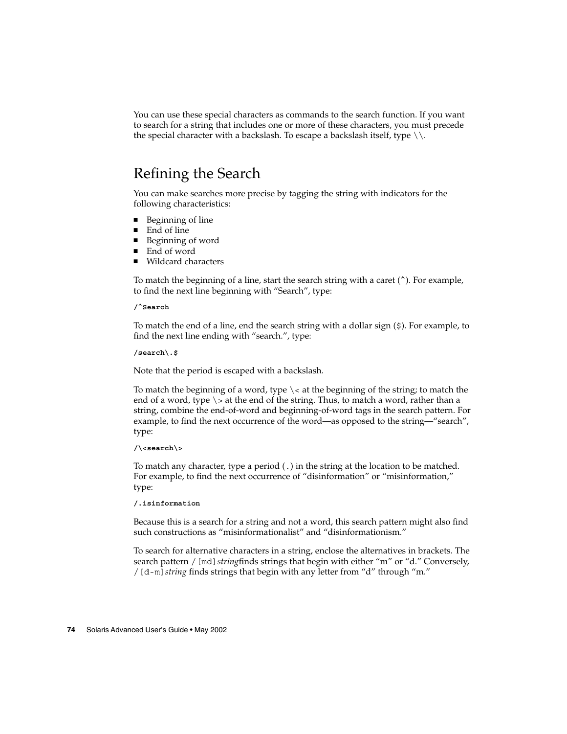You can use these special characters as commands to the search function. If you want to search for a string that includes one or more of these characters, you must precede the special character with a backslash. To escape a backslash itself, type  $\setminus \setminus$ .

### Refining the Search

You can make searches more precise by tagging the string with indicators for the following characteristics:

- Beginning of line
- End of line
- Beginning of word
- End of word
- Wildcard characters

To match the beginning of a line, start the search string with a caret (^). For example, to find the next line beginning with "Search", type:

#### **/^Search**

To match the end of a line, end the search string with a dollar sign (\$). For example, to find the next line ending with "search.", type:

#### **/search\.\$**

Note that the period is escaped with a backslash.

To match the beginning of a word, type  $\setminus$  at the beginning of the string; to match the end of a word, type \> at the end of the string. Thus, to match a word, rather than a string, combine the end-of-word and beginning-of-word tags in the search pattern. For example, to find the next occurrence of the word—as opposed to the string—"search", type:

#### **/\<search\>**

To match any character, type a period (.) in the string at the location to be matched. For example, to find the next occurrence of "disinformation" or "misinformation," type:

#### **/.isinformation**

Because this is a search for a string and not a word, this search pattern might also find such constructions as "misinformationalist" and "disinformationism."

To search for alternative characters in a string, enclose the alternatives in brackets. The search pattern / [md] stringfinds strings that begin with either "m" or "d." Conversely, /[d-m]*string* finds strings that begin with any letter from "d" through "m."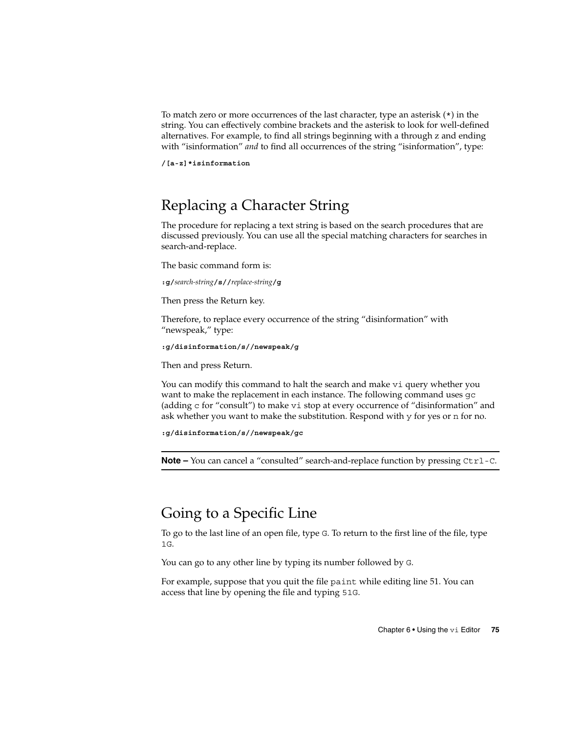To match zero or more occurrences of the last character, type an asterisk (\*) in the string. You can effectively combine brackets and the asterisk to look for well-defined alternatives. For example, to find all strings beginning with a through z and ending with "isinformation" *and* to find all occurrences of the string "isinformation", type:

**/[a-z]\*isinformation**

### Replacing a Character String

The procedure for replacing a text string is based on the search procedures that are discussed previously. You can use all the special matching characters for searches in search-and-replace.

The basic command form is:

**:g/***search-string***/s//***replace-string***/g**

Then press the Return key.

Therefore, to replace every occurrence of the string "disinformation" with "newspeak," type:

**:g/disinformation/s//newspeak/g**

Then and press Return.

You can modify this command to halt the search and make vi query whether you want to make the replacement in each instance. The following command uses gc (adding c for "consult") to make vi stop at every occurrence of "disinformation" and ask whether you want to make the substitution. Respond with y for yes or n for no.

**:g/disinformation/s//newspeak/gc**

**Note** – You can cancel a "consulted" search-and-replace function by pressing Ctrl-C.

### Going to a Specific Line

To go to the last line of an open file, type G. To return to the first line of the file, type 1G.

You can go to any other line by typing its number followed by G.

For example, suppose that you quit the file paint while editing line 51. You can access that line by opening the file and typing 51G.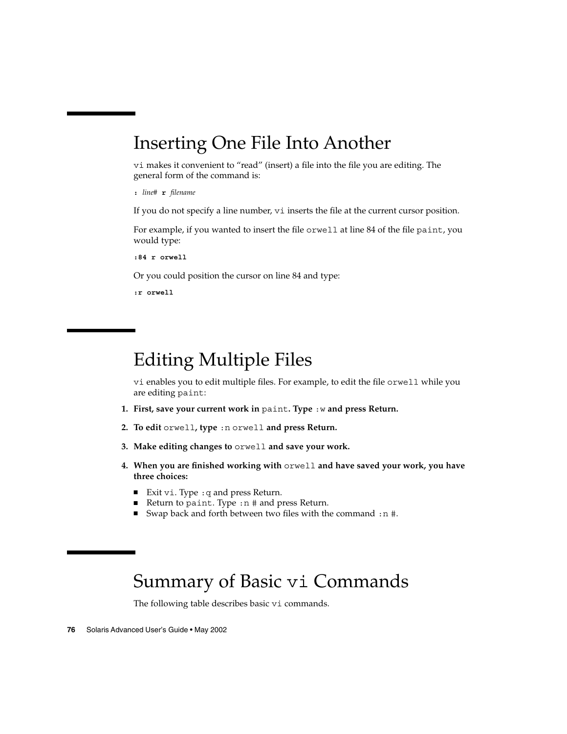## Inserting One File Into Another

vi makes it convenient to "read" (insert) a file into the file you are editing. The general form of the command is:

**:** *line#* **r** *filename*

If you do not specify a line number, vi inserts the file at the current cursor position.

For example, if you wanted to insert the file orwell at line 84 of the file paint, you would type:

**:84 r orwell**

Or you could position the cursor on line 84 and type:

**:r orwell**

## Editing Multiple Files

vi enables you to edit multiple files. For example, to edit the file orwell while you are editing paint:

- **1. First, save your current work in** paint**. Type** :w **and press Return.**
- **2. To edit** orwell**, type** :n orwell **and press Return.**
- **3. Make editing changes to** orwell **and save your work.**
- **4. When you are finished working with** orwell **and have saved your work, you have three choices:**
	- Exit vi. Type : q and press Return.
	- Return to paint. Type :n # and press Return.
	- Swap back and forth between two files with the command :n #.

# Summary of Basic vi Commands

The following table describes basic vi commands.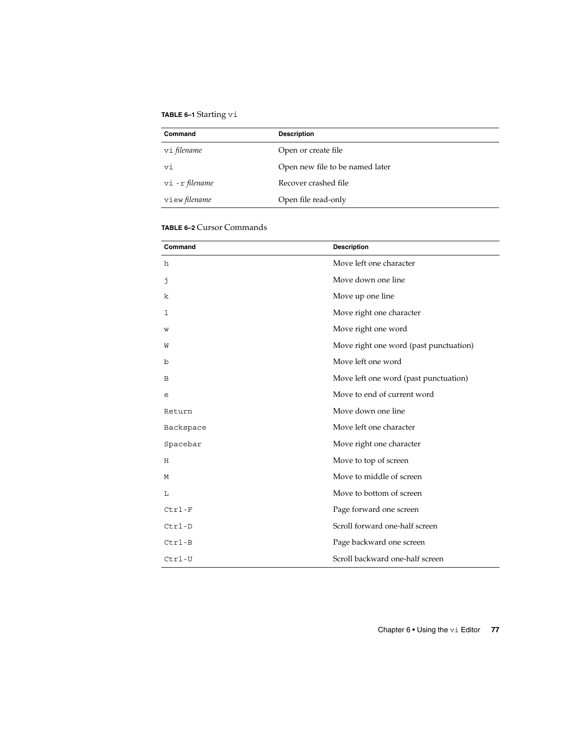#### **TABLE 6–1** Starting vi

| Command            | <b>Description</b>              |
|--------------------|---------------------------------|
| vi <i>filename</i> | Open or create file             |
| vi                 | Open new file to be named later |
| vi -r filename     | Recover crashed file            |
| view filename      | Open file read-only             |

#### **TABLE 6–2** Cursor Commands

| Command   | <b>Description</b>                     |
|-----------|----------------------------------------|
| h         | Move left one character                |
| j         | Move down one line                     |
| k         | Move up one line                       |
| ı         | Move right one character               |
| W         | Move right one word                    |
| W         | Move right one word (past punctuation) |
| b         | Move left one word                     |
| В         | Move left one word (past punctuation)  |
| e         | Move to end of current word            |
| Return    | Move down one line                     |
| Backspace | Move left one character                |
| Spacebar  | Move right one character               |
| Η         | Move to top of screen                  |
| М         | Move to middle of screen               |
| L         | Move to bottom of screen               |
| $Ctrl-F$  | Page forward one screen                |
| Ctrl-D    | Scroll forward one-half screen         |
| Ctrl-B    | Page backward one screen               |
| $Ctrl-U$  | Scroll backward one-half screen        |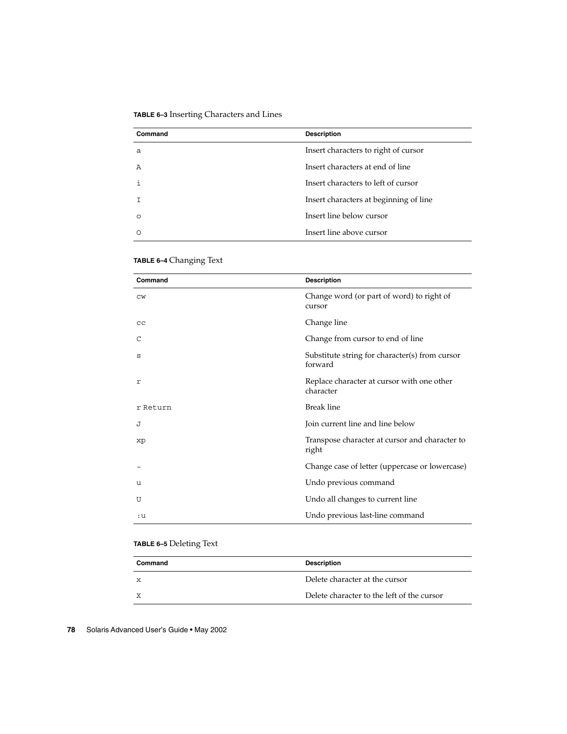**TABLE 6–3** Inserting Characters and Lines

| Command  | <b>Description</b>                     |
|----------|----------------------------------------|
| a        | Insert characters to right of cursor   |
| Α        | Insert characters at end of line       |
| f.       | Insert characters to left of cursor    |
|          | Insert characters at beginning of line |
| $\circ$  | Insert line below cursor               |
| $\Omega$ | Insert line above cursor               |

**TABLE 6–4** Changing Text

| Command   | <b>Description</b>                                        |
|-----------|-----------------------------------------------------------|
| <b>CW</b> | Change word (or part of word) to right of<br>cursor       |
| cc        | Change line                                               |
| C         | Change from cursor to end of line                         |
| S         | Substitute string for character(s) from cursor<br>forward |
| r         | Replace character at cursor with one other<br>character   |
| r Return  | <b>Break line</b>                                         |
| J         | Join current line and line below                          |
| xp        | Transpose character at cursor and character to<br>right   |
|           | Change case of letter (uppercase or lowercase)            |
| u         | Undo previous command                                     |
| U         | Undo all changes to current line                          |
| ։ ս       | Undo previous last-line command                           |

#### **TABLE 6–5** Deleting Text

| Command | <b>Description</b>                         |
|---------|--------------------------------------------|
| x       | Delete character at the cursor             |
| Χ       | Delete character to the left of the cursor |

**78** Solaris Advanced User's Guide • May 2002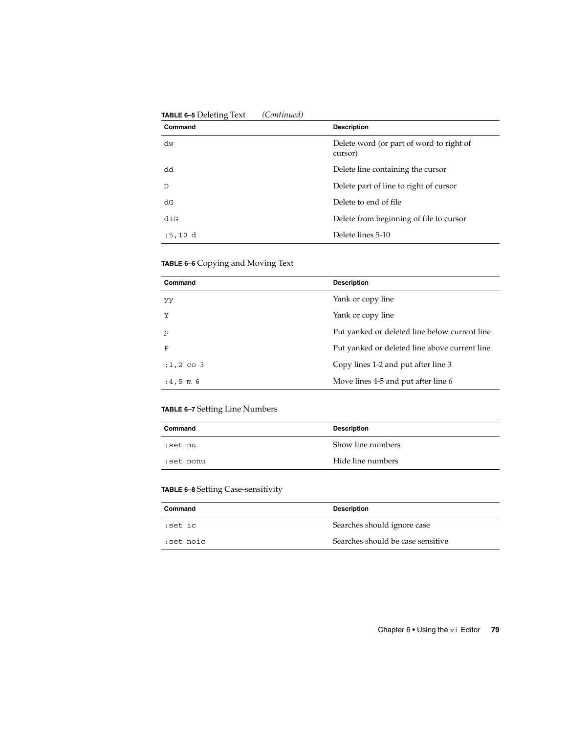| <b>TABLE 6–5 Deleting Text</b> | (Continuea) |                                                     |  |
|--------------------------------|-------------|-----------------------------------------------------|--|
| Command                        |             | <b>Description</b>                                  |  |
| dw                             |             | Delete word (or part of word to right of<br>cursor) |  |
| dd                             |             | Delete line containing the cursor                   |  |
| D                              |             | Delete part of line to right of cursor              |  |
| dG                             |             | Delete to end of file                               |  |
| d1G                            |             | Delete from beginning of file to cursor             |  |
| :5,10 d                        |             | Delete lines 5-10                                   |  |
|                                |             |                                                     |  |

#### **TABLE 6–5** Deleting Text *(Continued)*

#### **TABLE 6–6** Copying and Moving Text

| Command          | <b>Description</b>                            |
|------------------|-----------------------------------------------|
| уу               | Yank or copy line                             |
| Y                | Yank or copy line                             |
| p                | Put yanked or deleted line below current line |
| Ρ                | Put yanked or deleted line above current line |
| $:1,2$ co 3      | Copy lines 1-2 and put after line 3           |
| $:4.5 \; m \; 6$ | Move lines 4-5 and put after line 6           |

#### **TABLE 6–7** Setting Line Numbers

| Command   | <b>Description</b> |
|-----------|--------------------|
| set nu:   | Show line numbers  |
| set nonu: | Hide line numbers  |

#### **TABLE 6–8** Setting Case-sensitivity

| Command   | <b>Description</b>                |
|-----------|-----------------------------------|
| :set ic   | Searches should ignore case       |
| set noic: | Searches should be case sensitive |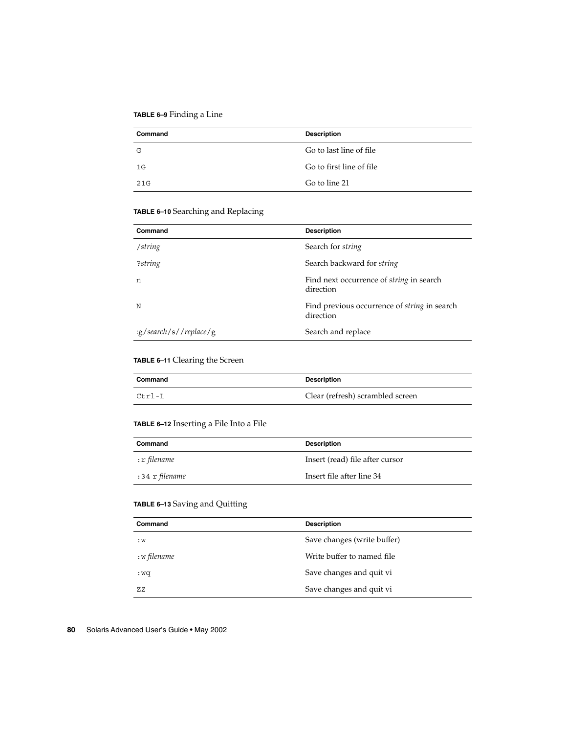**TABLE 6–9** Finding a Line

| Command | <b>Description</b>       |
|---------|--------------------------|
| G       | Go to last line of file  |
| 1G      | Go to first line of file |
| 21G     | Go to line 21            |

#### **TABLE 6–10** Searching and Replacing

| Command                | <b>Description</b>                                               |
|------------------------|------------------------------------------------------------------|
| /string                | Search for string                                                |
| ?string                | Search backward for string                                       |
| n                      | Find next occurrence of <i>string</i> in search<br>direction     |
| N                      | Find previous occurrence of <i>string</i> in search<br>direction |
| :g/search/s//replace/g | Search and replace                                               |

#### **TABLE 6–11** Clearing the Screen

| Command | <b>Description</b>               |
|---------|----------------------------------|
| Ctrl-L  | Clear (refresh) scrambled screen |

#### **TABLE 6–12** Inserting a File Into a File

| Command        | <b>Description</b>              |
|----------------|---------------------------------|
| : r filename   | Insert (read) file after cursor |
| :34 r filename | Insert file after line 34       |

#### **TABLE 6–13** Saving and Quitting

| Command      | <b>Description</b>          |
|--------------|-----------------------------|
| : W          | Save changes (write buffer) |
| : w filename | Write buffer to named file  |
| : wq         | Save changes and quit vi    |
| ΖZ           | Save changes and quit vi    |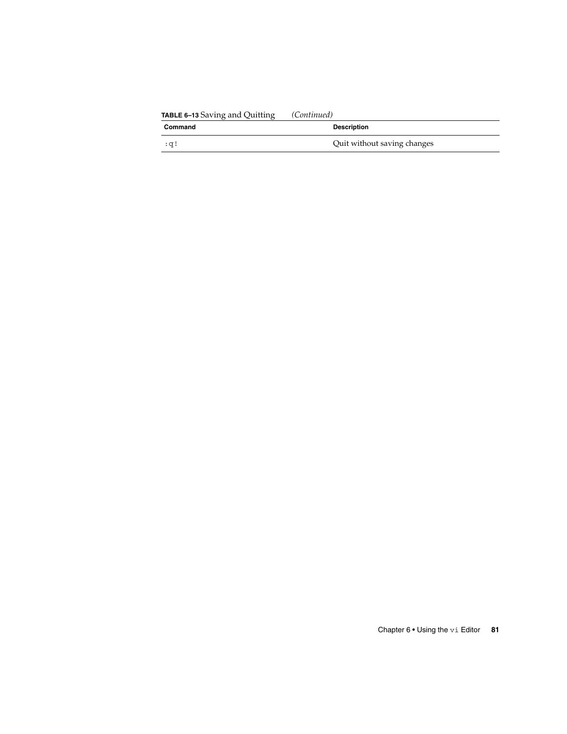| <b>TABLE 6-13</b> Saving and Quitting | (Continued)                 |
|---------------------------------------|-----------------------------|
| Command                               | <b>Description</b>          |
| :a!                                   | Quit without saving changes |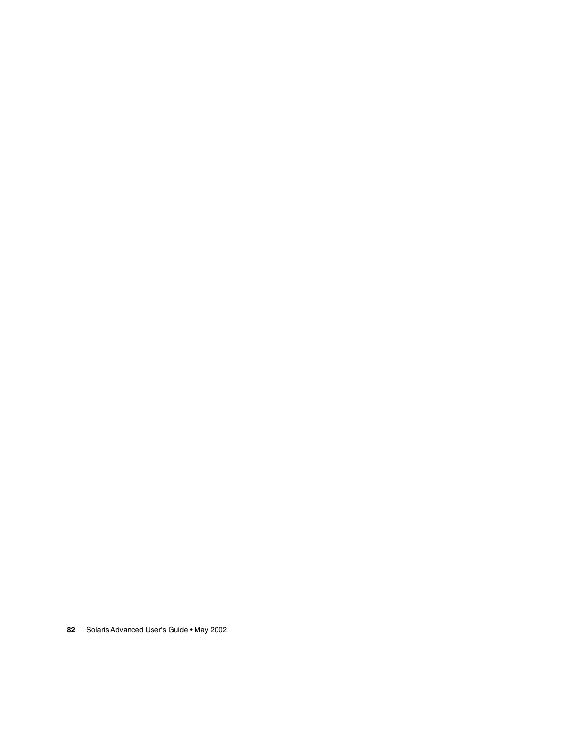Solaris Advanced User's Guide • May 2002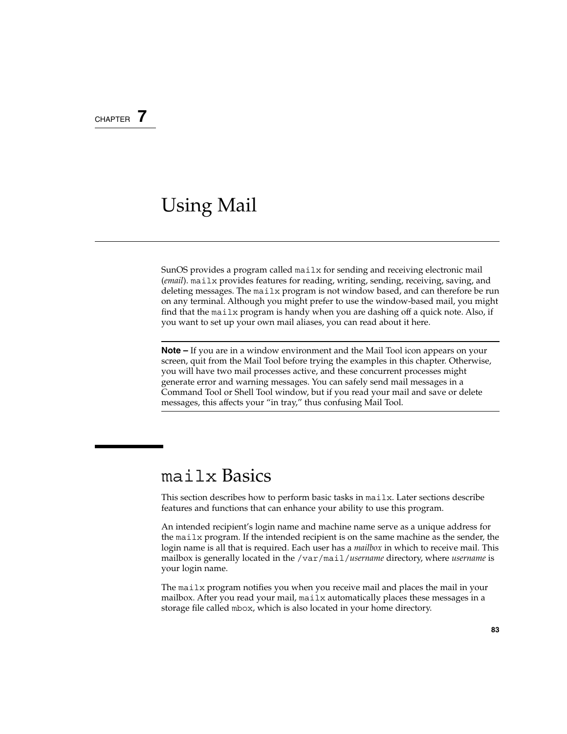#### CHAPTER **7**

## Using Mail

SunOS provides a program called mailx for sending and receiving electronic mail (*email*). mailx provides features for reading, writing, sending, receiving, saving, and deleting messages. The mailx program is not window based, and can therefore be run on any terminal. Although you might prefer to use the window-based mail, you might find that the mailx program is handy when you are dashing off a quick note. Also, if you want to set up your own mail aliases, you can read about it here.

**Note –** If you are in a window environment and the Mail Tool icon appears on your screen, quit from the Mail Tool before trying the examples in this chapter. Otherwise, you will have two mail processes active, and these concurrent processes might generate error and warning messages. You can safely send mail messages in a Command Tool or Shell Tool window, but if you read your mail and save or delete messages, this affects your "in tray," thus confusing Mail Tool.

## mailx Basics

This section describes how to perform basic tasks in mailx. Later sections describe features and functions that can enhance your ability to use this program.

An intended recipient's login name and machine name serve as a unique address for the mailx program. If the intended recipient is on the same machine as the sender, the login name is all that is required. Each user has a *mailbox* in which to receive mail. This mailbox is generally located in the /var/mail/*username* directory, where *username* is your login name.

The mailx program notifies you when you receive mail and places the mail in your mailbox. After you read your mail, mailx automatically places these messages in a storage file called mbox, which is also located in your home directory.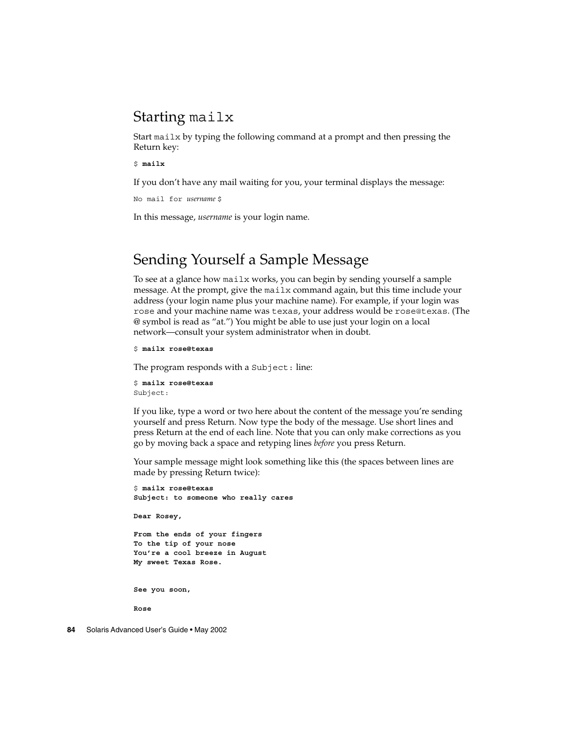#### Starting mailx

Start mailx by typing the following command at a prompt and then pressing the Return key:

\$ **mailx**

If you don't have any mail waiting for you, your terminal displays the message:

No mail for *username* \$

In this message, *username* is your login name.

## Sending Yourself a Sample Message

To see at a glance how mailx works, you can begin by sending yourself a sample message. At the prompt, give the mailx command again, but this time include your address (your login name plus your machine name). For example, if your login was rose and your machine name was texas, your address would be rose@texas. (The @ symbol is read as "at.") You might be able to use just your login on a local network—consult your system administrator when in doubt.

```
$ mailx rose@texas
```
The program responds with a Subject: line:

\$ **mailx rose@texas** Subject:

If you like, type a word or two here about the content of the message you're sending yourself and press Return. Now type the body of the message. Use short lines and press Return at the end of each line. Note that you can only make corrections as you go by moving back a space and retyping lines *before* you press Return.

Your sample message might look something like this (the spaces between lines are made by pressing Return twice):

\$ **mailx rose@texas Subject: to someone who really cares**

**Dear Rosey,**

**From the ends of your fingers To the tip of your nose You're a cool breeze in August My sweet Texas Rose.**

**See you soon,**

**Rose**

**84** Solaris Advanced User's Guide • May 2002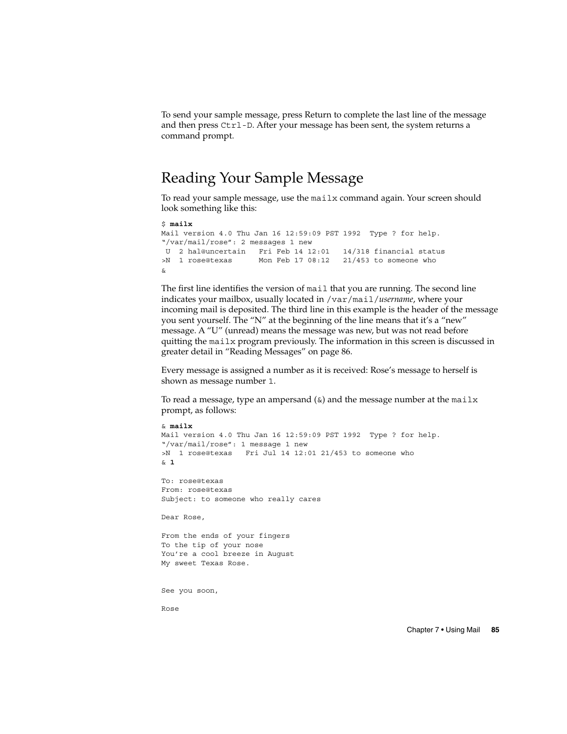To send your sample message, press Return to complete the last line of the message and then press Ctrl-D. After your message has been sent, the system returns a command prompt.

#### Reading Your Sample Message

To read your sample message, use the mailx command again. Your screen should look something like this:

```
$ mailx
```

```
Mail version 4.0 Thu Jan 16 12:59:09 PST 1992 Type ? for help.
"/var/mail/rose": 2 messages 1 new
U 2 hal@uncertain Fri Feb 14 12:01 14/318 financial status
>N 1 rose@texas Mon Feb 17 08:12 21/453 to someone who
&
```
The first line identifies the version of mail that you are running. The second line indicates your mailbox, usually located in /var/mail/*username*, where your incoming mail is deposited. The third line in this example is the header of the message you sent yourself. The "N" at the beginning of the line means that it's a "new" message. A "U" (unread) means the message was new, but was not read before quitting the mailx program previously. The information in this screen is discussed in greater detail in "Reading Messages" on page 86.

Every message is assigned a number as it is received: Rose's message to herself is shown as message number 1.

To read a message, type an ampersand  $(\&)$  and the message number at the mailx prompt, as follows:

```
& mailx
Mail version 4.0 Thu Jan 16 12:59:09 PST 1992 Type ? for help.
"/var/mail/rose": 1 message 1 new
>N 1 rose@texas Fri Jul 14 12:01 21/453 to someone who
& 1
```
To: rose@texas From: rose@texas Subject: to someone who really cares

Dear Rose,

```
From the ends of your fingers
To the tip of your nose
You're a cool breeze in August
My sweet Texas Rose.
```
See you soon,

Rose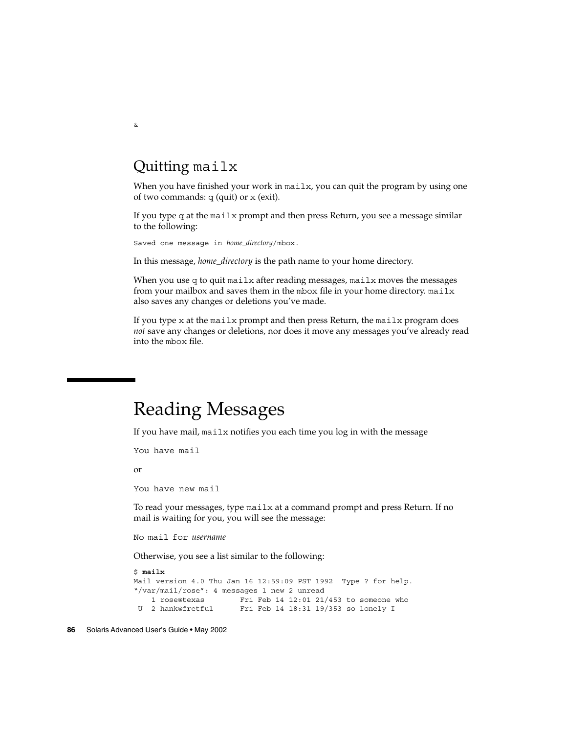#### Quitting mailx

When you have finished your work in mailx, you can quit the program by using one of two commands: q (quit) or x (exit).

If you type q at the mailx prompt and then press Return, you see a message similar to the following:

Saved one message in *home\_directory*/mbox.

In this message, *home\_directory* is the path name to your home directory.

When you use q to quit mailx after reading messages, mailx moves the messages from your mailbox and saves them in the mbox file in your home directory. mailx also saves any changes or deletions you've made.

If you type  $x$  at the mailx prompt and then press Return, the mailx program does *not* save any changes or deletions, nor does it move any messages you've already read into the mbox file.

## Reading Messages

If you have mail, mailx notifies you each time you log in with the message

You have mail

or

You have new mail

To read your messages, type mailx at a command prompt and press Return. If no mail is waiting for you, you will see the message:

No mail for *username*

Otherwise, you see a list similar to the following:

\$ **mailx** Mail version 4.0 Thu Jan 16 12:59:09 PST 1992 Type ? for help. "/var/mail/rose": 4 messages 1 new 2 unread 1 rose@texas Fri Feb 14 12:01 21/453 to someone who U 2 hank@fretful Fri Feb 14 18:31 19/353 so lonely I

**86** Solaris Advanced User's Guide • May 2002

&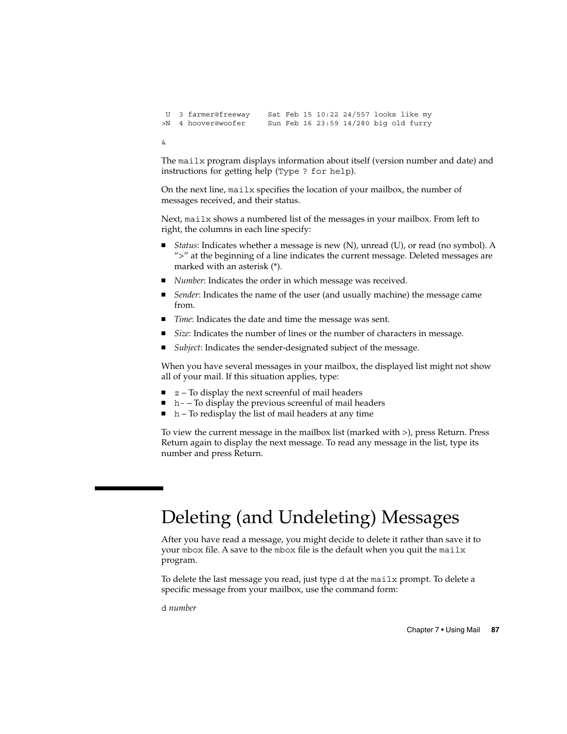```
U 3 farmer@freeway Sat Feb 15 10:22 24/557 looks like my
>N 4 hoover@woofer Sun Feb 16 23:59 14/280 big old furry
```
&

The mailx program displays information about itself (version number and date) and instructions for getting help (Type ? for help).

On the next line, mailx specifies the location of your mailbox, the number of messages received, and their status.

Next, mailx shows a numbered list of the messages in your mailbox. From left to right, the columns in each line specify:

- *Status*: Indicates whether a message is new (N), unread (U), or read (no symbol). A ">" at the beginning of a line indicates the current message. Deleted messages are marked with an asterisk (\*).
- *Number*: Indicates the order in which message was received.
- *Sender*: Indicates the name of the user (and usually machine) the message came from.
- *Time*: Indicates the date and time the message was sent.
- *Size*: Indicates the number of lines or the number of characters in message.
- *Subject*: Indicates the sender-designated subject of the message.

When you have several messages in your mailbox, the displayed list might not show all of your mail. If this situation applies, type:

- $\blacksquare$  z To display the next screenful of mail headers
- $\blacksquare$  h – To display the previous screenful of mail headers
- h To redisplay the list of mail headers at any time

To view the current message in the mailbox list (marked with >), press Return. Press Return again to display the next message. To read any message in the list, type its number and press Return.

# Deleting (and Undeleting) Messages

After you have read a message, you might decide to delete it rather than save it to your mbox file. A save to the mbox file is the default when you quit the mailx program.

To delete the last message you read, just type d at the mailx prompt. To delete a specific message from your mailbox, use the command form:

d *number*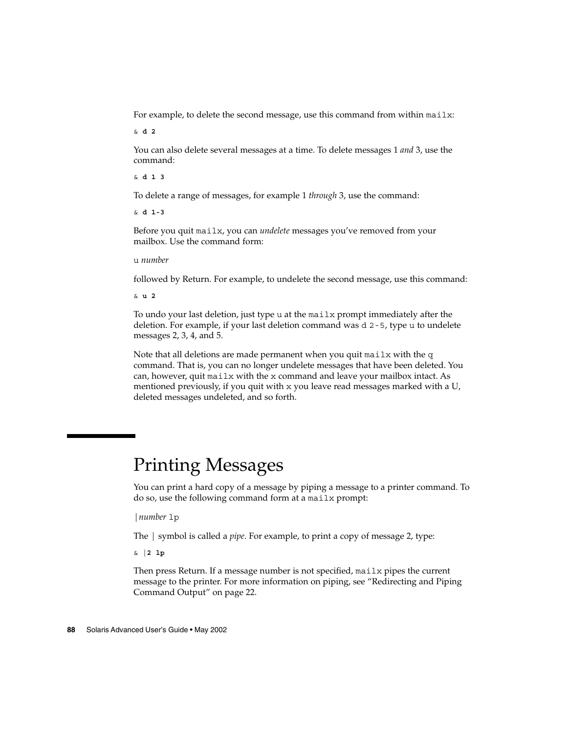For example, to delete the second message, use this command from within mailx:

& **d 2**

You can also delete several messages at a time. To delete messages 1 *and* 3, use the command:

& **d13**

To delete a range of messages, for example 1 *through* 3, use the command:

& **d 1-3**

Before you quit mailx, you can *undelete* messages you've removed from your mailbox. Use the command form:

u *number*

followed by Return. For example, to undelete the second message, use this command:

& **u 2**

To undo your last deletion, just type u at the mailx prompt immediately after the deletion. For example, if your last deletion command was d 2-5, type u to undelete messages 2, 3, 4, and 5.

Note that all deletions are made permanent when you quit mailx with the  $q$ command. That is, you can no longer undelete messages that have been deleted. You can, however, quit mailx with the  $x$  command and leave your mailbox intact. As mentioned previously, if you quit with x you leave read messages marked with a U, deleted messages undeleted, and so forth.

## Printing Messages

You can print a hard copy of a message by piping a message to a printer command. To do so, use the following command form at a mailx prompt:

|*number* lp

The | symbol is called a *pipe*. For example, to print a copy of message 2, type:

& **|2 lp**

Then press Return. If a message number is not specified, mailx pipes the current message to the printer. For more information on piping, see "Redirecting and Piping Command Output" on page 22.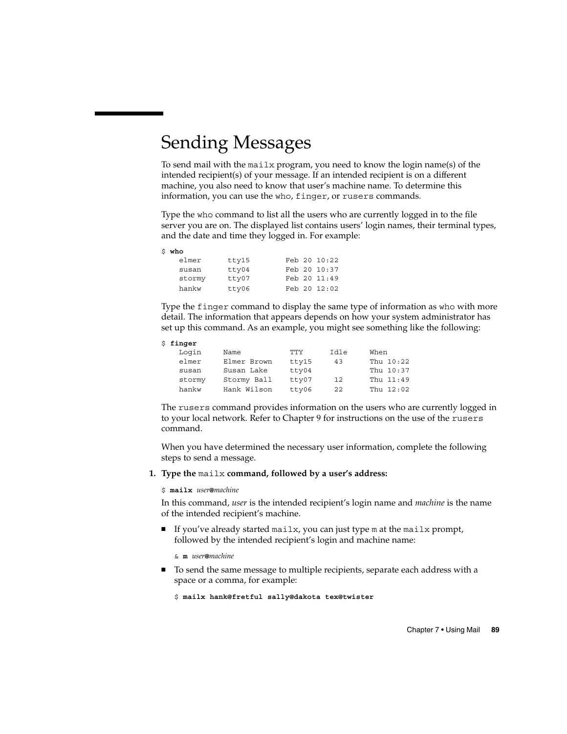## Sending Messages

To send mail with the mailx program, you need to know the login name(s) of the intended recipient(s) of your message. If an intended recipient is on a different machine, you also need to know that user's machine name. To determine this information, you can use the who, finger, or rusers commands.

Type the who command to list all the users who are currently logged in to the file server you are on. The displayed list contains users' login names, their terminal types, and the date and time they logged in. For example:

| \$ who |       |                |  |
|--------|-------|----------------|--|
| elmer  | tty15 | $Feh$ 20 10:22 |  |
| susan  | tty04 | $Feh$ 20 10:37 |  |
| stormy | tty07 | $Feh$ 20 11:49 |  |
| hankw  | tty06 | $Feh$ 20 12:02 |  |

Type the finger command to display the same type of information as who with more detail. The information that appears depends on how your system administrator has set up this command. As an example, you might see something like the following:

| \$ finger |             |       |      |             |
|-----------|-------------|-------|------|-------------|
| Login     | Name        | TTY   | Idle | When        |
| elmer     | Elmer Brown | tty15 | 43   | Thu $10:22$ |
| susan     | Susan Lake  | tty04 |      | Thu 10:37   |
| stormy    | Stormy Ball | tty07 | 12   | Thu 11:49   |
| hankw     | Hank Wilson | tty06 | 22   | Thu $12:02$ |

The rusers command provides information on the users who are currently logged in to your local network. Refer to Chapter 9 for instructions on the use of the rusers command.

When you have determined the necessary user information, complete the following steps to send a message.

- **1. Type the** mailx **command, followed by a user's address:**
	- \$ **mailx** *user***@***machine*

In this command, *user* is the intended recipient's login name and *machine* is the name of the intended recipient's machine.

■ If you've already started mailx, you can just type m at the mailx prompt, followed by the intended recipient's login and machine name:

& **m** *user***@***machine*

■ To send the same message to multiple recipients, separate each address with a space or a comma, for example:

```
$ mailx hank@fretful sally@dakota tex@twister
```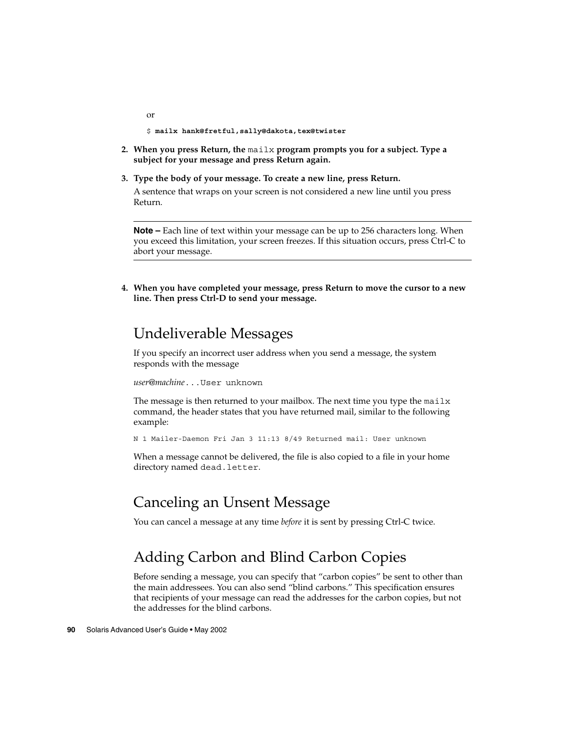```
$ mailx hank@fretful,sally@dakota,tex@twister
```
- **2. When you press Return, the** mailx **program prompts you for a subject. Type a subject for your message and press Return again.**
- **3. Type the body of your message. To create a new line, press Return.**

A sentence that wraps on your screen is not considered a new line until you press Return.

**Note –** Each line of text within your message can be up to 256 characters long. When you exceed this limitation, your screen freezes. If this situation occurs, press Ctrl-C to abort your message.

**4. When you have completed your message, press Return to move the cursor to a new line. Then press Ctrl-D to send your message.**

### Undeliverable Messages

If you specify an incorrect user address when you send a message, the system responds with the message

*user*@*machine*...User unknown

The message is then returned to your mailbox. The next time you type the mail $x$ command, the header states that you have returned mail, similar to the following example:

N 1 Mailer-Daemon Fri Jan 3 11:13 8/49 Returned mail: User unknown

When a message cannot be delivered, the file is also copied to a file in your home directory named dead.letter.

### Canceling an Unsent Message

You can cancel a message at any time *before* it is sent by pressing Ctrl-C twice.

## Adding Carbon and Blind Carbon Copies

Before sending a message, you can specify that "carbon copies" be sent to other than the main addressees. You can also send "blind carbons." This specification ensures that recipients of your message can read the addresses for the carbon copies, but not the addresses for the blind carbons.

or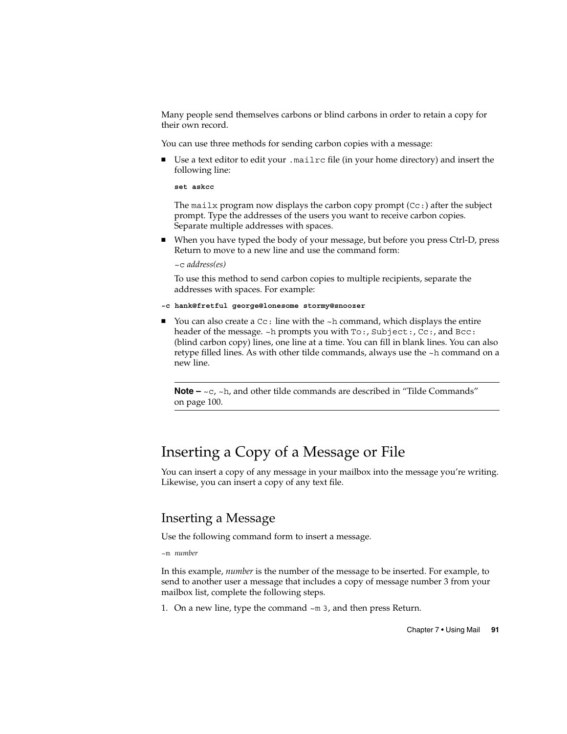Many people send themselves carbons or blind carbons in order to retain a copy for their own record.

You can use three methods for sending carbon copies with a message:

■ Use a text editor to edit your .mailrc file (in your home directory) and insert the following line:

**set askcc**

The mailx program now displays the carbon copy prompt  $(Cc)$  after the subject prompt. Type the addresses of the users you want to receive carbon copies. Separate multiple addresses with spaces.

■ When you have typed the body of your message, but before you press Ctrl-D, press Return to move to a new line and use the command form:

~c *address(es)*

To use this method to send carbon copies to multiple recipients, separate the addresses with spaces. For example:

- **~c hank@fretful george@lonesome stormy@snoozer**
- You can also create a  $Cc$ : line with the  $\nu$ h command, which displays the entire header of the message. ~h prompts you with To:, Subject:, Cc:, and Bcc: (blind carbon copy) lines, one line at a time. You can fill in blank lines. You can also retype filled lines. As with other tilde commands, always use the ~h command on a new line.

**Note** – ~c, ~h, and other tilde commands are described in "Tilde Commands" on page 100.

### Inserting a Copy of a Message or File

You can insert a copy of any message in your mailbox into the message you're writing. Likewise, you can insert a copy of any text file.

#### Inserting a Message

Use the following command form to insert a message.

In this example, *number* is the number of the message to be inserted. For example, to send to another user a message that includes a copy of message number 3 from your mailbox list, complete the following steps.

1. On a new line, type the command ~m 3, and then press Return.

<sup>~</sup>m *number*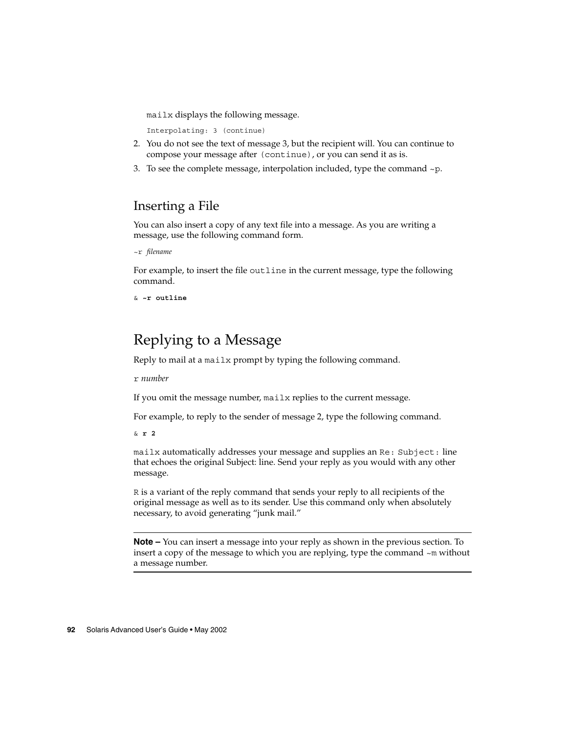mailx displays the following message.

Interpolating: 3 (continue)

- 2. You do not see the text of message 3, but the recipient will. You can continue to compose your message after (continue), or you can send it as is.
- 3. To see the complete message, interpolation included, type the command  $\sim p$ .

#### Inserting a File

You can also insert a copy of any text file into a message. As you are writing a message, use the following command form.

```
~r filename
```
For example, to insert the file outline in the current message, type the following command.

& **~r outline**

### Replying to a Message

Reply to mail at a mailx prompt by typing the following command.

r *number*

If you omit the message number, mailx replies to the current message.

For example, to reply to the sender of message 2, type the following command.

& **r 2**

mailx automatically addresses your message and supplies an Re: Subject: line that echoes the original Subject: line. Send your reply as you would with any other message.

R is a variant of the reply command that sends your reply to all recipients of the original message as well as to its sender. Use this command only when absolutely necessary, to avoid generating "junk mail."

**Note –** You can insert a message into your reply as shown in the previous section. To insert a copy of the message to which you are replying, type the command ~m without a message number.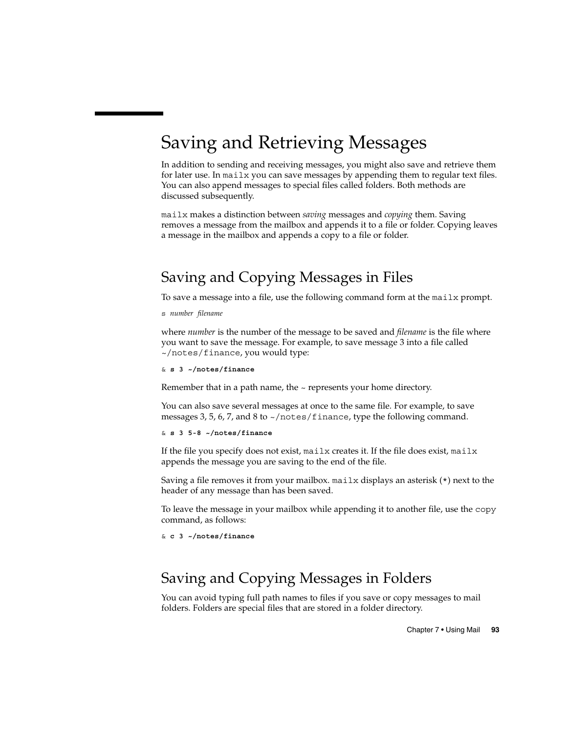## Saving and Retrieving Messages

In addition to sending and receiving messages, you might also save and retrieve them for later use. In mailx you can save messages by appending them to regular text files. You can also append messages to special files called folders. Both methods are discussed subsequently.

mailx makes a distinction between *saving* messages and *copying* them. Saving removes a message from the mailbox and appends it to a file or folder. Copying leaves a message in the mailbox and appends a copy to a file or folder.

## Saving and Copying Messages in Files

To save a message into a file, use the following command form at the mailx prompt.

```
s number filename
```
where *number* is the number of the message to be saved and *filename* is the file where you want to save the message. For example, to save message 3 into a file called ~/notes/finance, you would type:

```
& s 3 ~/notes/finance
```
Remember that in a path name, the ~ represents your home directory.

You can also save several messages at once to the same file. For example, to save messages 3, 5, 6, 7, and 8 to ~/notes/finance, type the following command.

```
& s 3 5-8 ~/notes/finance
```
If the file you specify does not exist, mailx creates it. If the file does exist, mailx appends the message you are saving to the end of the file.

Saving a file removes it from your mailbox. mailx displays an asterisk  $(*)$  next to the header of any message than has been saved.

To leave the message in your mailbox while appending it to another file, use the copy command, as follows:

```
& c 3 ~/notes/finance
```
## Saving and Copying Messages in Folders

You can avoid typing full path names to files if you save or copy messages to mail folders. Folders are special files that are stored in a folder directory.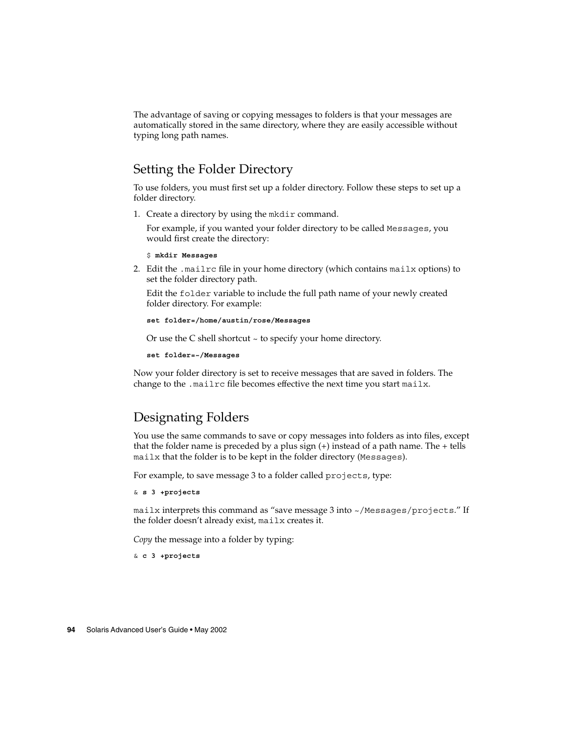The advantage of saving or copying messages to folders is that your messages are automatically stored in the same directory, where they are easily accessible without typing long path names.

#### Setting the Folder Directory

To use folders, you must first set up a folder directory. Follow these steps to set up a folder directory.

1. Create a directory by using the mkdir command.

For example, if you wanted your folder directory to be called Messages, you would first create the directory:

\$ **mkdir Messages**

2. Edit the .mailrc file in your home directory (which contains mailx options) to set the folder directory path.

Edit the folder variable to include the full path name of your newly created folder directory. For example:

```
set folder=/home/austin/rose/Messages
```
Or use the C shell shortcut  $\sim$  to specify your home directory.

**set folder=~/Messages**

Now your folder directory is set to receive messages that are saved in folders. The change to the .mailrc file becomes effective the next time you start mailx.

#### Designating Folders

You use the same commands to save or copy messages into folders as into files, except that the folder name is preceded by a plus sign  $(+)$  instead of a path name. The  $+$  tells mailx that the folder is to be kept in the folder directory (Messages).

For example, to save message 3 to a folder called projects, type:

```
& s 3 +projects
```
mailx interprets this command as "save message 3 into ~/Messages/projects." If the folder doesn't already exist, mailx creates it.

*Copy* the message into a folder by typing:

& **c 3 +projects**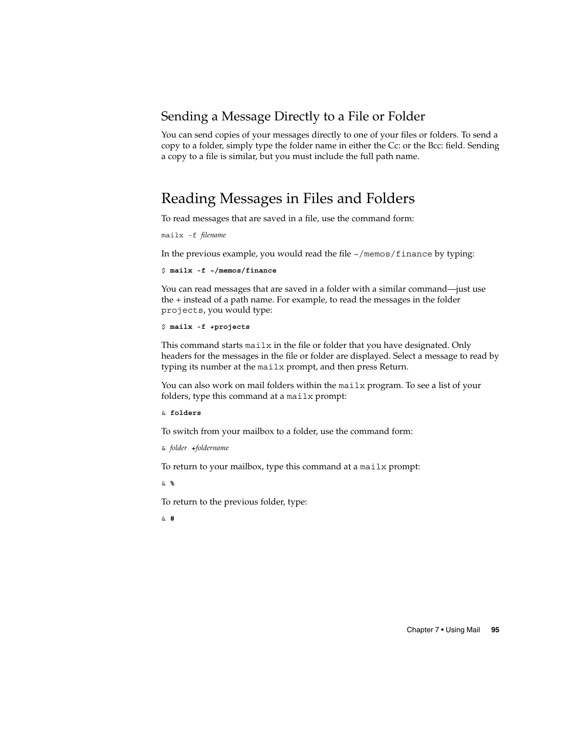#### Sending a Message Directly to a File or Folder

You can send copies of your messages directly to one of your files or folders. To send a copy to a folder, simply type the folder name in either the Cc: or the Bcc: field. Sending a copy to a file is similar, but you must include the full path name.

### Reading Messages in Files and Folders

To read messages that are saved in a file, use the command form:

```
mailx -f filename
```
In the previous example, you would read the file  $\sim$ /memos/finance by typing:

```
$ mailx -f ~/memos/finance
```
You can read messages that are saved in a folder with a similar command—just use the + instead of a path name. For example, to read the messages in the folder projects, you would type:

```
$ mailx -f +projects
```
This command starts mailx in the file or folder that you have designated. Only headers for the messages in the file or folder are displayed. Select a message to read by typing its number at the mailx prompt, and then press Return.

You can also work on mail folders within the mailx program. To see a list of your folders, type this command at a mailx prompt:

& **folders**

To switch from your mailbox to a folder, use the command form:

```
& folder +foldername
```
To return to your mailbox, type this command at a mailx prompt:

& **%**

To return to the previous folder, type:

& **#**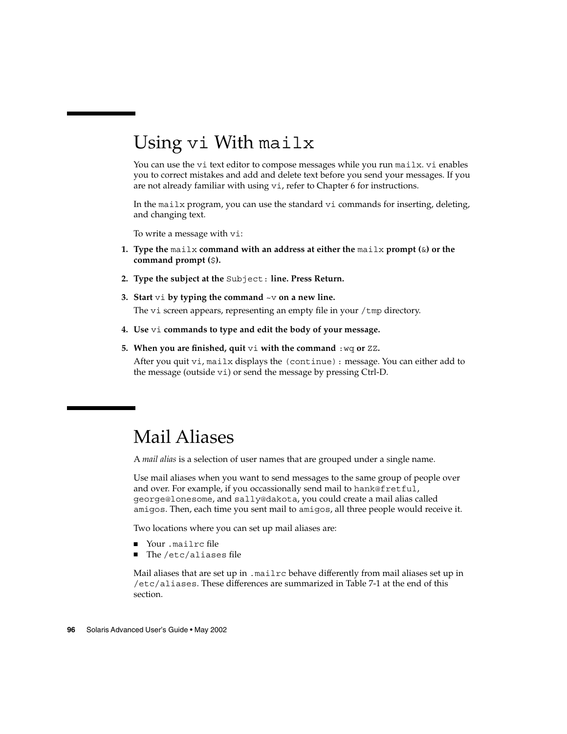# Using vi With mailx

You can use the vi text editor to compose messages while you run mailx. vi enables you to correct mistakes and add and delete text before you send your messages. If you are not already familiar with using vi, refer to Chapter 6 for instructions.

In the mailx program, you can use the standard vi commands for inserting, deleting, and changing text.

To write a message with vi:

- **1. Type the** mailx **command with an address at either the** mailx **prompt (**&**) or the command prompt (**\$**).**
- **2. Type the subject at the** Subject: **line. Press Return.**
- **3. Start** vi **by typing the command** ~v **on a new line.** The vi screen appears, representing an empty file in your /tmp directory.
- **4. Use** vi **commands to type and edit the body of your message.**

the message (outside vi) or send the message by pressing Ctrl-D.

**5. When you are finished, quit** vi **with the command** :wq **or** ZZ**.** After you quit vi, mailx displays the (continue): message. You can either add to

## Mail Aliases

A *mail alias* is a selection of user names that are grouped under a single name.

Use mail aliases when you want to send messages to the same group of people over and over. For example, if you occassionally send mail to hank@fretful, george@lonesome, and sally@dakota, you could create a mail alias called amigos. Then, each time you sent mail to amigos, all three people would receive it.

Two locations where you can set up mail aliases are:

- Your .mailrc file
- The /etc/aliases file

Mail aliases that are set up in .mailrc behave differently from mail aliases set up in /etc/aliases. These differences are summarized in Table 7-1 at the end of this section.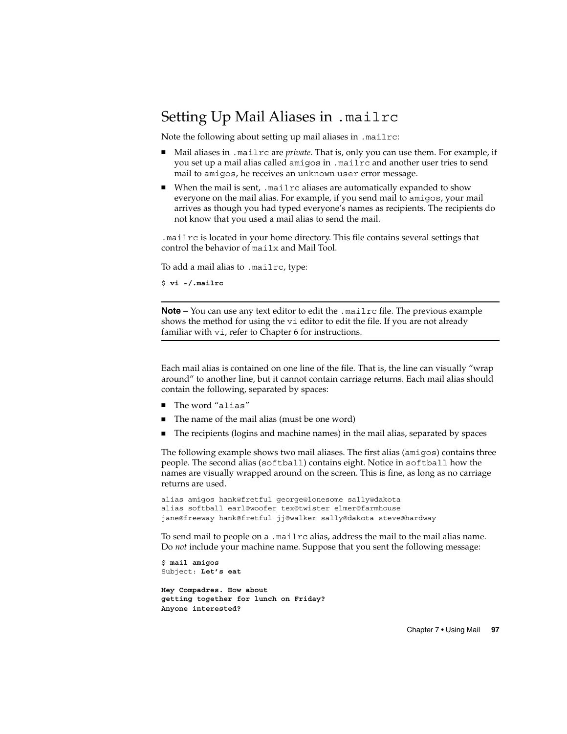### Setting Up Mail Aliases in .mailrc

Note the following about setting up mail aliases in .mailrc:

- Mail aliases in .mailrc are *private*. That is, only you can use them. For example, if you set up a mail alias called amigos in .mailrc and another user tries to send mail to amigos, he receives an unknown user error message.
- When the mail is sent, . mailrc aliases are automatically expanded to show everyone on the mail alias. For example, if you send mail to amigos, your mail arrives as though you had typed everyone's names as recipients. The recipients do not know that you used a mail alias to send the mail.

.mailrc is located in your home directory. This file contains several settings that control the behavior of mailx and Mail Tool.

To add a mail alias to .mailrc, type:

```
$ vi ~/.mailrc
```
**Note –** You can use any text editor to edit the .mailrc file. The previous example shows the method for using the vi editor to edit the file. If you are not already familiar with vi, refer to Chapter 6 for instructions.

Each mail alias is contained on one line of the file. That is, the line can visually "wrap around" to another line, but it cannot contain carriage returns. Each mail alias should contain the following, separated by spaces:

- The word "alias"
- The name of the mail alias (must be one word)
- The recipients (logins and machine names) in the mail alias, separated by spaces

The following example shows two mail aliases. The first alias (amigos) contains three people. The second alias (softball) contains eight. Notice in softball how the names are visually wrapped around on the screen. This is fine, as long as no carriage returns are used.

```
alias amigos hank@fretful george@lonesome sally@dakota
alias softball earl@woofer tex@twister elmer@farmhouse
jane@freeway hank@fretful jj@walker sally@dakota steve@hardway
```
To send mail to people on a .mailrc alias, address the mail to the mail alias name. Do *not* include your machine name. Suppose that you sent the following message:

```
$ mail amigos
Subject: Let's eat
```

```
Hey Compadres. How about
getting together for lunch on Friday?
Anyone interested?
```
Chapter 7 • Using Mail **97**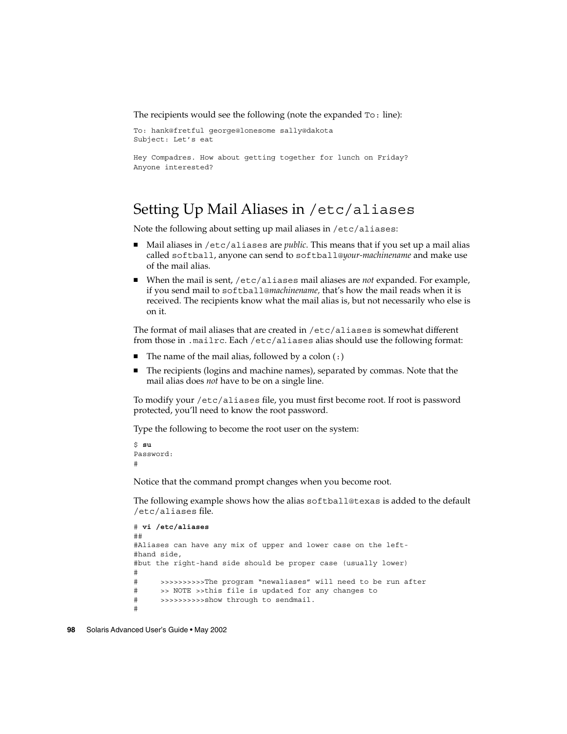The recipients would see the following (note the expanded To: line):

To: hank@fretful george@lonesome sally@dakota Subject: Let's eat Hey Compadres. How about getting together for lunch on Friday? Anyone interested?

## Setting Up Mail Aliases in /etc/aliases

Note the following about setting up mail aliases in /etc/aliases:

- Mail aliases in /etc/aliases are *public*. This means that if you set up a mail alias called softball, anyone can send to softball@*your-machinename* and make use of the mail alias.
- When the mail is sent, /etc/aliases mail aliases are *not* expanded. For example, if you send mail to softball@*machinename,* that's how the mail reads when it is received. The recipients know what the mail alias is, but not necessarily who else is on it.

The format of mail aliases that are created in /etc/aliases is somewhat different from those in .mailrc. Each /etc/aliases alias should use the following format:

- The name of the mail alias, followed by a colon  $(:)$
- The recipients (logins and machine names), separated by commas. Note that the mail alias does *not* have to be on a single line.

To modify your /etc/aliases file, you must first become root. If root is password protected, you'll need to know the root password.

Type the following to become the root user on the system:

```
$ su
Password:
#
```
Notice that the command prompt changes when you become root.

The following example shows how the alias softball@texas is added to the default /etc/aliases file.

```
# vi /etc/aliases
##
#Aliases can have any mix of upper and lower case on the left-
#hand side,
#but the right-hand side should be proper case (usually lower)
#
# >>>>>>>>>>The program "newaliases" will need to be run after
# >> NOTE >>this file is updated for any changes to
# >>>>>>>>>>show through to sendmail.
#
```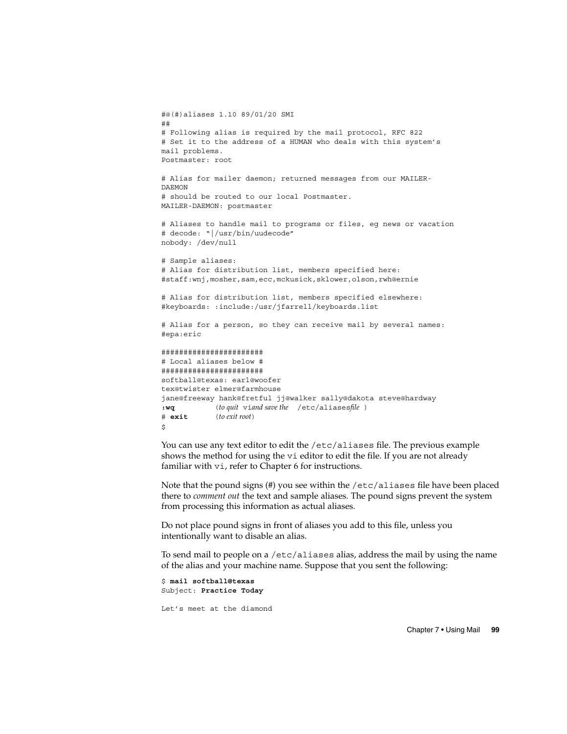```
#@(#)aliases 1.10 89/01/20 SMI
##
# Following alias is required by the mail protocol, RFC 822
# Set it to the address of a HUMAN who deals with this system's
mail problems.
Postmaster: root
# Alias for mailer daemon; returned messages from our MAILER-
DAEMON
# should be routed to our local Postmaster.
MAILER-DAEMON: postmaster
# Aliases to handle mail to programs or files, eg news or vacation
# decode: "|/usr/bin/uudecode"
nobody: /dev/null
# Sample aliases:
# Alias for distribution list, members specified here:
#staff:wnj,mosher,sam,ecc,mckusick,sklower,olson,rwh@ernie
# Alias for distribution list, members specified elsewhere:
#keyboards: :include:/usr/jfarrell/keyboards.list
# Alias for a person, so they can receive mail by several names:
#epa:eric
#######################
# Local aliases below #
#######################
softball@texas: earl@woofer
tex@twister elmer@farmhouse
jane@freeway hank@fretful jj@walker sally@dakota steve@hardway
:wq (to quit viand save the /etc/aliasesfile )
          # exit (to exit root)
\ddot{\rm s}
```
You can use any text editor to edit the /etc/aliases file. The previous example shows the method for using the vi editor to edit the file. If you are not already familiar with vi, refer to Chapter 6 for instructions.

Note that the pound signs  $(\#)$  you see within the /etc/aliases file have been placed there to *comment out* the text and sample aliases. The pound signs prevent the system from processing this information as actual aliases.

Do not place pound signs in front of aliases you add to this file, unless you intentionally want to disable an alias.

To send mail to people on a /etc/aliases alias, address the mail by using the name of the alias and your machine name. Suppose that you sent the following:

\$ **mail softball@texas** Subject: **Practice Today**

Let's meet at the diamond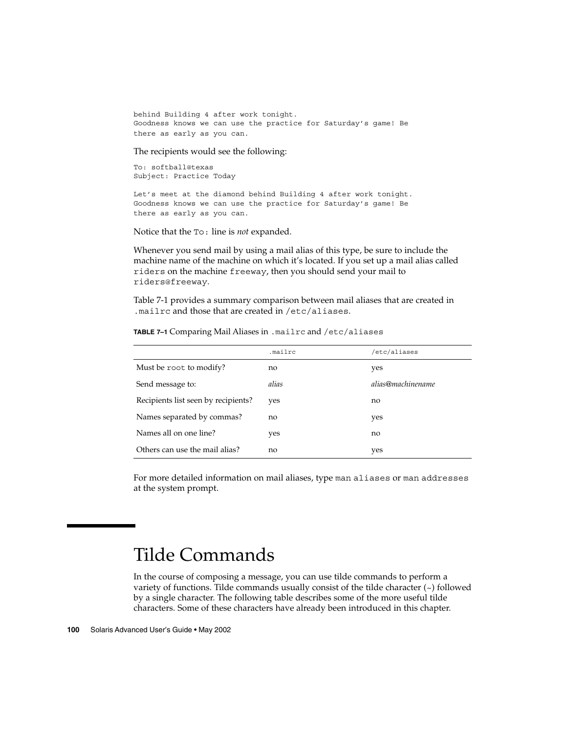behind Building 4 after work tonight. Goodness knows we can use the practice for Saturday's game! Be there as early as you can.

The recipients would see the following:

To: softball@texas Subject: Practice Today

Let's meet at the diamond behind Building 4 after work tonight. Goodness knows we can use the practice for Saturday's game! Be there as early as you can.

Notice that the To: line is *not* expanded.

Whenever you send mail by using a mail alias of this type, be sure to include the machine name of the machine on which it's located. If you set up a mail alias called riders on the machine freeway, then you should send your mail to riders@freeway.

Table 7-1 provides a summary comparison between mail aliases that are created in .mailrc and those that are created in /etc/aliases.

|                                     | .mailrc | /etc/aliases      |
|-------------------------------------|---------|-------------------|
| Must be root to modify?             | no      | yes               |
| Send message to:                    | alias   | alias@machinename |
| Recipients list seen by recipients? | yes     | no                |
| Names separated by commas?          | no      | yes               |
| Names all on one line?              | yes     | no                |
| Others can use the mail alias?      | no      | yes               |

**TABLE 7–1** Comparing Mail Aliases in .mailrc and /etc/aliases

For more detailed information on mail aliases, type man aliases or man addresses at the system prompt.

# Tilde Commands

In the course of composing a message, you can use tilde commands to perform a variety of functions. Tilde commands usually consist of the tilde character  $(\sim)$  followed by a single character. The following table describes some of the more useful tilde characters. Some of these characters have already been introduced in this chapter.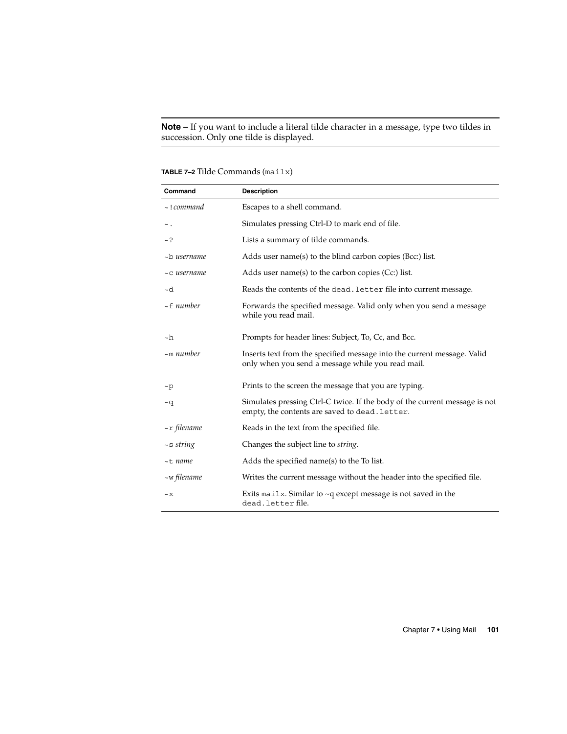**Note –** If you want to include a literal tilde character in a message, type two tildes in succession. Only one tilde is displayed.

**TABLE 7–2** Tilde Commands (mailx)

| Command                     | <b>Description</b>                                                                                                           |
|-----------------------------|------------------------------------------------------------------------------------------------------------------------------|
| $\sim$ ! command            | Escapes to a shell command.                                                                                                  |
| ∼.                          | Simulates pressing Ctrl-D to mark end of file.                                                                               |
| ~?                          | Lists a summary of tilde commands.                                                                                           |
| ~b username                 | Adds user name(s) to the blind carbon copies (Bcc:) list.                                                                    |
| $\sim$ c username           | Adds user name(s) to the carbon copies $(Cc)$ list.                                                                          |
| ~d                          | Reads the contents of the dead. Letter file into current message.                                                            |
| $~\sim$ f number            | Forwards the specified message. Valid only when you send a message<br>while you read mail.                                   |
| ~h                          | Prompts for header lines: Subject, To, Cc, and Bcc.                                                                          |
| $\sim$ m number             | Inserts text from the specified message into the current message. Valid<br>only when you send a message while you read mail. |
| $\mathbf{p}$                | Prints to the screen the message that you are typing.                                                                        |
| ∼q                          | Simulates pressing Ctrl-C twice. If the body of the current message is not<br>empty, the contents are saved to dead. letter. |
| $~\sim$ r filename          | Reads in the text from the specified file.                                                                                   |
| $\sim$ s string             | Changes the subject line to <i>string</i> .                                                                                  |
| $\sim$ t name               | Adds the specified name(s) to the To list.                                                                                   |
| ~w filename                 | Writes the current message without the header into the specified file.                                                       |
| $~\mathsf{\sim} \mathsf{X}$ | Exits mailx. Similar to $\sim q$ except message is not saved in the<br>dead.letterfile.                                      |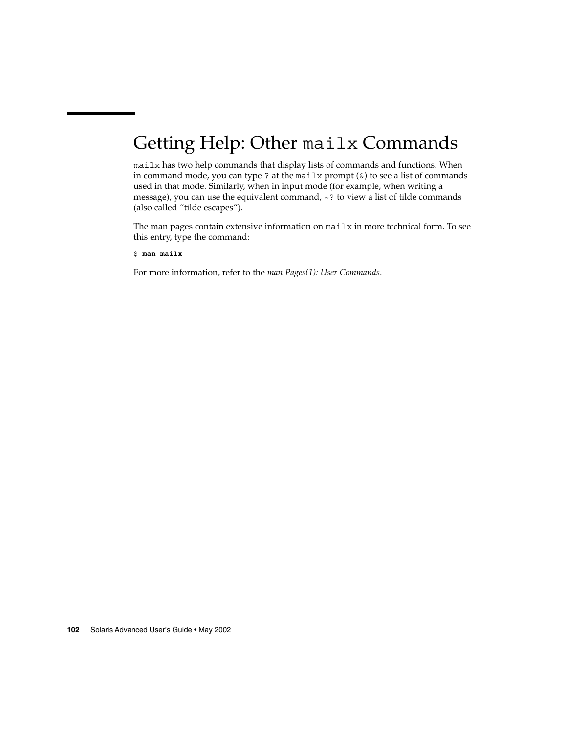# Getting Help: Other mailx Commands

mailx has two help commands that display lists of commands and functions. When in command mode, you can type ? at the mailx prompt  $(\&)$  to see a list of commands used in that mode. Similarly, when in input mode (for example, when writing a message), you can use the equivalent command, ~? to view a list of tilde commands (also called "tilde escapes").

The man pages contain extensive information on mailx in more technical form. To see this entry, type the command:

\$ **man mailx**

For more information, refer to the *man Pages(1): User Commands*.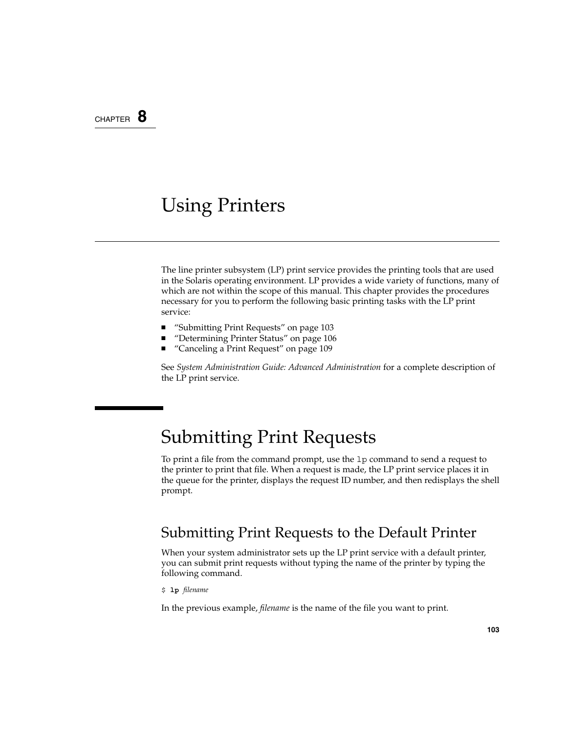### CHAPTER **8**

## Using Printers

The line printer subsystem (LP) print service provides the printing tools that are used in the Solaris operating environment. LP provides a wide variety of functions, many of which are not within the scope of this manual. This chapter provides the procedures necessary for you to perform the following basic printing tasks with the LP print service:

- "Submitting Print Requests" on page 103
- "Determining Printer Status" on page 106
- *"*Canceling a Print Request" on page 109

See *System Administration Guide: Advanced Administration* for a complete description of the LP print service.

## Submitting Print Requests

To print a file from the command prompt, use the lp command to send a request to the printer to print that file. When a request is made, the LP print service places it in the queue for the printer, displays the request ID number, and then redisplays the shell prompt.

### Submitting Print Requests to the Default Printer

When your system administrator sets up the LP print service with a default printer, you can submit print requests without typing the name of the printer by typing the following command.

\$ **lp** *filename*

In the previous example, *filename* is the name of the file you want to print.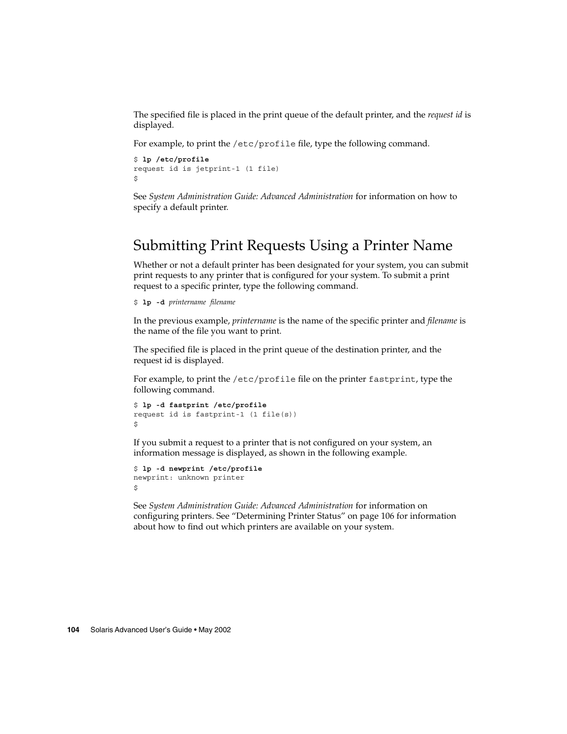The specified file is placed in the print queue of the default printer, and the *request id* is displayed.

For example, to print the /etc/profile file, type the following command.

```
$ lp /etc/profile
request id is jetprint-1 (1 file)
$
```
See *System Administration Guide: Advanced Administration* for information on how to specify a default printer.

#### Submitting Print Requests Using a Printer Name

Whether or not a default printer has been designated for your system, you can submit print requests to any printer that is configured for your system. To submit a print request to a specific printer, type the following command.

```
$ lp -d printername filename
```
In the previous example, *printername* is the name of the specific printer and *filename* is the name of the file you want to print.

The specified file is placed in the print queue of the destination printer, and the request id is displayed.

For example, to print the /etc/profile file on the printer fastprint, type the following command.

```
$ lp -d fastprint /etc/profile
request id is fastprint-1 (1 file(s))
$
```
If you submit a request to a printer that is not configured on your system, an information message is displayed, as shown in the following example.

```
$ lp -d newprint /etc/profile
newprint: unknown printer
$
```
See *System Administration Guide: Advanced Administration* for information on configuring printers. See "Determining Printer Status" on page 106 for information about how to find out which printers are available on your system.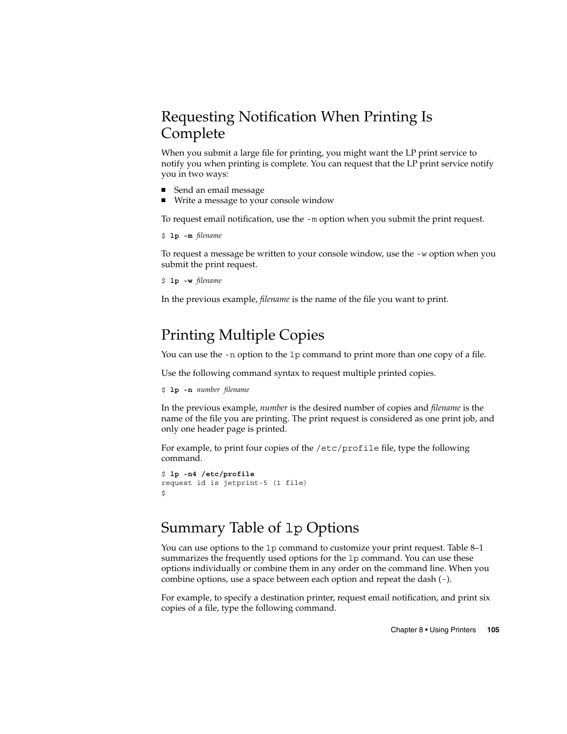### Requesting Notification When Printing Is Complete

When you submit a large file for printing, you might want the LP print service to notify you when printing is complete. You can request that the LP print service notify you in two ways:

- Send an email message
- Write a message to your console window

To request email notification, use the -m option when you submit the print request.

```
$ lp -m filename
```
To request a message be written to your console window, use the -w option when you submit the print request.

```
$ lp -w filename
```
In the previous example, *filename* is the name of the file you want to print.

## Printing Multiple Copies

You can use the -n option to the lp command to print more than one copy of a file.

Use the following command syntax to request multiple printed copies.

```
$ lp -n number filename
```
In the previous example, *number* is the desired number of copies and *filename* is the name of the file you are printing. The print request is considered as one print job, and only one header page is printed.

For example, to print four copies of the /etc/profile file, type the following command.

```
$ lp -n4 /etc/profile
request id is jetprint-5 (1 file)
$
```
### Summary Table of lp Options

You can use options to the lp command to customize your print request. Table 8–1 summarizes the frequently used options for the lp command. You can use these options individually or combine them in any order on the command line. When you combine options, use a space between each option and repeat the dash (-).

For example, to specify a destination printer, request email notification, and print six copies of a file, type the following command.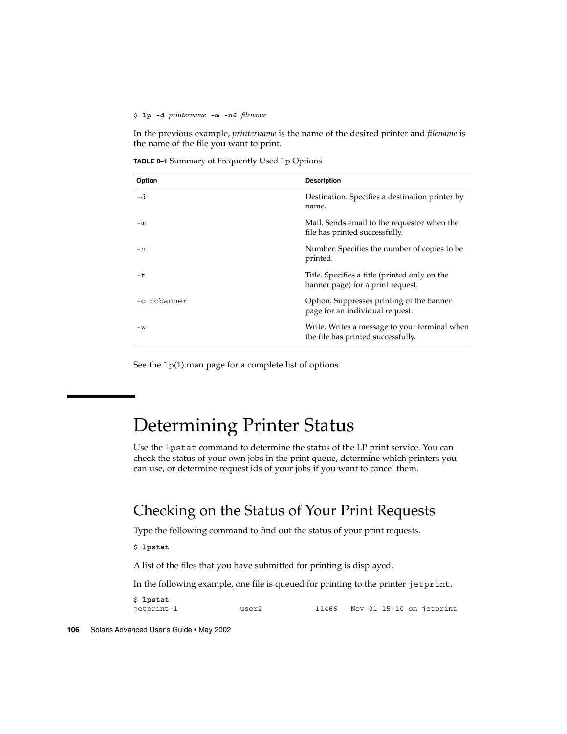#### \$ **lp -d** *printername* **-m -n6** *filename*

In the previous example, *printername* is the name of the desired printer and *filename* is the name of the file you want to print.

**TABLE 8–1** Summary of Frequently Used lp Options

| Option      | <b>Description</b>                                                                  |
|-------------|-------------------------------------------------------------------------------------|
| -d          | Destination. Specifies a destination printer by<br>name.                            |
| $-m$        | Mail. Sends email to the requestor when the<br>file has printed successfully.       |
| -n          | Number. Specifies the number of copies to be.<br>printed.                           |
| $-t$        | Title. Specifies a title (printed only on the<br>banner page) for a print request.  |
| -o nobanner | Option. Suppresses printing of the banner<br>page for an individual request.        |
| $-W$        | Write. Writes a message to your terminal when<br>the file has printed successfully. |

See the 1p(1) man page for a complete list of options.

## Determining Printer Status

Use the lpstat command to determine the status of the LP print service. You can check the status of your own jobs in the print queue, determine which printers you can use, or determine request ids of your jobs if you want to cancel them.

### Checking on the Status of Your Print Requests

Type the following command to find out the status of your print requests.

\$ **lpstat**

A list of the files that you have submitted for printing is displayed.

In the following example, one file is queued for printing to the printer jetprint.

\$ **lpstat** jetprint-1 user2 11466 Nov 01 15:10 on jetprint

**106** Solaris Advanced User's Guide • May 2002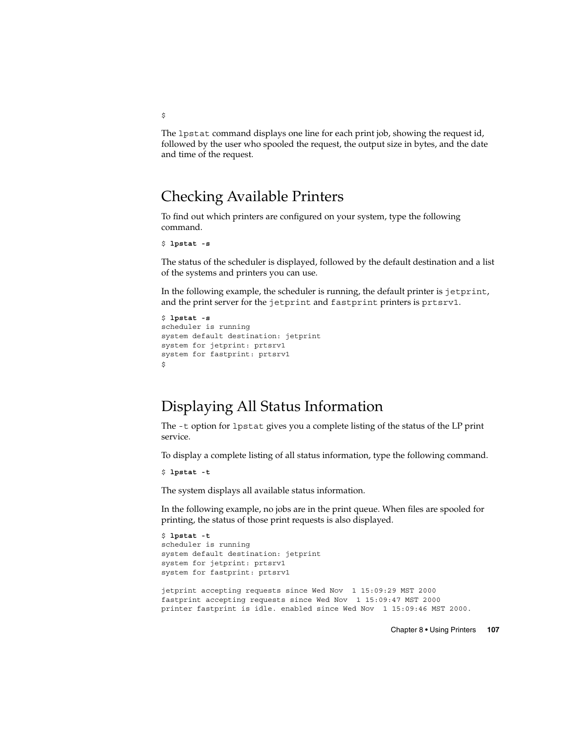The lpstat command displays one line for each print job, showing the request id, followed by the user who spooled the request, the output size in bytes, and the date and time of the request.

#### Checking Available Printers

To find out which printers are configured on your system, type the following command.

```
$ lpstat -s
```
The status of the scheduler is displayed, followed by the default destination and a list of the systems and printers you can use.

In the following example, the scheduler is running, the default printer is jetprint, and the print server for the jetprint and fastprint printers is prtsrv1.

```
$ lpstat -s
scheduler is running
system default destination: jetprint
system for jetprint: prtsrv1
system for fastprint: prtsrv1
$
```
### Displaying All Status Information

The -t option for lpstat gives you a complete listing of the status of the LP print service.

To display a complete listing of all status information, type the following command.

```
$ lpstat -t
```
The system displays all available status information.

In the following example, no jobs are in the print queue. When files are spooled for printing, the status of those print requests is also displayed.

```
$ lpstat -t
scheduler is running
system default destination: jetprint
system for jetprint: prtsrv1
system for fastprint: prtsrv1
jetprint accepting requests since Wed Nov 1 15:09:29 MST 2000
fastprint accepting requests since Wed Nov 1 15:09:47 MST 2000
```
printer fastprint is idle. enabled since Wed Nov 1 15:09:46 MST 2000.

Chapter 8 • Using Printers **107**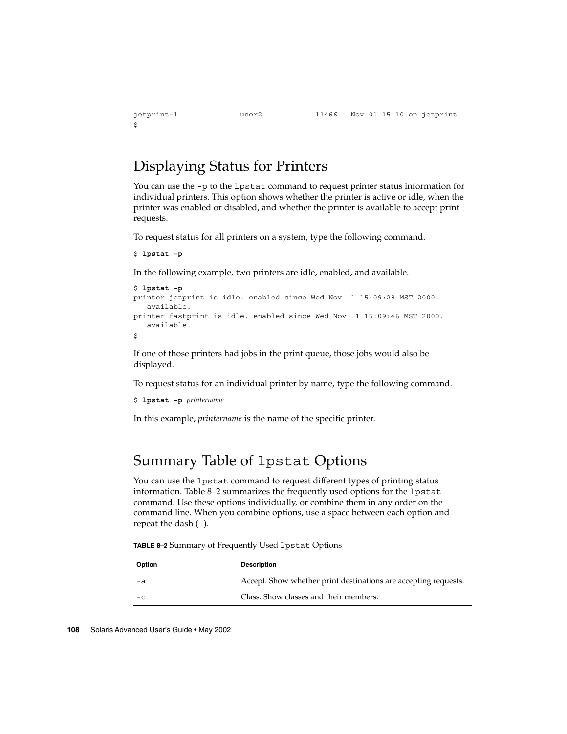```
$
```
### Displaying Status for Printers

You can use the -p to the 1 pstat command to request printer status information for individual printers. This option shows whether the printer is active or idle, when the printer was enabled or disabled, and whether the printer is available to accept print requests.

To request status for all printers on a system, type the following command.

```
$ lpstat -p
```
In the following example, two printers are idle, enabled, and available.

```
$ lpstat -p
printer jetprint is idle. enabled since Wed Nov 1 15:09:28 MST 2000.
   available.
printer fastprint is idle. enabled since Wed Nov 1 15:09:46 MST 2000.
   available.
\ddot{\rm s}
```
If one of those printers had jobs in the print queue, those jobs would also be displayed.

To request status for an individual printer by name, type the following command.

```
$ lpstat -p printername
```
In this example, *printername* is the name of the specific printer.

#### Summary Table of lpstat Options

You can use the lpstat command to request different types of printing status information. Table 8–2 summarizes the frequently used options for the lpstat command. Use these options individually, or combine them in any order on the command line. When you combine options, use a space between each option and repeat the dash (-).

**TABLE 8–2** Summary of Frequently Used lpstat Options

| Option | <b>Description</b>                                              |
|--------|-----------------------------------------------------------------|
| -a     | Accept. Show whether print destinations are accepting requests. |
| $-C$   | Class. Show classes and their members.                          |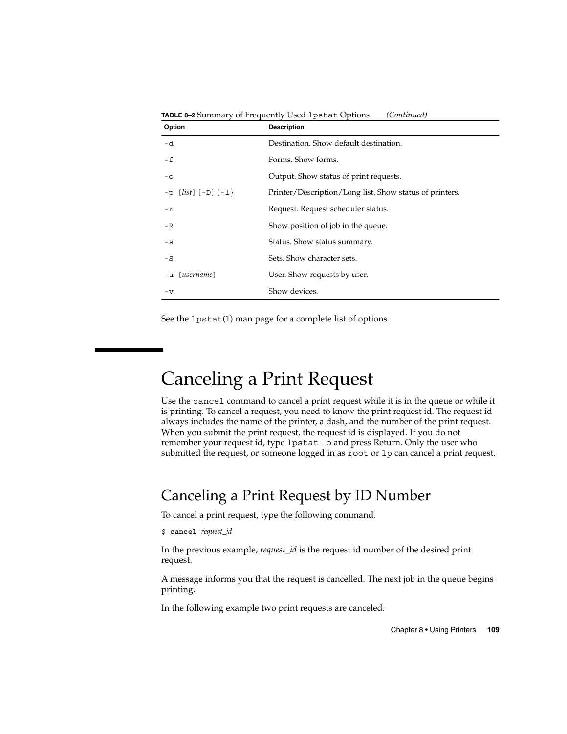| Option                         | <b>Description</b>                                      |  |
|--------------------------------|---------------------------------------------------------|--|
| -d                             | Destination. Show default destination.                  |  |
| -f                             | Forms. Show forms.                                      |  |
| $ \circ$                       | Output. Show status of print requests.                  |  |
| $-p$ [ <i>list</i> ] [-D] [-1} | Printer/Description/Long list. Show status of printers. |  |
| $-r$                           | Request. Request scheduler status.                      |  |
| $-R$                           | Show position of job in the queue.                      |  |
| $-S$                           | Status. Show status summary.                            |  |
| $-S$                           | Sets. Show character sets.                              |  |
| -u [username]                  | User. Show requests by user.                            |  |
| $-v$                           | Show devices.                                           |  |

**TABLE 8–2** Summary of Frequently Used lpstat Options *(Continued)*

See the lpstat(1) man page for a complete list of options.

# Canceling a Print Request

Use the cancel command to cancel a print request while it is in the queue or while it is printing. To cancel a request, you need to know the print request id. The request id always includes the name of the printer, a dash, and the number of the print request. When you submit the print request, the request id is displayed. If you do not remember your request id, type lpstat -o and press Return. Only the user who submitted the request, or someone logged in as root or lp can cancel a print request.

## Canceling a Print Request by ID Number

To cancel a print request, type the following command.

```
$ cancel request_id
```
In the previous example, *request\_id* is the request id number of the desired print request.

A message informs you that the request is cancelled. The next job in the queue begins printing.

In the following example two print requests are canceled.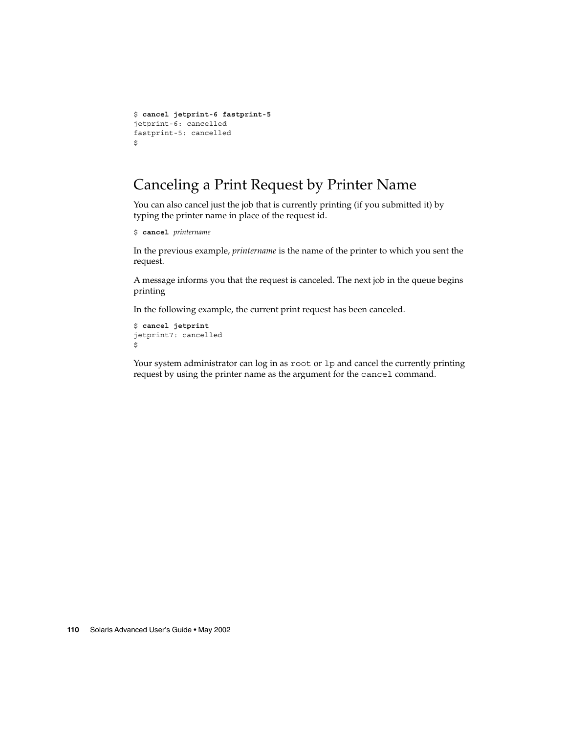```
$ cancel jetprint-6 fastprint-5
jetprint-6: cancelled
fastprint-5: cancelled
$
```
## Canceling a Print Request by Printer Name

You can also cancel just the job that is currently printing (if you submitted it) by typing the printer name in place of the request id.

```
$ cancel printername
```
In the previous example, *printername* is the name of the printer to which you sent the request.

A message informs you that the request is canceled. The next job in the queue begins printing

In the following example, the current print request has been canceled.

```
$ cancel jetprint
jetprint7: cancelled
$
```
Your system administrator can log in as root or 1p and cancel the currently printing request by using the printer name as the argument for the cancel command.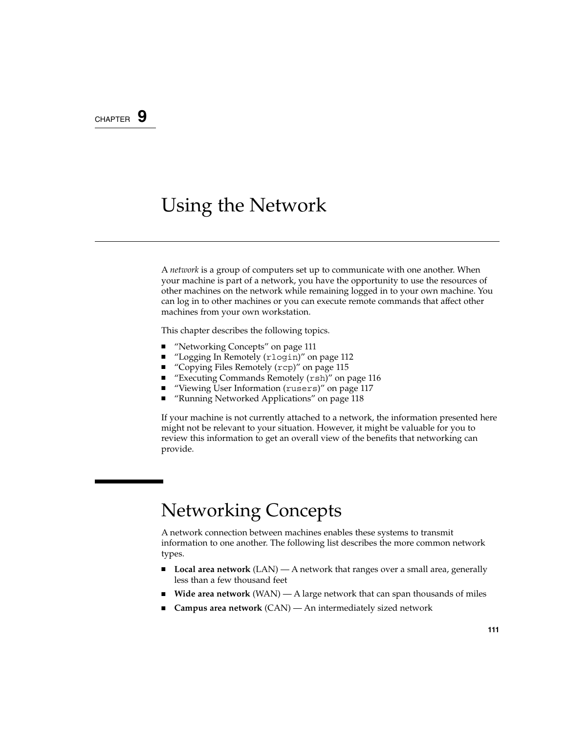### CHAPTER **9**

# Using the Network

A *network* is a group of computers set up to communicate with one another. When your machine is part of a network, you have the opportunity to use the resources of other machines on the network while remaining logged in to your own machine. You can log in to other machines or you can execute remote commands that affect other machines from your own workstation.

This chapter describes the following topics.

- "Networking Concepts" on page 111
- "Logging In Remotely (rlogin)" on page 112
- "Copying Files Remotely (rcp)" on page 115
- *"Executing Commands Remotely (rsh)"* on page 116
- "Viewing User Information (rusers)" on page 117
- "Running Networked Applications" on page 118

If your machine is not currently attached to a network, the information presented here might not be relevant to your situation. However, it might be valuable for you to review this information to get an overall view of the benefits that networking can provide.

# Networking Concepts

A network connection between machines enables these systems to transmit information to one another. The following list describes the more common network types.

- **Local area network** (LAN) A network that ranges over a small area, generally less than a few thousand feet
- **Wide area network** (WAN) A large network that can span thousands of miles
- **Campus area network** (CAN) An intermediately sized network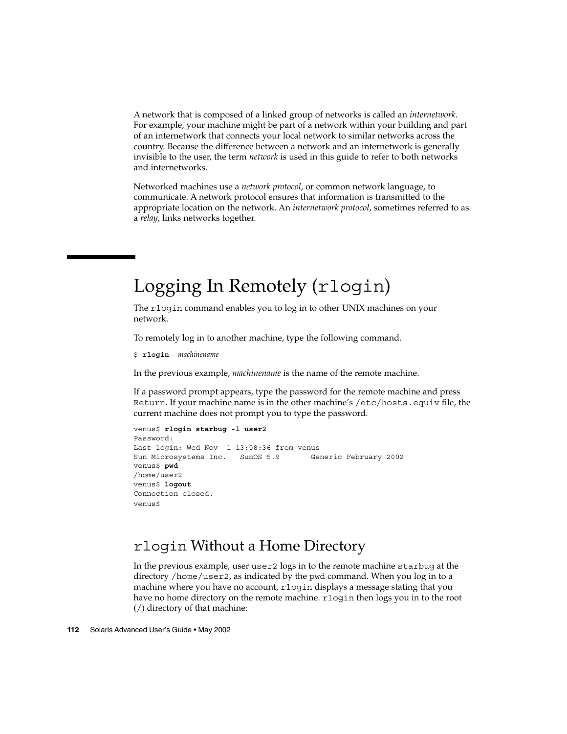A network that is composed of a linked group of networks is called an *internetwork*. For example, your machine might be part of a network within your building and part of an internetwork that connects your local network to similar networks across the country. Because the difference between a network and an internetwork is generally invisible to the user, the term *network* is used in this guide to refer to both networks and internetworks.

Networked machines use a *network protocol*, or common network language, to communicate. A network protocol ensures that information is transmitted to the appropriate location on the network. An *internetwork protocol*, sometimes referred to as a *relay*, links networks together.

# Logging In Remotely (rlogin)

The rlogin command enables you to log in to other UNIX machines on your network.

To remotely log in to another machine, type the following command.

\$ **rlogin** *machinename*

In the previous example, *machinename* is the name of the remote machine.

If a password prompt appears, type the password for the remote machine and press Return. If your machine name is in the other machine's /etc/hosts.equiv file, the current machine does not prompt you to type the password.

```
venus$ rlogin starbug -l user2
Password:
Last login: Wed Nov 1 13:08:36 from venus
Sun Microsystems Inc. SunOS 5.9 Generic February 2002
venus$ pwd
/home/user2
venus$ logout
Connection closed.
venus$
```
### rlogin Without a Home Directory

In the previous example, user user2 logs in to the remote machine starbug at the directory /home/user2, as indicated by the pwd command. When you log in to a machine where you have no account, rlogin displays a message stating that you have no home directory on the remote machine. rlogin then logs you in to the root (/) directory of that machine: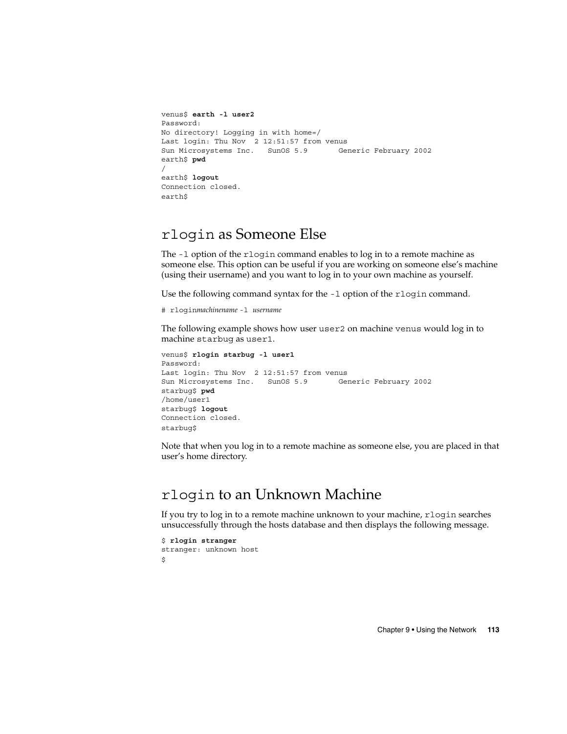```
venus$ earth -l user2
Password:
No directory! Logging in with home=/
Last login: Thu Nov 2 12:51:57 from venus
Sun Microsystems Inc. SunOS 5.9 Generic February 2002
earth$ pwd
/
earth$ logout
Connection closed.
earth$
```
### rlogin as Someone Else

The -l option of the rlogin command enables to log in to a remote machine as someone else. This option can be useful if you are working on someone else's machine (using their username) and you want to log in to your own machine as yourself.

Use the following command syntax for the -l option of the rlogin command.

# rlogin*machinename* -l *username*

The following example shows how user user2 on machine venus would log in to machine starbug as user1.

```
venus$ rlogin starbug -l user1
Password:
Last login: Thu Nov 2 12:51:57 from venus
Sun Microsystems Inc. SunOS 5.9 Generic February 2002
starbug$ pwd
/home/user1
starbug$ logout
Connection closed.
starbug$
```
Note that when you log in to a remote machine as someone else, you are placed in that user's home directory.

## rlogin to an Unknown Machine

If you try to log in to a remote machine unknown to your machine, rlogin searches unsuccessfully through the hosts database and then displays the following message.

```
$ rlogin stranger
stranger: unknown host
\mathsf{s}
```
Chapter 9 • Using the Network **113**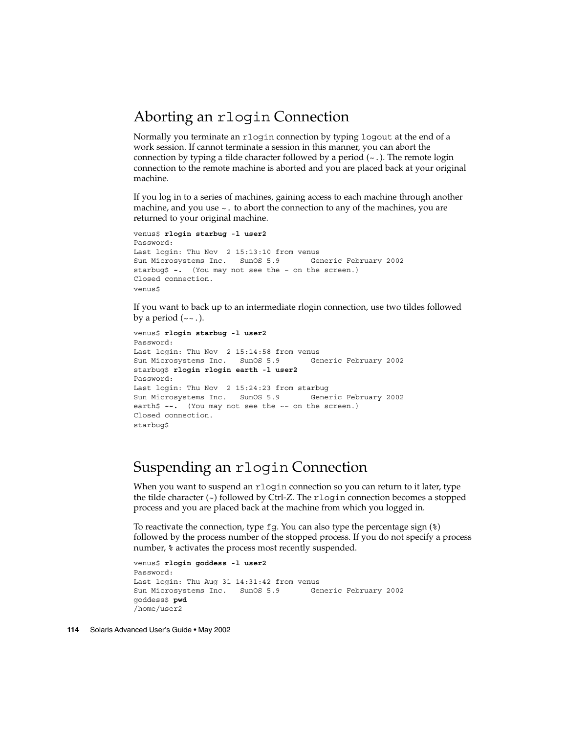### Aborting an rlogin Connection

Normally you terminate an rlogin connection by typing logout at the end of a work session. If cannot terminate a session in this manner, you can abort the connection by typing a tilde character followed by a period  $(\sim$ .). The remote login connection to the remote machine is aborted and you are placed back at your original machine.

If you log in to a series of machines, gaining access to each machine through another machine, and you use  $\sim$  to abort the connection to any of the machines, you are returned to your original machine.

```
venus$ rlogin starbug -l user2
Password:
Last login: Thu Nov 2 15:13:10 from venus
Sun Microsystems Inc. SunOS 5.9 Generic February 2002
starbug$ ~. (You may not see the ~ on the screen.)
Closed connection.
venus$
```
If you want to back up to an intermediate rlogin connection, use two tildes followed by a period  $(\sim \sim \cdot)$ .

```
venus$ rlogin starbug -l user2
Password:
Last login: Thu Nov 2 15:14:58 from venus
Sun Microsystems Inc. SunOS 5.9 Generic February 2002
starbug$ rlogin rlogin earth -l user2
Password:
Last login: Thu Nov 2 15:24:23 from starbug
Sun Microsystems Inc. SunOS 5.9 Generic February 2002
earth$ ~~. (You may not see the ~~ on the screen.)
Closed connection.
starbug$
```
## Suspending an rlogin Connection

When you want to suspend an rlogin connection so you can return to it later, type the tilde character  $(\sim)$  followed by Ctrl-Z. The rlogin connection becomes a stopped process and you are placed back at the machine from which you logged in.

To reactivate the connection, type fg. You can also type the percentage sign (%) followed by the process number of the stopped process. If you do not specify a process number,  $\frac{1}{2}$  activates the process most recently suspended.

```
venus$ rlogin goddess -l user2
Password:
Last login: Thu Aug 31 14:31:42 from venus
Sun Microsystems Inc. SunOS 5.9 Generic February 2002
goddess$ pwd
/home/user2
```
**114** Solaris Advanced User's Guide • May 2002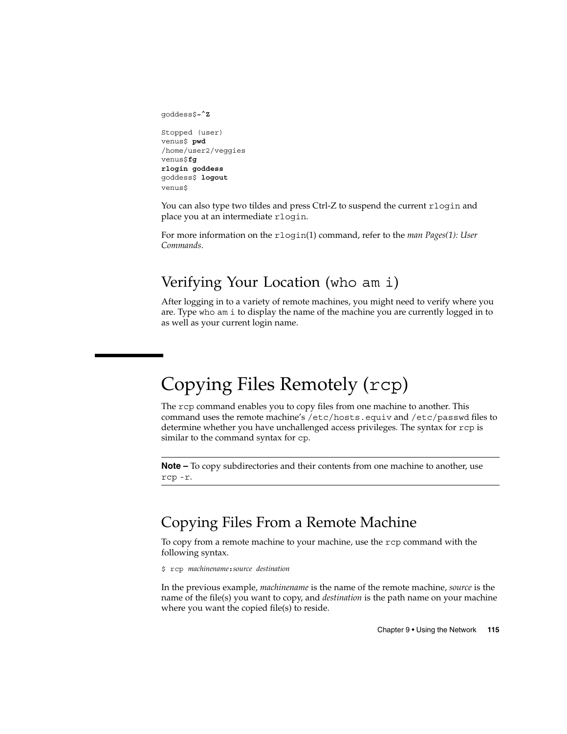goddess\$**~^Z**

```
Stopped (user)
venus$ pwd
/home/user2/veggies
venus$fg
rlogin goddess
goddess$ logout
venus$
```
You can also type two tildes and press Ctrl-Z to suspend the current rlogin and place you at an intermediate rlogin.

For more information on the rlogin(1) command, refer to the *man Pages(1): User Commands*.

## Verifying Your Location (who am i)

After logging in to a variety of remote machines, you might need to verify where you are. Type who am i to display the name of the machine you are currently logged in to as well as your current login name.

# Copying Files Remotely (rcp)

The rcp command enables you to copy files from one machine to another. This command uses the remote machine's /etc/hosts.equiv and /etc/passwd files to determine whether you have unchallenged access privileges. The syntax for rcp is similar to the command syntax for cp.

**Note** – To copy subdirectories and their contents from one machine to another, use rcp -r.

### Copying Files From a Remote Machine

To copy from a remote machine to your machine, use the rcp command with the following syntax.

\$ rcp *machinename***:***source destination*

In the previous example, *machinename* is the name of the remote machine, *source* is the name of the file(s) you want to copy, and *destination* is the path name on your machine where you want the copied file(s) to reside.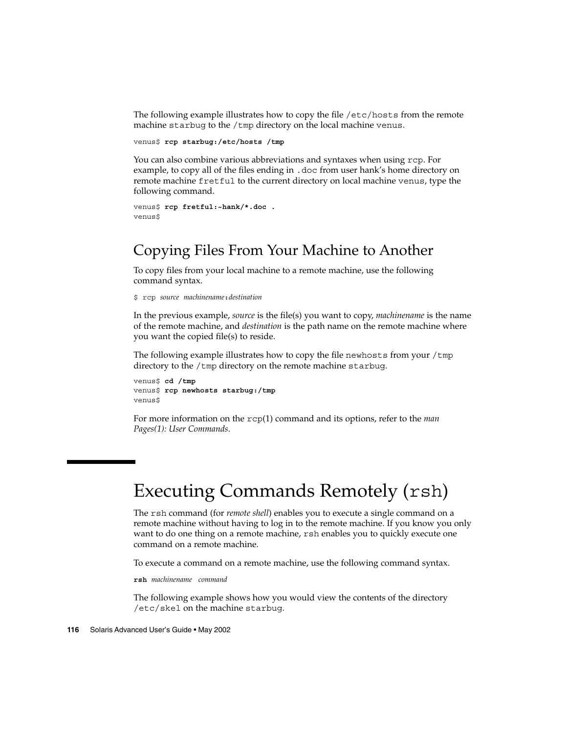The following example illustrates how to copy the file /etc/hosts from the remote machine starbug to the /tmp directory on the local machine venus.

venus\$ **rcp starbug:/etc/hosts /tmp**

You can also combine various abbreviations and syntaxes when using rcp. For example, to copy all of the files ending in .doc from user hank's home directory on remote machine fretful to the current directory on local machine venus, type the following command.

```
venus$ rcp fretful:~hank/*.doc .
venus$
```
## Copying Files From Your Machine to Another

To copy files from your local machine to a remote machine, use the following command syntax.

```
$ rcp source machinename:destination
```
In the previous example, *source* is the file(s) you want to copy, *machinename* is the name of the remote machine, and *destination* is the path name on the remote machine where you want the copied file(s) to reside.

The following example illustrates how to copy the file newhosts from your /tmp directory to the /tmp directory on the remote machine starbug.

venus\$ **cd /tmp** venus\$ **rcp newhosts starbug:/tmp** venus\$

For more information on the rcp(1) command and its options, refer to the *man Pages(1): User Commands*.

# Executing Commands Remotely (rsh)

The rsh command (for *remote shell*) enables you to execute a single command on a remote machine without having to log in to the remote machine. If you know you only want to do one thing on a remote machine, rsh enables you to quickly execute one command on a remote machine.

To execute a command on a remote machine, use the following command syntax.

**rsh** *machinename command*

The following example shows how you would view the contents of the directory /etc/skel on the machine starbug.

**116** Solaris Advanced User's Guide • May 2002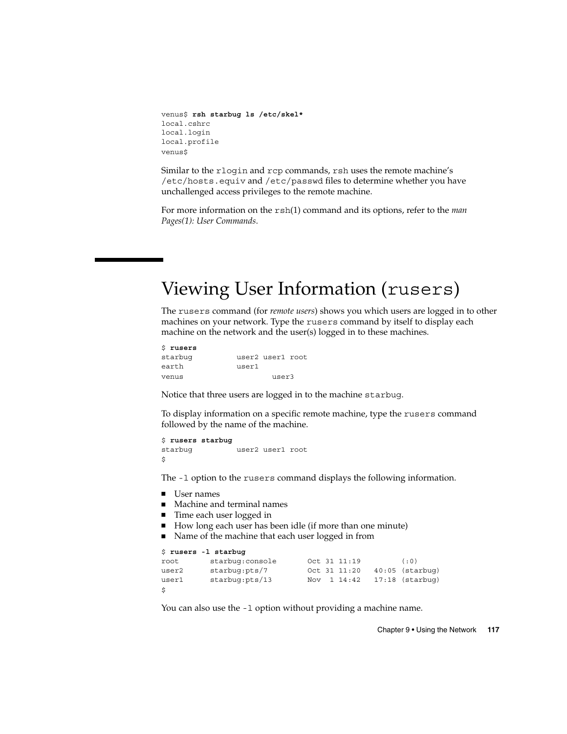```
venus$ rsh starbug ls /etc/skel*
local.cshrc
local.login
local.profile
venus$
```
Similar to the rlogin and rcp commands, rsh uses the remote machine's /etc/hosts.equiv and /etc/passwd files to determine whether you have unchallenged access privileges to the remote machine.

For more information on the rsh(1) command and its options, refer to the *man Pages(1): User Commands*.

# Viewing User Information (rusers)

The rusers command (for *remote users*) shows you which users are logged in to other machines on your network. Type the rusers command by itself to display each machine on the network and the user(s) logged in to these machines.

```
$ rusers
starbug user2 user1 root
earth user1
venus user3
```
Notice that three users are logged in to the machine starbug.

To display information on a specific remote machine, type the rusers command followed by the name of the machine.

```
$ rusers starbug
starbug user2 user1 root
$
```
The -l option to the rusers command displays the following information.

- User names
- Machine and terminal names
- Time each user logged in
- How long each user has been idle (if more than one minute)
- Name of the machine that each user logged in from

|       | \$ rusers -1 starbug           |              |                   |
|-------|--------------------------------|--------------|-------------------|
| root  | starbug: console               | Oct 31 11:19 | (0.0)             |
| user2 | $star$ <sub>pd</sub> : $pts/7$ | Oct 31 11:20 | $40:05$ (starbug) |
| user1 | $star$ <sub>0</sub> :pts/13    | Nov 1 14:42  | 17:18 (starbug)   |
| \$    |                                |              |                   |

You can also use the -1 option without providing a machine name.

Chapter 9 • Using the Network **117**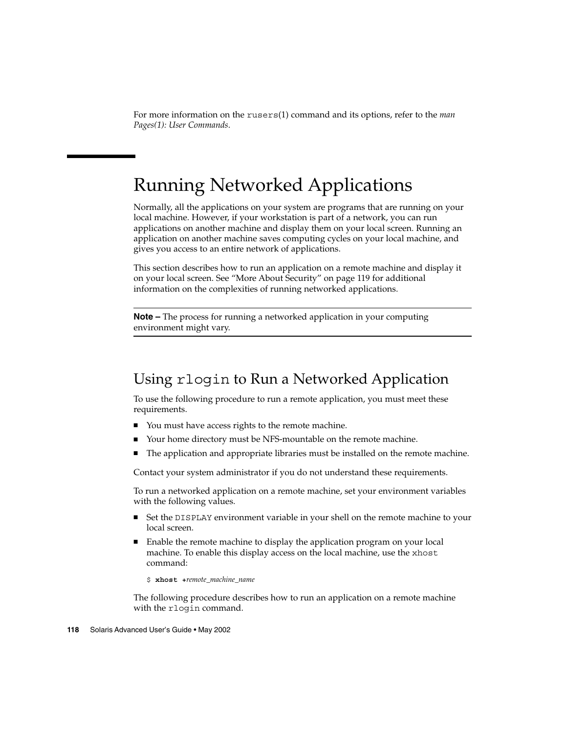For more information on the rusers(1) command and its options, refer to the *man Pages(1): User Commands*.

# Running Networked Applications

Normally, all the applications on your system are programs that are running on your local machine. However, if your workstation is part of a network, you can run applications on another machine and display them on your local screen. Running an application on another machine saves computing cycles on your local machine, and gives you access to an entire network of applications.

This section describes how to run an application on a remote machine and display it on your local screen. See "More About Security" on page 119 for additional information on the complexities of running networked applications.

**Note –** The process for running a networked application in your computing environment might vary.

## Using rlogin to Run a Networked Application

To use the following procedure to run a remote application, you must meet these requirements.

- You must have access rights to the remote machine.
- Your home directory must be NFS-mountable on the remote machine.
- The application and appropriate libraries must be installed on the remote machine.

Contact your system administrator if you do not understand these requirements.

To run a networked application on a remote machine, set your environment variables with the following values.

- Set the DISPLAY environment variable in your shell on the remote machine to your local screen.
- Enable the remote machine to display the application program on your local machine. To enable this display access on the local machine, use the xhost command:
	- \$ **xhost +***remote\_machine\_name*

The following procedure describes how to run an application on a remote machine with the rlogin command.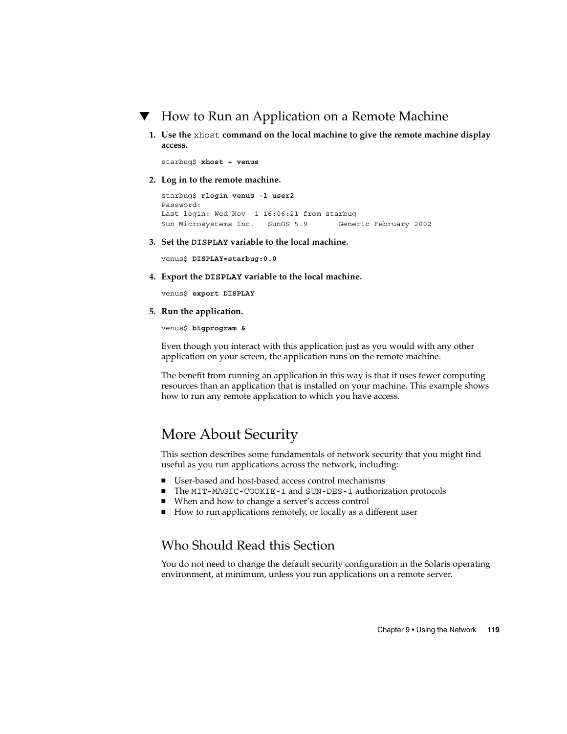### ▼ How to Run an Application on a Remote Machine

**1. Use the** xhost **command on the local machine to give the remote machine display access.**

starbug\$ **xhost + venus**

**2. Log in to the remote machine.**

starbug\$ **rlogin venus -l user2** Password: Last login: Wed Nov 1 16:06:21 from starbug Sun Microsystems Inc. SunOS 5.9 Generic February 2002

**3. Set the DISPLAY variable to the local machine.**

venus\$ **DISPLAY=starbug:0.0**

**4. Export the DISPLAY variable to the local machine.**

venus\$ **export DISPLAY**

**5. Run the application.**

venus\$ **bigprogram &**

Even though you interact with this application just as you would with any other application on your screen, the application runs on the remote machine.

The benefit from running an application in this way is that it uses fewer computing resources than an application that is installed on your machine. This example shows how to run any remote application to which you have access.

### More About Security

This section describes some fundamentals of network security that you might find useful as you run applications across the network, including:

- User-based and host-based access control mechanisms
- The MIT-MAGIC-COOKIE-1 and SUN-DES-1 authorization protocols
- When and how to change a server's access control
- How to run applications remotely, or locally as a different user

### Who Should Read this Section

You do not need to change the default security configuration in the Solaris operating environment, at minimum, unless you run applications on a remote server.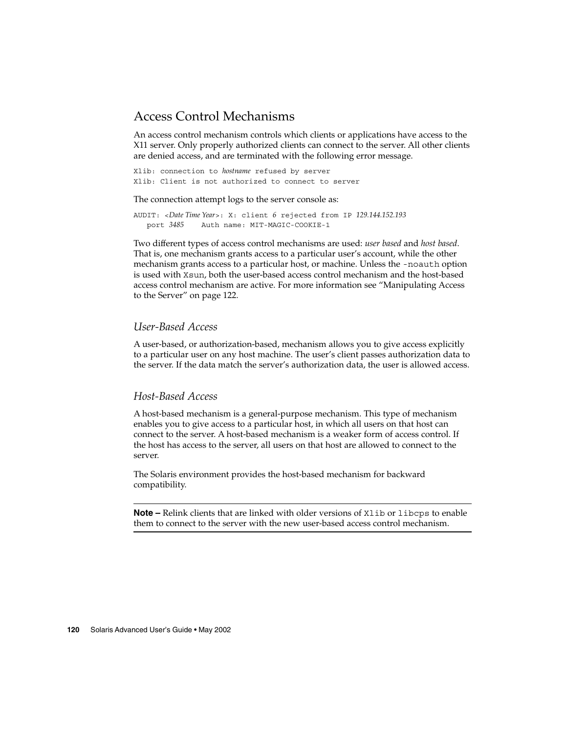### Access Control Mechanisms

An access control mechanism controls which clients or applications have access to the X11 server. Only properly authorized clients can connect to the server. All other clients are denied access, and are terminated with the following error message.

Xlib: connection to *hostname* refused by server Xlib: Client is not authorized to connect to server

The connection attempt logs to the server console as:

AUDIT: <*Date Time Year*>: X: client *6* rejected from IP *129.144.152.193* port *3485* Auth name: MIT-MAGIC-COOKIE-1

Two different types of access control mechanisms are used: *user based* and *host based*. That is, one mechanism grants access to a particular user's account, while the other mechanism grants access to a particular host, or machine. Unless the -noauth option is used with Xsun, both the user-based access control mechanism and the host-based access control mechanism are active. For more information see "Manipulating Access to the Server" on page 122.

#### *User-Based Access*

A user-based, or authorization-based, mechanism allows you to give access explicitly to a particular user on any host machine. The user's client passes authorization data to the server. If the data match the server's authorization data, the user is allowed access.

#### *Host-Based Access*

A host-based mechanism is a general-purpose mechanism. This type of mechanism enables you to give access to a particular host, in which all users on that host can connect to the server. A host-based mechanism is a weaker form of access control. If the host has access to the server, all users on that host are allowed to connect to the server.

The Solaris environment provides the host-based mechanism for backward compatibility.

**Note –** Relink clients that are linked with older versions of Xlib or libcps to enable them to connect to the server with the new user-based access control mechanism.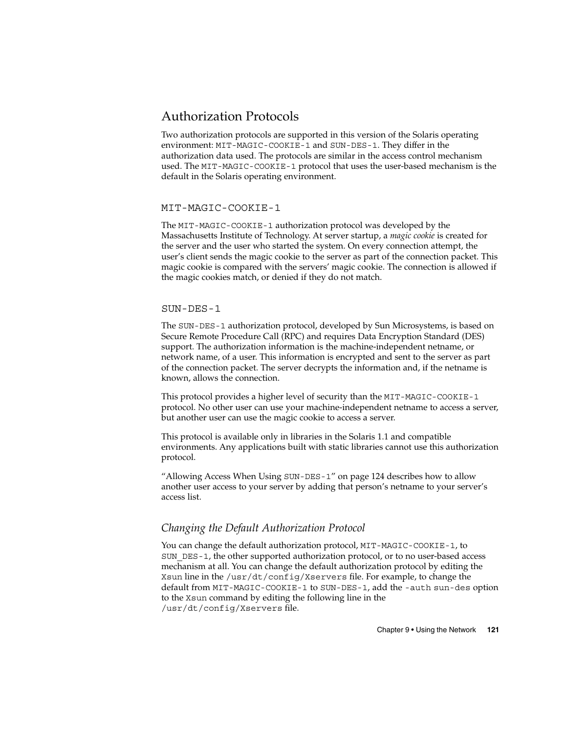### Authorization Protocols

Two authorization protocols are supported in this version of the Solaris operating environment: MIT-MAGIC-COOKIE-1 and SUN-DES-1. They differ in the authorization data used. The protocols are similar in the access control mechanism used. The MIT-MAGIC-COOKIE-1 protocol that uses the user-based mechanism is the default in the Solaris operating environment.

#### MIT-MAGIC-COOKIE-1

The MIT-MAGIC-COOKIE-1 authorization protocol was developed by the Massachusetts Institute of Technology. At server startup, a *magic cookie* is created for the server and the user who started the system. On every connection attempt, the user's client sends the magic cookie to the server as part of the connection packet. This magic cookie is compared with the servers' magic cookie. The connection is allowed if the magic cookies match, or denied if they do not match.

#### SUN-DES-1

The SUN-DES-1 authorization protocol, developed by Sun Microsystems, is based on Secure Remote Procedure Call (RPC) and requires Data Encryption Standard (DES) support. The authorization information is the machine-independent netname, or network name, of a user. This information is encrypted and sent to the server as part of the connection packet. The server decrypts the information and, if the netname is known, allows the connection.

This protocol provides a higher level of security than the MIT-MAGIC-COOKIE-1 protocol. No other user can use your machine-independent netname to access a server, but another user can use the magic cookie to access a server.

This protocol is available only in libraries in the Solaris 1.1 and compatible environments. Any applications built with static libraries cannot use this authorization protocol.

"Allowing Access When Using SUN-DES-1" on page 124 describes how to allow another user access to your server by adding that person's netname to your server's access list.

#### *Changing the Default Authorization Protocol*

You can change the default authorization protocol, MIT-MAGIC-COOKIE-1, to SUN DES-1, the other supported authorization protocol, or to no user-based access mechanism at all. You can change the default authorization protocol by editing the Xsun line in the /usr/dt/config/Xservers file. For example, to change the default from MIT-MAGIC-COOKIE-1 to SUN-DES-1, add the -auth sun-des option to the Xsun command by editing the following line in the /usr/dt/config/Xservers file.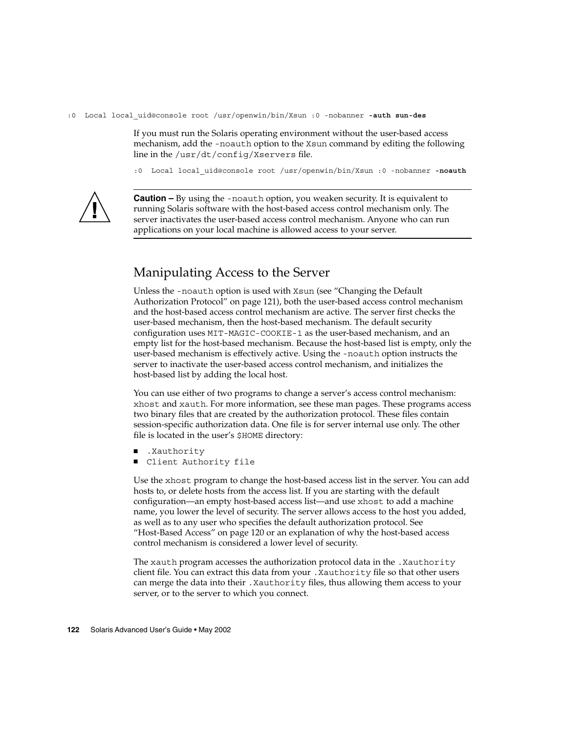:0 Local local\_uid@console root /usr/openwin/bin/Xsun :0 -nobanner **-auth sun-des**

If you must run the Solaris operating environment without the user-based access mechanism, add the -noauth option to the Xsun command by editing the following line in the /usr/dt/config/Xservers file.

:0 Local local\_uid@console root /usr/openwin/bin/Xsun :0 -nobanner **-noauth**



**Caution –** By using the -noauth option, you weaken security. It is equivalent to running Solaris software with the host-based access control mechanism only. The server inactivates the user-based access control mechanism. Anyone who can run applications on your local machine is allowed access to your server.

### Manipulating Access to the Server

Unless the -noauth option is used with Xsun (see "Changing the Default Authorization Protocol" on page 121), both the user-based access control mechanism and the host-based access control mechanism are active. The server first checks the user-based mechanism, then the host-based mechanism. The default security configuration uses MIT-MAGIC-COOKIE-1 as the user-based mechanism, and an empty list for the host-based mechanism. Because the host-based list is empty, only the user-based mechanism is effectively active. Using the -noauth option instructs the server to inactivate the user-based access control mechanism, and initializes the host-based list by adding the local host.

You can use either of two programs to change a server's access control mechanism: xhost and xauth. For more information, see these man pages. These programs access two binary files that are created by the authorization protocol. These files contain session-specific authorization data. One file is for server internal use only. The other file is located in the user's \$HOME directory:

- .Xauthority
- Client Authority file

Use the xhost program to change the host-based access list in the server. You can add hosts to, or delete hosts from the access list. If you are starting with the default configuration—an empty host-based access list—and use xhost to add a machine name, you lower the level of security. The server allows access to the host you added, as well as to any user who specifies the default authorization protocol. See "Host-Based Access" on page 120 or an explanation of why the host-based access control mechanism is considered a lower level of security.

The xauth program accesses the authorization protocol data in the .Xauthority client file. You can extract this data from your .Xauthority file so that other users can merge the data into their .Xauthority files, thus allowing them access to your server, or to the server to which you connect.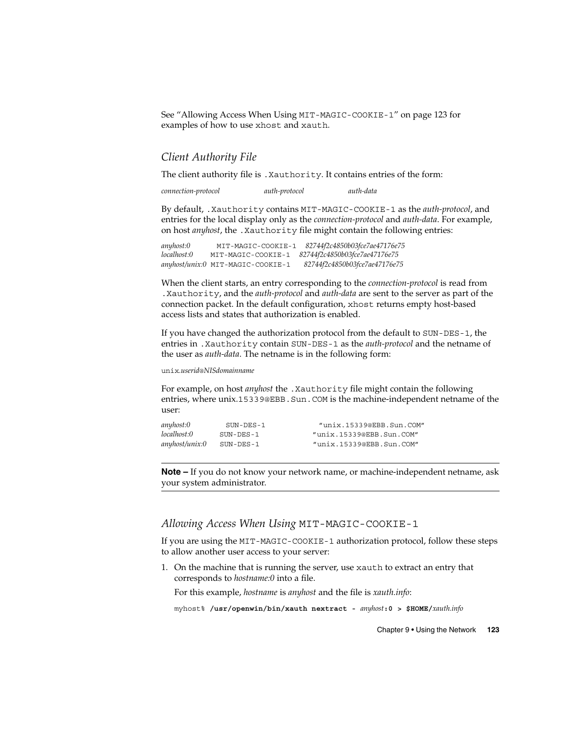See "Allowing Access When Using MIT-MAGIC-COOKIE-1" on page 123 for examples of how to use xhost and xauth.

#### *Client Authority File*

The client authority file is .Xauthority. It contains entries of the form:

*connection-protocol auth-protocol auth-data*

By default, .Xauthority contains MIT-MAGIC-COOKIE-1 as the *auth-protocol*, and entries for the local display only as the *connection-protocol* and *auth-data*. For example, on host *anyhost*, the .Xauthority file might contain the following entries:

*anyhost:0* MIT-MAGIC-COOKIE-1 *82744f2c4850b03fce7ae47176e75 localhost:0* MIT-MAGIC-COOKIE-1 *82744f2c4850b03fce7ae47176e75 anyhost/unix:0* MIT-MAGIC-COOKIE-1 *82744f2c4850b03fce7ae47176e75*

When the client starts, an entry corresponding to the *connection-protocol* is read from .Xauthority, and the *auth-protocol* and *auth-data* are sent to the server as part of the connection packet. In the default configuration, xhost returns empty host-based access lists and states that authorization is enabled.

If you have changed the authorization protocol from the default to SUN-DES-1, the entries in .Xauthority contain SUN-DES-1 as the *auth-protocol* and the netname of the user as *auth-data*. The netname is in the following form:

unix*.userid*@*NISdomainname*

For example, on host *anyhost* the .Xauthority file might contain the following entries, where unix.15339@EBB.Sun.COM is the machine-independent netname of the user:

| anyhost:0      | $SUN-DES-1$ | "unix.15339@EBB.Sun.COM" |
|----------------|-------------|--------------------------|
| localhost:0    | SUN-DES-1   | "unix.15339@EBB.Sun.COM" |
| anyhost/unix:0 | SUN-DES-1   | "unix.15339@EBB.Sun.COM" |

**Note –** If you do not know your network name, or machine-independent netname, ask your system administrator.

#### *Allowing Access When Using* MIT-MAGIC-COOKIE-1

If you are using the MIT-MAGIC-COOKIE-1 authorization protocol, follow these steps to allow another user access to your server:

1. On the machine that is running the server, use xauth to extract an entry that corresponds to *hostname:0* into a file.

For this example, *hostname* is *anyhost* and the file is *xauth.info*:

myhost% **/usr/openwin/bin/xauth nextract -** *anyhost***:0 > \$HOME/***xauth.info*

Chapter 9 • Using the Network **123**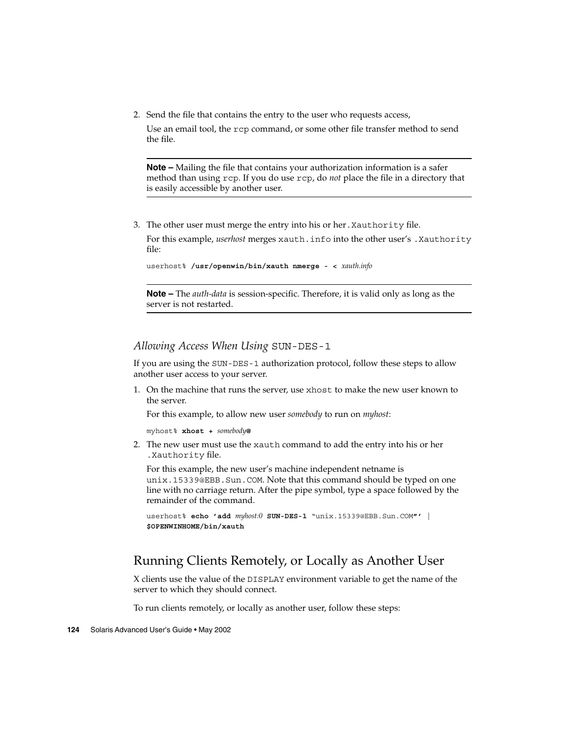2. Send the file that contains the entry to the user who requests access,

Use an email tool, the rcp command, or some other file transfer method to send the file.

**Note –** Mailing the file that contains your authorization information is a safer method than using rcp. If you do use rcp, do *not* place the file in a directory that is easily accessible by another user.

3. The other user must merge the entry into his or her.Xauthority file. For this example, *userhost* merges xauth.info into the other user's .Xauthority file:

userhost% **/usr/openwin/bin/xauth nmerge - <** *xauth.info*

**Note –** The *auth-data* is session-specific. Therefore, it is valid only as long as the server is not restarted.

*Allowing Access When Using* SUN-DES-1

If you are using the SUN-DES-1 authorization protocol, follow these steps to allow another user access to your server.

1. On the machine that runs the server, use xhost to make the new user known to the server.

For this example, to allow new user *somebody* to run on *myhost*:

myhost% **xhost +** *somebody***@**

2. The new user must use the xauth command to add the entry into his or her .Xauthority file.

For this example, the new user's machine independent netname is unix.15339@EBB.Sun.COM. Note that this command should be typed on one line with no carriage return. After the pipe symbol, type a space followed by the remainder of the command.

```
userhost% echo 'add myhost:0 SUN-DES-1 "unix.15339@EBB.Sun.COM"' |
$OPENWINHOME/bin/xauth
```
### Running Clients Remotely, or Locally as Another User

X clients use the value of the DISPLAY environment variable to get the name of the server to which they should connect.

To run clients remotely, or locally as another user, follow these steps: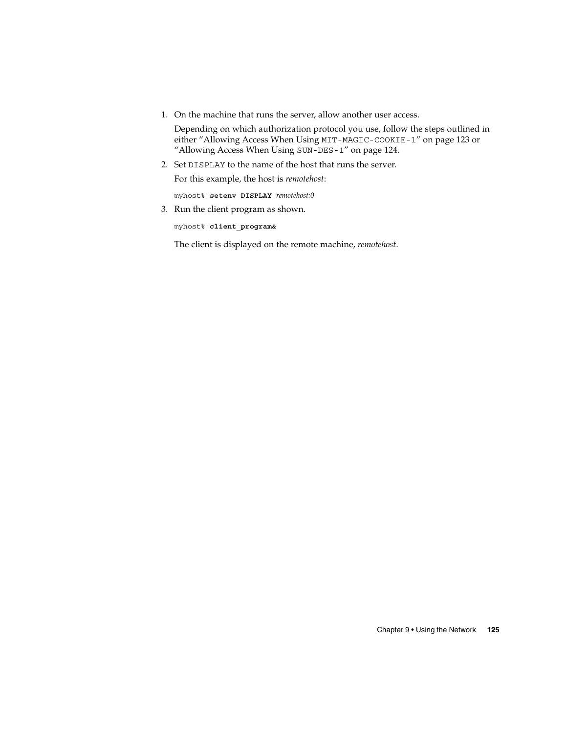1. On the machine that runs the server, allow another user access.

Depending on which authorization protocol you use, follow the steps outlined in either "Allowing Access When Using MIT-MAGIC-COOKIE-1" on page 123 or "Allowing Access When Using SUN-DES-1" on page 124.

2. Set DISPLAY to the name of the host that runs the server.

For this example, the host is *remotehost*:

myhost% **setenv DISPLAY** *remotehost:0*

3. Run the client program as shown.

myhost% **client\_program&**

The client is displayed on the remote machine, *remotehost*.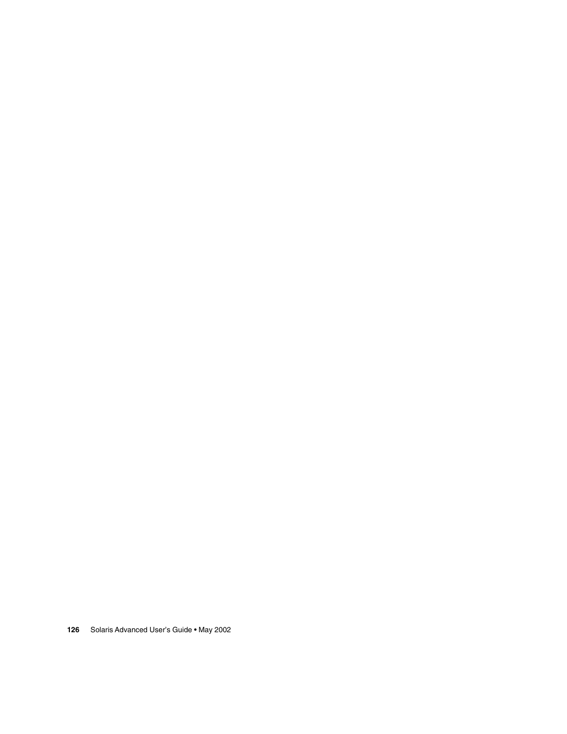Solaris Advanced User's Guide • May 2002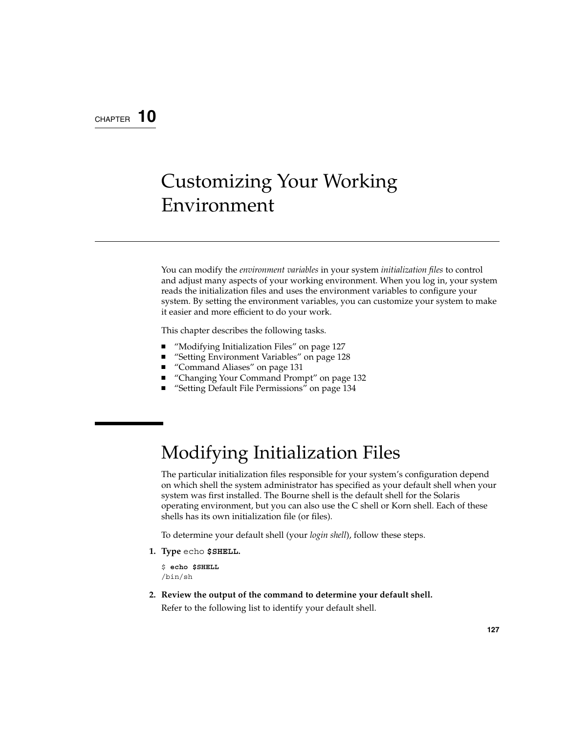### CHAPTER **10**

# Customizing Your Working Environment

You can modify the *environment variables* in your system *initialization files* to control and adjust many aspects of your working environment. When you log in, your system reads the initialization files and uses the environment variables to configure your system. By setting the environment variables, you can customize your system to make it easier and more efficient to do your work.

This chapter describes the following tasks.

- "Modifying Initialization Files" on page 127
- "Setting Environment Variables" on page 128
- "Command Aliases" on page 131
- "Changing Your Command Prompt" on page 132
- "Setting Default File Permissions" on page 134

# Modifying Initialization Files

The particular initialization files responsible for your system's configuration depend on which shell the system administrator has specified as your default shell when your system was first installed. The Bourne shell is the default shell for the Solaris operating environment, but you can also use the C shell or Korn shell. Each of these shells has its own initialization file (or files).

To determine your default shell (your *login shell*), follow these steps.

**2. Review the output of the command to determine your default shell.**

Refer to the following list to identify your default shell.

**<sup>1.</sup> Type** echo **\$SHELL.**

<sup>\$</sup> **echo \$SHELL** /bin/sh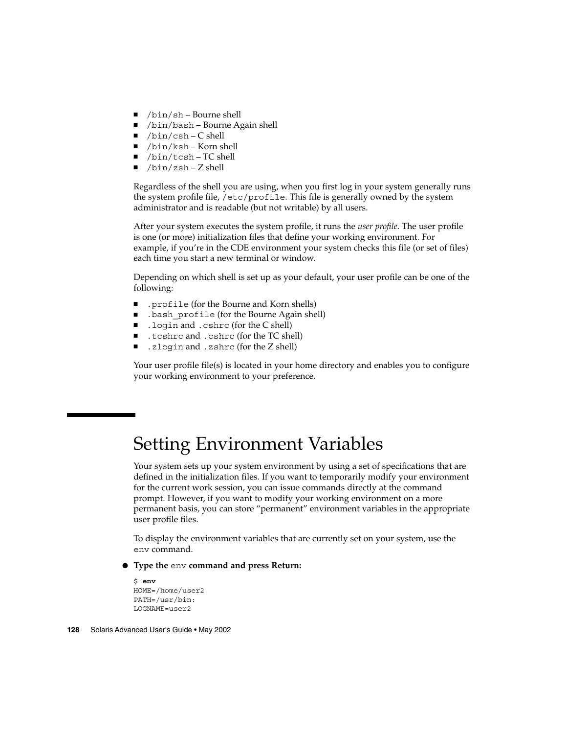- $\blacksquare$  /bin/sh Bourne shell
- /bin/bash Bourne Again shell
- $\blacksquare$  /bin/csh-C shell
- /bin/ksh Korn shell
- /bin/tcsh-TC shell
- /bin/zsh Z shell

Regardless of the shell you are using, when you first log in your system generally runs the system profile file, /etc/profile. This file is generally owned by the system administrator and is readable (but not writable) by all users.

After your system executes the system profile, it runs the *user profile*. The user profile is one (or more) initialization files that define your working environment. For example, if you're in the CDE environment your system checks this file (or set of files) each time you start a new terminal or window.

Depending on which shell is set up as your default, your user profile can be one of the following:

- .profile (for the Bourne and Korn shells)
- .bash profile (for the Bourne Again shell)
- .login and .cshrc (for the C shell)
- .tcshrc and .cshrc (for the TC shell)
- .zlogin and .zshrc (for the Z shell)

Your user profile file(s) is located in your home directory and enables you to configure your working environment to your preference.

# Setting Environment Variables

Your system sets up your system environment by using a set of specifications that are defined in the initialization files. If you want to temporarily modify your environment for the current work session, you can issue commands directly at the command prompt. However, if you want to modify your working environment on a more permanent basis, you can store "permanent" environment variables in the appropriate user profile files.

To display the environment variables that are currently set on your system, use the env command.

● **Type the** env **command and press Return:**

```
$ env
HOME=/home/user2
PATH=/usr/bin:
LOGNAME=user2
```
**128** Solaris Advanced User's Guide • May 2002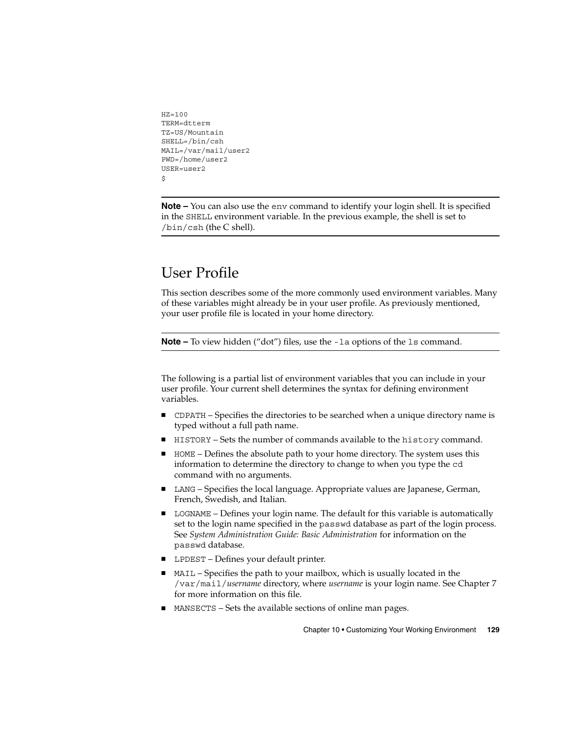```
HZ=100
TERM=dtterm
TZ=US/Mountain
SHELL=/bin/csh
MAIL=/var/mail/user2
PWD=/home/user2
USER=user2
\mathsf{s}
```
**Note –** You can also use the env command to identify your login shell. It is specified in the SHELL environment variable. In the previous example, the shell is set to /bin/csh (the C shell).

## User Profile

This section describes some of the more commonly used environment variables. Many of these variables might already be in your user profile. As previously mentioned, your user profile file is located in your home directory.

**Note** – To view hidden ("dot") files, use the -la options of the ls command.

The following is a partial list of environment variables that you can include in your user profile. Your current shell determines the syntax for defining environment variables.

- CDPATH Specifies the directories to be searched when a unique directory name is typed without a full path name.
- HISTORY Sets the number of commands available to the history command.
- HOME Defines the absolute path to your home directory. The system uses this information to determine the directory to change to when you type the cd command with no arguments.
- LANG Specifies the local language. Appropriate values are Japanese, German, French, Swedish, and Italian.
- LOGNAME Defines your login name. The default for this variable is automatically set to the login name specified in the passwd database as part of the login process. See *System Administration Guide: Basic Administration* for information on the passwd database.
- LPDEST Defines your default printer.
- MAIL Specifies the path to your mailbox, which is usually located in the /var/mail/*username* directory, where *username* is your login name. See Chapter 7 for more information on this file.
- MANSECTS Sets the available sections of online man pages.

Chapter 10 • Customizing Your Working Environment **129**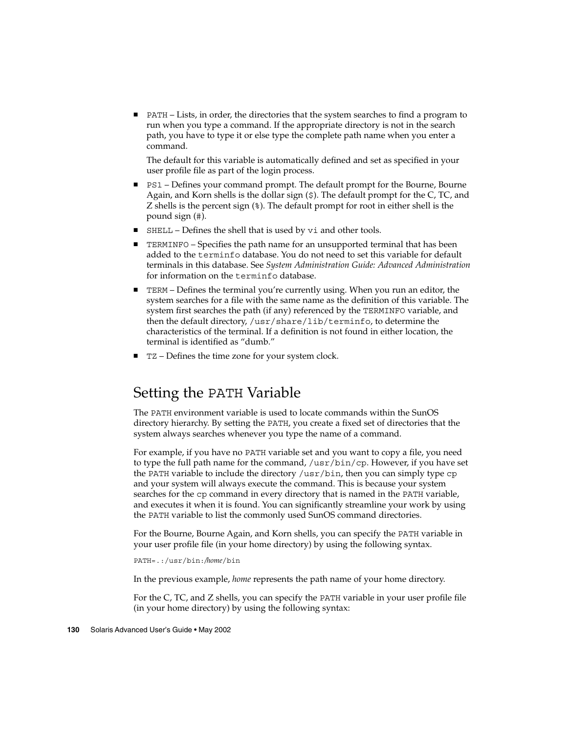■ PATH – Lists, in order, the directories that the system searches to find a program to run when you type a command. If the appropriate directory is not in the search path, you have to type it or else type the complete path name when you enter a command.

The default for this variable is automatically defined and set as specified in your user profile file as part of the login process.

- PS1 Defines your command prompt. The default prompt for the Bourne, Bourne Again, and Korn shells is the dollar sign (\$). The default prompt for the C, TC, and Z shells is the percent sign (%). The default prompt for root in either shell is the pound sign (#).
- SHELL Defines the shell that is used by vi and other tools.
- TERMINFO Specifies the path name for an unsupported terminal that has been added to the terminfo database. You do not need to set this variable for default terminals in this database. See *System Administration Guide: Advanced Administration* for information on the terminfo database.
- TERM Defines the terminal you're currently using. When you run an editor, the system searches for a file with the same name as the definition of this variable. The system first searches the path (if any) referenced by the TERMINFO variable, and then the default directory, /usr/share/lib/terminfo, to determine the characteristics of the terminal. If a definition is not found in either location, the terminal is identified as "dumb."
- TZ Defines the time zone for your system clock.

## Setting the PATH Variable

The PATH environment variable is used to locate commands within the SunOS directory hierarchy. By setting the PATH, you create a fixed set of directories that the system always searches whenever you type the name of a command.

For example, if you have no PATH variable set and you want to copy a file, you need to type the full path name for the command, /usr/bin/cp. However, if you have set the PATH variable to include the directory /usr/bin, then you can simply type cp and your system will always execute the command. This is because your system searches for the cp command in every directory that is named in the PATH variable, and executes it when it is found. You can significantly streamline your work by using the PATH variable to list the commonly used SunOS command directories.

For the Bourne, Bourne Again, and Korn shells, you can specify the PATH variable in your user profile file (in your home directory) by using the following syntax.

PATH=.:/usr/bin:*/home*/bin

In the previous example, *home* represents the path name of your home directory.

For the C, TC, and Z shells, you can specify the PATH variable in your user profile file (in your home directory) by using the following syntax: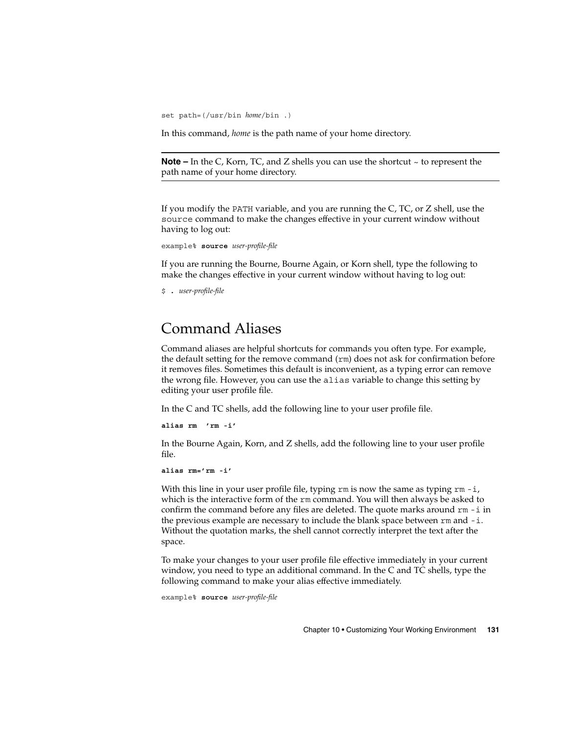set path=(/usr/bin *home*/bin .)

In this command, *home* is the path name of your home directory.

**Note –** In the C, Korn, TC, and Z shells you can use the shortcut ~ to represent the path name of your home directory.

If you modify the PATH variable, and you are running the C, TC, or Z shell, use the source command to make the changes effective in your current window without having to log out:

```
example% source user-profile-file
```
If you are running the Bourne, Bourne Again, or Korn shell, type the following to make the changes effective in your current window without having to log out:

\$ **.** *user-profile-file*

## Command Aliases

Command aliases are helpful shortcuts for commands you often type. For example, the default setting for the remove command  $(rm)$  does not ask for confirmation before it removes files. Sometimes this default is inconvenient, as a typing error can remove the wrong file. However, you can use the alias variable to change this setting by editing your user profile file.

In the C and TC shells, add the following line to your user profile file.

```
alias rm 'rm -i'
```
In the Bourne Again, Korn, and Z shells, add the following line to your user profile file.

```
alias rm='rm -i'
```
With this line in your user profile file, typing rm is now the same as typing rm -i, which is the interactive form of the rm command. You will then always be asked to confirm the command before any files are deleted. The quote marks around  $rm -i$  in the previous example are necessary to include the blank space between rm and -i. Without the quotation marks, the shell cannot correctly interpret the text after the space.

To make your changes to your user profile file effective immediately in your current window, you need to type an additional command. In the C and TC shells, type the following command to make your alias effective immediately.

example% **source** *user-profile-file*

Chapter 10 • Customizing Your Working Environment **131**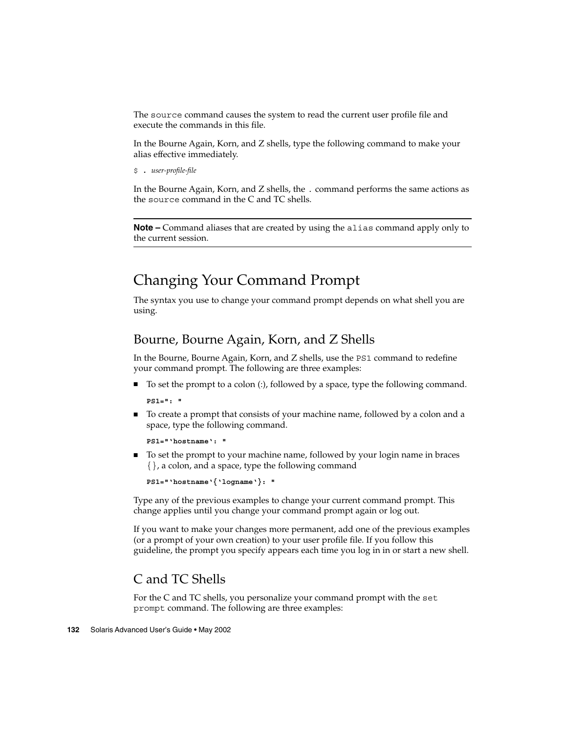The source command causes the system to read the current user profile file and execute the commands in this file.

In the Bourne Again, Korn, and Z shells, type the following command to make your alias effective immediately.

\$ **.** *user-profile-file*

In the Bourne Again, Korn, and Z shells, the . command performs the same actions as the source command in the C and TC shells.

**Note –** Command aliases that are created by using the alias command apply only to the current session.

## Changing Your Command Prompt

The syntax you use to change your command prompt depends on what shell you are using.

### Bourne, Bourne Again, Korn, and Z Shells

In the Bourne, Bourne Again, Korn, and Z shells, use the PS1 command to redefine your command prompt. The following are three examples:

- To set the prompt to a colon (:), followed by a space, type the following command.
	- **PS1=": "**
- To create a prompt that consists of your machine name, followed by a colon and a space, type the following command.

**PS1="'hostname': "**

■ To set the prompt to your machine name, followed by your login name in braces {}, a colon, and a space, type the following command

```
PS1="'hostname'{'logname'}: "
```
Type any of the previous examples to change your current command prompt. This change applies until you change your command prompt again or log out.

If you want to make your changes more permanent, add one of the previous examples (or a prompt of your own creation) to your user profile file. If you follow this guideline, the prompt you specify appears each time you log in in or start a new shell.

### C and TC Shells

For the C and TC shells, you personalize your command prompt with the set prompt command. The following are three examples: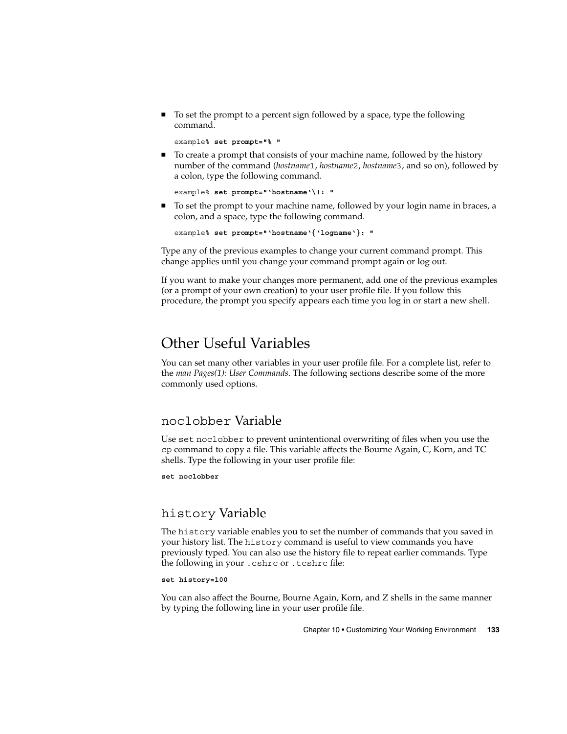■ To set the prompt to a percent sign followed by a space, type the following command.

example% **set prompt="% "**

■ To create a prompt that consists of your machine name, followed by the history number of the command (*hostname*1, *hostname*2, *hostname*3, and so on), followed by a colon, type the following command.

example% **set prompt="'hostname'\!: "**

■ To set the prompt to your machine name, followed by your login name in braces, a colon, and a space, type the following command.

example% **set prompt="'hostname'{'logname'}: "**

Type any of the previous examples to change your current command prompt. This change applies until you change your command prompt again or log out.

If you want to make your changes more permanent, add one of the previous examples (or a prompt of your own creation) to your user profile file. If you follow this procedure, the prompt you specify appears each time you log in or start a new shell.

### Other Useful Variables

You can set many other variables in your user profile file. For a complete list, refer to the *man Pages(1): User Commands*. The following sections describe some of the more commonly used options.

### noclobber Variable

Use set noclobber to prevent unintentional overwriting of files when you use the cp command to copy a file. This variable affects the Bourne Again, C, Korn, and TC shells. Type the following in your user profile file:

**set noclobber**

#### history Variable

The history variable enables you to set the number of commands that you saved in your history list. The history command is useful to view commands you have previously typed. You can also use the history file to repeat earlier commands. Type the following in your .cshrc or .tcshrc file:

#### **set history=100**

You can also affect the Bourne, Bourne Again, Korn, and Z shells in the same manner by typing the following line in your user profile file.

Chapter 10 • Customizing Your Working Environment **133**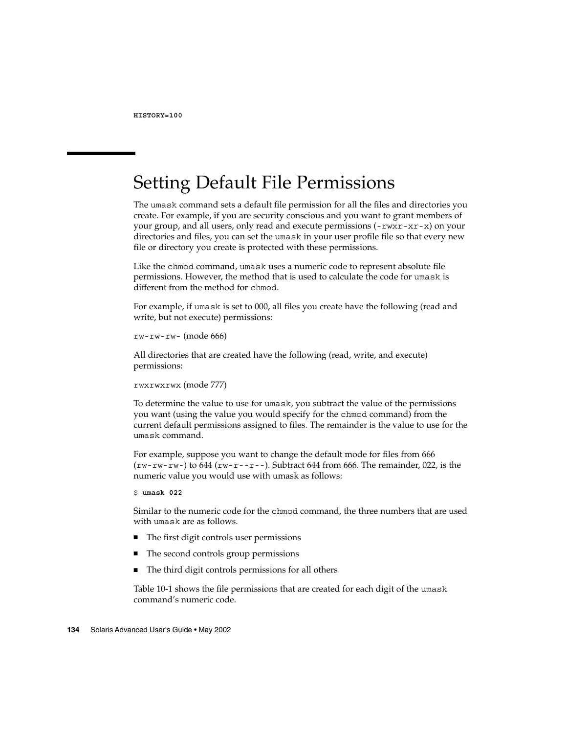# Setting Default File Permissions

The umask command sets a default file permission for all the files and directories you create. For example, if you are security conscious and you want to grant members of your group, and all users, only read and execute permissions (-rwxr-xr-x) on your directories and files, you can set the umask in your user profile file so that every new file or directory you create is protected with these permissions.

Like the chmod command, umask uses a numeric code to represent absolute file permissions. However, the method that is used to calculate the code for umask is different from the method for chmod.

For example, if umask is set to 000, all files you create have the following (read and write, but not execute) permissions:

rw-rw-rw- (mode 666)

All directories that are created have the following (read, write, and execute) permissions:

```
rwxrwxrwx (mode 777)
```
To determine the value to use for umask, you subtract the value of the permissions you want (using the value you would specify for the chmod command) from the current default permissions assigned to files. The remainder is the value to use for the umask command.

For example, suppose you want to change the default mode for files from 666  $(rw-rw-v-)$  to 644  $(rw-r-r-1)$ . Subtract 644 from 666. The remainder, 022, is the numeric value you would use with umask as follows:

```
$ umask 022
```
Similar to the numeric code for the chmod command, the three numbers that are used with umask are as follows.

- The first digit controls user permissions
- The second controls group permissions
- The third digit controls permissions for all others

Table 10-1 shows the file permissions that are created for each digit of the umask command's numeric code.

**134** Solaris Advanced User's Guide • May 2002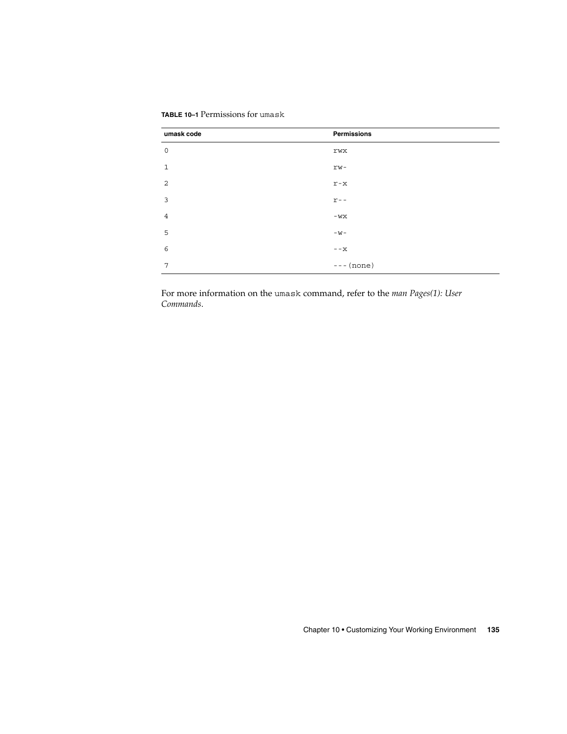**TABLE 10–1** Permissions for umask

| umask code     | Permissions |
|----------------|-------------|
| $\circ$        | rwx         |
| $\mathbf{1}$   | $rw-$       |
| 2              | $r - x$     |
| 3              | $r - -$     |
| $\overline{4}$ | $-WX$       |
| 5              | $-W -$      |
| 6              | $- -x$      |
| 7              | $---(none)$ |

For more information on the umask command, refer to the *man Pages(1): User Commands*.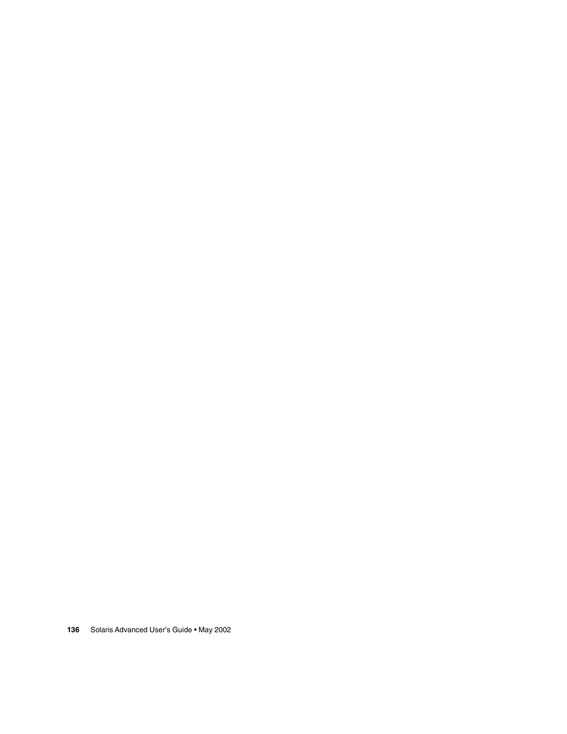Solaris Advanced User's Guide • May 2002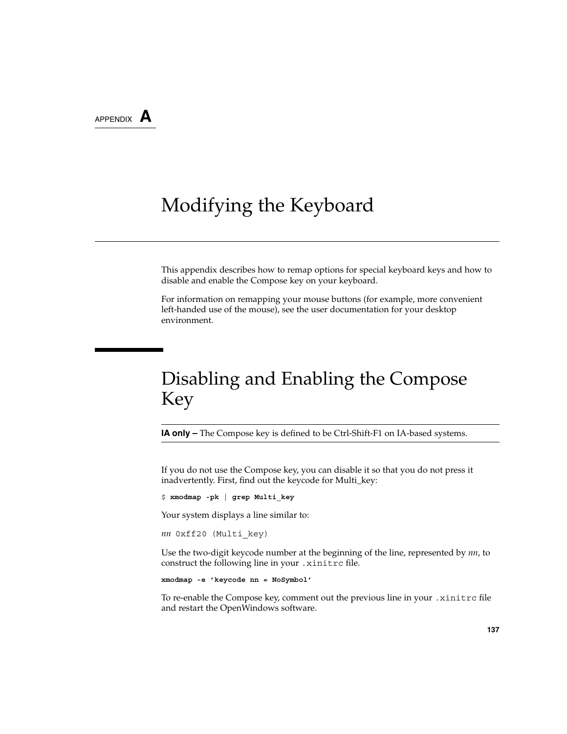APPENDIX **A**

# Modifying the Keyboard

This appendix describes how to remap options for special keyboard keys and how to disable and enable the Compose key on your keyboard.

For information on remapping your mouse buttons (for example, more convenient left-handed use of the mouse), see the user documentation for your desktop environment.

# Disabling and Enabling the Compose Key

**IA only –** The Compose key is defined to be Ctrl-Shift-F1 on IA-based systems.

If you do not use the Compose key, you can disable it so that you do not press it inadvertently. First, find out the keycode for Multi\_key:

\$ **xmodmap -pk | grep Multi\_key**

Your system displays a line similar to:

```
nn 0xff20 (Multi_key)
```
Use the two-digit keycode number at the beginning of the line, represented by *nn*, to construct the following line in your .xinitrc file.

**xmodmap -e 'keycode nn = NoSymbol'**

To re-enable the Compose key, comment out the previous line in your .xinitrc file and restart the OpenWindows software.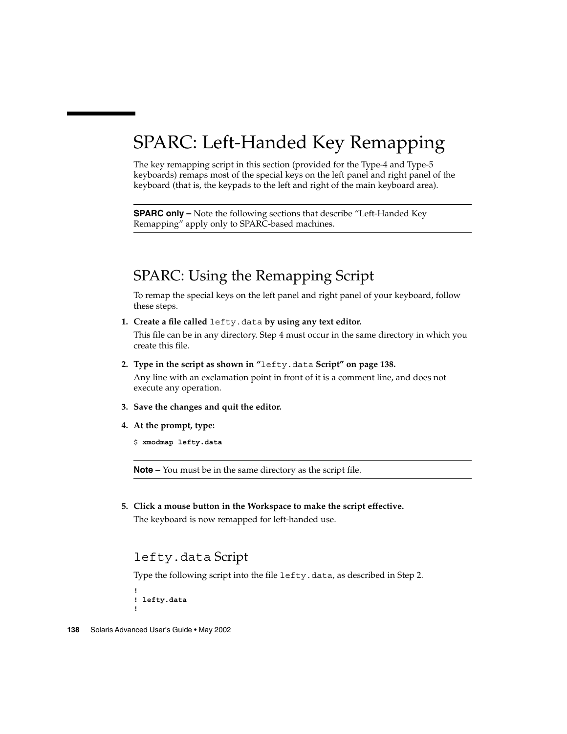# SPARC: Left-Handed Key Remapping

The key remapping script in this section (provided for the Type-4 and Type-5 keyboards) remaps most of the special keys on the left panel and right panel of the keyboard (that is, the keypads to the left and right of the main keyboard area).

**SPARC only –** Note the following sections that describe "Left-Handed Key Remapping" apply only to SPARC-based machines.

## SPARC: Using the Remapping Script

To remap the special keys on the left panel and right panel of your keyboard, follow these steps.

**1. Create a file called** lefty.data **by using any text editor.**

This file can be in any directory. Step 4 must occur in the same directory in which you create this file.

- **2. Type in the script as shown in "**lefty.data **Script" on page 138.** Any line with an exclamation point in front of it is a comment line, and does not execute any operation.
- **3. Save the changes and quit the editor.**
- **4. At the prompt, type:**

```
$ xmodmap lefty.data
```
**Note –** You must be in the same directory as the script file.

**5. Click a mouse button in the Workspace to make the script effective.** The keyboard is now remapped for left-handed use.

### lefty.data Script

Type the following script into the file lefty.data, as described in Step 2.

```
!
! lefty.data
!
```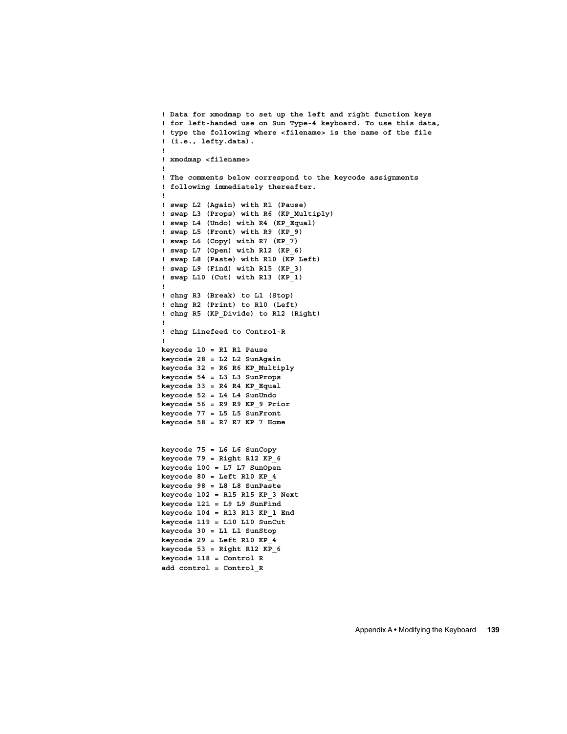```
! Data for xmodmap to set up the left and right function keys
! for left-handed use on Sun Type-4 keyboard. To use this data,
! type the following where <filename> is the name of the file
! (i.e., lefty.data).
!
! xmodmap <filename>
!
! The comments below correspond to the keycode assignments
! following immediately thereafter.
!
! swap L2 (Again) with R1 (Pause)
! swap L3 (Props) with R6 (KP_Multiply)
! swap L4 (Undo) with R4 (KP_Equal)
! swap L5 (Front) with R9 (KP_9)
! swap L6 (Copy) with R7 (KP_7)
! swap L7 (Open) with R12 (KP_6)
! swap L8 (Paste) with R10 (KP_Left)
! swap L9 (Find) with R15 (KP_3)
! swap L10 (Cut) with R13 (KP_1)
!
! chng R3 (Break) to L1 (Stop)
! chng R2 (Print) to R10 (Left)
! chng R5 (KP_Divide) to R12 (Right)
!
! chng Linefeed to Control-R
!
keycode 10 = R1 R1 Pause
keycode 28 = L2 L2 SunAgain
keycode 32 = R6 R6 KP_Multiply
keycode 54 = L3 L3 SunProps
keycode 33 = R4 R4 KP_Equal
keycode 52 = L4 L4 SunUndo
keycode 56 = R9 R9 KP_9 Prior
keycode 77 = L5 L5 SunFront
keycode 58 = R7 R7 KP_7 Home
keycode 75 = L6 L6 SunCopy
keycode 79 = Right R12 KP_6
keycode 100 = L7 L7 SunOpen
keycode 80 = Left R10 KP_4
keycode 98 = L8 L8 SunPaste
keycode 102 = R15 R15 KP_3 Next
keycode 121 = L9 L9 SunFind
keycode 104 = R13 R13 KP_1 End
keycode 119 = L10 L10 SunCut
keycode 30 = L1 L1 SunStop
keycode 29 = Left R10 KP_4
keycode 53 = Right R12 KP 6keycode 118 = Control_R
```
**add control = Control\_R**

Appendix A • Modifying the Keyboard **139**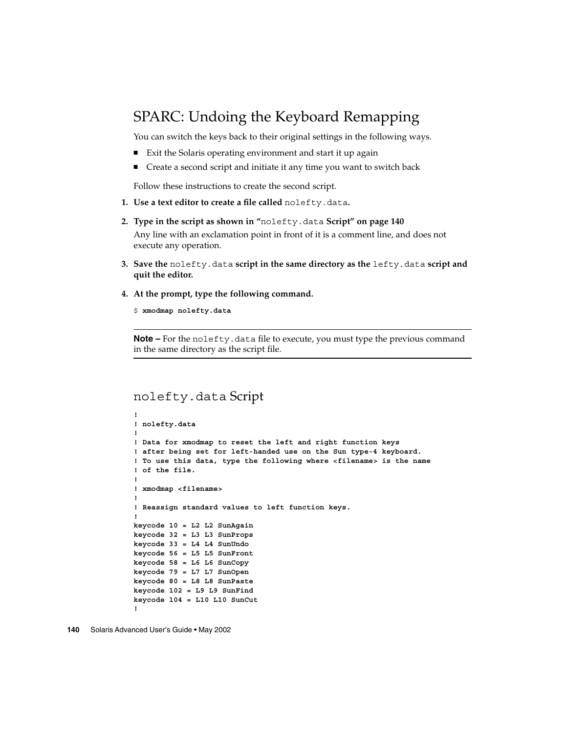### SPARC: Undoing the Keyboard Remapping

You can switch the keys back to their original settings in the following ways.

- Exit the Solaris operating environment and start it up again
- Create a second script and initiate it any time you want to switch back

Follow these instructions to create the second script.

- **1. Use a text editor to create a file called** nolefty.data**.**
- **2. Type in the script as shown in "**nolefty.data **Script" on page 140** Any line with an exclamation point in front of it is a comment line, and does not execute any operation.
- **3. Save the** nolefty.data **script in the same directory as the** lefty.data **script and quit the editor.**
- **4. At the prompt, type the following command.**

```
$ xmodmap nolefty.data
```
**Note –** For the nolefty.data file to execute, you must type the previous command in the same directory as the script file.

#### nolefty.data Script

```
!
! nolefty.data
!
! Data for xmodmap to reset the left and right function keys
! after being set for left-handed use on the Sun type-4 keyboard.
! To use this data, type the following where <filename> is the name
! of the file.
!
! xmodmap <filename>
!
! Reassign standard values to left function keys.
!
keycode 10 = L2 L2 SunAgain
keycode 32 = L3 L3 SunProps
keycode 33 = L4 L4 SunUndo
keycode 56 = L5 L5 SunFront
keycode 58 = L6 L6 SunCopy
keycode 79 = L7 L7 SunOpen
keycode 80 = L8 L8 SunPaste
keycode 102 = L9 L9 SunFind
keycode 104 = L10 L10 SunCut
!
```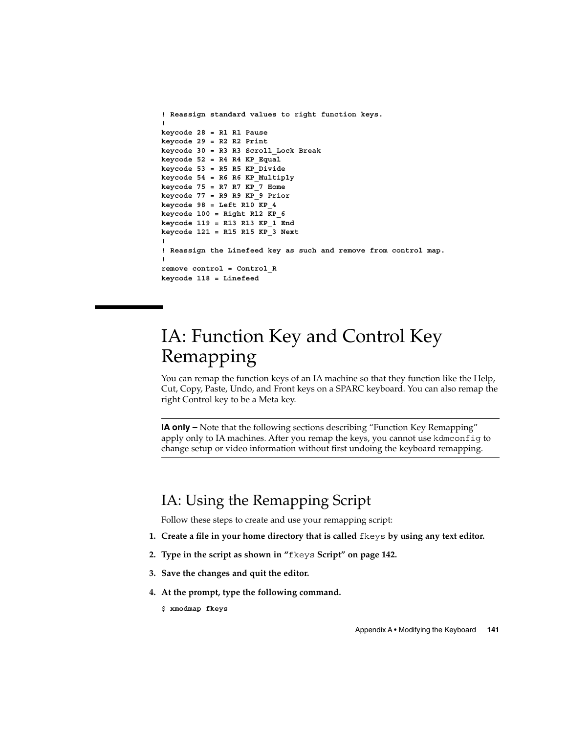```
! Reassign standard values to right function keys.
!
keycode 28 = R1 R1 Pause
keycode 29 = R2 R2 Print
keycode 30 = R3 R3 Scroll_Lock Break
keycode 52 = R4 R4 KP_Equal
keycode 53 = R5 R5 KP_Divide
keycode 54 = R6 R6 KP_Multiply
keycode 75 = R7 R7 KP_7 Home
keycode 77 = R9 R9 KP_9 Prior
keycode 98 = Left R10 KP_4
keycode 100 = Right R12 KP_6
keycode 119 = R13 R13 KP_1 End
keycode 121 = R15 R15 KP_3 Next
!
! Reassign the Linefeed key as such and remove from control map.
!
remove control = Control_R
keycode 118 = Linefeed
```
# IA: Function Key and Control Key Remapping

You can remap the function keys of an IA machine so that they function like the Help, Cut, Copy, Paste, Undo, and Front keys on a SPARC keyboard. You can also remap the right Control key to be a Meta key.

**IA only –** Note that the following sections describing "Function Key Remapping" apply only to IA machines. After you remap the keys, you cannot use kdmconfig to change setup or video information without first undoing the keyboard remapping.

## IA: Using the Remapping Script

Follow these steps to create and use your remapping script:

- **1. Create a file in your home directory that is called** fkeys **by using any text editor.**
- **2. Type in the script as shown in "**fkeys **Script" on page 142.**
- **3. Save the changes and quit the editor.**
- **4. At the prompt, type the following command.**

\$ **xmodmap fkeys**

Appendix A • Modifying the Keyboard **141**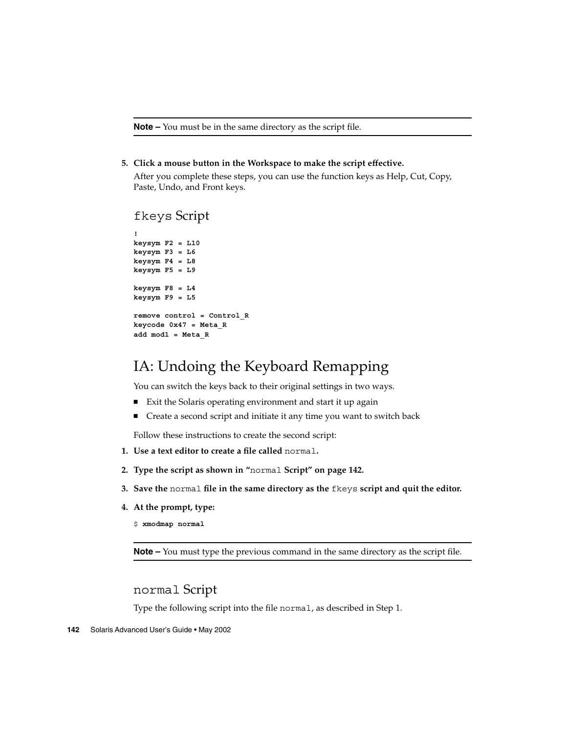**5. Click a mouse button in the Workspace to make the script effective.**

After you complete these steps, you can use the function keys as Help, Cut, Copy, Paste, Undo, and Front keys.

fkeys Script

```
!
keysym F2 = L10
keysym F3 = L6
keysym F4 = L8
keysym F5 = L9
keysym F8 = L4
keysym F9 = L5
remove control = Control_R
keycode 0x47 = Meta_R
add mod1 = Meta_R
```
### IA: Undoing the Keyboard Remapping

You can switch the keys back to their original settings in two ways.

- Exit the Solaris operating environment and start it up again
- Create a second script and initiate it any time you want to switch back

Follow these instructions to create the second script:

- **1. Use a text editor to create a file called** normal**.**
- **2. Type the script as shown in "**normal **Script" on page 142.**
- **3. Save the** normal **file in the same directory as the** fkeys **script and quit the editor.**
- **4. At the prompt, type:**

```
$ xmodmap normal
```
**Note –** You must type the previous command in the same directory as the script file.

#### normal Script

Type the following script into the file normal, as described in Step 1.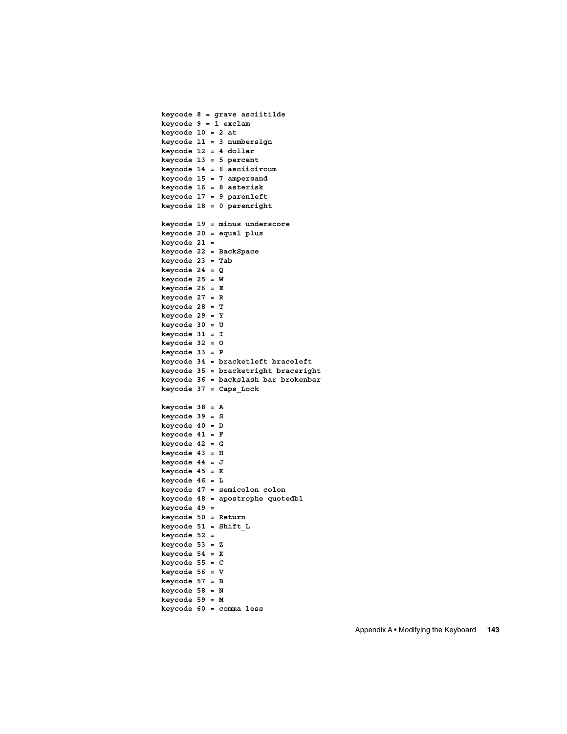**keycode 8 = grave asciitilde keycode9=1 exclam keycode 10 = 2 at keycode 11 = 3 numbersign keycode 12 = 4 dollar keycode 13 = 5 percent keycode 14 = 6 asciicircum keycode 15 = 7 ampersand keycode 16 = 8 asterisk keycode 17 = 9 parenleft keycode 18 = 0 parenright keycode 19 = minus underscore keycode 20 = equal plus keycode 21 = keycode 22 = BackSpace keycode 23 = Tab keycode 24 = Q keycode 25 = W keycode 26 = E keycode 27 = R keycode 28 = T keycode 29 = Y keycode 30 = U keycode 31 = I keycode 32 = O keycode 33 = P keycode 34 = bracketleft braceleft keycode 35 = bracketright braceright keycode 36 = backslash bar brokenbar keycode 37 = Caps\_Lock keycode 38 = A keycode 39 = S keycode 40 = D keycode 41 = F keycode 42 = G keycode 43 = H keycode 44 = J keycode 45 = K keycode 46 = L keycode 47 = semicolon colon keycode 48 = apostrophe quotedbl keycode 49 = keycode 50 = Return keycode 51 = Shift\_L keycode 52 = keycode 53 = Z keycode 54 = X keycode 55 = C keycode 56 = V keycode 57 = B keycode 58 = N keycode 59 = M keycode 60 = comma less**

Appendix A • Modifying the Keyboard **143**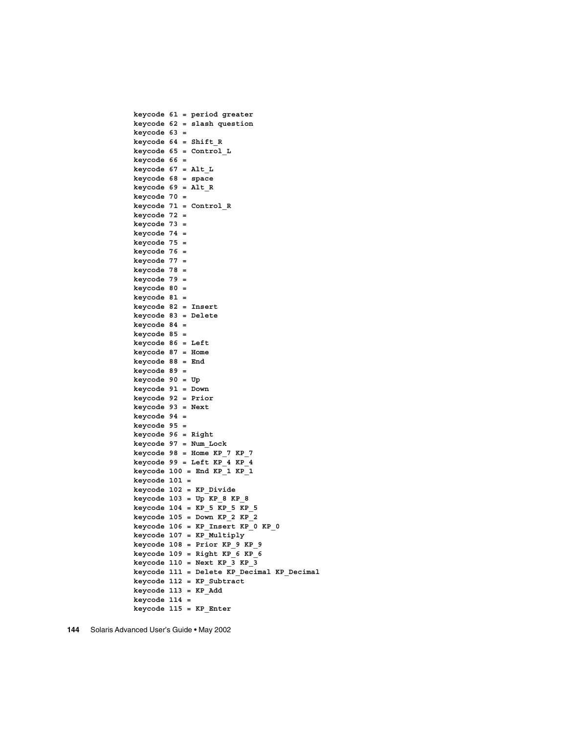```
keycode 61 = period greater
keycode 62 = slash question
keycode 63 =
keycode 64 = Shift_R
keycode 65 = Control_L
keycode 66 =
keycode 67 = Alt_L
keycode 68 = space
keycode 69 = Alt_R
keycode 70 =
keycode 71 = Control_R
keycode 72 =
keycode 73 =
keycode 74 =
keycode 75 =
keycode 76 =
keycode 77 =
keycode 78 =
keycode 79 =
keycode 80 =
keycode 81 =
keycode 82 = Insert
keycode 83 = Delete
keycode 84 =
keycode 85 =
keycode 86 = Left
keycode 87 = Home
keycode 88 = End
keycode 89 =
keycode 90 = Up
keycode 91 = Down
keycode 92 = Prior
keycode 93 = Next
keycode 94 =
keycode 95 =
keycode 96 = Right
keycode 97 = Num_Lock
keycode 98 = Home KP 7 KP 7
keycode 99 = Left KP_4 KP_4
keycode 100 = End KP_1 KP_1
keycode 101 =
keycode 102 = KP_Divide
keycode 103 = Up KP_8 KP_8
keycode 104 = KP_5 KP_5 KP_5
keycode 105 = Down KP_2 KP_2
keycode 106 = KP_Insert KP_0 KP_0
keycode 107 = KP_Multiply
keycode 108 = Prior KP_9 KP_9
keycode 109 = Right KP_6 KP_6
keycode 110 = Next KP_3 KP_3
keycode 111 = Delete KP_Decimal KP_Decimal
keycode 112 = KP_Subtract
keycode 113 = KP_Add
keycode 114 =
keycode 115 = KP_Enter
```
**144** Solaris Advanced User's Guide • May 2002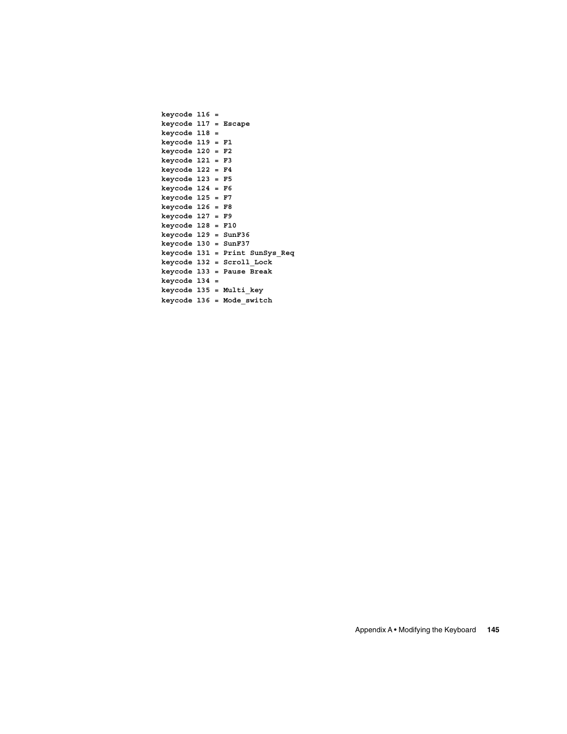| keycode 116 =          |  |                                |
|------------------------|--|--------------------------------|
| keycode 117 = Escape   |  |                                |
| keycode 118 =          |  |                                |
| $keycode 119 = F1$     |  |                                |
| $keycode 120 = F2$     |  |                                |
| $keycode 121 = F3$     |  |                                |
| $keycode 122 = F4$     |  |                                |
| keycode 123 = F5       |  |                                |
| $keycode 124 = F6$     |  |                                |
| keycode 125 = F7       |  |                                |
| $keycode 126 = F8$     |  |                                |
| keycode 127 = F9       |  |                                |
| $keycode 128 = F10$    |  |                                |
| $keycode 129 = SunF36$ |  |                                |
| keycode 130 = SunF37   |  |                                |
|                        |  | keycode 131 = Print SunSys Req |
|                        |  | keycode 132 = Scroll Lock      |
|                        |  | keycode 133 = Pause Break      |
| keycode 134 =          |  |                                |
|                        |  | keycode 135 = Multi key        |
|                        |  | keycode 136 = Mode switch      |
|                        |  |                                |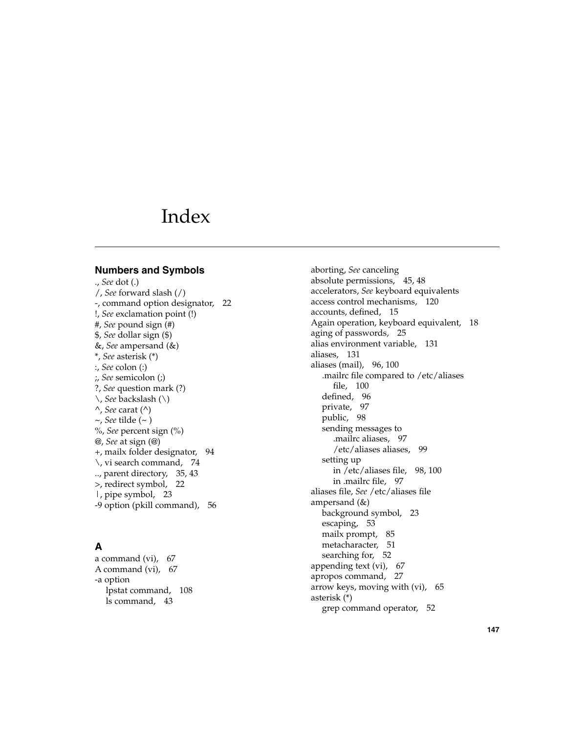# Index

#### **Numbers and Symbols**

., *See* dot (.) /, *See* forward slash (/) -, command option designator, 22 !, *See* exclamation point (!) #, *See* pound sign (#) \$, *See* dollar sign (\$) &, *See* ampersand (&) \*, *See* asterisk (\*) :, *See* colon (:) ;, *See* semicolon (;) ?, *See* question mark (?) \, *See* backslash (\) ^, *See* carat (^) ~, *See* tilde (~ ) %, *See* percent sign (%) @, *See* at sign (@) +, mailx folder designator, 94 \, vi search command, 74 .., parent directory, 35, 43 >, redirect symbol, 22 |, pipe symbol, 23 -9 option (pkill command), 56

# **A**

a command (vi), 67 A command (vi), 67 -a option lpstat command, 108 ls command, 43

aborting, *See* canceling absolute permissions, 45, 48 accelerators, *See* keyboard equivalents access control mechanisms, 120 accounts, de fined, 15 Again operation, keyboard equivalent, 18 aging of passwords, 25 alias environment variable, 131 aliases, 131 aliases (mail), 96, 100 .mailrc file compared to /etc/aliases file, 100 de fined, 96 private, 97 public, 98 sending messages to .mailrc aliases, 97 /etc/aliases aliases, 99 setting up in /etc/aliases file, 98, 100 in .mailrc file, 97 aliases file, *See* /etc/aliases file ampersand (&) background symbol, 23 escaping, 53 mailx prompt, 85 metacharacter, 51 searching for, 52 appending text (vi), 67 apropos command, 27 arrow keys, moving with (vi), 65 asterisk (\*) grep command operator, 52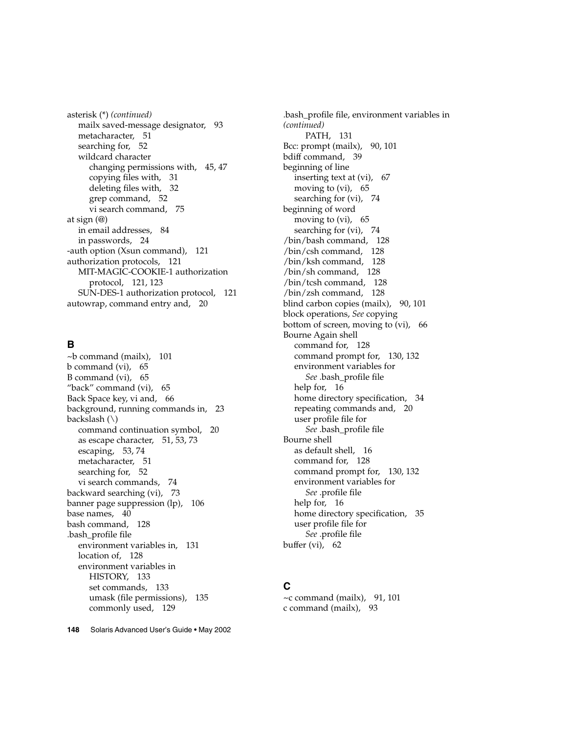asterisk (\*) *(continued)* mailx saved-message designator, 93 metacharacter, 51 searching for, 52 wildcard character changing permissions with, 45, 47 copying files with, 31 deleting files with, 32 grep command, 52 vi search command, 75 at sign (@) in email addresses, 84 in passwords, 24 -auth option (Xsun command), 121 authorization protocols, 121 MIT-MAGIC-COOKIE-1 authorization protocol, 121, 123 SUN-DES-1 authorization protocol, 121 autowrap, command entry and, 20

## **B**

~b command (mailx), 101 b command (vi), 65 B command (vi), 65 "back" command (vi), 65 Back Space key, vi and, 66 background, running commands in, 23 backslash (\) command continuation symbol, 20 as escape character, 51, 53, 73 escaping, 53, 74 metacharacter, 51 searching for, 52 vi search commands, 74 backward searching (vi), 73 banner page suppression (lp), 106 base names, 40 bash command, 128 .bash\_profile file environment variables in, 131 location of, 128 environment variables in HISTORY, 133 set commands, 133 umask (file permissions), 135 commonly used, 129

.bash\_profile file, environment variables in *(continued)* PATH, 131 Bcc: prompt (mailx), 90, 101 bdiff command, 39 beginning of line inserting text at (vi), 67 moving to (vi), 65 searching for (vi), 74 beginning of word moving to (vi), 65 searching for (vi), 74 /bin/bash command, 128 /bin/csh command, 128 /bin/ksh command, 128 /bin/sh command, 128 /bin/tcsh command, 128 /bin/zsh command, 128 blind carbon copies (mailx), 90, 101 block operations, *See* copying bottom of screen, moving to (vi), 66 Bourne Again shell command for, 128 command prompt for, 130, 132 environment variables for *See* .bash\_profile file help for, 16 home directory specification, 34 repeating commands and, 20 user profile file for *See* .bash\_profile file Bourne shell as default shell, 16 command for, 128 command prompt for, 130, 132 environment variables for *See* .profile file help for, 16 home directory specification, 35 user profile file for *See* .profile file buffer (vi),  $62$ 

# **C**

 $\sim$ c command (mailx), 91, 101 c command (mailx), 93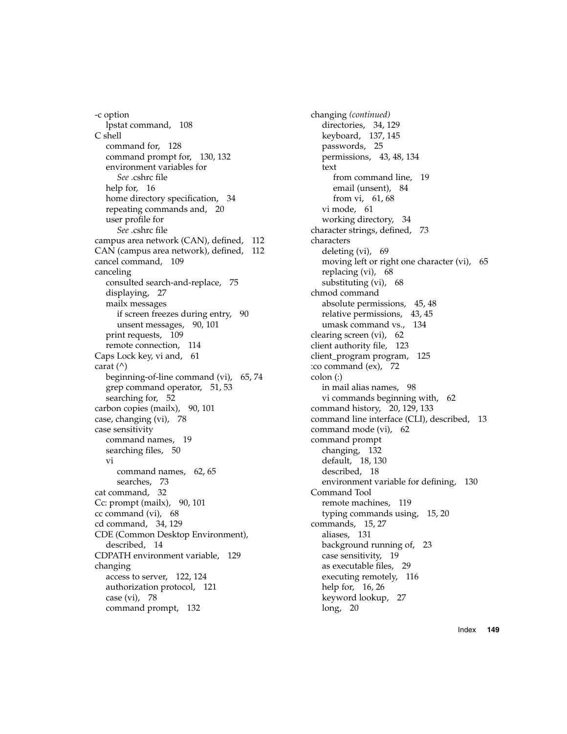-c option lpstat command, 108 C shell command for, 128 command prompt for, 130, 132 environment variables for *See* .cshrc file help for, 16 home directory specification, 34 repeating commands and, 20 user profile for *See* .cshrc file campus area network (CAN), defined, 112 CAN (campus area network), defined, 112 cancel command, 109 canceling consulted search-and-replace, 75 displaying, 27 mailx messages if screen freezes during entry, 90 unsent messages, 90, 101 print requests, 109 remote connection, 114 Caps Lock key, vi and, 61 carat  $(^{\wedge})$ beginning-of-line command (vi), 65, 74 grep command operator, 51, 53 searching for, 52 carbon copies (mailx), 90, 101 case, changing (vi), 78 case sensitivity command names, 19 searching files, 50 vi command names, 62, 65 searches, 73 cat command, 32 Cc: prompt (mailx), 90, 101 cc command (vi), 68 cd command, 34, 129 CDE (Common Desktop Environment), described, 14 CDPATH environment variable, 129 changing access to server, 122, 124 authorization protocol, 121 case (vi), 78 command prompt, 132

changing *(continued)* directories, 34, 129 keyboard, 137, 145 passwords, 25 permissions, 43, 48, 134 text from command line, 19 email (unsent), 84 from vi, 61, 68 vi mode, 61 working directory, 34 character strings, defined, 73 characters deleting (vi), 69 moving left or right one character (vi), 65 replacing (vi), 68 substituting (vi), 68 chmod command absolute permissions, 45, 48 relative permissions, 43, 45 umask command vs., 134 clearing screen (vi), 62 client authority file, 123 client\_program program, 125 :co command (ex), 72 colon (:) in mail alias names, 98 vi commands beginning with, 62 command history, 20, 129, 133 command line interface (CLI), described, 13 command mode (vi), 62 command prompt changing, 132 default, 18, 130 described, 18 environment variable for defining, 130 Command Tool remote machines, 119 typing commands using, 15, 20 commands, 15, 27 aliases, 131 background running of, 23 case sensitivity, 19 as executable files, 29 executing remotely, 116 help for, 16, 26 keyword lookup, 27 long, 20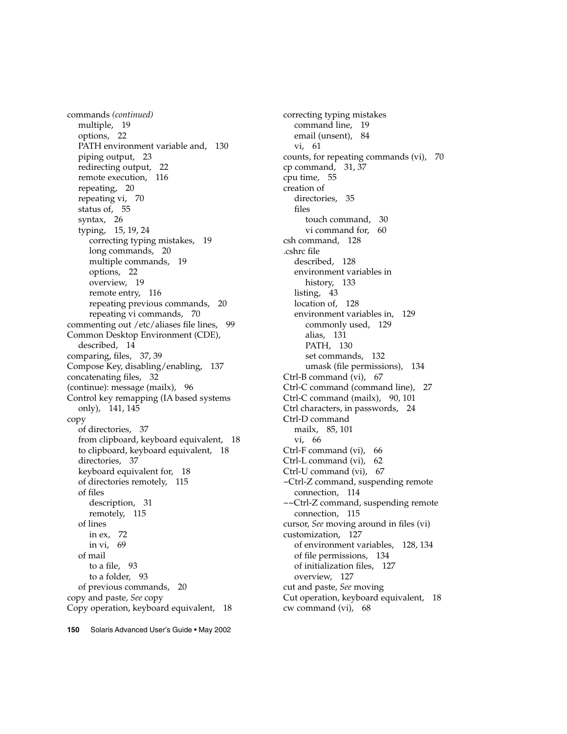commands *(continued)* multiple, 19 options, 22 PATH environment variable and, 130 piping output, 23 redirecting output, 22 remote execution, 116 repeating, 20 repeating vi, 70 status of, 55 syntax, 26 typing, 15, 19, 24 correcting typing mistakes, 19 long commands, 20 multiple commands, 19 options, 22 overview, 19 remote entry, 116 repeating previous commands, 20 repeating vi commands, 70 commenting out /etc/aliases file lines, 99 Common Desktop Environment (CDE), described, 14 comparing, files, 37, 39 Compose Key, disabling/enabling, 137 concatenating files, 32 (continue): message (mailx), 96 Control key remapping (IA based systems only), 141, 145 copy of directories, 37 from clipboard, keyboard equivalent, 18 to clipboard, keyboard equivalent, 18 directories, 37 keyboard equivalent for, 18 of directories remotely, 115 of files description, 31 remotely, 115 of lines in ex, 72 in vi, 69 of mail to a file, 93 to a folder, 93 of previous commands, 20 copy and paste, *See* copy Copy operation, keyboard equivalent, 18

correcting typing mistakes command line, 19 email (unsent), 84 vi, 61 counts, for repeating commands (vi), 70 cp command, 31, 37 cpu time, 55 creation of directories, 35 files touch command, 30 vi command for, 60 csh command, 128 .cshrc file described, 128 environment variables in history, 133 listing, 43 location of, 128 environment variables in, 129 commonly used, 129 alias, 131 PATH, 130 set commands, 132 umask (file permissions), 134 Ctrl-B command (vi), 67 Ctrl-C command (command line), 27 Ctrl-C command (mailx), 90, 101 Ctrl characters, in passwords, 24 Ctrl-D command mailx, 85, 101 vi, 66 Ctrl-F command (vi), 66 Ctrl-L command (vi), 62 Ctrl-U command (vi), 67 ~Ctrl-Z command, suspending remote connection, 114 ~~Ctrl-Z command, suspending remote connection, 115 cursor, *See* moving around in files (vi) customization, 127 of environment variables, 128, 134 of file permissions, 134 of initialization files, 127 overview, 127 cut and paste, *See* moving Cut operation, keyboard equivalent, 18 cw command (vi), 68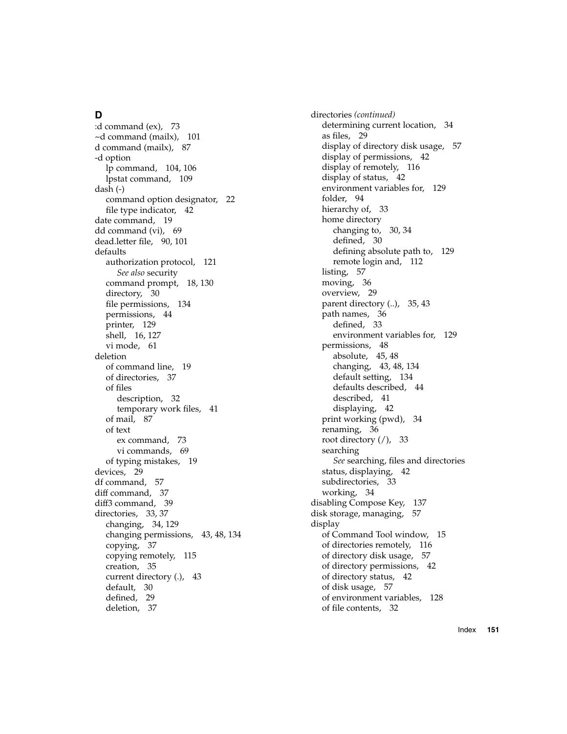# **D**

:d command (ex), 73 ~d command (mailx), 101 d command (mailx), 87 -d option lp command, 104, 106 lpstat command, 109 dash (-) command option designator, 22 file type indicator, 42 date command, 19 dd command (vi), 69 dead.letter file, 90, 101 defaults authorization protocol, 121 *See also* security command prompt, 18, 130 directory, 30 file permissions, 134 permissions, 44 printer, 129 shell, 16, 127 vi mode, 61 deletion of command line, 19 of directories, 37 of files description, 32 temporary work files, 41 of mail, 87 of text ex command, 73 vi commands, 69 of typing mistakes, 19 devices, 29 df command, 57 diff command, 37 diff3 command, 39 directories, 33, 37 changing, 34, 129 changing permissions, 43, 48, 134 copying, 37 copying remotely, 115 creation, 35 current directory (.), 43 default, 30 de fined, 29 deletion, 37

directories *(continued)* determining current location, 34 as files, 29 display of directory disk usage, 57 display of permissions, 42 display of remotely, 116 display of status, 42 environment variables for, 129 folder, 94 hierarchy of, 33 home directory changing to, 30, 34 de fined, 30 de fining absolute path to, 129 remote login and, 112 listing, 57 moving, 36 overview, 29 parent directory (..), 35, 43 path names, 36 de fined, 33 environment variables for, 129 permissions, 48 absolute, 45, 48 changing, 43, 48, 134 default setting, 134 defaults described, 44 described, 41 displaying, 42 print working (pwd), 34 renaming, 36 root directory  $\binom{7}{2}$ , 33 searching *See* searching, files and directories status, displaying, 42 subdirectories, 33 working, 34 disabling Compose Key, 137 disk storage, managing, 57 display of Command Tool window, 15 of directories remotely, 116 of directory disk usage, 57 of directory permissions, 42 of directory status, 42 of disk usage, 57 of environment variables, 128 of file contents, 32

Index **151**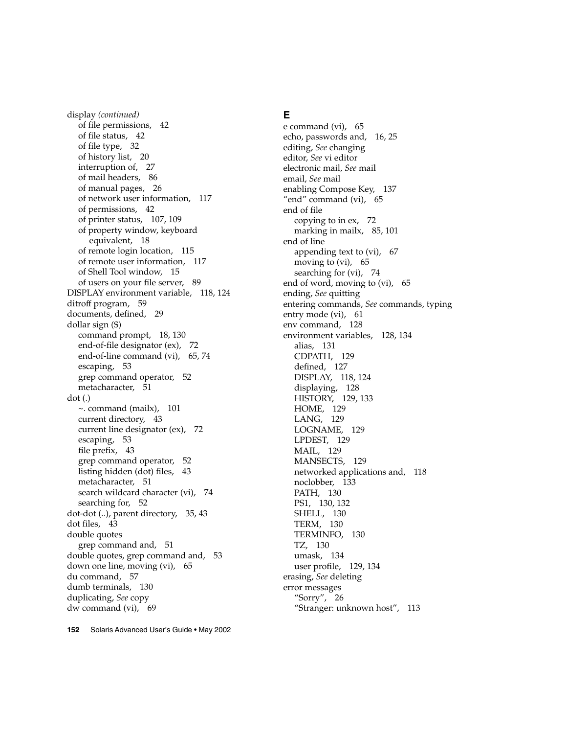display *(continued)* of file permissions, 42 of file status, 42 of file type, 32 of history list, 20 interruption of, 27 of mail headers, 86 of manual pages, 26 of network user information, 117 of permissions, 42 of printer status, 107, 109 of property window, keyboard equivalent, 18 of remote login location, 115 of remote user information, 117 of Shell Tool window, 15 of users on your file server, 89 DISPLAY environment variable, 118, 124 ditroff program, 59 documents, defined, 29 dollar sign (\$) command prompt, 18, 130 end-of-file designator (ex), 72 end-of-line command (vi), 65, 74 escaping, 53 grep command operator, 52 metacharacter, 51 dot (.)  $\sim$ . command (mailx), 101 current directory, 43 current line designator (ex), 72 escaping, 53 file prefix, 43 grep command operator, 52 listing hidden (dot) files, 43 metacharacter, 51 search wildcard character (vi), 74 searching for, 52 dot-dot (..), parent directory, 35, 43 dot files, 43 double quotes grep command and, 51 double quotes, grep command and, 53 down one line, moving (vi), 65 du command, 57 dumb terminals, 130 duplicating, *See* copy dw command (vi), 69

## **E**

e command (vi), 65 echo, passwords and, 16, 25 editing, *See* changing editor, *See* vi editor electronic mail, *See* mail email, *See* mail enabling Compose Key, 137 "end" command (vi), 65 end of file copying to in ex, 72 marking in mailx, 85, 101 end of line appending text to (vi), 67 moving to (vi), 65 searching for (vi), 74 end of word, moving to (vi), 65 ending, *See* quitting entering commands, *See* commands, typing entry mode (vi), 61 env command, 128 environment variables, 128, 134 alias, 131 CDPATH, 129 defined, 127 DISPLAY, 118, 124 displaying, 128 HISTORY, 129, 133 HOME, 129 LANG, 129 LOGNAME, 129 LPDEST, 129 MAIL, 129 MANSECTS, 129 networked applications and, 118 noclobber, 133 PATH, 130 PS1, 130, 132 SHELL, 130 TERM, 130 TERMINFO, 130 TZ, 130 umask, 134 user profile, 129, 134 erasing, *See* deleting error messages "Sorry", 26 "Stranger: unknown host", 113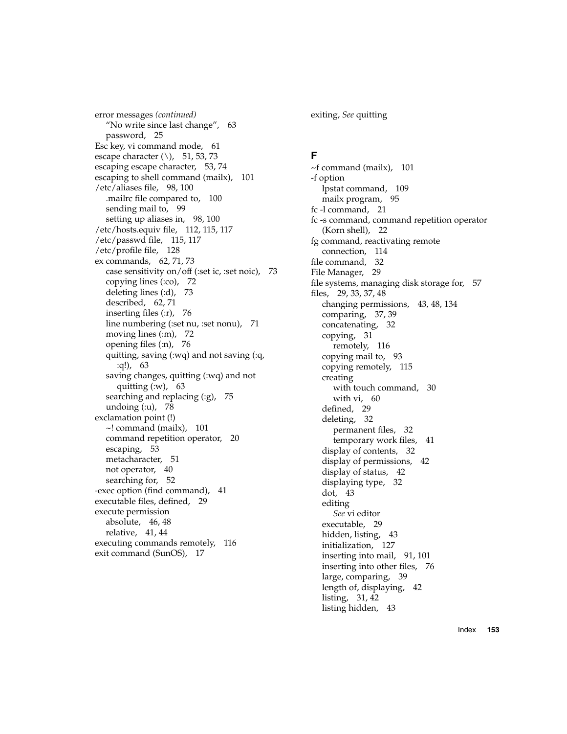error messages *(continued)* "No write since last change", 63 password, 25 Esc key, vi command mode, 61 escape character  $(\lambda)$ , 51, 53, 73 escaping escape character, 53, 74 escaping to shell command (mailx), 101 /etc/aliases file, 98, 100 .mailrc file compared to, 100 sending mail to, 99 setting up aliases in, 98, 100 /etc/hosts.equiv file, 112, 115, 117 /etc/passwd file, 115, 117 /etc/profile file, 128 ex commands, 62, 71, 73 case sensitivity on/off (:set ic, :set noic), 73 copying lines (:co), 72 deleting lines (:d), 73 described, 62, 71 inserting files (:r), 76 line numbering (:set nu, :set nonu), 71 moving lines (:m), 72 opening files (:n), 76 quitting, saving (:wq) and not saving (:q, :q!), 63 saving changes, quitting (:wq) and not quitting  $(xw)$ , 63 searching and replacing (:g), 75 undoing (:u), 78 exclamation point (!) ~! command (mailx), 101 command repetition operator, 20 escaping, 53 metacharacter, 51 not operator, 40 searching for, 52 -exec option (find command), 41 executable files, defined, 29 execute permission absolute, 46, 48 relative, 41, 44 executing commands remotely, 116 exit command (SunOS), 17

exiting, *See* quitting

## **F**

~f command (mailx), 101 -f option lpstat command, 109 mailx program, 95 fc -l command, 21 fc -s command, command repetition operator (Korn shell), 22 fg command, reactivating remote connection, 114 file command, 32 File Manager, 29 file systems, managing disk storage for, 57 files, 29, 33, 37, 48 changing permissions, 43, 48, 134 comparing, 37, 39 concatenating, 32 copying, 31 remotely, 116 copying mail to, 93 copying remotely, 115 creating with touch command, 30 with vi, 60 defined, 29 deleting, 32 permanent files, 32 temporary work files, 41 display of contents, 32 display of permissions, 42 display of status, 42 displaying type, 32 dot, 43 editing *See* vi editor executable, 29 hidden, listing, 43 initialization, 127 inserting into mail, 91, 101 inserting into other files, 76 large, comparing, 39 length of, displaying, 42 listing, 31, 42 listing hidden, 43

Index **153**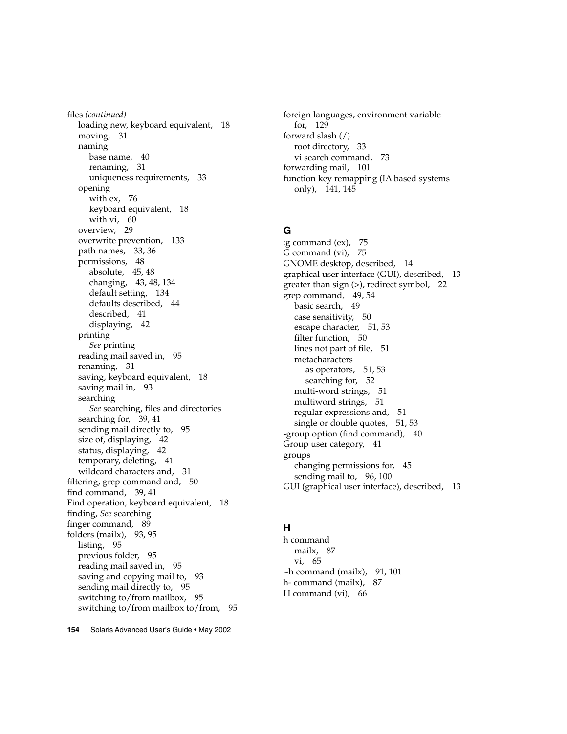files *(continued)* loading new, keyboard equivalent, 18 moving, 31 naming base name, 40 renaming, 31 uniqueness requirements, 33 opening with ex, 76 keyboard equivalent, 18 with vi, 60 overview, 29 overwrite prevention, 133 path names, 33, 36 permissions, 48 absolute, 45, 48 changing, 43, 48, 134 default setting, 134 defaults described, 44 described, 41 displaying, 42 printing *See* printing reading mail saved in, 95 renaming, 31 saving, keyboard equivalent, 18 saving mail in, 93 searching *See* searching, files and directories searching for, 39, 41 sending mail directly to, 95 size of, displaying, 42 status, displaying, 42 temporary, deleting, 41 wildcard characters and, 31 filtering, grep command and, 50 find command, 39, 41 Find operation, keyboard equivalent, 18 finding, *See* searching finger command, 89 folders (mailx), 93, 95 listing, 95 previous folder, 95 reading mail saved in, 95 saving and copying mail to, 93 sending mail directly to, 95 switching to/from mailbox, 95 switching to/from mailbox to/from, 95 foreign languages, environment variable for, 129 forward slash (/) root directory, 33 vi search command, 73 forwarding mail, 101 function key remapping (IA based systems only), 141, 145

#### **G**

:g command (ex), 75 G command (vi), 75 GNOME desktop, described, 14 graphical user interface (GUI), described, 13 greater than sign (>), redirect symbol, 22 grep command, 49, 54 basic search, 49 case sensitivity, 50 escape character, 51, 53 filter function, 50 lines not part of file, 51 metacharacters as operators, 51, 53 searching for, 52 multi-word strings, 51 multiword strings, 51 regular expressions and, 51 single or double quotes, 51, 53 -group option (find command), 40 Group user category, 41 groups changing permissions for, 45 sending mail to, 96, 100 GUI (graphical user interface), described, 13

## **H**

h command mailx, 87 vi, 65  $\nightharpoonup$ h command (mailx), 91, 101 h- command (mailx), 87 H command (vi), 66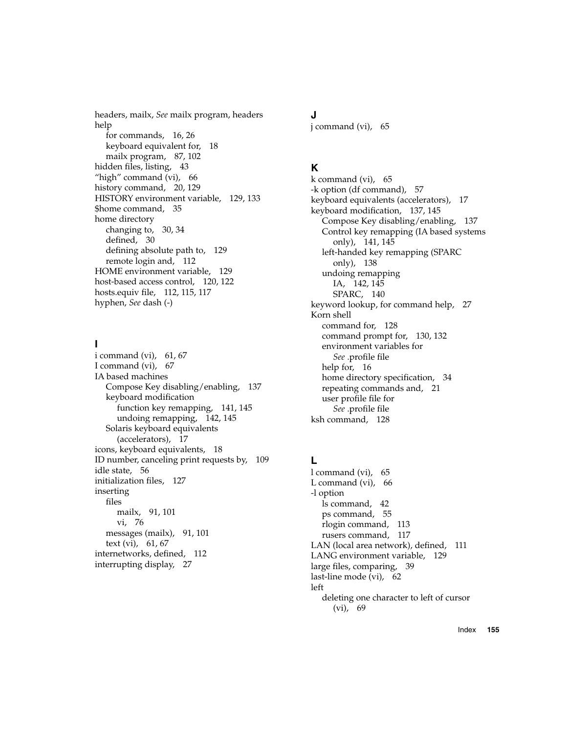headers, mailx, *See* mailx program, headers help for commands, 16, 26 keyboard equivalent for, 18 mailx program, 87, 102 hidden files, listing, 43 "high" command (vi), 66 history command, 20, 129 HISTORY environment variable, 129, 133 \$home command, 35 home directory changing to, 30, 34 defined, 30 defining absolute path to, 129 remote login and, 112 HOME environment variable, 129 host-based access control, 120, 122 hosts.equiv file, 112, 115, 117 hyphen, *See* dash (-)

## **I**

i command (vi), 61, 67 I command (vi), 67 IA based machines Compose Key disabling/enabling, 137 keyboard modification function key remapping, 141, 145 undoing remapping, 142, 145 Solaris keyboard equivalents (accelerators), 17 icons, keyboard equivalents, 18 ID number, canceling print requests by, 109 idle state, 56 initialization files, 127 inserting files mailx, 91, 101 vi, 76 messages (mailx), 91, 101 text (vi), 61, 67 internetworks, defined, 112 interrupting display, 27

## **J**

j command (vi), 65

# **K**

k command (vi), 65 -k option (df command), 57 keyboard equivalents (accelerators), 17 keyboard modification, 137, 145 Compose Key disabling/enabling, 137 Control key remapping (IA based systems only), 141, 145 left-handed key remapping (SPARC only), 138 undoing remapping IA, 142, 145 SPARC, 140 keyword lookup, for command help, 27 Korn shell command for, 128 command prompt for, 130, 132 environment variables for *See* .profile file help for, 16 home directory specification, 34 repeating commands and, 21 user profile file for *See* .profile file ksh command, 128

# **L**

l command (vi), 65 L command (vi), 66 -l option ls command, 42 ps command, 55 rlogin command, 113 rusers command, 117 LAN (local area network), defined, 111 LANG environment variable, 129 large files, comparing, 39 last-line mode (vi), 62 left deleting one character to left of cursor (vi), 69

Index **155**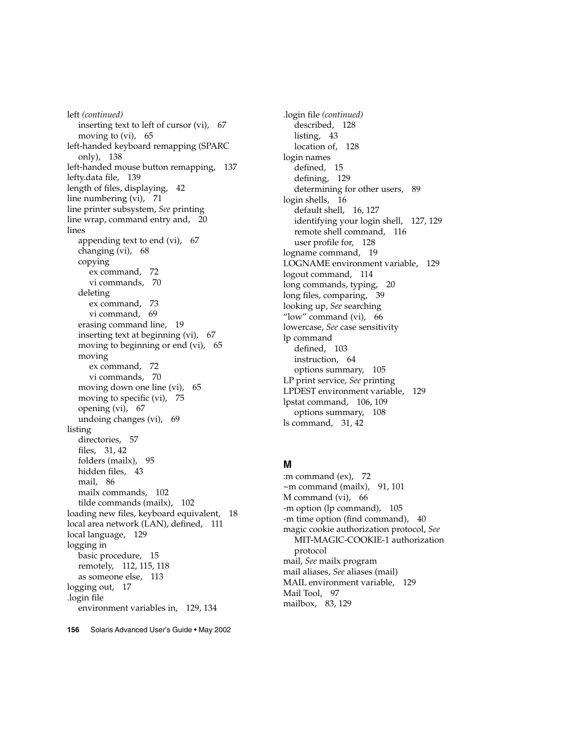left *(continued)* inserting text to left of cursor (vi), 67 moving to (vi), 65 left-handed keyboard remapping (SPARC only), 138 left-handed mouse button remapping, 137 lefty.data file, 139 length of files, displaying, 42 line numbering (vi), 71 line printer subsystem, *See* printing line wrap, command entry and, 20 lines appending text to end (vi), 67 changing (vi), 68 copying ex command, 72 vi commands, 70 deleting ex command, 73 vi command, 69 erasing command line, 19 inserting text at beginning (vi), 67 moving to beginning or end (vi), 65 moving ex command, 72 vi commands, 70 moving down one line (vi), 65 moving to specific (vi), 75 opening (vi), 67 undoing changes (vi), 69 listing directories, 57 files, 31, 42 folders (mailx), 95 hidden files, 43 mail, 86 mailx commands, 102 tilde commands (mailx), 102 loading new files, keyboard equivalent, 18 local area network (LAN), defined, 111 local language, 129 logging in basic procedure, 15 remotely, 112, 115, 118 as someone else, 113 logging out, 17 .login file environment variables in, 129, 134

.login file *(continued)* described, 128 listing, 43 location of, 128 login names defined, 15 defining, 129 determining for other users, 89 login shells, 16 default shell, 16, 127 identifying your login shell, 127, 129 remote shell command, 116 user profile for, 128 logname command, 19 LOGNAME environment variable, 129 logout command, 114 long commands, typing, 20 long files, comparing, 39 looking up, *See* searching "low" command (vi), 66 lowercase, *See* case sensitivity lp command defined, 103 instruction, 64 options summary, 105 LP print service, *See* printing LPDEST environment variable, 129 lpstat command, 106, 109 options summary, 108 ls command, 31, 42

## **M**

:m command (ex), 72  $~\sim$ m command (mailx), 91, 101 M command (vi), 66 -m option (lp command), 105 -m time option (find command), 40 magic cookie authorization protocol, *See* MIT-MAGIC-COOKIE-1 authorization protocol mail, *See* mailx program mail aliases, *See* aliases (mail) MAIL environment variable, 129 Mail Tool, 97 mailbox, 83, 129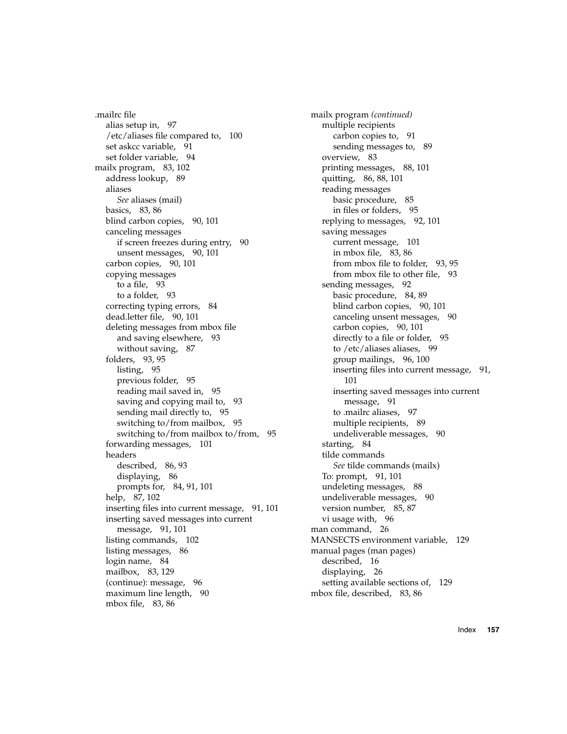.mailrc file alias setup in, 97 /etc/aliases file compared to, 100 set askcc variable, 91 set folder variable, 94 mailx program, 83, 102 address lookup, 89 aliases *See* aliases (mail) basics, 83, 86 blind carbon copies, 90, 101 canceling messages if screen freezes during entry, 90 unsent messages, 90, 101 carbon copies, 90, 101 copying messages to a file, 93 to a folder, 93 correcting typing errors, 84 dead.letter file, 90, 101 deleting messages from mbox file and saving elsewhere, 93 without saving, 87 folders, 93, 95 listing, 95 previous folder, 95 reading mail saved in, 95 saving and copying mail to, 93 sending mail directly to, 95 switching to/from mailbox, 95 switching to/from mailbox to/from, 95 forwarding messages, 101 headers described, 86, 93 displaying, 86 prompts for, 84, 91, 101 help, 87, 102 inserting files into current message, 91, 101 inserting saved messages into current message, 91, 101 listing commands, 102 listing messages, 86 login name, 84 mailbox, 83, 129 (continue): message, 96 maximum line length, 90 mbox file, 83, 86

mailx program *(continued)* multiple recipients carbon copies to, 91 sending messages to, 89 overview, 83 printing messages, 88, 101 quitting, 86, 88, 101 reading messages basic procedure, 85 in files or folders, 95 replying to messages, 92, 101 saving messages current message, 101 in mbox file, 83, 86 from mbox file to folder, 93, 95 from mbox file to other file, 93 sending messages, 92 basic procedure, 84, 89 blind carbon copies, 90, 101 canceling unsent messages, 90 carbon copies, 90, 101 directly to a file or folder, 95 to /etc/aliases aliases, 99 group mailings, 96, 100 inserting files into current message, 91, 101 inserting saved messages into current message, 91 to .mailrc aliases, 97 multiple recipients, 89 undeliverable messages, 90 starting, 84 tilde commands *See* tilde commands (mailx) To: prompt, 91, 101 undeleting messages, 88 undeliverable messages, 90 version number, 85, 87 vi usage with, 96 man command, 26 MANSECTS environment variable, 129 manual pages (man pages) described, 16 displaying, 26 setting available sections of, 129 mbox file, described, 83, 86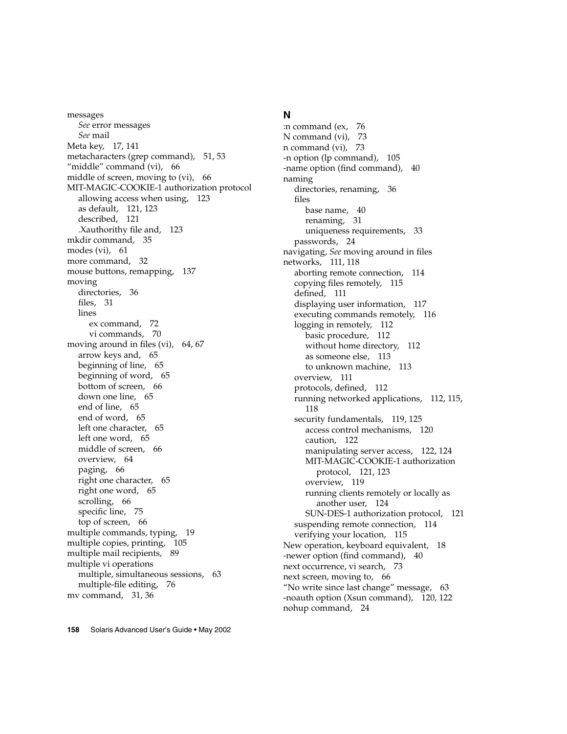messages *See* error messages *See* mail Meta key, 17, 141 metacharacters (grep command), 51, 53 "middle" command (vi), 66 middle of screen, moving to (vi), 66 MIT-MAGIC-COOKIE-1 authorization protocol allowing access when using, 123 as default, 121, 123 described, 121 .Xauthorithy file and, 123 mkdir command, 35 modes (vi), 61 more command, 32 mouse buttons, remapping, 137 moving directories, 36 files, 31 lines ex command, 72 vi commands, 70 moving around in files (vi), 64, 67 arrow keys and, 65 beginning of line, 65 beginning of word, 65 bottom of screen, 66 down one line, 65 end of line, 65 end of word, 65 left one character, 65 left one word, 65 middle of screen, 66 overview, 64 paging, 66 right one character, 65 right one word, 65 scrolling, 66 specific line, 75 top of screen, 66 multiple commands, typing, 19 multiple copies, printing, 105 multiple mail recipients, 89 multiple vi operations multiple, simultaneous sessions, 63 multiple-file editing, 76 mv command, 31, 36

#### **N**

:n command (ex, 76 N command (vi), 73 n command (vi), 73 -n option (lp command), 105 -name option (find command), 40 naming directories, renaming, 36 files base name, 40 renaming, 31 uniqueness requirements, 33 passwords, 24 navigating, *See* moving around in files networks, 111, 118 aborting remote connection, 114 copying files remotely, 115 defined, 111 displaying user information, 117 executing commands remotely, 116 logging in remotely, 112 basic procedure, 112 without home directory, 112 as someone else, 113 to unknown machine, 113 overview, 111 protocols, defined, 112 running networked applications, 112, 115, 118 security fundamentals, 119, 125 access control mechanisms, 120 caution, 122 manipulating server access, 122, 124 MIT-MAGIC-COOKIE-1 authorization protocol, 121, 123 overview, 119 running clients remotely or locally as another user, 124 SUN-DES-1 authorization protocol, 121 suspending remote connection, 114 verifying your location, 115 New operation, keyboard equivalent, 18 -newer option (find command), 40 next occurrence, vi search, 73 next screen, moving to, 66 "No write since last change" message, 63 -noauth option (Xsun command), 120, 122 nohup command, 24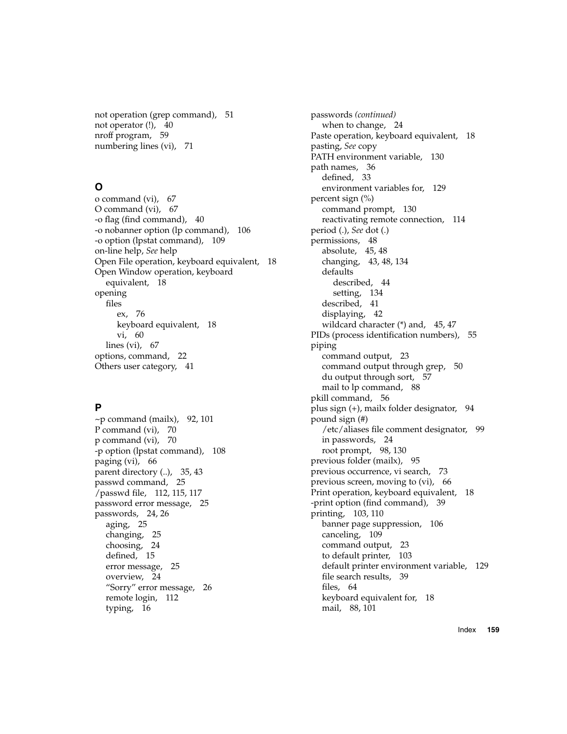not operation (grep command), 51 not operator (!), 40 nroff program, 59 numbering lines (vi), 71

## **O**

o command (vi), 67 O command (vi), 67 -o flag (find command), 40 -o nobanner option (lp command), 106 -o option (lpstat command), 109 on-line help, *See* help Open File operation, keyboard equivalent, 18 Open Window operation, keyboard equivalent, 18 opening files ex, 76 keyboard equivalent, 18 vi, 60 lines (vi), 67 options, command, 22 Others user category, 41

# **P**

 $\sim$ p command (mailx), 92, 101 P command (vi), 70 p command (vi), 70 -p option (lpstat command), 108 paging (vi), 66 parent directory (..), 35, 43 passwd command, 25 /passwd file, 112, 115, 117 password error message, 25 passwords, 24, 26 aging, 25 changing, 25 choosing, 24 defined, 15 error message, 25 overview, 24 "Sorry" error message, 26 remote login, 112 typing, 16

passwords *(continued)* when to change, 24 Paste operation, keyboard equivalent, 18 pasting, *See* copy PATH environment variable, 130 path names, 36 defined, 33 environment variables for, 129 percent sign (%) command prompt, 130 reactivating remote connection, 114 period (.), *See* dot (.) permissions, 48 absolute, 45, 48 changing, 43, 48, 134 defaults described, 44 setting, 134 described, 41 displaying, 42 wildcard character (\*) and, 45, 47 PIDs (process identification numbers), 55 piping command output, 23 command output through grep, 50 du output through sort, 57 mail to lp command, 88 pkill command, 56 plus sign (+), mailx folder designator, 94 pound sign (#) /etc/aliases file comment designator, 99 in passwords, 24 root prompt, 98, 130 previous folder (mailx), 95 previous occurrence, vi search, 73 previous screen, moving to (vi), 66 Print operation, keyboard equivalent, 18 -print option (find command), 39 printing, 103, 110 banner page suppression, 106 canceling, 109 command output, 23 to default printer, 103 default printer environment variable, 129 file search results, 39 files, 64 keyboard equivalent for, 18 mail, 88, 101

Index **159**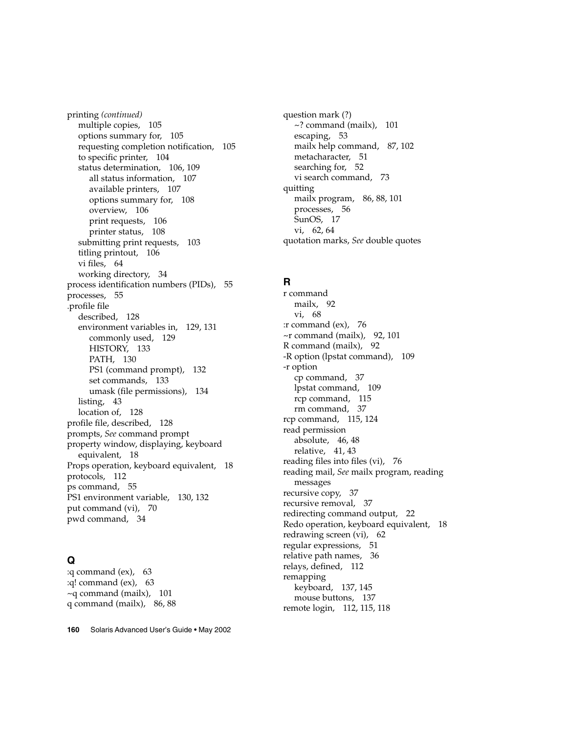printing *(continued)* multiple copies, 105 options summary for, 105 requesting completion notification, 105 to specific printer, 104 status determination, 106, 109 all status information, 107 available printers, 107 options summary for, 108 overview, 106 print requests, 106 printer status, 108 submitting print requests, 103 titling printout, 106 vi files, 64 working directory, 34 process identification numbers (PIDs), 55 processes, 55 .profile file described, 128 environment variables in, 129, 131 commonly used, 129 HISTORY, 133 PATH, 130 PS1 (command prompt), 132 set commands, 133 umask (file permissions), 134 listing, 43 location of, 128 profile file, described, 128 prompts, *See* command prompt property window, displaying, keyboard equivalent, 18 Props operation, keyboard equivalent, 18 protocols, 112 ps command, 55 PS1 environment variable, 130, 132 put command (vi), 70 pwd command, 34

# **Q**

:q command (ex), 63 :q! command (ex), 63  $\sim$ q command (mailx), 101 q command (mailx), 86, 88

question mark (?)  $\sim$ ? command (mailx), 101 escaping, 53 mailx help command, 87, 102 metacharacter, 51 searching for, 52 vi search command, 73 quitting mailx program, 86, 88, 101 processes, 56 SunOS, 17 vi, 62, 64 quotation marks, *See* double quotes

# **R**

r command mailx, 92 vi, 68 :r command (ex), 76  $\sim$ r command (mailx), 92, 101 R command (mailx), 92 -R option (lpstat command), 109 -r option cp command, 37 lpstat command, 109 rcp command, 115 rm command, 37 rcp command, 115, 124 read permission absolute, 46, 48 relative, 41, 43 reading files into files (vi), 76 reading mail, *See* mailx program, reading messages recursive copy, 37 recursive removal, 37 redirecting command output, 22 Redo operation, keyboard equivalent, 18 redrawing screen (vi), 62 regular expressions, 51 relative path names, 36 relays, defined, 112 remapping keyboard, 137, 145 mouse buttons, 137 remote login, 112, 115, 118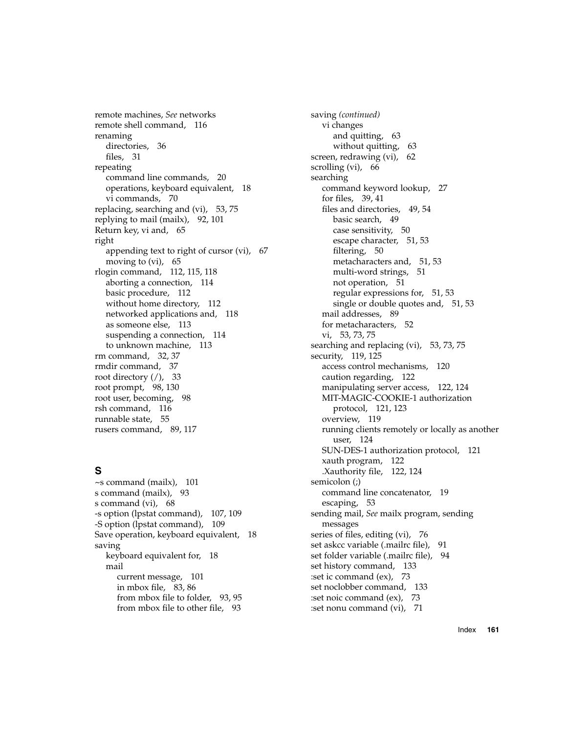remote machines, *See* networks remote shell command, 116 renaming directories, 36 files, 31 repeating command line commands, 20 operations, keyboard equivalent, 18 vi commands, 70 replacing, searching and (vi), 53, 75 replying to mail (mailx), 92, 101 Return key, vi and, 65 right appending text to right of cursor (vi), 67 moving to (vi), 65 rlogin command, 112, 115, 118 aborting a connection, 114 basic procedure, 112 without home directory, 112 networked applications and, 118 as someone else, 113 suspending a connection, 114 to unknown machine, 113 rm command, 32, 37 rmdir command, 37 root directory (/), 33 root prompt, 98, 130 root user, becoming, 98 rsh command, 116 runnable state, 55 rusers command, 89, 117

# **S**

~s command (mailx), 101 s command (mailx), 93 s command (vi), 68 -s option (lpstat command), 107, 109 -S option (lpstat command), 109 Save operation, keyboard equivalent, 18 saving keyboard equivalent for, 18 mail current message, 101 in mbox file, 83, 86 from mbox file to folder, 93, 95 from mbox file to other file, 93

saving *(continued)* vi changes and quitting, 63 without quitting, 63 screen, redrawing (vi), 62 scrolling (vi), 66 searching command keyword lookup, 27 for files, 39, 41 files and directories, 49, 54 basic search, 49 case sensitivity, 50 escape character, 51, 53 filtering, 50 metacharacters and, 51, 53 multi-word strings, 51 not operation, 51 regular expressions for, 51, 53 single or double quotes and, 51, 53 mail addresses, 89 for metacharacters, 52 vi, 53, 73, 75 searching and replacing (vi), 53, 73, 75 security, 119, 125 access control mechanisms, 120 caution regarding, 122 manipulating server access, 122, 124 MIT-MAGIC-COOKIE-1 authorization protocol, 121, 123 overview, 119 running clients remotely or locally as another user, 124 SUN-DES-1 authorization protocol, 121 xauth program, 122 .Xauthority file, 122, 124 semicolon (;) command line concatenator, 19 escaping, 53 sending mail, *See* mailx program, sending messages series of files, editing (vi), 76 set askcc variable (.mailrc file), 91 set folder variable (.mailrc file), 94 set history command, 133 :set ic command (ex), 73 set noclobber command, 133 :set noic command (ex), 73 :set nonu command (vi), 71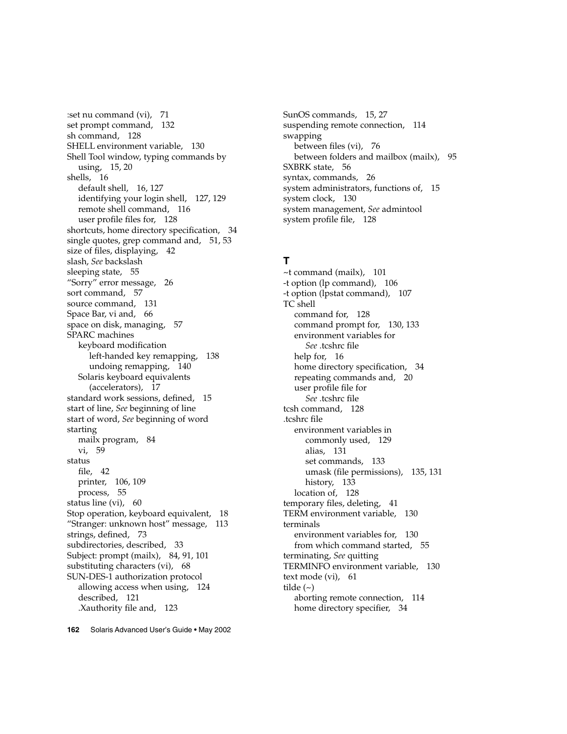:set nu command (vi), 71 set prompt command, 132 sh command, 128 SHELL environment variable, 130 Shell Tool window, typing commands by using, 15, 20 shells, 16 default shell, 16, 127 identifying your login shell, 127, 129 remote shell command, 116 user profile files for, 128 shortcuts, home directory specification, 34 single quotes, grep command and, 51, 53 size of files, displaying, 42 slash, *See* backslash sleeping state, 55 "Sorry" error message, 26 sort command, 57 source command, 131 Space Bar, vi and, 66 space on disk, managing, 57 SPARC machines keyboard modification left-handed key remapping, 138 undoing remapping, 140 Solaris keyboard equivalents (accelerators), 17 standard work sessions, defined, 15 start of line, *See* beginning of line start of word, *See* beginning of word starting mailx program, 84 vi, 59 status file, 42 printer, 106, 109 process, 55 status line (vi), 60 Stop operation, keyboard equivalent, 18 "Stranger: unknown host" message, 113 strings, defined, 73 subdirectories, described, 33 Subject: prompt (mailx), 84, 91, 101 substituting characters (vi), 68 SUN-DES-1 authorization protocol allowing access when using, 124 described, 121 .Xauthority file and, 123

SunOS commands, 15, 27 suspending remote connection, 114 swapping between files (vi), 76 between folders and mailbox (mailx), 95 SXBRK state, 56 syntax, commands, 26 system administrators, functions of, 15 system clock, 130 system management, *See* admintool system profile file, 128

#### **T**

~t command (mailx), 101 -t option (lp command), 106 -t option (lpstat command), 107 TC shell command for, 128 command prompt for, 130, 133 environment variables for *See* .tcshrc file help for, 16 home directory specification, 34 repeating commands and, 20 user profile file for *See* .tcshrc file tcsh command, 128 .tcshrc file environment variables in commonly used, 129 alias, 131 set commands, 133 umask (file permissions), 135, 131 history, 133 location of, 128 temporary files, deleting, 41 TERM environment variable, 130 terminals environment variables for, 130 from which command started, 55 terminating, *See* quitting TERMINFO environment variable, 130 text mode (vi), 61 tilde  $(\sim)$ aborting remote connection, 114 home directory specifier, 34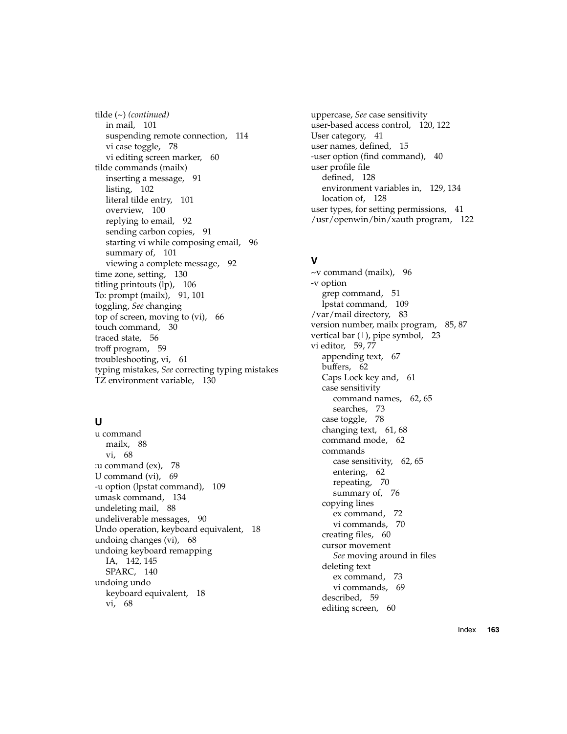tilde (~) *(continued)* in mail, 101 suspending remote connection, 114 vi case toggle, 78 vi editing screen marker, 60 tilde commands (mailx) inserting a message, 91 listing, 102 literal tilde entry, 101 overview, 100 replying to email, 92 sending carbon copies, 91 starting vi while composing email, 96 summary of, 101 viewing a complete message, 92 time zone, setting, 130 titling printouts (lp), 106 To: prompt (mailx), 91, 101 toggling, *See* changing top of screen, moving to (vi), 66 touch command, 30 traced state, 56 troff program, 59 troubleshooting, vi, 61 typing mistakes, *See* correcting typing mistakes TZ environment variable, 130

# **U**

u command mailx, 88 vi, 68 :u command (ex), 78 U command (vi), 69 -u option (lpstat command), 109 umask command, 134 undeleting mail, 88 undeliverable messages, 90 Undo operation, keyboard equivalent, 18 undoing changes (vi), 68 undoing keyboard remapping IA, 142, 145 SPARC, 140 undoing undo keyboard equivalent, 18 vi, 68

uppercase, *See* case sensitivity user-based access control, 120, 122 User category, 41 user names, defined, 15 -user option (find command), 40 user profile file defined, 128 environment variables in, 129, 134 location of, 128 user types, for setting permissions, 41 /usr/openwin/bin/xauth program, 122

## **V**

 $\sim$ v command (mailx), 96 -v option grep command, 51 lpstat command, 109 /var/mail directory, 83 version number, mailx program, 85, 87 vertical bar (1), pipe symbol, 23 vi editor, 59, 77 appending text, 67 buffers, 62 Caps Lock key and, 61 case sensitivity command names, 62, 65 searches, 73 case toggle, 78 changing text, 61, 68 command mode, 62 commands case sensitivity, 62, 65 entering, 62 repeating, 70 summary of, 76 copying lines ex command, 72 vi commands, 70 creating files, 60 cursor movement *See* moving around in files deleting text ex command, 73 vi commands, 69 described, 59 editing screen, 60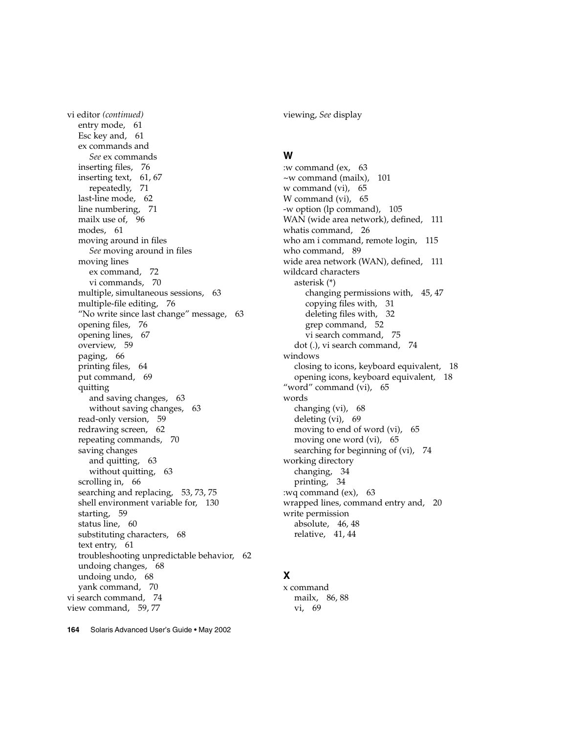vi editor *(continued)* entry mode, 61 Esc key and, 61 ex commands and *See* ex commands inserting files, 76 inserting text, 61, 67 repeatedly, 71 last-line mode, 62 line numbering, 71 mailx use of, 96 modes, 61 moving around in files *See* moving around in files moving lines ex command, 72 vi commands, 70 multiple, simultaneous sessions, 63 multiple-file editing, 76 "No write since last change" message, 63 opening files, 76 opening lines, 67 overview, 59 paging, 66 printing files, 64 put command, 69 quitting and saving changes, 63 without saving changes, 63 read-only version, 59 redrawing screen, 62 repeating commands, 70 saving changes and quitting, 63 without quitting, 63 scrolling in, 66 searching and replacing, 53, 73, 75 shell environment variable for, 130 starting, 59 status line, 60 substituting characters, 68 text entry, 61 troubleshooting unpredictable behavior, 62 undoing changes, 68 undoing undo, 68 yank command, 70 vi search command, 74 view command, 59, 77

viewing, *See* display

#### **W**

:w command (ex, 63 ~w command (mailx), 101 w command (vi), 65 W command (vi), 65 -w option (lp command), 105 WAN (wide area network), defined, 111 whatis command, 26 who am i command, remote login, 115 who command, 89 wide area network (WAN), defined, 111 wildcard characters asterisk (\*) changing permissions with, 45, 47 copying files with, 31 deleting files with, 32 grep command, 52 vi search command, 75 dot (.), vi search command, 74 windows closing to icons, keyboard equivalent, 18 opening icons, keyboard equivalent, 18 "word" command (vi), 65 words changing (vi), 68 deleting (vi), 69 moving to end of word (vi), 65 moving one word (vi), 65 searching for beginning of (vi), 74 working directory changing, 34 printing, 34 :wq command (ex), 63 wrapped lines, command entry and, 20 write permission absolute, 46, 48 relative, 41, 44

# **X**

x command mailx, 86, 88 vi, 69